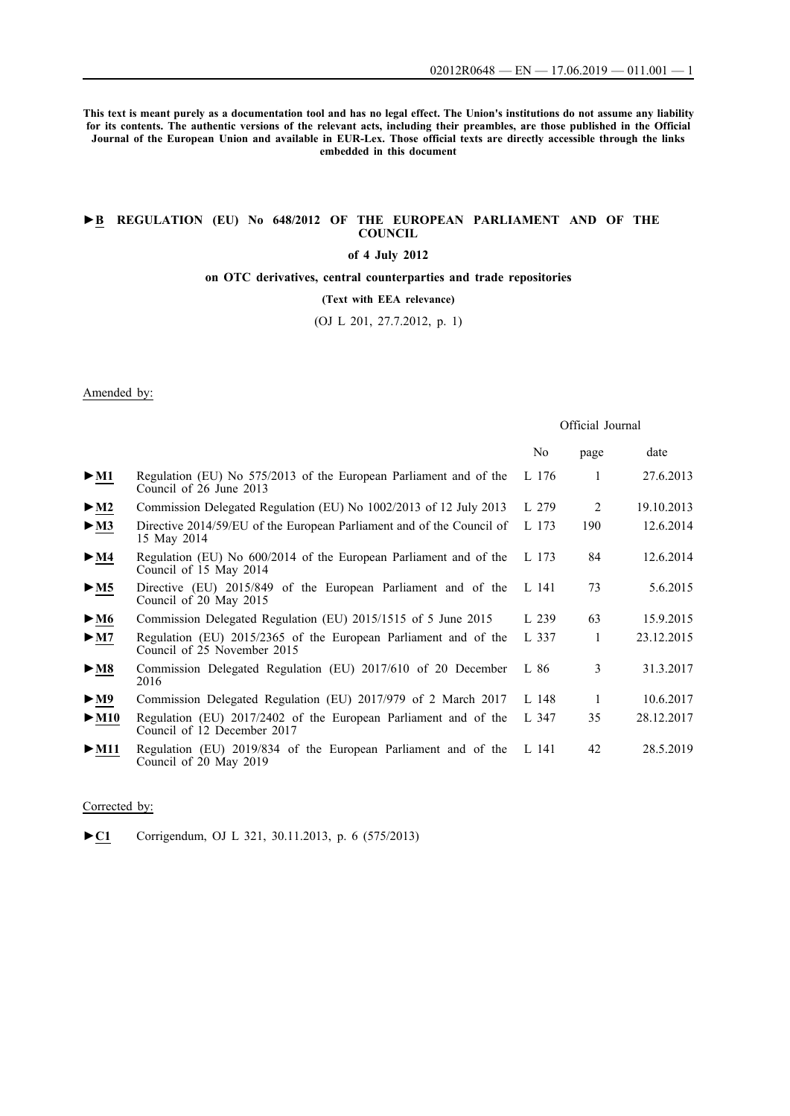**This text is meant purely as a documentation tool and has no legal effect. The Union's institutions do not assume any liability for its contents. The authentic versions of the relevant acts, including their preambles, are those published in the Official Journal of the European Union and available in EUR-Lex. Those official texts are directly accessible through the links embedded in this document**

## **►B [REGULATION \(EU\) No 648/2012 OF THE EUROPEAN PARLIAMENT AND OF THE](http://data.europa.eu/eli/reg/2012/648/oj/eng) [COUNCIL](http://data.europa.eu/eli/reg/2012/648/oj/eng)**

## **[of 4 July 2012](http://data.europa.eu/eli/reg/2012/648/oj/eng)**

## **[on OTC derivatives, central counterparties and trade repositories](http://data.europa.eu/eli/reg/2012/648/oj/eng)**

## **[\(Text with EEA relevance\)](http://data.europa.eu/eli/reg/2012/648/oj/eng)**

[\(OJ L 201, 27.7.2012, p. 1\)](http://data.europa.eu/eli/reg/2012/648/oj/eng)

Amended by:

# Official Journal

|                           |                                                                                                | N <sub>0</sub> | page | date       |
|---------------------------|------------------------------------------------------------------------------------------------|----------------|------|------------|
| $\blacktriangleright$ M1  | Regulation (EU) No 575/2013 of the European Parliament and of the<br>Council of 26 June 2013   | L 176          | 1    | 27.6.2013  |
| $\blacktriangleright$ M2  | Commission Delegated Regulation (EU) No 1002/2013 of 12 July 2013                              | L 279          | 2    | 19.10.2013 |
| $\blacktriangleright$ M3  | Directive 2014/59/EU of the European Parliament and of the Council of<br>15 May 2014           | L 173          | 190  | 12.6.2014  |
| $\blacktriangleright$ M4  | Regulation (EU) No 600/2014 of the European Parliament and of the<br>Council of 15 May 2014    | L 173          | 84   | 12.6.2014  |
| $>$ M5                    | Directive (EU) 2015/849 of the European Parliament and of the<br>Council of 20 May 2015        | L 141          | 73   | 5.6.2015   |
| $\blacktriangleright$ M6  | Commission Delegated Regulation (EU) 2015/1515 of 5 June 2015                                  | L 239          | 63   | 15.9.2015  |
| > M7                      | Regulation (EU) 2015/2365 of the European Parliament and of the<br>Council of 25 November 2015 | $L_{337}$      | 1    | 23.12.2015 |
| $>$ M8                    | Commission Delegated Regulation (EU) 2017/610 of 20 December<br>2016                           | L 86           | 3    | 31.3.2017  |
| $>$ M9                    | Commission Delegated Regulation (EU) 2017/979 of 2 March 2017                                  | L 148          | 1    | 10.6.2017  |
| $\blacktriangleright$ M10 | Regulation (EU) 2017/2402 of the European Parliament and of the<br>Council of 12 December 2017 | L 347          | 35   | 28.12.2017 |
| $\blacktriangleright$ M11 | Regulation (EU) 2019/834 of the European Parliament and of the<br>Council of 20 May 2019       | L 141          | 42   | 28.5.2019  |

## Corrected by:

[►](http://data.europa.eu/eli/reg/2013/575/corrigendum/2013-11-30/oj/eng)**[C1](http://data.europa.eu/eli/reg/2013/575/corrigendum/2013-11-30/oj/eng)** [Corrigendum, OJ L 321, 30.11.2013, p. 6 \(575/2013\)](http://data.europa.eu/eli/reg/2013/575/corrigendum/2013-11-30/oj/eng)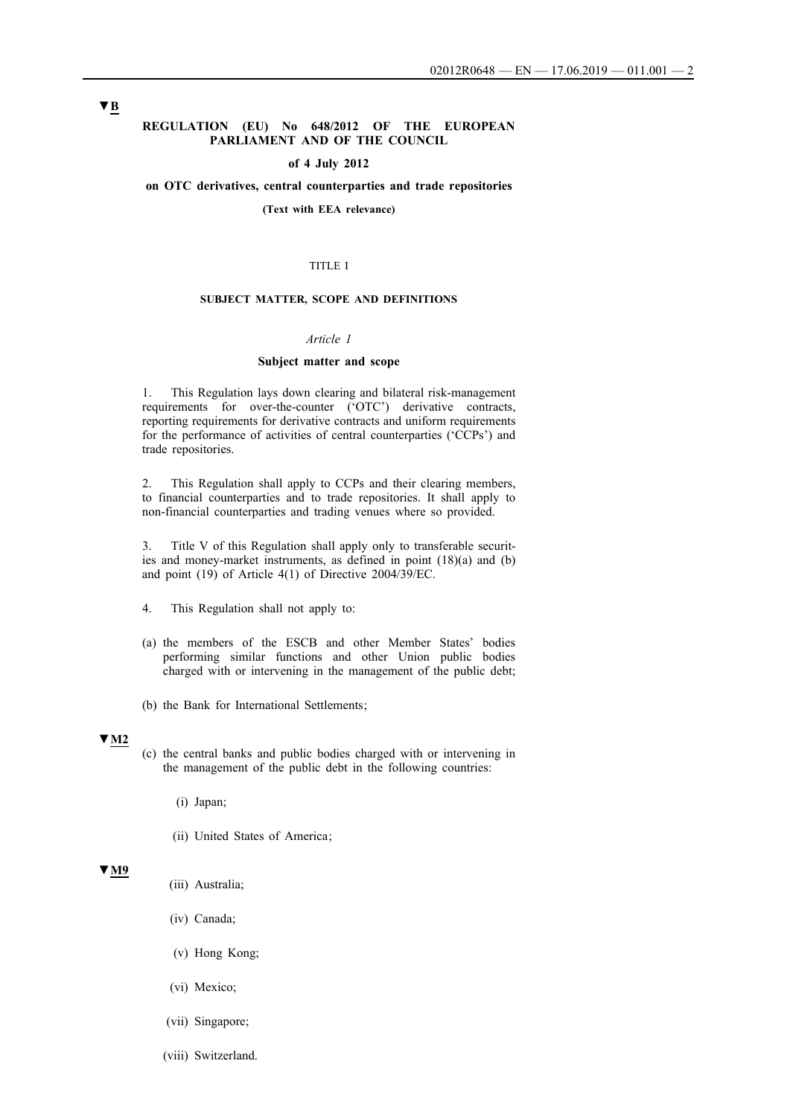### **REGULATION (EU) No 648/2012 OF THE EUROPEAN PARLIAMENT AND OF THE COUNCIL**

### **of 4 July 2012**

#### **on OTC derivatives, central counterparties and trade repositories**

**(Text with EEA relevance)**

### TITLE I

### **SUBJECT MATTER, SCOPE AND DEFINITIONS**

### *Article 1*

### **Subject matter and scope**

1. This Regulation lays down clearing and bilateral risk-management requirements for over-the-counter ('OTC') derivative contracts, reporting requirements for derivative contracts and uniform requirements for the performance of activities of central counterparties ('CCPs') and trade repositories.

2. This Regulation shall apply to CCPs and their clearing members, to financial counterparties and to trade repositories. It shall apply to non-financial counterparties and trading venues where so provided.

3. Title V of this Regulation shall apply only to transferable securities and money-market instruments, as defined in point (18)(a) and (b) and point (19) of Article 4(1) of Directive 2004/39/EC.

- 4. This Regulation shall not apply to:
- (a) the members of the ESCB and other Member States' bodies performing similar functions and other Union public bodies charged with or intervening in the management of the public debt;
- (b) the Bank for International Settlements;

#### **▼M2**

- (c) the central banks and public bodies charged with or intervening in the management of the public debt in the following countries:
	- (i) Japan;
	- (ii) United States of America;

#### **▼M9**

- (iii) Australia;
- (iv) Canada;
- (v) Hong Kong;
- (vi) Mexico;
- (vii) Singapore;
- (viii) Switzerland.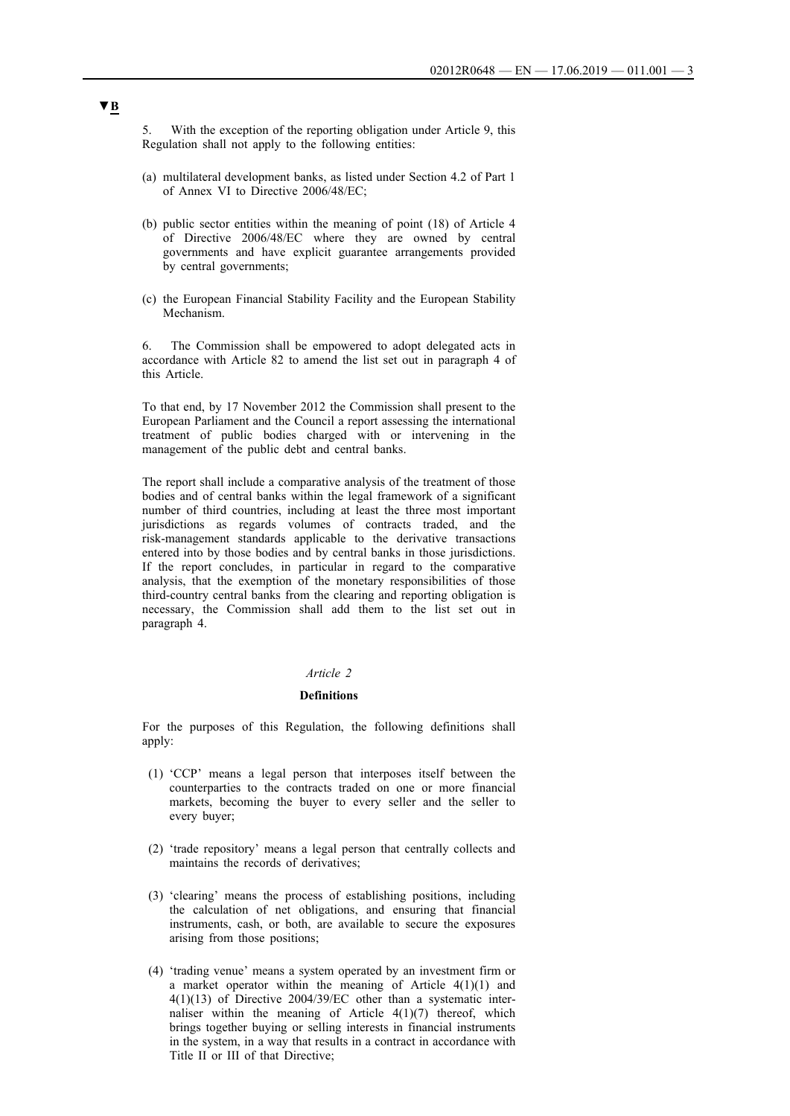With the exception of the reporting obligation under Article 9, this Regulation shall not apply to the following entities:

- (a) multilateral development banks, as listed under Section 4.2 of Part 1 of Annex VI to Directive 2006/48/EC;
- (b) public sector entities within the meaning of point (18) of Article 4 of Directive 2006/48/EC where they are owned by central governments and have explicit guarantee arrangements provided by central governments;
- (c) the European Financial Stability Facility and the European Stability Mechanism.

6. The Commission shall be empowered to adopt delegated acts in accordance with Article 82 to amend the list set out in paragraph 4 of this Article.

To that end, by 17 November 2012 the Commission shall present to the European Parliament and the Council a report assessing the international treatment of public bodies charged with or intervening in the management of the public debt and central banks.

The report shall include a comparative analysis of the treatment of those bodies and of central banks within the legal framework of a significant number of third countries, including at least the three most important jurisdictions as regards volumes of contracts traded, and the risk-management standards applicable to the derivative transactions entered into by those bodies and by central banks in those jurisdictions. If the report concludes, in particular in regard to the comparative analysis, that the exemption of the monetary responsibilities of those third-country central banks from the clearing and reporting obligation is necessary, the Commission shall add them to the list set out in paragraph 4.

#### *Article 2*

#### **Definitions**

For the purposes of this Regulation, the following definitions shall apply:

- (1) 'CCP' means a legal person that interposes itself between the counterparties to the contracts traded on one or more financial markets, becoming the buyer to every seller and the seller to every buyer;
- (2) 'trade repository' means a legal person that centrally collects and maintains the records of derivatives;
- (3) 'clearing' means the process of establishing positions, including the calculation of net obligations, and ensuring that financial instruments, cash, or both, are available to secure the exposures arising from those positions;
- (4) 'trading venue' means a system operated by an investment firm or a market operator within the meaning of Article  $4(1)(1)$  and 4(1)(13) of Directive 2004/39/EC other than a systematic internaliser within the meaning of Article  $4(1)(7)$  thereof, which brings together buying or selling interests in financial instruments in the system, in a way that results in a contract in accordance with Title II or III of that Directive;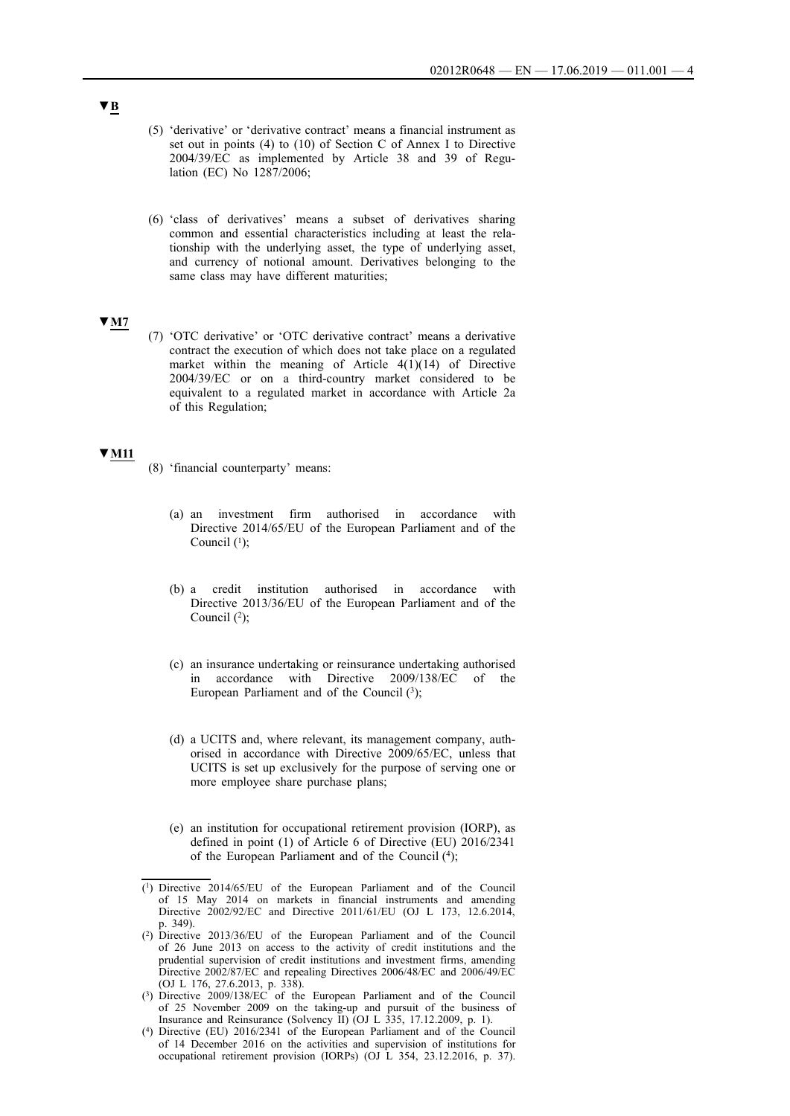- (5) 'derivative' or 'derivative contract' means a financial instrument as set out in points (4) to (10) of Section C of Annex I to Directive 2004/39/EC as implemented by Article 38 and 39 of Regulation (EC) No 1287/2006;
- (6) 'class of derivatives' means a subset of derivatives sharing common and essential characteristics including at least the relationship with the underlying asset, the type of underlying asset, and currency of notional amount. Derivatives belonging to the same class may have different maturities;

## **▼M7**

(7) 'OTC derivative' or 'OTC derivative contract' means a derivative contract the execution of which does not take place on a regulated market within the meaning of Article  $4(1)(14)$  of Directive 2004/39/EC or on a third-country market considered to be equivalent to a regulated market in accordance with Article 2a of this Regulation;

#### **▼M11**

- (8) 'financial counterparty' means:
	- (a) an investment firm authorised in accordance with Directive 2014/65/EU of the European Parliament and of the Council  $(1)$ ;
	- (b) a credit institution authorised in accordance with Directive 2013/36/EU of the European Parliament and of the Council  $(2)$ ;
	- (c) an insurance undertaking or reinsurance undertaking authorised in accordance with Directive 2009/138/EC of the European Parliament and of the Council  $(3)$ ;
	- (d) a UCITS and, where relevant, its management company, authorised in accordance with Directive 2009/65/EC, unless that UCITS is set up exclusively for the purpose of serving one or more employee share purchase plans;
	- (e) an institution for occupational retirement provision (IORP), as defined in point (1) of Article 6 of Directive (EU) 2016/2341 of the European Parliament and of the Council (4);
- (1) Directive 2014/65/EU of the European Parliament and of the Council of 15 May 2014 on markets in financial instruments and amending Directive 2002/92/EC and Directive 2011/61/EU (OJ L 173, 12.6.2014, p. 349).
- (2) Directive 2013/36/EU of the European Parliament and of the Council of 26 June 2013 on access to the activity of credit institutions and the prudential supervision of credit institutions and investment firms, amending Directive 2002/87/EC and repealing Directives 2006/48/EC and 2006/49/EC (OJ L 176, 27.6.2013, p. 338).
- (3) Directive 2009/138/EC of the European Parliament and of the Council of 25 November 2009 on the taking-up and pursuit of the business of Insurance and Reinsurance (Solvency II) (OJ L  $335$ , 17.12.2009, p. 1).
- (4) Directive (EU) 2016/2341 of the European Parliament and of the Council of 14 December 2016 on the activities and supervision of institutions for occupational retirement provision (IORPs) (OJ L 354, 23.12.2016, p. 37).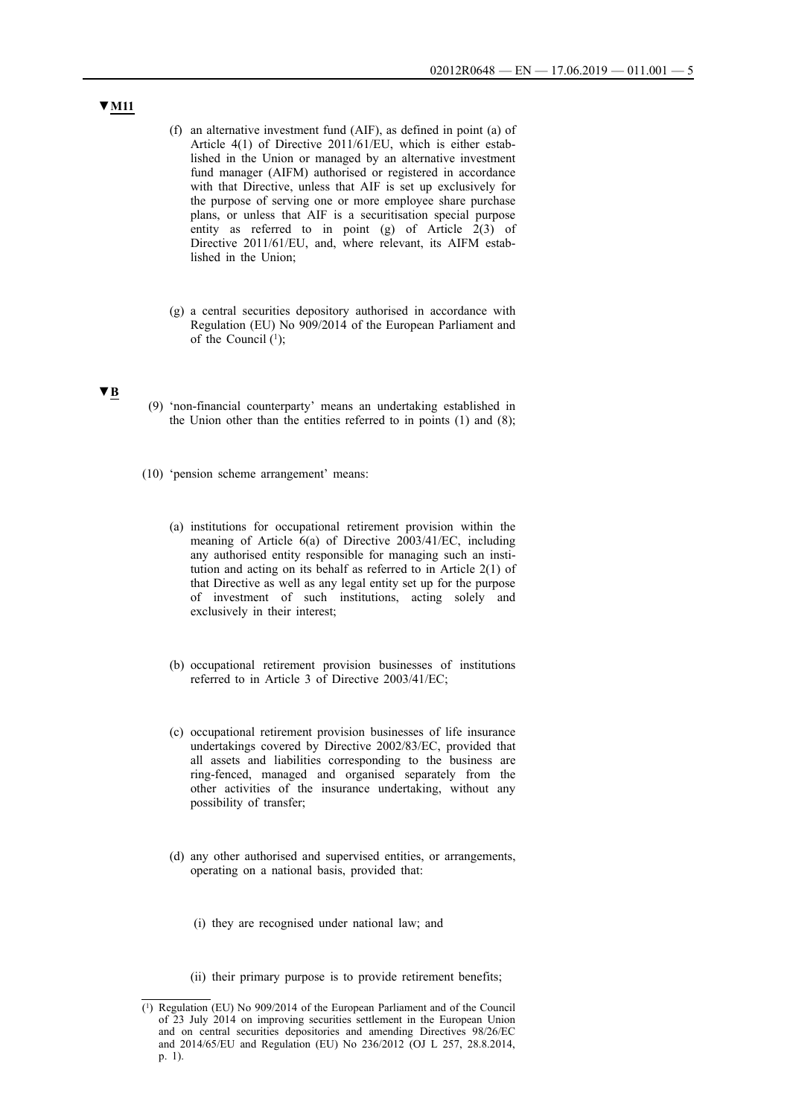- (f) an alternative investment fund (AIF), as defined in point (a) of Article 4(1) of Directive 2011/61/EU, which is either established in the Union or managed by an alternative investment fund manager (AIFM) authorised or registered in accordance with that Directive, unless that AIF is set up exclusively for the purpose of serving one or more employee share purchase plans, or unless that AIF is a securitisation special purpose entity as referred to in point (g) of Article  $2(3)$  of Directive 2011/61/EU, and, where relevant, its AIFM established in the Union;
- (g) a central securities depository authorised in accordance with Regulation (EU) No 909/2014 of the European Parliament and of the Council  $(1)$ ;

## **▼B**

- (9) 'non-financial counterparty' means an undertaking established in the Union other than the entities referred to in points (1) and (8);
- (10) 'pension scheme arrangement' means:
	- (a) institutions for occupational retirement provision within the meaning of Article 6(a) of Directive 2003/41/EC, including any authorised entity responsible for managing such an institution and acting on its behalf as referred to in Article 2(1) of that Directive as well as any legal entity set up for the purpose of investment of such institutions, acting solely and exclusively in their interest;
	- (b) occupational retirement provision businesses of institutions referred to in Article 3 of Directive 2003/41/EC;
	- (c) occupational retirement provision businesses of life insurance undertakings covered by Directive 2002/83/EC, provided that all assets and liabilities corresponding to the business are ring-fenced, managed and organised separately from the other activities of the insurance undertaking, without any possibility of transfer;
	- (d) any other authorised and supervised entities, or arrangements, operating on a national basis, provided that:
		- (i) they are recognised under national law; and
		- (ii) their primary purpose is to provide retirement benefits;

<sup>(1)</sup> Regulation (EU) No 909/2014 of the European Parliament and of the Council of 23 July 2014 on improving securities settlement in the European Union and on central securities depositories and amending Directives 98/26/EC and 2014/65/EU and Regulation (EU) No 236/2012 (OJ L 257, 28.8.2014, p. 1).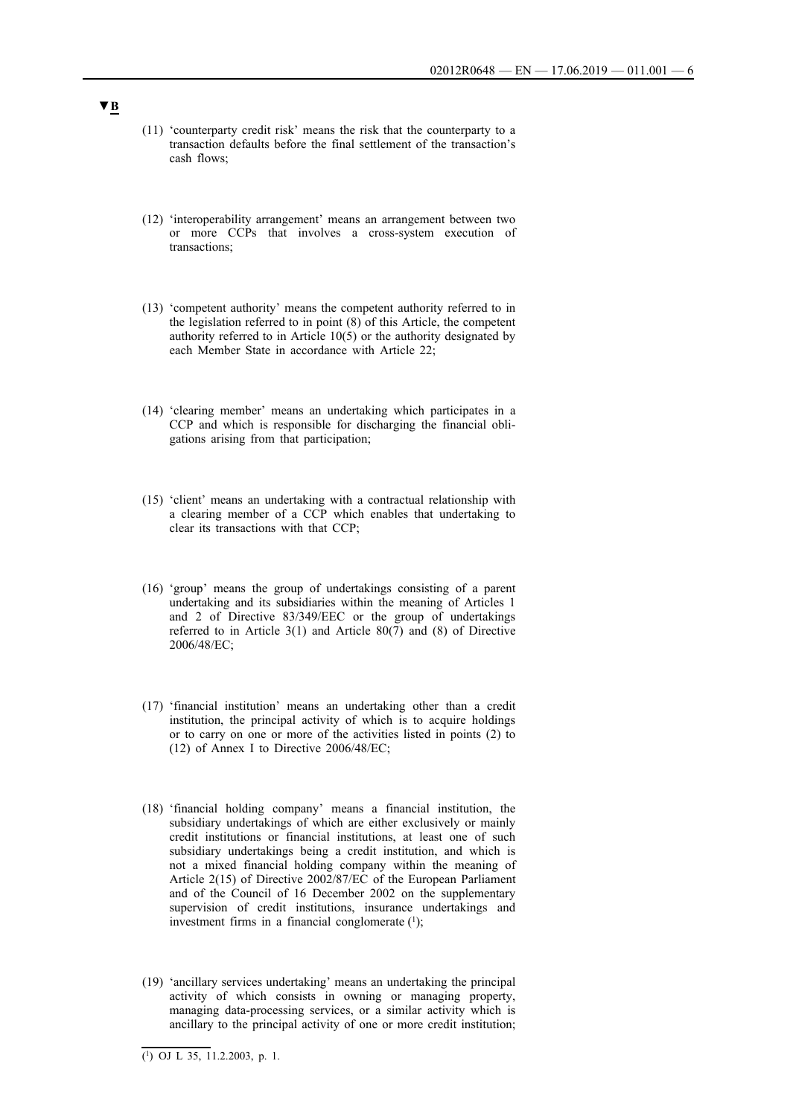- (11) 'counterparty credit risk' means the risk that the counterparty to a transaction defaults before the final settlement of the transaction's cash flows;
- (12) 'interoperability arrangement' means an arrangement between two or more CCPs that involves a cross-system execution of transactions;
- (13) 'competent authority' means the competent authority referred to in the legislation referred to in point (8) of this Article, the competent authority referred to in Article 10(5) or the authority designated by each Member State in accordance with Article 22;
- (14) 'clearing member' means an undertaking which participates in a CCP and which is responsible for discharging the financial obligations arising from that participation;
- (15) 'client' means an undertaking with a contractual relationship with a clearing member of a CCP which enables that undertaking to clear its transactions with that CCP;
- (16) 'group' means the group of undertakings consisting of a parent undertaking and its subsidiaries within the meaning of Articles 1 and 2 of Directive 83/349/EEC or the group of undertakings referred to in Article 3(1) and Article 80(7) and (8) of Directive 2006/48/EC;
- (17) 'financial institution' means an undertaking other than a credit institution, the principal activity of which is to acquire holdings or to carry on one or more of the activities listed in points (2) to (12) of Annex I to Directive 2006/48/EC;
- (18) 'financial holding company' means a financial institution, the subsidiary undertakings of which are either exclusively or mainly credit institutions or financial institutions, at least one of such subsidiary undertakings being a credit institution, and which is not a mixed financial holding company within the meaning of Article 2(15) of Directive 2002/87/EC of the European Parliament and of the Council of 16 December 2002 on the supplementary supervision of credit institutions, insurance undertakings and investment firms in a financial conglomerate  $(1)$ ;
- (19) 'ancillary services undertaking' means an undertaking the principal activity of which consists in owning or managing property, managing data-processing services, or a similar activity which is ancillary to the principal activity of one or more credit institution;

 $\overline{(^1)$  OJ L 35, 11.2.2003, p. 1.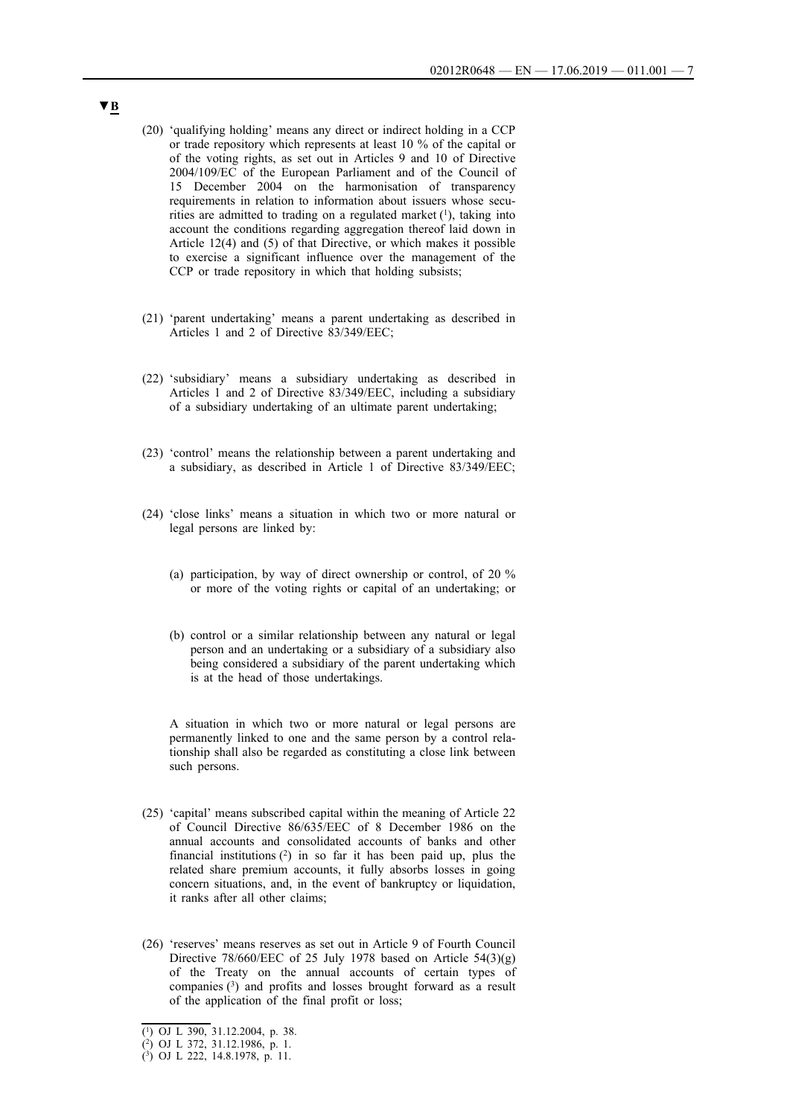- (20) 'qualifying holding' means any direct or indirect holding in a CCP or trade repository which represents at least 10 % of the capital or of the voting rights, as set out in Articles 9 and 10 of Directive 2004/109/EC of the European Parliament and of the Council of 15 December 2004 on the harmonisation of transparency requirements in relation to information about issuers whose securities are admitted to trading on a regulated market  $(1)$ , taking into account the conditions regarding aggregation thereof laid down in Article 12(4) and (5) of that Directive, or which makes it possible to exercise a significant influence over the management of the CCP or trade repository in which that holding subsists;
- (21) 'parent undertaking' means a parent undertaking as described in Articles 1 and 2 of Directive 83/349/EEC;
- (22) 'subsidiary' means a subsidiary undertaking as described in Articles 1 and 2 of Directive 83/349/EEC, including a subsidiary of a subsidiary undertaking of an ultimate parent undertaking;
- (23) 'control' means the relationship between a parent undertaking and a subsidiary, as described in Article 1 of Directive 83/349/EEC;
- (24) 'close links' means a situation in which two or more natural or legal persons are linked by:
	- (a) participation, by way of direct ownership or control, of 20 % or more of the voting rights or capital of an undertaking; or
	- (b) control or a similar relationship between any natural or legal person and an undertaking or a subsidiary of a subsidiary also being considered a subsidiary of the parent undertaking which is at the head of those undertakings.

A situation in which two or more natural or legal persons are permanently linked to one and the same person by a control relationship shall also be regarded as constituting a close link between such persons.

- (25) 'capital' means subscribed capital within the meaning of Article 22 of Council Directive 86/635/EEC of 8 December 1986 on the annual accounts and consolidated accounts of banks and other financial institutions  $(2)$  in so far it has been paid up, plus the related share premium accounts, it fully absorbs losses in going concern situations, and, in the event of bankruptcy or liquidation, it ranks after all other claims;
- (26) 'reserves' means reserves as set out in Article 9 of Fourth Council Directive 78/660/EEC of 25 July 1978 based on Article  $54(3)(g)$ of the Treaty on the annual accounts of certain types of companies  $(3)$  and profits and losses brought forward as a result of the application of the final profit or loss;

<sup>(1)</sup> OJ L 390, 31.12.2004, p. 38.

<sup>(2)</sup> OJ L 372, 31.12.1986, p. 1.

<sup>(3)</sup> OJ L 222, 14.8.1978, p. 11.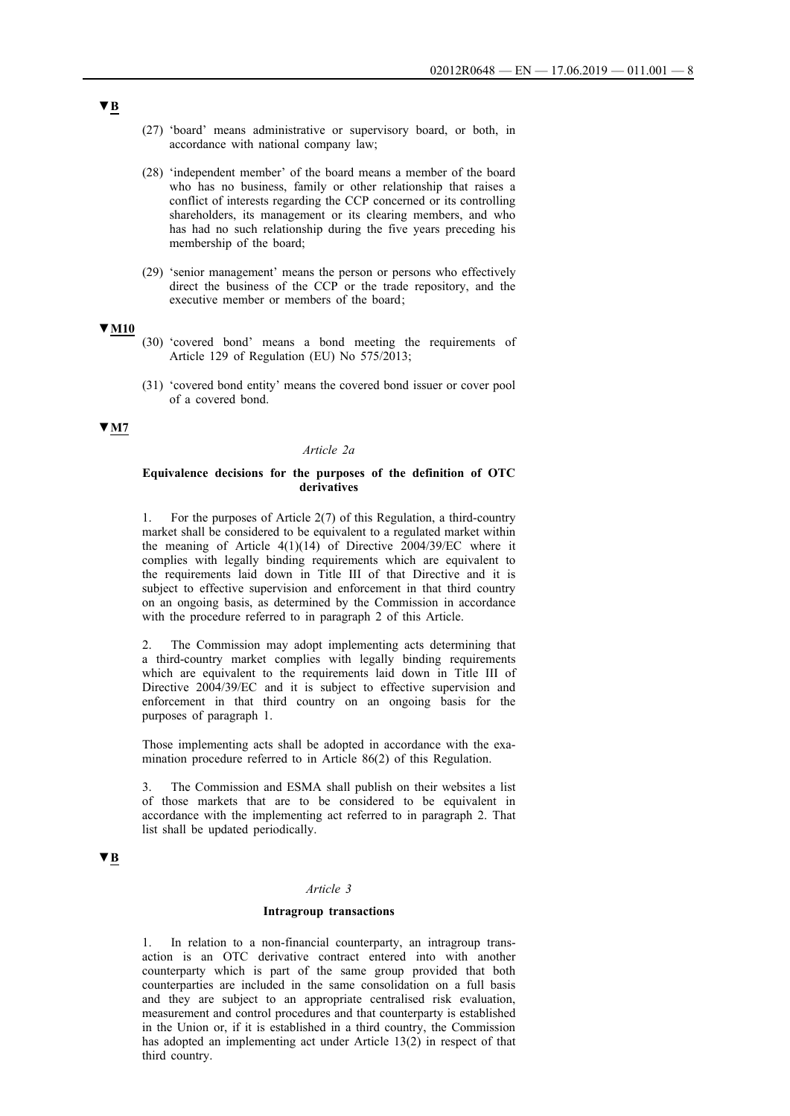- (27) 'board' means administrative or supervisory board, or both, in accordance with national company law;
- (28) 'independent member' of the board means a member of the board who has no business, family or other relationship that raises a conflict of interests regarding the CCP concerned or its controlling shareholders, its management or its clearing members, and who has had no such relationship during the five years preceding his membership of the board;
- (29) 'senior management' means the person or persons who effectively direct the business of the CCP or the trade repository, and the executive member or members of the board;

### **▼M10**

- (30) 'covered bond' means a bond meeting the requirements of Article 129 of Regulation (EU) No 575/2013;
- (31) 'covered bond entity' means the covered bond issuer or cover pool of a covered bond.

## **▼M7**

#### *Article 2a*

### **Equivalence decisions for the purposes of the definition of OTC derivatives**

1. For the purposes of Article 2(7) of this Regulation, a third-country market shall be considered to be equivalent to a regulated market within the meaning of Article  $4(1)(14)$  of Directive 2004/39/EC where it complies with legally binding requirements which are equivalent to the requirements laid down in Title III of that Directive and it is subject to effective supervision and enforcement in that third country on an ongoing basis, as determined by the Commission in accordance with the procedure referred to in paragraph 2 of this Article.

2. The Commission may adopt implementing acts determining that a third-country market complies with legally binding requirements which are equivalent to the requirements laid down in Title III of Directive 2004/39/EC and it is subject to effective supervision and enforcement in that third country on an ongoing basis for the purposes of paragraph 1.

Those implementing acts shall be adopted in accordance with the examination procedure referred to in Article 86(2) of this Regulation.

3. The Commission and ESMA shall publish on their websites a list of those markets that are to be considered to be equivalent in accordance with the implementing act referred to in paragraph 2. That list shall be updated periodically.

## **▼B**

#### *Article 3*

### **Intragroup transactions**

1. In relation to a non-financial counterparty, an intragroup transaction is an OTC derivative contract entered into with another counterparty which is part of the same group provided that both counterparties are included in the same consolidation on a full basis and they are subject to an appropriate centralised risk evaluation, measurement and control procedures and that counterparty is established in the Union or, if it is established in a third country, the Commission has adopted an implementing act under Article 13(2) in respect of that third country.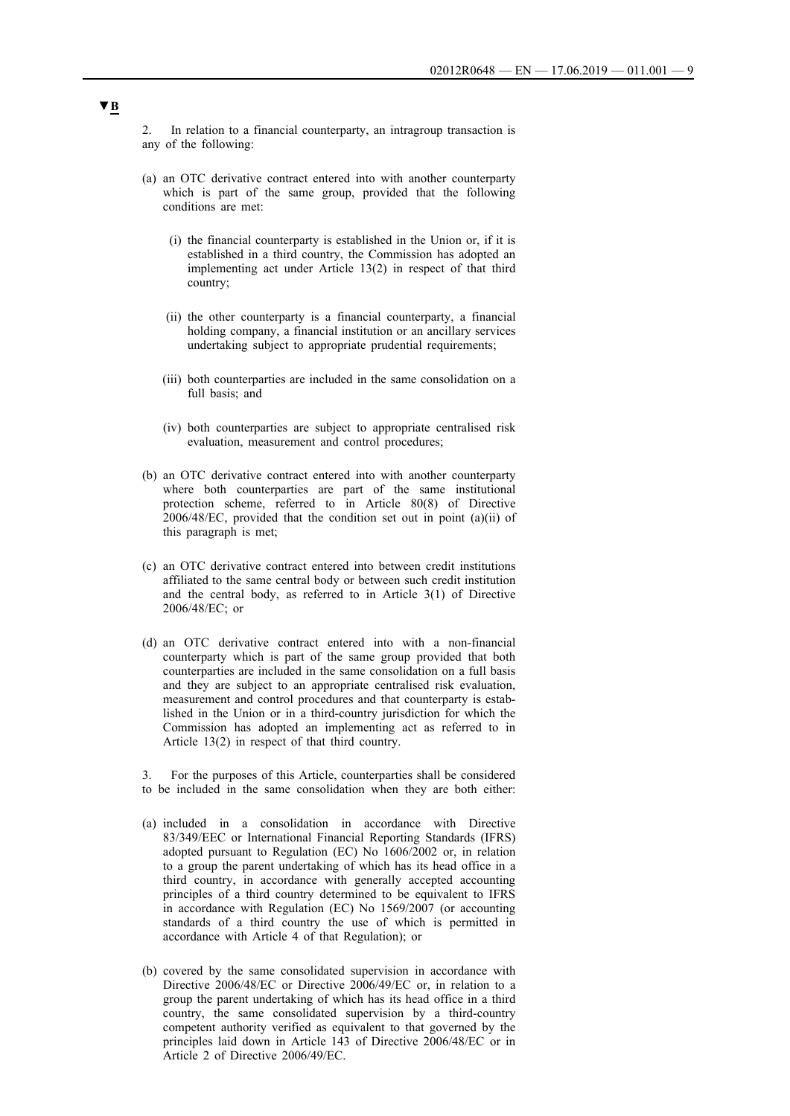2. In relation to a financial counterparty, an intragroup transaction is any of the following:

- (a) an OTC derivative contract entered into with another counterparty which is part of the same group, provided that the following conditions are met:
	- (i) the financial counterparty is established in the Union or, if it is established in a third country, the Commission has adopted an implementing act under Article 13(2) in respect of that third country;
	- (ii) the other counterparty is a financial counterparty, a financial holding company, a financial institution or an ancillary services undertaking subject to appropriate prudential requirements;
	- (iii) both counterparties are included in the same consolidation on a full basis; and
	- (iv) both counterparties are subject to appropriate centralised risk evaluation, measurement and control procedures;
- (b) an OTC derivative contract entered into with another counterparty where both counterparties are part of the same institutional protection scheme, referred to in Article 80(8) of Directive 2006/48/EC, provided that the condition set out in point (a)(ii) of this paragraph is met;
- (c) an OTC derivative contract entered into between credit institutions affiliated to the same central body or between such credit institution and the central body, as referred to in Article 3(1) of Directive 2006/48/EC; or
- (d) an OTC derivative contract entered into with a non-financial counterparty which is part of the same group provided that both counterparties are included in the same consolidation on a full basis and they are subject to an appropriate centralised risk evaluation, measurement and control procedures and that counterparty is established in the Union or in a third-country jurisdiction for which the Commission has adopted an implementing act as referred to in Article 13(2) in respect of that third country.
- 3. For the purposes of this Article, counterparties shall be considered to be included in the same consolidation when they are both either:
- (a) included in a consolidation in accordance with Directive 83/349/EEC or International Financial Reporting Standards (IFRS) adopted pursuant to Regulation (EC) No 1606/2002 or, in relation to a group the parent undertaking of which has its head office in a third country, in accordance with generally accepted accounting principles of a third country determined to be equivalent to IFRS in accordance with Regulation (EC) No 1569/2007 (or accounting standards of a third country the use of which is permitted in accordance with Article 4 of that Regulation); or
- (b) covered by the same consolidated supervision in accordance with Directive 2006/48/EC or Directive 2006/49/EC or, in relation to a group the parent undertaking of which has its head office in a third country, the same consolidated supervision by a third-country competent authority verified as equivalent to that governed by the principles laid down in Article 143 of Directive 2006/48/EC or in Article 2 of Directive 2006/49/EC.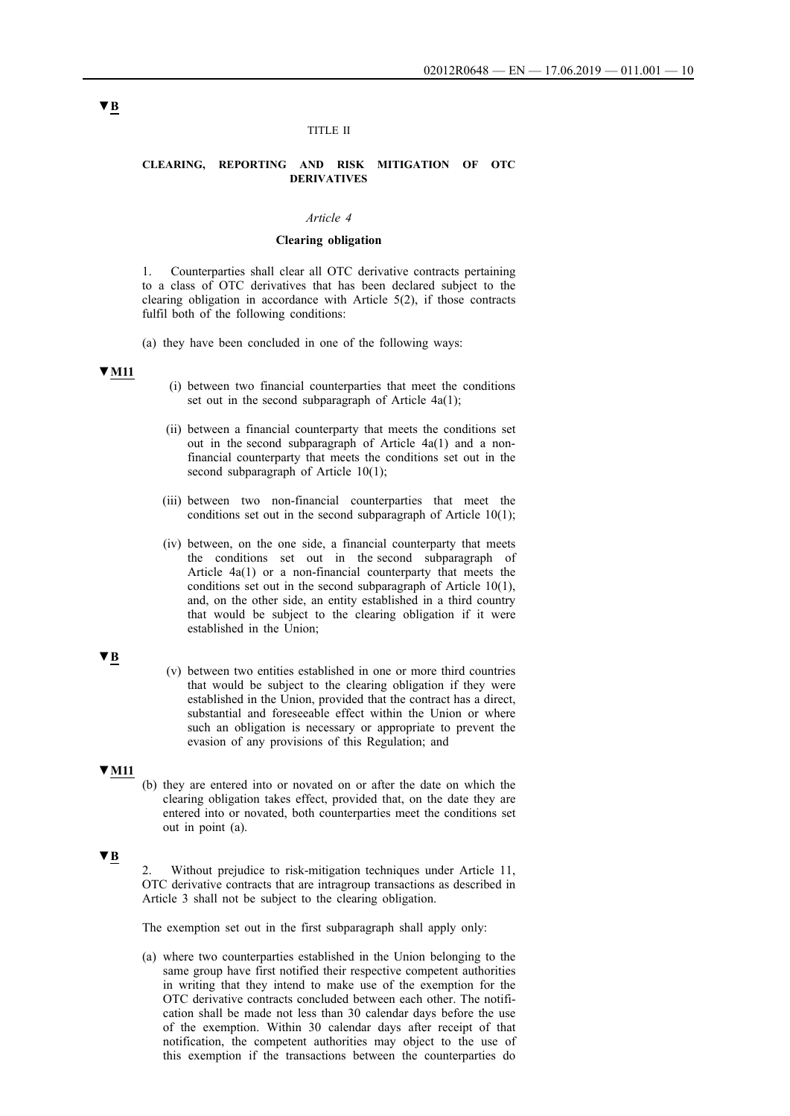#### TITLE II

### **CLEARING, REPORTING AND RISK MITIGATION OF OTC DERIVATIVES**

### *Article 4*

### **Clearing obligation**

1. Counterparties shall clear all OTC derivative contracts pertaining to a class of OTC derivatives that has been declared subject to the clearing obligation in accordance with Article 5(2), if those contracts fulfil both of the following conditions:

(a) they have been concluded in one of the following ways:

### **▼M11**

- (i) between two financial counterparties that meet the conditions set out in the second subparagraph of Article 4a(1);
- (ii) between a financial counterparty that meets the conditions set out in the second subparagraph of Article 4a(1) and a nonfinancial counterparty that meets the conditions set out in the second subparagraph of Article 10(1);
- (iii) between two non-financial counterparties that meet the conditions set out in the second subparagraph of Article 10(1);
- (iv) between, on the one side, a financial counterparty that meets the conditions set out in the second subparagraph of Article 4a(1) or a non-financial counterparty that meets the conditions set out in the second subparagraph of Article 10(1), and, on the other side, an entity established in a third country that would be subject to the clearing obligation if it were established in the Union;

### **▼B**

(v) between two entities established in one or more third countries that would be subject to the clearing obligation if they were established in the Union, provided that the contract has a direct, substantial and foreseeable effect within the Union or where such an obligation is necessary or appropriate to prevent the evasion of any provisions of this Regulation; and

#### **▼M11**

(b) they are entered into or novated on or after the date on which the clearing obligation takes effect, provided that, on the date they are entered into or novated, both counterparties meet the conditions set out in point (a).

## **▼B**

Without prejudice to risk-mitigation techniques under Article 11, OTC derivative contracts that are intragroup transactions as described in Article 3 shall not be subject to the clearing obligation.

The exemption set out in the first subparagraph shall apply only:

(a) where two counterparties established in the Union belonging to the same group have first notified their respective competent authorities in writing that they intend to make use of the exemption for the OTC derivative contracts concluded between each other. The notification shall be made not less than 30 calendar days before the use of the exemption. Within 30 calendar days after receipt of that notification, the competent authorities may object to the use of this exemption if the transactions between the counterparties do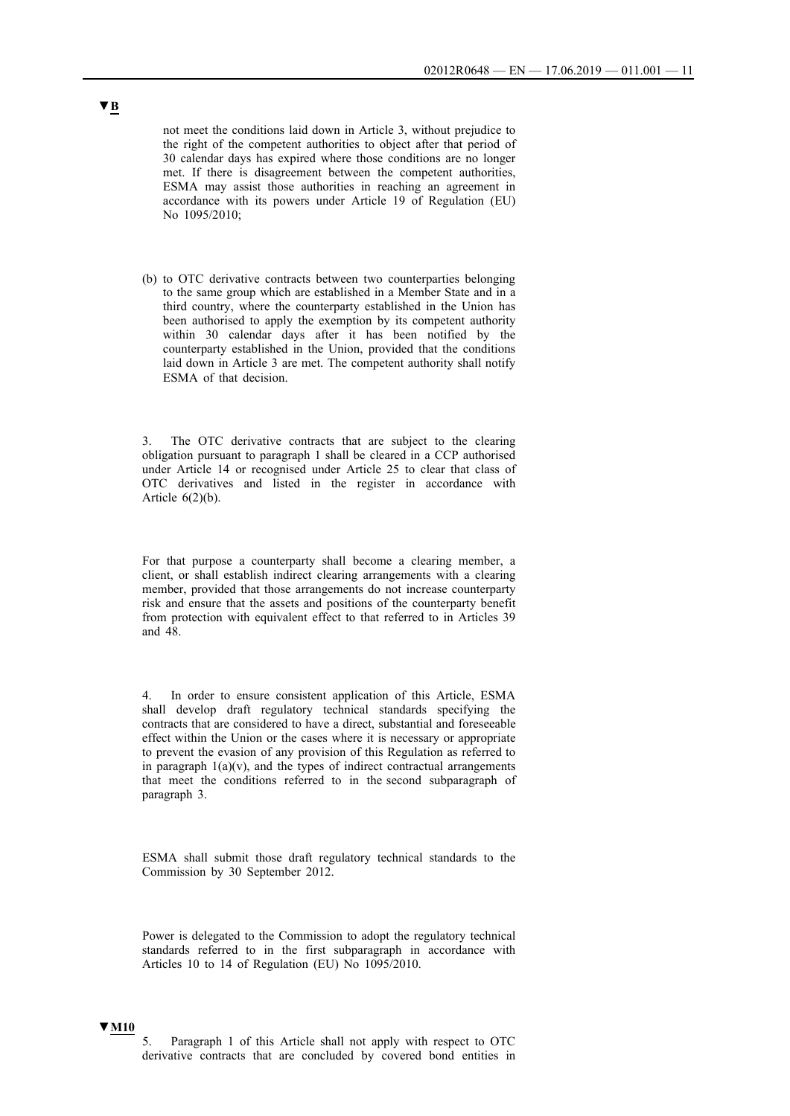not meet the conditions laid down in Article 3, without prejudice to the right of the competent authorities to object after that period of 30 calendar days has expired where those conditions are no longer met. If there is disagreement between the competent authorities, ESMA may assist those authorities in reaching an agreement in accordance with its powers under Article 19 of Regulation (EU) No 1095/2010;

(b) to OTC derivative contracts between two counterparties belonging to the same group which are established in a Member State and in a third country, where the counterparty established in the Union has been authorised to apply the exemption by its competent authority within 30 calendar days after it has been notified by the counterparty established in the Union, provided that the conditions laid down in Article 3 are met. The competent authority shall notify ESMA of that decision.

3. The OTC derivative contracts that are subject to the clearing obligation pursuant to paragraph 1 shall be cleared in a CCP authorised under Article 14 or recognised under Article 25 to clear that class of OTC derivatives and listed in the register in accordance with Article  $6(2)(b)$ .

For that purpose a counterparty shall become a clearing member, a client, or shall establish indirect clearing arrangements with a clearing member, provided that those arrangements do not increase counterparty risk and ensure that the assets and positions of the counterparty benefit from protection with equivalent effect to that referred to in Articles 39 and 48.

In order to ensure consistent application of this Article, ESMA shall develop draft regulatory technical standards specifying the contracts that are considered to have a direct, substantial and foreseeable effect within the Union or the cases where it is necessary or appropriate to prevent the evasion of any provision of this Regulation as referred to in paragraph  $1(a)(v)$ , and the types of indirect contractual arrangements that meet the conditions referred to in the second subparagraph of paragraph 3.

ESMA shall submit those draft regulatory technical standards to the Commission by 30 September 2012.

Power is delegated to the Commission to adopt the regulatory technical standards referred to in the first subparagraph in accordance with Articles 10 to 14 of Regulation (EU) No 1095/2010.

### **▼M10**

Paragraph 1 of this Article shall not apply with respect to OTC derivative contracts that are concluded by covered bond entities in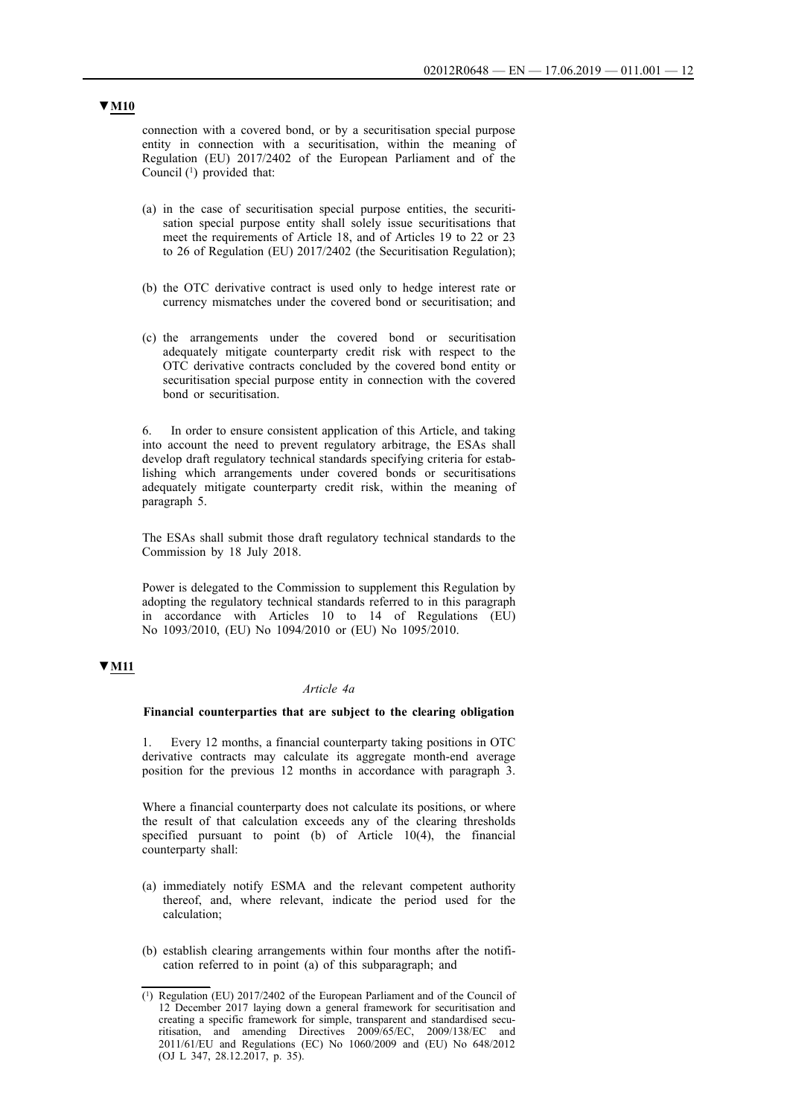connection with a covered bond, or by a securitisation special purpose entity in connection with a securitisation, within the meaning of Regulation (EU) 2017/2402 of the European Parliament and of the Council  $(1)$  provided that:

- (a) in the case of securitisation special purpose entities, the securitisation special purpose entity shall solely issue securitisations that meet the requirements of Article 18, and of Articles 19 to 22 or 23 to 26 of Regulation (EU) 2017/2402 (the Securitisation Regulation);
- (b) the OTC derivative contract is used only to hedge interest rate or currency mismatches under the covered bond or securitisation; and
- (c) the arrangements under the covered bond or securitisation adequately mitigate counterparty credit risk with respect to the OTC derivative contracts concluded by the covered bond entity or securitisation special purpose entity in connection with the covered bond or securitisation.

6. In order to ensure consistent application of this Article, and taking into account the need to prevent regulatory arbitrage, the ESAs shall develop draft regulatory technical standards specifying criteria for establishing which arrangements under covered bonds or securitisations adequately mitigate counterparty credit risk, within the meaning of paragraph 5.

The ESAs shall submit those draft regulatory technical standards to the Commission by 18 July 2018.

Power is delegated to the Commission to supplement this Regulation by adopting the regulatory technical standards referred to in this paragraph in accordance with Articles 10 to 14 of Regulations (EU) No 1093/2010, (EU) No 1094/2010 or (EU) No 1095/2010.

## **▼M11**

#### *Article 4a*

#### **Financial counterparties that are subject to the clearing obligation**

Every 12 months, a financial counterparty taking positions in OTC derivative contracts may calculate its aggregate month-end average position for the previous 12 months in accordance with paragraph 3.

Where a financial counterparty does not calculate its positions, or where the result of that calculation exceeds any of the clearing thresholds specified pursuant to point (b) of Article 10(4), the financial counterparty shall:

- (a) immediately notify ESMA and the relevant competent authority thereof, and, where relevant, indicate the period used for the calculation;
- (b) establish clearing arrangements within four months after the notification referred to in point (a) of this subparagraph; and

<sup>(1)</sup> Regulation (EU) 2017/2402 of the European Parliament and of the Council of 12 December 2017 laying down a general framework for securitisation and creating a specific framework for simple, transparent and standardised securitisation, and amending Directives 2009/65/EC, 2009/138/EC and 2011/61/EU and Regulations (EC) No 1060/2009 and (EU) No 648/2012 (OJ L 347, 28.12.2017, p. 35).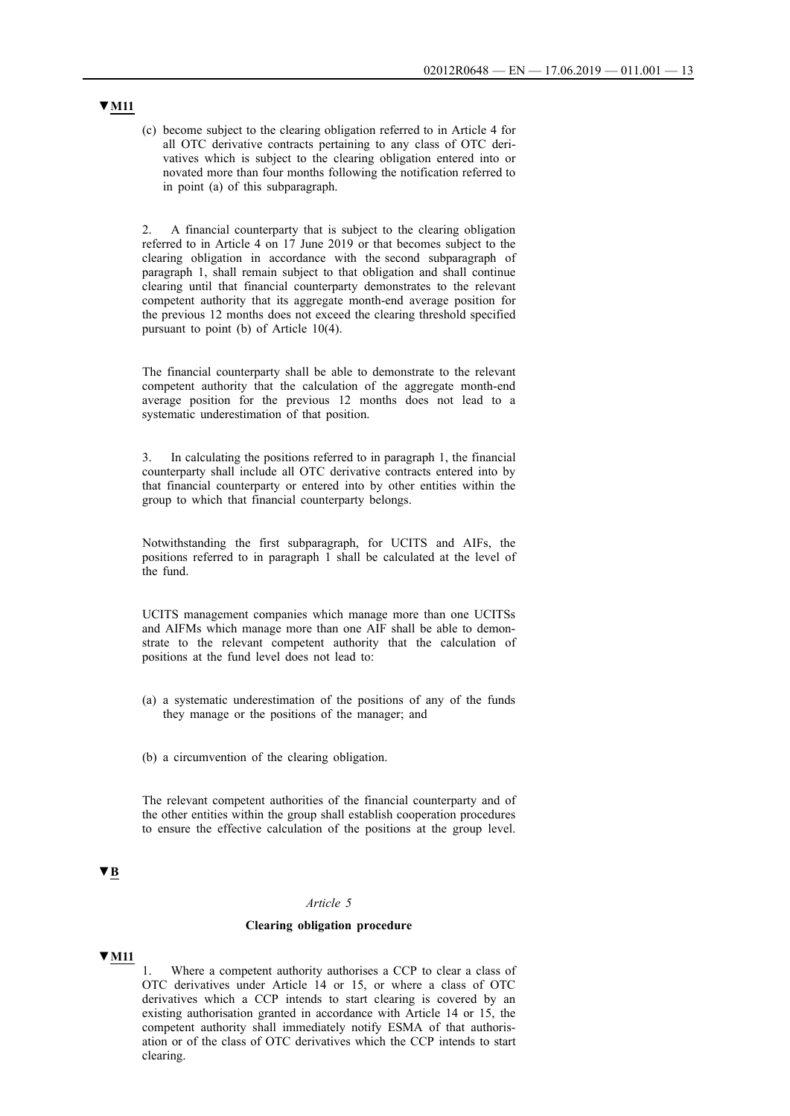(c) become subject to the clearing obligation referred to in Article 4 for all OTC derivative contracts pertaining to any class of OTC derivatives which is subject to the clearing obligation entered into or novated more than four months following the notification referred to in point (a) of this subparagraph.

2. A financial counterparty that is subject to the clearing obligation referred to in Article 4 on 17 June 2019 or that becomes subject to the clearing obligation in accordance with the second subparagraph of paragraph 1, shall remain subject to that obligation and shall continue clearing until that financial counterparty demonstrates to the relevant competent authority that its aggregate month-end average position for the previous 12 months does not exceed the clearing threshold specified pursuant to point (b) of Article 10(4).

The financial counterparty shall be able to demonstrate to the relevant competent authority that the calculation of the aggregate month-end average position for the previous 12 months does not lead to a systematic underestimation of that position.

3. In calculating the positions referred to in paragraph 1, the financial counterparty shall include all OTC derivative contracts entered into by that financial counterparty or entered into by other entities within the group to which that financial counterparty belongs.

Notwithstanding the first subparagraph, for UCITS and AIFs, the positions referred to in paragraph 1 shall be calculated at the level of the fund.

UCITS management companies which manage more than one UCITSs and AIFMs which manage more than one AIF shall be able to demonstrate to the relevant competent authority that the calculation of positions at the fund level does not lead to:

- (a) a systematic underestimation of the positions of any of the funds they manage or the positions of the manager; and
- (b) a circumvention of the clearing obligation.

The relevant competent authorities of the financial counterparty and of the other entities within the group shall establish cooperation procedures to ensure the effective calculation of the positions at the group level.

## **▼B**

#### *Article 5*

### **Clearing obligation procedure**

### **▼M11**

Where a competent authority authorises a CCP to clear a class of OTC derivatives under Article 14 or 15, or where a class of OTC derivatives which a CCP intends to start clearing is covered by an existing authorisation granted in accordance with Article 14 or 15, the competent authority shall immediately notify ESMA of that authorisation or of the class of OTC derivatives which the CCP intends to start clearing.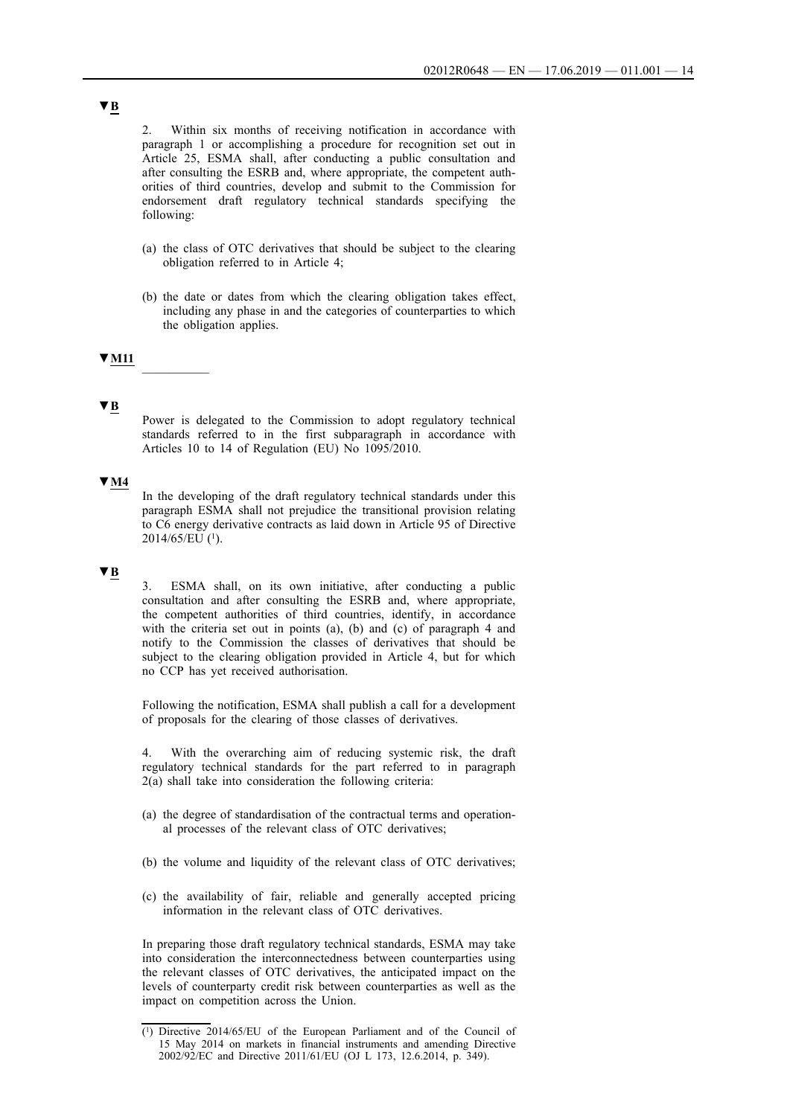2. Within six months of receiving notification in accordance with paragraph 1 or accomplishing a procedure for recognition set out in Article 25, ESMA shall, after conducting a public consultation and after consulting the ESRB and, where appropriate, the competent authorities of third countries, develop and submit to the Commission for endorsement draft regulatory technical standards specifying the following:

- (a) the class of OTC derivatives that should be subject to the clearing obligation referred to in Article 4;
- (b) the date or dates from which the clearing obligation takes effect, including any phase in and the categories of counterparties to which the obligation applies.

# **▼M11** \_\_\_\_\_\_\_\_\_\_

## **▼B**

Power is delegated to the Commission to adopt regulatory technical standards referred to in the first subparagraph in accordance with Articles 10 to 14 of Regulation (EU) No 1095/2010.

### **▼M4**

In the developing of the draft regulatory technical standards under this paragraph ESMA shall not prejudice the transitional provision relating to C6 energy derivative contracts as laid down in Article 95 of Directive 2014/65/EU (1).

## **▼B**

3. ESMA shall, on its own initiative, after conducting a public consultation and after consulting the ESRB and, where appropriate, the competent authorities of third countries, identify, in accordance with the criteria set out in points (a), (b) and (c) of paragraph 4 and notify to the Commission the classes of derivatives that should be subject to the clearing obligation provided in Article 4, but for which no CCP has yet received authorisation.

Following the notification, ESMA shall publish a call for a development of proposals for the clearing of those classes of derivatives.

4. With the overarching aim of reducing systemic risk, the draft regulatory technical standards for the part referred to in paragraph 2(a) shall take into consideration the following criteria:

- (a) the degree of standardisation of the contractual terms and operational processes of the relevant class of OTC derivatives;
- (b) the volume and liquidity of the relevant class of OTC derivatives;
- (c) the availability of fair, reliable and generally accepted pricing information in the relevant class of OTC derivatives.

In preparing those draft regulatory technical standards, ESMA may take into consideration the interconnectedness between counterparties using the relevant classes of OTC derivatives, the anticipated impact on the levels of counterparty credit risk between counterparties as well as the impact on competition across the Union.

<sup>(1)</sup> Directive 2014/65/EU of the European Parliament and of the Council of 15 May 2014 on markets in financial instruments and amending Directive 2002/92/EC and Directive 2011/61/EU (OJ L 173, 12.6.2014, p. 349).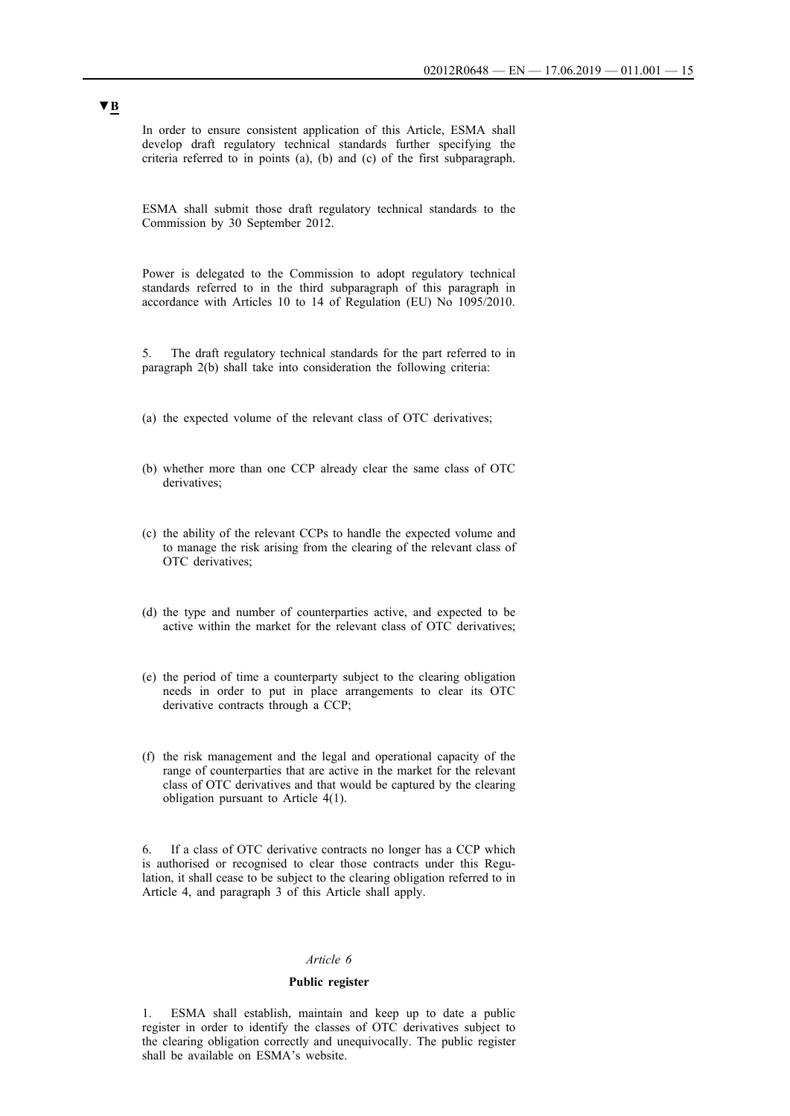In order to ensure consistent application of this Article, ESMA shall develop draft regulatory technical standards further specifying the criteria referred to in points (a), (b) and (c) of the first subparagraph.

ESMA shall submit those draft regulatory technical standards to the Commission by 30 September 2012.

Power is delegated to the Commission to adopt regulatory technical standards referred to in the third subparagraph of this paragraph in accordance with Articles 10 to 14 of Regulation (EU) No 1095/2010.

5. The draft regulatory technical standards for the part referred to in paragraph 2(b) shall take into consideration the following criteria:

- (a) the expected volume of the relevant class of OTC derivatives;
- (b) whether more than one CCP already clear the same class of OTC derivatives;
- (c) the ability of the relevant CCPs to handle the expected volume and to manage the risk arising from the clearing of the relevant class of OTC derivatives;
- (d) the type and number of counterparties active, and expected to be active within the market for the relevant class of OTC derivatives;
- (e) the period of time a counterparty subject to the clearing obligation needs in order to put in place arrangements to clear its OTC derivative contracts through a CCP;
- (f) the risk management and the legal and operational capacity of the range of counterparties that are active in the market for the relevant class of OTC derivatives and that would be captured by the clearing obligation pursuant to Article 4(1).

6. If a class of OTC derivative contracts no longer has a CCP which is authorised or recognised to clear those contracts under this Regulation, it shall cease to be subject to the clearing obligation referred to in Article 4, and paragraph 3 of this Article shall apply.

### *Article 6*

#### **Public register**

1. ESMA shall establish, maintain and keep up to date a public register in order to identify the classes of OTC derivatives subject to the clearing obligation correctly and unequivocally. The public register shall be available on ESMA's website.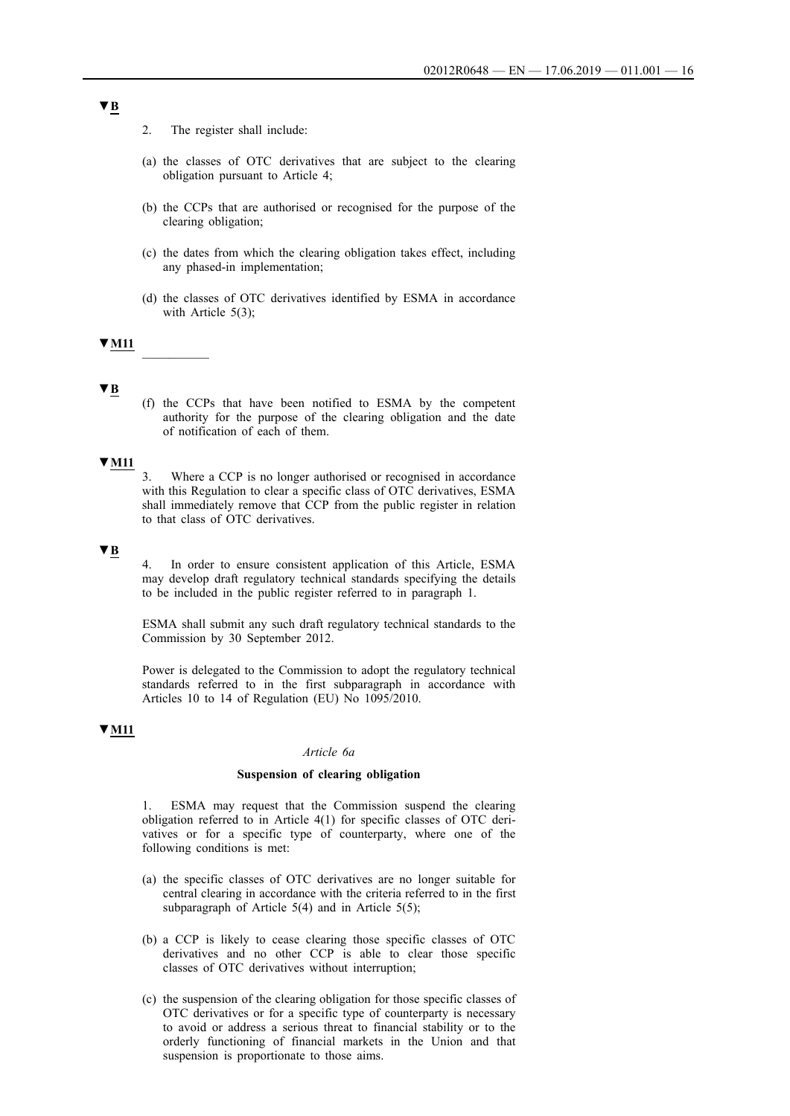- 2. The register shall include:
- (a) the classes of OTC derivatives that are subject to the clearing obligation pursuant to Article 4;
- (b) the CCPs that are authorised or recognised for the purpose of the clearing obligation;
- (c) the dates from which the clearing obligation takes effect, including any phased-in implementation;
- (d) the classes of OTC derivatives identified by ESMA in accordance with Article 5(3);

## **▼M11** \_\_\_\_\_\_\_\_\_\_

#### **▼B**

(f) the CCPs that have been notified to ESMA by the competent authority for the purpose of the clearing obligation and the date of notification of each of them.

## **▼M11**

Where a CCP is no longer authorised or recognised in accordance with this Regulation to clear a specific class of OTC derivatives, ESMA shall immediately remove that CCP from the public register in relation to that class of OTC derivatives.

### **▼B**

4. In order to ensure consistent application of this Article, ESMA may develop draft regulatory technical standards specifying the details to be included in the public register referred to in paragraph 1.

ESMA shall submit any such draft regulatory technical standards to the Commission by 30 September 2012.

Power is delegated to the Commission to adopt the regulatory technical standards referred to in the first subparagraph in accordance with Articles 10 to 14 of Regulation (EU) No 1095/2010.

## **▼M11**

## *Article 6a*

### **Suspension of clearing obligation**

1. ESMA may request that the Commission suspend the clearing obligation referred to in Article 4(1) for specific classes of OTC derivatives or for a specific type of counterparty, where one of the following conditions is met:

- (a) the specific classes of OTC derivatives are no longer suitable for central clearing in accordance with the criteria referred to in the first subparagraph of Article  $5(4)$  and in Article  $5(5)$ ;
- (b) a CCP is likely to cease clearing those specific classes of OTC derivatives and no other CCP is able to clear those specific classes of OTC derivatives without interruption;
- (c) the suspension of the clearing obligation for those specific classes of OTC derivatives or for a specific type of counterparty is necessary to avoid or address a serious threat to financial stability or to the orderly functioning of financial markets in the Union and that suspension is proportionate to those aims.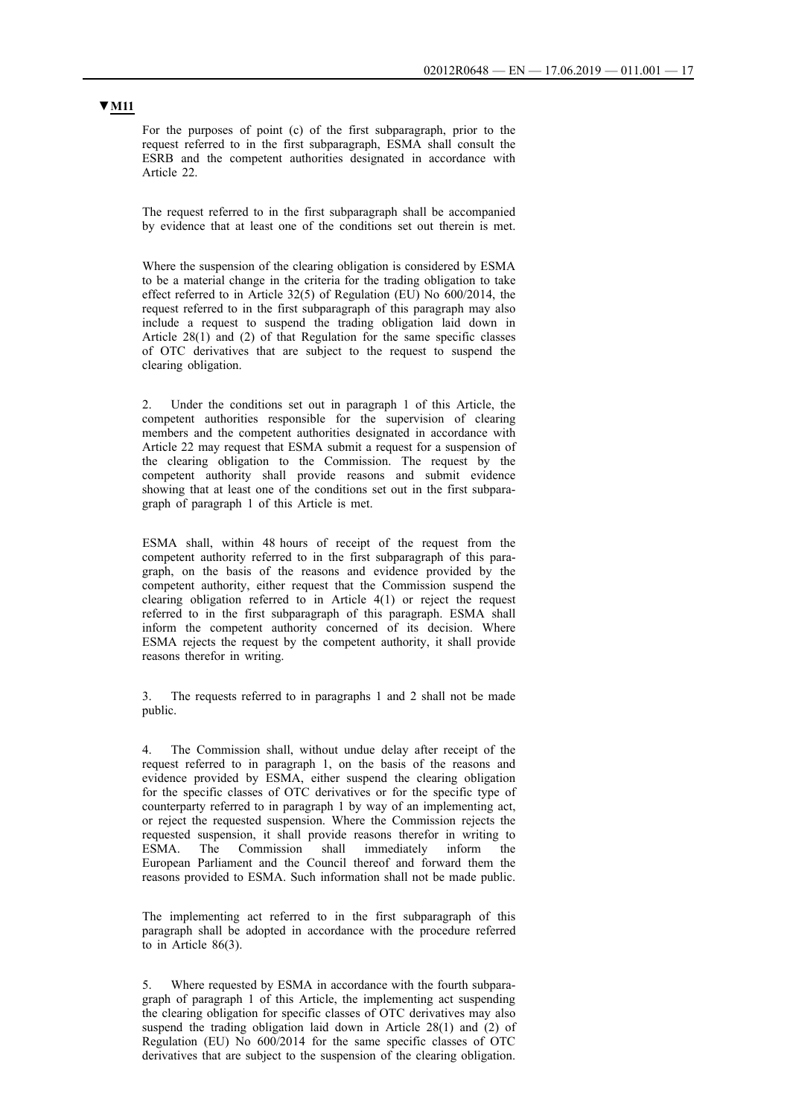## **▼M11**

For the purposes of point (c) of the first subparagraph, prior to the request referred to in the first subparagraph, ESMA shall consult the ESRB and the competent authorities designated in accordance with Article 22.

The request referred to in the first subparagraph shall be accompanied by evidence that at least one of the conditions set out therein is met.

Where the suspension of the clearing obligation is considered by ESMA to be a material change in the criteria for the trading obligation to take effect referred to in Article 32(5) of Regulation (EU) No 600/2014, the request referred to in the first subparagraph of this paragraph may also include a request to suspend the trading obligation laid down in Article 28(1) and (2) of that Regulation for the same specific classes of OTC derivatives that are subject to the request to suspend the clearing obligation.

2. Under the conditions set out in paragraph 1 of this Article, the competent authorities responsible for the supervision of clearing members and the competent authorities designated in accordance with Article 22 may request that ESMA submit a request for a suspension of the clearing obligation to the Commission. The request by the competent authority shall provide reasons and submit evidence showing that at least one of the conditions set out in the first subparagraph of paragraph 1 of this Article is met.

ESMA shall, within 48 hours of receipt of the request from the competent authority referred to in the first subparagraph of this paragraph, on the basis of the reasons and evidence provided by the competent authority, either request that the Commission suspend the clearing obligation referred to in Article 4(1) or reject the request referred to in the first subparagraph of this paragraph. ESMA shall inform the competent authority concerned of its decision. Where ESMA rejects the request by the competent authority, it shall provide reasons therefor in writing.

3. The requests referred to in paragraphs 1 and 2 shall not be made public.

4. The Commission shall, without undue delay after receipt of the request referred to in paragraph 1, on the basis of the reasons and evidence provided by ESMA, either suspend the clearing obligation for the specific classes of OTC derivatives or for the specific type of counterparty referred to in paragraph 1 by way of an implementing act, or reject the requested suspension. Where the Commission rejects the requested suspension, it shall provide reasons therefor in writing to ESMA. The Commission shall immediately inform the European Parliament and the Council thereof and forward them the reasons provided to ESMA. Such information shall not be made public.

The implementing act referred to in the first subparagraph of this paragraph shall be adopted in accordance with the procedure referred to in Article 86(3).

5. Where requested by ESMA in accordance with the fourth subparagraph of paragraph 1 of this Article, the implementing act suspending the clearing obligation for specific classes of OTC derivatives may also suspend the trading obligation laid down in Article 28(1) and (2) of Regulation (EU) No 600/2014 for the same specific classes of OTC derivatives that are subject to the suspension of the clearing obligation.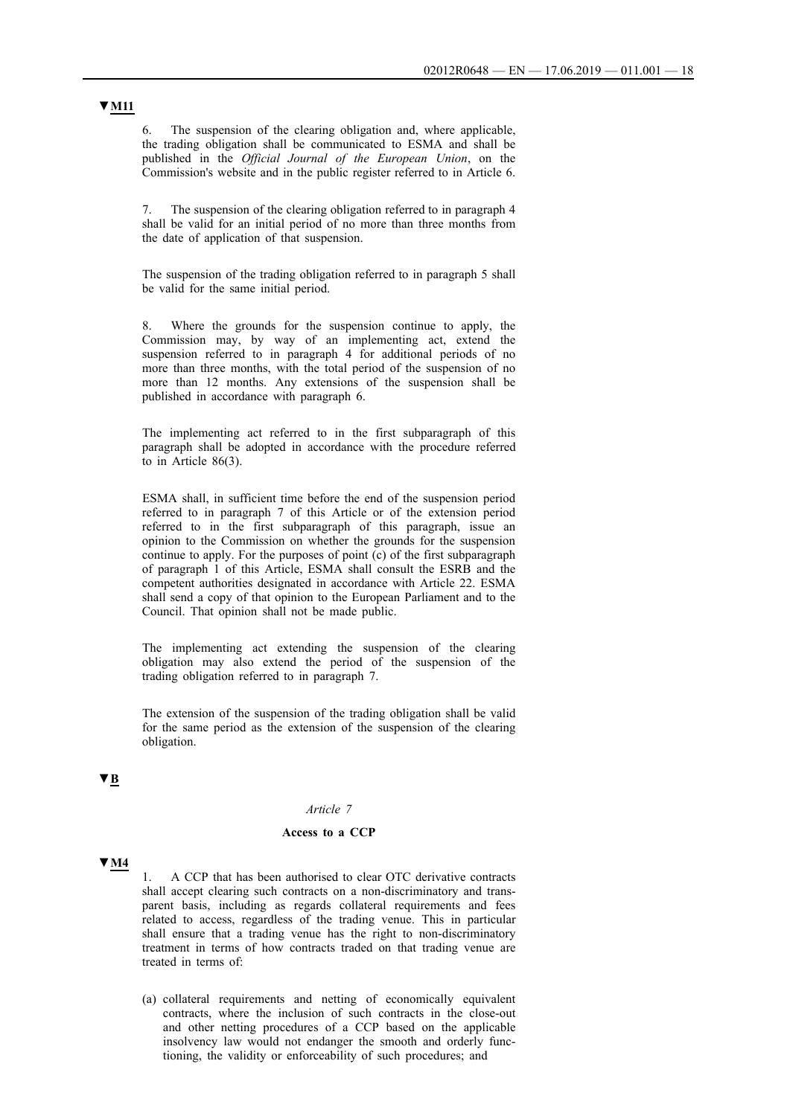6. The suspension of the clearing obligation and, where applicable, the trading obligation shall be communicated to ESMA and shall be published in the *Official Journal of the European Union*, on the Commission's website and in the public register referred to in Article 6.

7. The suspension of the clearing obligation referred to in paragraph 4 shall be valid for an initial period of no more than three months from the date of application of that suspension.

The suspension of the trading obligation referred to in paragraph 5 shall be valid for the same initial period.

8. Where the grounds for the suspension continue to apply, the Commission may, by way of an implementing act, extend the suspension referred to in paragraph 4 for additional periods of no more than three months, with the total period of the suspension of no more than 12 months. Any extensions of the suspension shall be published in accordance with paragraph 6.

The implementing act referred to in the first subparagraph of this paragraph shall be adopted in accordance with the procedure referred to in Article 86(3).

ESMA shall, in sufficient time before the end of the suspension period referred to in paragraph 7 of this Article or of the extension period referred to in the first subparagraph of this paragraph, issue an opinion to the Commission on whether the grounds for the suspension continue to apply. For the purposes of point (c) of the first subparagraph of paragraph 1 of this Article, ESMA shall consult the ESRB and the competent authorities designated in accordance with Article 22. ESMA shall send a copy of that opinion to the European Parliament and to the Council. That opinion shall not be made public.

The implementing act extending the suspension of the clearing obligation may also extend the period of the suspension of the trading obligation referred to in paragraph 7.

The extension of the suspension of the trading obligation shall be valid for the same period as the extension of the suspension of the clearing obligation.

## **▼B**

### *Article 7*

## **Access to a CCP**

## **▼M4**

1. A CCP that has been authorised to clear OTC derivative contracts shall accept clearing such contracts on a non-discriminatory and transparent basis, including as regards collateral requirements and fees related to access, regardless of the trading venue. This in particular shall ensure that a trading venue has the right to non-discriminatory treatment in terms of how contracts traded on that trading venue are treated in terms of:

(a) collateral requirements and netting of economically equivalent contracts, where the inclusion of such contracts in the close-out and other netting procedures of a CCP based on the applicable insolvency law would not endanger the smooth and orderly functioning, the validity or enforceability of such procedures; and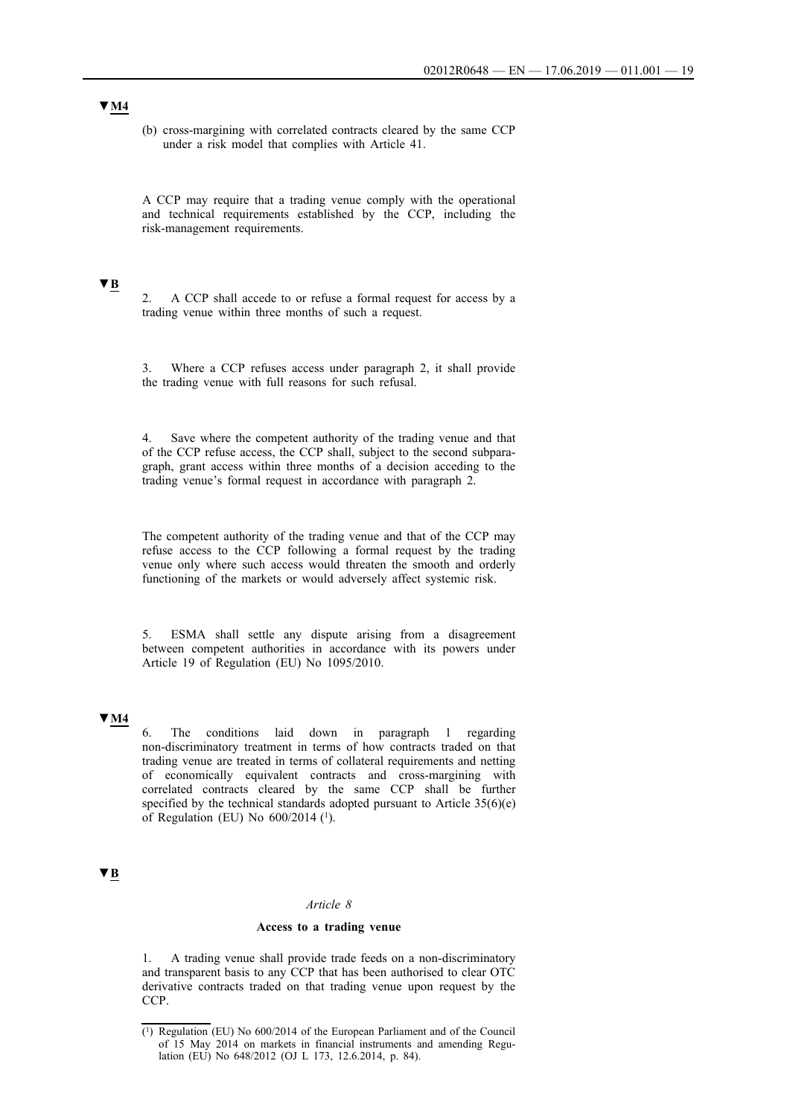(b) cross-margining with correlated contracts cleared by the same CCP under a risk model that complies with Article 41.

A CCP may require that a trading venue comply with the operational and technical requirements established by the CCP, including the risk-management requirements.

# **▼B**

2. A CCP shall accede to or refuse a formal request for access by a trading venue within three months of such a request.

3. Where a CCP refuses access under paragraph 2, it shall provide the trading venue with full reasons for such refusal.

Save where the competent authority of the trading venue and that of the CCP refuse access, the CCP shall, subject to the second subparagraph, grant access within three months of a decision acceding to the trading venue's formal request in accordance with paragraph 2.

The competent authority of the trading venue and that of the CCP may refuse access to the CCP following a formal request by the trading venue only where such access would threaten the smooth and orderly functioning of the markets or would adversely affect systemic risk.

5. ESMA shall settle any dispute arising from a disagreement between competent authorities in accordance with its powers under Article 19 of Regulation (EU) No 1095/2010.

# **▼M4**

6. The conditions laid down in paragraph 1 regarding non-discriminatory treatment in terms of how contracts traded on that trading venue are treated in terms of collateral requirements and netting of economically equivalent contracts and cross-margining with correlated contracts cleared by the same CCP shall be further specified by the technical standards adopted pursuant to Article  $35(6)(e)$ of Regulation (EU) No 600/2014 (1).

## **▼B**

#### *Article 8*

### **Access to a trading venue**

1. A trading venue shall provide trade feeds on a non-discriminatory and transparent basis to any CCP that has been authorised to clear OTC derivative contracts traded on that trading venue upon request by the CCP.

<sup>(1)</sup> Regulation (EU) No 600/2014 of the European Parliament and of the Council of 15 May 2014 on markets in financial instruments and amending Regulation (EU) No 648/2012 (OJ L 173, 12.6.2014, p. 84).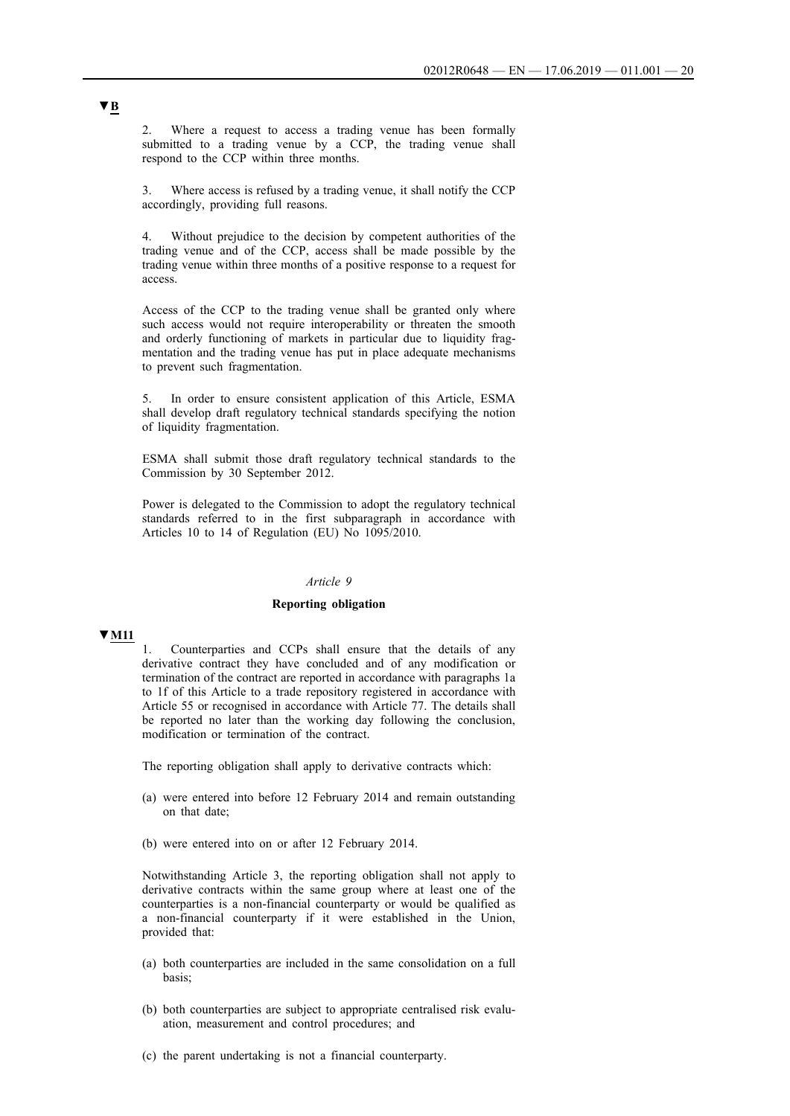2. Where a request to access a trading venue has been formally submitted to a trading venue by a CCP, the trading venue shall respond to the CCP within three months.

3. Where access is refused by a trading venue, it shall notify the CCP accordingly, providing full reasons.

Without prejudice to the decision by competent authorities of the trading venue and of the CCP, access shall be made possible by the trading venue within three months of a positive response to a request for access.

Access of the CCP to the trading venue shall be granted only where such access would not require interoperability or threaten the smooth and orderly functioning of markets in particular due to liquidity fragmentation and the trading venue has put in place adequate mechanisms to prevent such fragmentation.

5. In order to ensure consistent application of this Article, ESMA shall develop draft regulatory technical standards specifying the notion of liquidity fragmentation.

ESMA shall submit those draft regulatory technical standards to the Commission by 30 September 2012.

Power is delegated to the Commission to adopt the regulatory technical standards referred to in the first subparagraph in accordance with Articles 10 to 14 of Regulation (EU) No 1095/2010.

#### *Article 9*

#### **Reporting obligation**

## **▼M11**

1. Counterparties and CCPs shall ensure that the details of any derivative contract they have concluded and of any modification or termination of the contract are reported in accordance with paragraphs 1a to 1f of this Article to a trade repository registered in accordance with Article 55 or recognised in accordance with Article 77. The details shall be reported no later than the working day following the conclusion, modification or termination of the contract.

The reporting obligation shall apply to derivative contracts which:

- (a) were entered into before 12 February 2014 and remain outstanding on that date;
- (b) were entered into on or after 12 February 2014.

Notwithstanding Article 3, the reporting obligation shall not apply to derivative contracts within the same group where at least one of the counterparties is a non-financial counterparty or would be qualified as a non-financial counterparty if it were established in the Union, provided that:

- (a) both counterparties are included in the same consolidation on a full basis;
- (b) both counterparties are subject to appropriate centralised risk evaluation, measurement and control procedures; and
- (c) the parent undertaking is not a financial counterparty.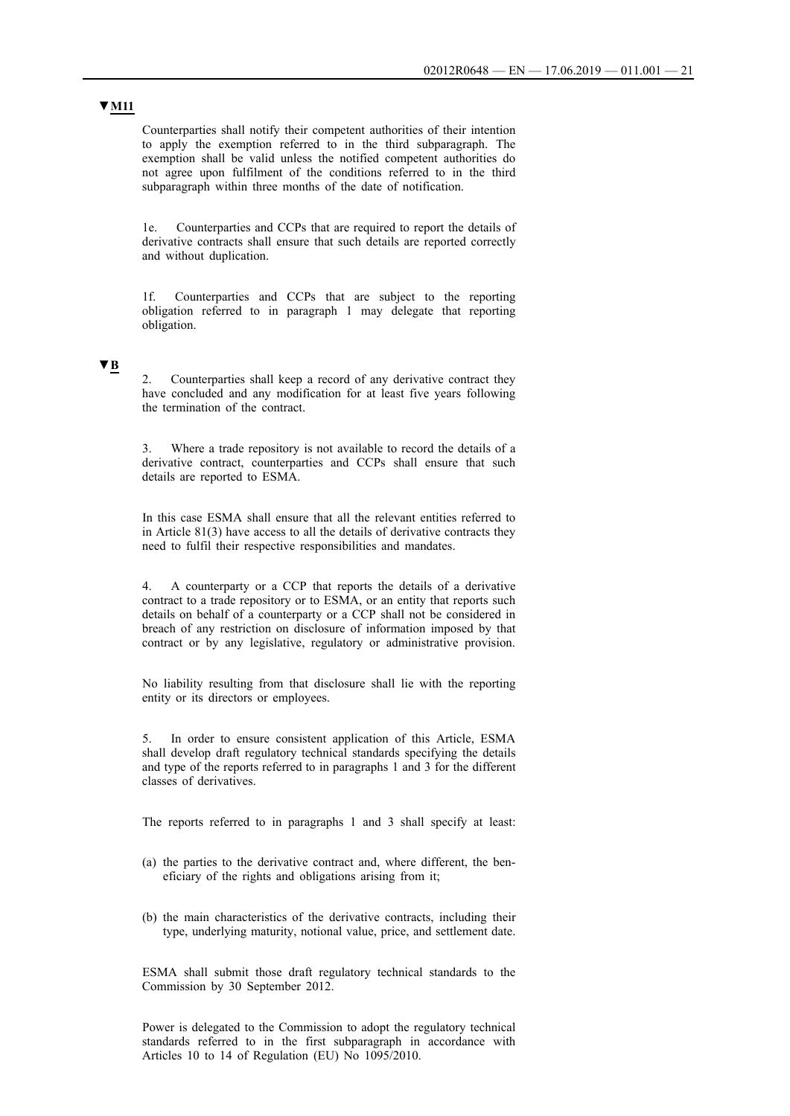Counterparties shall notify their competent authorities of their intention to apply the exemption referred to in the third subparagraph. The exemption shall be valid unless the notified competent authorities do not agree upon fulfilment of the conditions referred to in the third subparagraph within three months of the date of notification.

1e. Counterparties and CCPs that are required to report the details of derivative contracts shall ensure that such details are reported correctly and without duplication.

Counterparties and CCPs that are subject to the reporting obligation referred to in paragraph 1 may delegate that reporting obligation.

## **▼B**

2. Counterparties shall keep a record of any derivative contract they have concluded and any modification for at least five years following the termination of the contract.

3. Where a trade repository is not available to record the details of a derivative contract, counterparties and CCPs shall ensure that such details are reported to ESMA.

In this case ESMA shall ensure that all the relevant entities referred to in Article 81(3) have access to all the details of derivative contracts they need to fulfil their respective responsibilities and mandates.

4. A counterparty or a CCP that reports the details of a derivative contract to a trade repository or to ESMA, or an entity that reports such details on behalf of a counterparty or a CCP shall not be considered in breach of any restriction on disclosure of information imposed by that contract or by any legislative, regulatory or administrative provision.

No liability resulting from that disclosure shall lie with the reporting entity or its directors or employees.

5. In order to ensure consistent application of this Article, ESMA shall develop draft regulatory technical standards specifying the details and type of the reports referred to in paragraphs 1 and 3 for the different classes of derivatives.

The reports referred to in paragraphs 1 and 3 shall specify at least:

- (a) the parties to the derivative contract and, where different, the beneficiary of the rights and obligations arising from it;
- (b) the main characteristics of the derivative contracts, including their type, underlying maturity, notional value, price, and settlement date.

ESMA shall submit those draft regulatory technical standards to the Commission by 30 September 2012.

Power is delegated to the Commission to adopt the regulatory technical standards referred to in the first subparagraph in accordance with Articles 10 to 14 of Regulation (EU) No 1095/2010.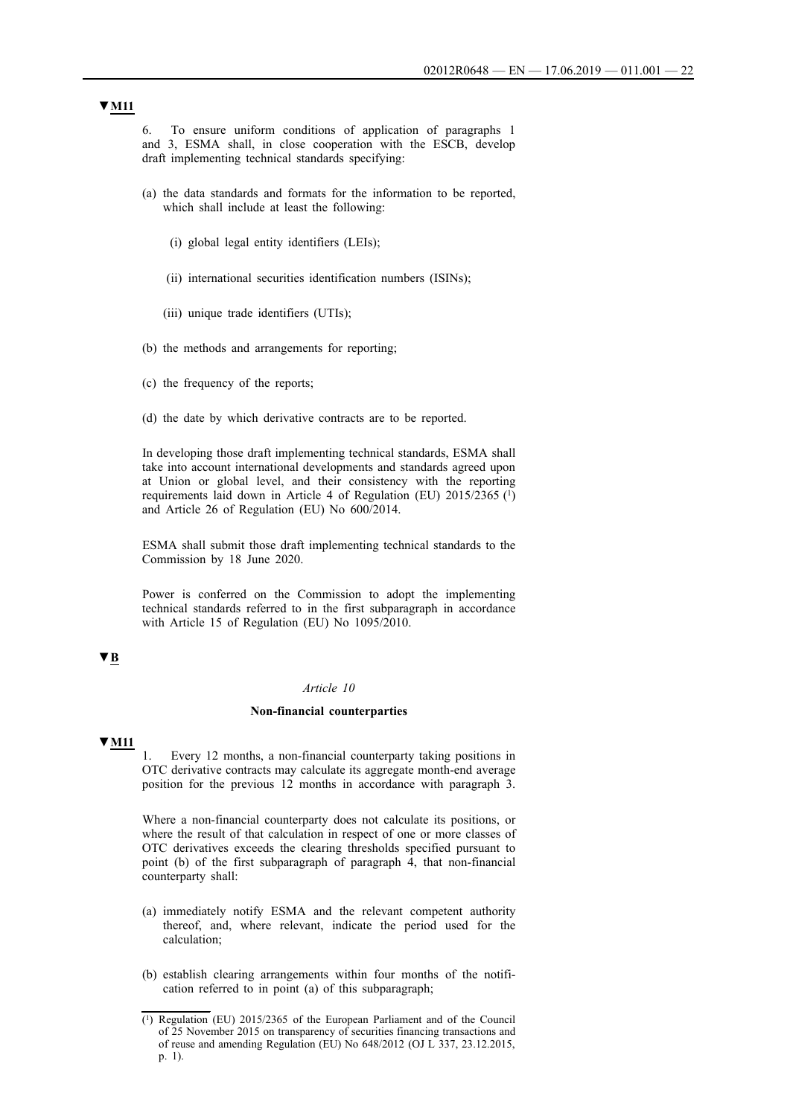6. To ensure uniform conditions of application of paragraphs 1 and 3, ESMA shall, in close cooperation with the ESCB, develop draft implementing technical standards specifying:

- (a) the data standards and formats for the information to be reported, which shall include at least the following:
	- (i) global legal entity identifiers (LEIs);
	- (ii) international securities identification numbers (ISINs);
	- (iii) unique trade identifiers (UTIs);
- (b) the methods and arrangements for reporting;
- (c) the frequency of the reports;
- (d) the date by which derivative contracts are to be reported.

In developing those draft implementing technical standards, ESMA shall take into account international developments and standards agreed upon at Union or global level, and their consistency with the reporting requirements laid down in Article 4 of Regulation (EU) 2015/2365 (1) and Article 26 of Regulation (EU) No 600/2014.

ESMA shall submit those draft implementing technical standards to the Commission by 18 June 2020.

Power is conferred on the Commission to adopt the implementing technical standards referred to in the first subparagraph in accordance with Article 15 of Regulation (EU) No 1095/2010.

## **▼B**

### *Article 10*

#### **Non-financial counterparties**

#### **▼M11**

Every 12 months, a non-financial counterparty taking positions in OTC derivative contracts may calculate its aggregate month-end average position for the previous 12 months in accordance with paragraph 3.

Where a non-financial counterparty does not calculate its positions, or where the result of that calculation in respect of one or more classes of OTC derivatives exceeds the clearing thresholds specified pursuant to point (b) of the first subparagraph of paragraph  $\overline{4}$ , that non-financial counterparty shall:

- (a) immediately notify ESMA and the relevant competent authority thereof, and, where relevant, indicate the period used for the calculation;
- (b) establish clearing arrangements within four months of the notification referred to in point (a) of this subparagraph;

<sup>(1)</sup> Regulation (EU) 2015/2365 of the European Parliament and of the Council of 25 November 2015 on transparency of securities financing transactions and of reuse and amending Regulation (EU) No 648/2012 (OJ L 337, 23.12.2015, p. 1).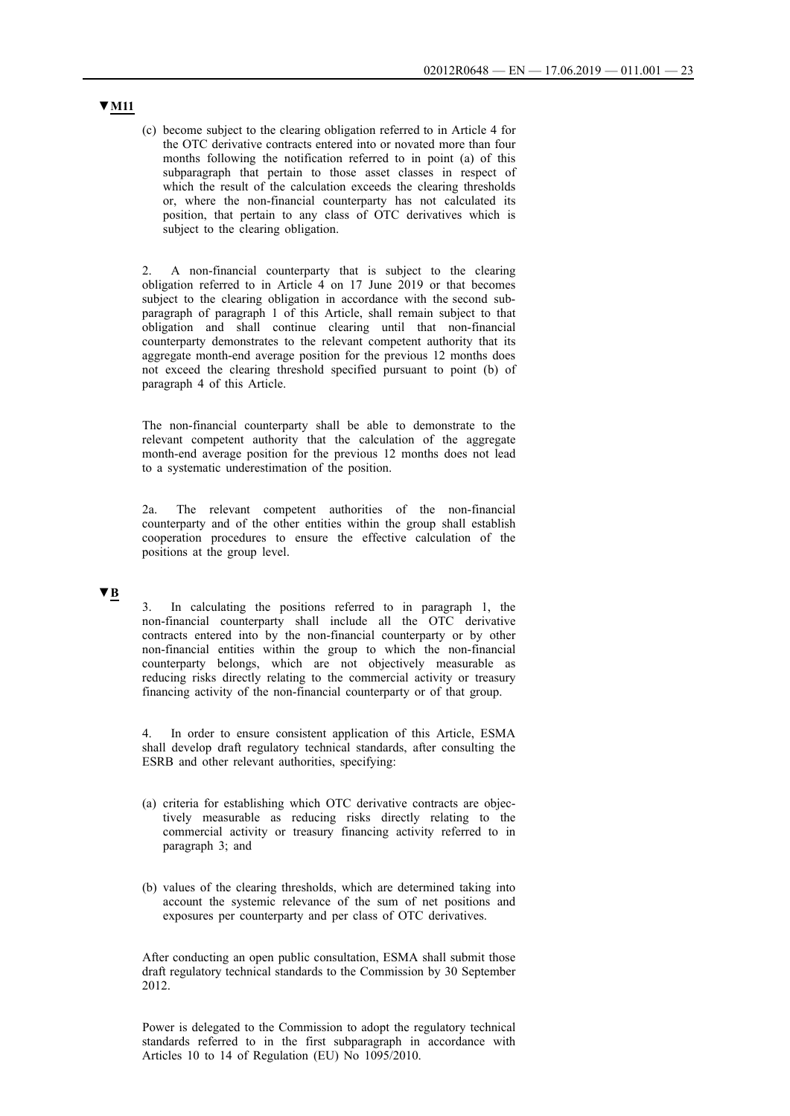(c) become subject to the clearing obligation referred to in Article 4 for the OTC derivative contracts entered into or novated more than four months following the notification referred to in point (a) of this subparagraph that pertain to those asset classes in respect of which the result of the calculation exceeds the clearing thresholds or, where the non-financial counterparty has not calculated its position, that pertain to any class of OTC derivatives which is subject to the clearing obligation.

2. A non-financial counterparty that is subject to the clearing obligation referred to in Article 4 on 17 June 2019 or that becomes subject to the clearing obligation in accordance with the second subparagraph of paragraph 1 of this Article, shall remain subject to that obligation and shall continue clearing until that non-financial counterparty demonstrates to the relevant competent authority that its aggregate month-end average position for the previous 12 months does not exceed the clearing threshold specified pursuant to point (b) of paragraph 4 of this Article.

The non-financial counterparty shall be able to demonstrate to the relevant competent authority that the calculation of the aggregate month-end average position for the previous 12 months does not lead to a systematic underestimation of the position.

2a. The relevant competent authorities of the non-financial counterparty and of the other entities within the group shall establish cooperation procedures to ensure the effective calculation of the positions at the group level.

## **▼B**

3. In calculating the positions referred to in paragraph 1, the non-financial counterparty shall include all the OTC derivative contracts entered into by the non-financial counterparty or by other non-financial entities within the group to which the non-financial counterparty belongs, which are not objectively measurable as reducing risks directly relating to the commercial activity or treasury financing activity of the non-financial counterparty or of that group.

4. In order to ensure consistent application of this Article, ESMA shall develop draft regulatory technical standards, after consulting the ESRB and other relevant authorities, specifying:

- (a) criteria for establishing which OTC derivative contracts are objectively measurable as reducing risks directly relating to the commercial activity or treasury financing activity referred to in paragraph 3; and
- (b) values of the clearing thresholds, which are determined taking into account the systemic relevance of the sum of net positions and exposures per counterparty and per class of OTC derivatives.

After conducting an open public consultation, ESMA shall submit those draft regulatory technical standards to the Commission by 30 September 2012.

Power is delegated to the Commission to adopt the regulatory technical standards referred to in the first subparagraph in accordance with Articles 10 to 14 of Regulation (EU) No 1095/2010.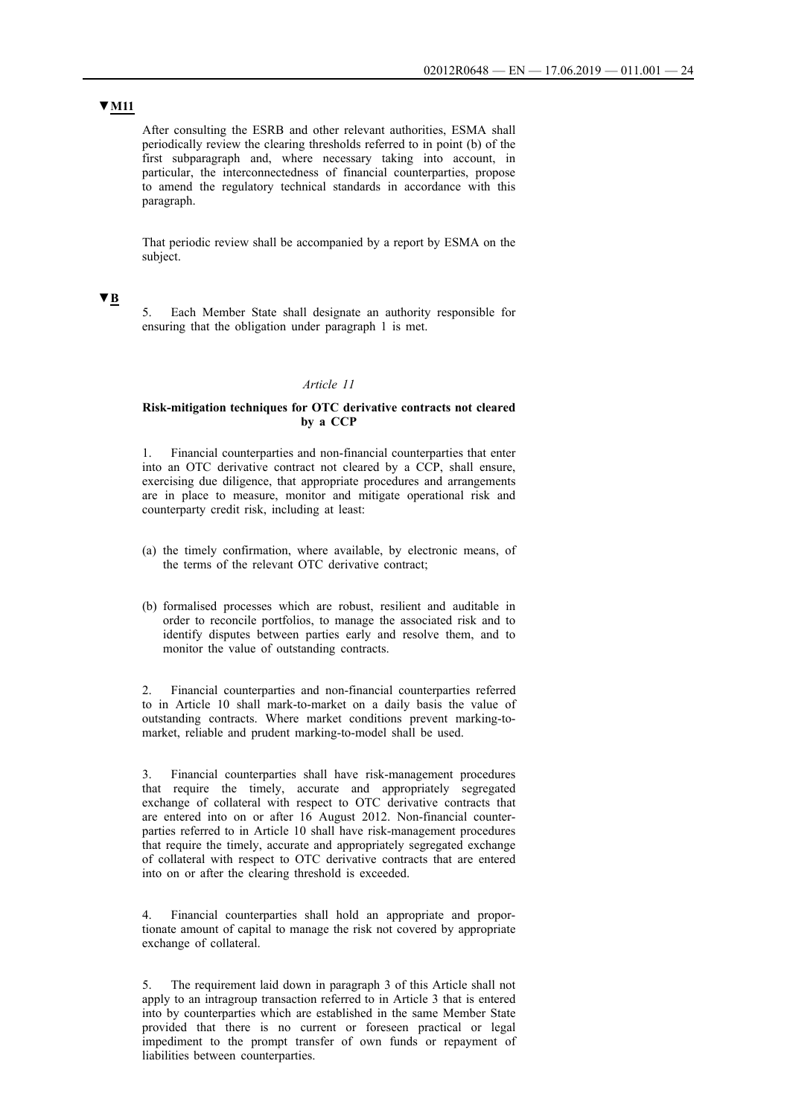## **▼M11**

After consulting the ESRB and other relevant authorities, ESMA shall periodically review the clearing thresholds referred to in point (b) of the first subparagraph and, where necessary taking into account, in particular, the interconnectedness of financial counterparties, propose to amend the regulatory technical standards in accordance with this paragraph.

That periodic review shall be accompanied by a report by ESMA on the subject.

### **▼B**

5. Each Member State shall designate an authority responsible for ensuring that the obligation under paragraph 1 is met.

## *Article 11*

### **Risk-mitigation techniques for OTC derivative contracts not cleared by a CCP**

1. Financial counterparties and non-financial counterparties that enter into an OTC derivative contract not cleared by a CCP, shall ensure, exercising due diligence, that appropriate procedures and arrangements are in place to measure, monitor and mitigate operational risk and counterparty credit risk, including at least:

- (a) the timely confirmation, where available, by electronic means, of the terms of the relevant OTC derivative contract;
- (b) formalised processes which are robust, resilient and auditable in order to reconcile portfolios, to manage the associated risk and to identify disputes between parties early and resolve them, and to monitor the value of outstanding contracts.

2. Financial counterparties and non-financial counterparties referred to in Article 10 shall mark-to-market on a daily basis the value of outstanding contracts. Where market conditions prevent marking-tomarket, reliable and prudent marking-to-model shall be used.

3. Financial counterparties shall have risk-management procedures that require the timely, accurate and appropriately segregated exchange of collateral with respect to OTC derivative contracts that are entered into on or after 16 August 2012. Non-financial counterparties referred to in Article 10 shall have risk-management procedures that require the timely, accurate and appropriately segregated exchange of collateral with respect to OTC derivative contracts that are entered into on or after the clearing threshold is exceeded.

4. Financial counterparties shall hold an appropriate and proportionate amount of capital to manage the risk not covered by appropriate exchange of collateral.

5. The requirement laid down in paragraph 3 of this Article shall not apply to an intragroup transaction referred to in Article 3 that is entered into by counterparties which are established in the same Member State provided that there is no current or foreseen practical or legal impediment to the prompt transfer of own funds or repayment of liabilities between counterparties.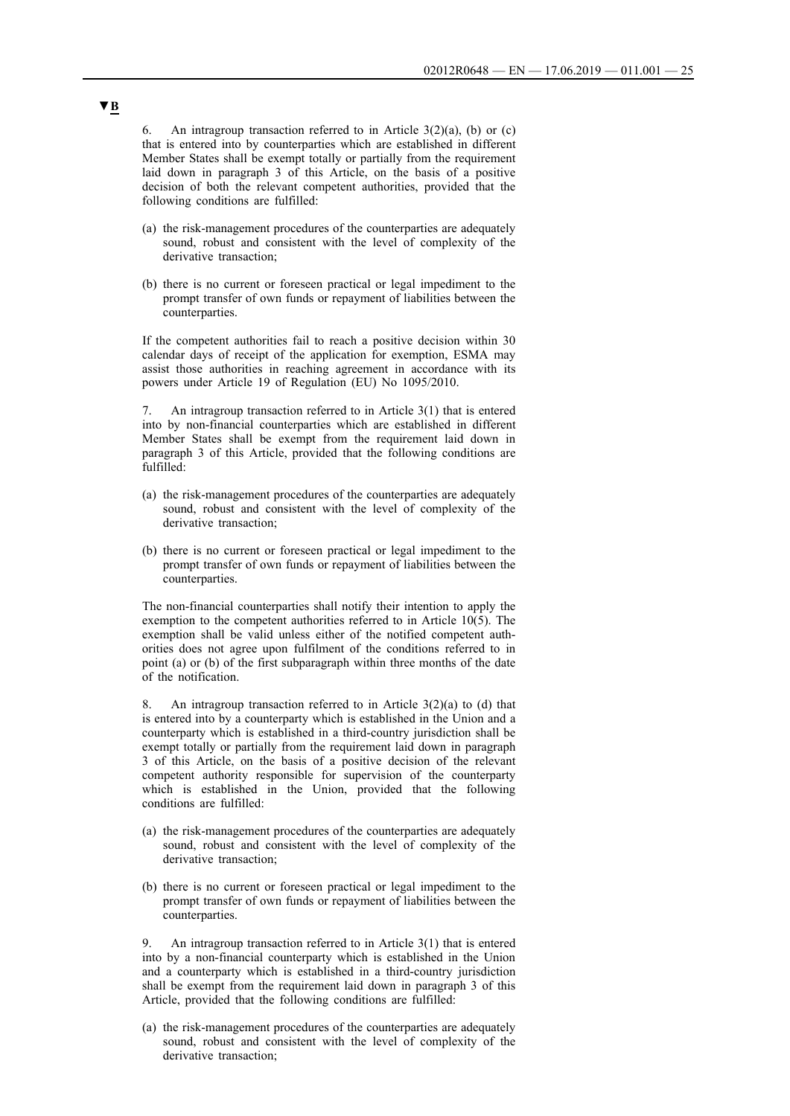6. An intragroup transaction referred to in Article  $3(2)(a)$ , (b) or (c) that is entered into by counterparties which are established in different Member States shall be exempt totally or partially from the requirement laid down in paragraph 3 of this Article, on the basis of a positive decision of both the relevant competent authorities, provided that the following conditions are fulfilled:

- (a) the risk-management procedures of the counterparties are adequately sound, robust and consistent with the level of complexity of the derivative transaction;
- (b) there is no current or foreseen practical or legal impediment to the prompt transfer of own funds or repayment of liabilities between the counterparties.

If the competent authorities fail to reach a positive decision within 30 calendar days of receipt of the application for exemption, ESMA may assist those authorities in reaching agreement in accordance with its powers under Article 19 of Regulation (EU) No 1095/2010.

7. An intragroup transaction referred to in Article 3(1) that is entered into by non-financial counterparties which are established in different Member States shall be exempt from the requirement laid down in paragraph 3 of this Article, provided that the following conditions are fulfilled:

- (a) the risk-management procedures of the counterparties are adequately sound, robust and consistent with the level of complexity of the derivative transaction;
- (b) there is no current or foreseen practical or legal impediment to the prompt transfer of own funds or repayment of liabilities between the counterparties.

The non-financial counterparties shall notify their intention to apply the exemption to the competent authorities referred to in Article 10(5). The exemption shall be valid unless either of the notified competent authorities does not agree upon fulfilment of the conditions referred to in point (a) or (b) of the first subparagraph within three months of the date of the notification.

8. An intragroup transaction referred to in Article  $3(2)(a)$  to (d) that is entered into by a counterparty which is established in the Union and a counterparty which is established in a third-country jurisdiction shall be exempt totally or partially from the requirement laid down in paragraph 3 of this Article, on the basis of a positive decision of the relevant competent authority responsible for supervision of the counterparty which is established in the Union, provided that the following conditions are fulfilled:

- (a) the risk-management procedures of the counterparties are adequately sound, robust and consistent with the level of complexity of the derivative transaction;
- (b) there is no current or foreseen practical or legal impediment to the prompt transfer of own funds or repayment of liabilities between the counterparties.

9. An intragroup transaction referred to in Article 3(1) that is entered into by a non-financial counterparty which is established in the Union and a counterparty which is established in a third-country jurisdiction shall be exempt from the requirement laid down in paragraph 3 of this Article, provided that the following conditions are fulfilled:

(a) the risk-management procedures of the counterparties are adequately sound, robust and consistent with the level of complexity of the derivative transaction;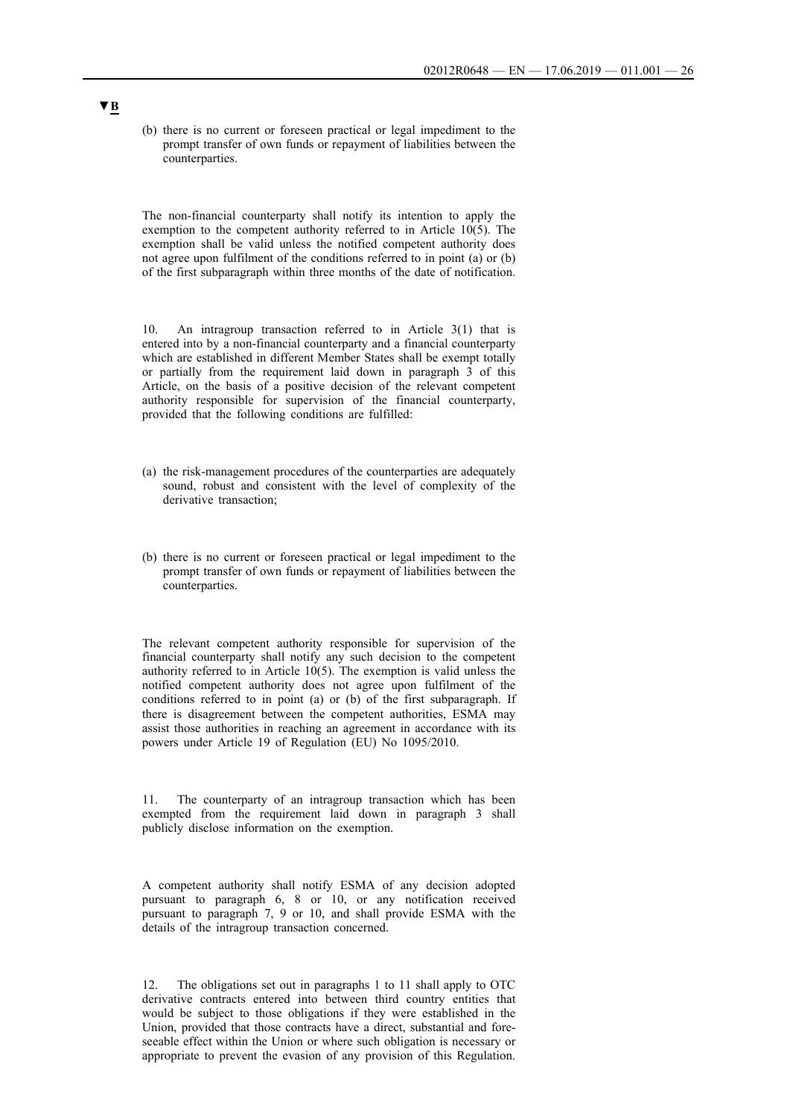(b) there is no current or foreseen practical or legal impediment to the prompt transfer of own funds or repayment of liabilities between the counterparties.

The non-financial counterparty shall notify its intention to apply the exemption to the competent authority referred to in Article 10(5). The exemption shall be valid unless the notified competent authority does not agree upon fulfilment of the conditions referred to in point (a) or (b) of the first subparagraph within three months of the date of notification.

10. An intragroup transaction referred to in Article 3(1) that is entered into by a non-financial counterparty and a financial counterparty which are established in different Member States shall be exempt totally or partially from the requirement laid down in paragraph 3 of this Article, on the basis of a positive decision of the relevant competent authority responsible for supervision of the financial counterparty, provided that the following conditions are fulfilled:

- (a) the risk-management procedures of the counterparties are adequately sound, robust and consistent with the level of complexity of the derivative transaction;
- (b) there is no current or foreseen practical or legal impediment to the prompt transfer of own funds or repayment of liabilities between the counterparties.

The relevant competent authority responsible for supervision of the financial counterparty shall notify any such decision to the competent authority referred to in Article 10(5). The exemption is valid unless the notified competent authority does not agree upon fulfilment of the conditions referred to in point (a) or (b) of the first subparagraph. If there is disagreement between the competent authorities, ESMA may assist those authorities in reaching an agreement in accordance with its powers under Article 19 of Regulation (EU) No 1095/2010.

11. The counterparty of an intragroup transaction which has been exempted from the requirement laid down in paragraph 3 shall publicly disclose information on the exemption.

A competent authority shall notify ESMA of any decision adopted pursuant to paragraph 6, 8 or 10, or any notification received pursuant to paragraph 7, 9 or 10, and shall provide ESMA with the details of the intragroup transaction concerned.

12. The obligations set out in paragraphs 1 to 11 shall apply to OTC derivative contracts entered into between third country entities that would be subject to those obligations if they were established in the Union, provided that those contracts have a direct, substantial and foreseeable effect within the Union or where such obligation is necessary or appropriate to prevent the evasion of any provision of this Regulation.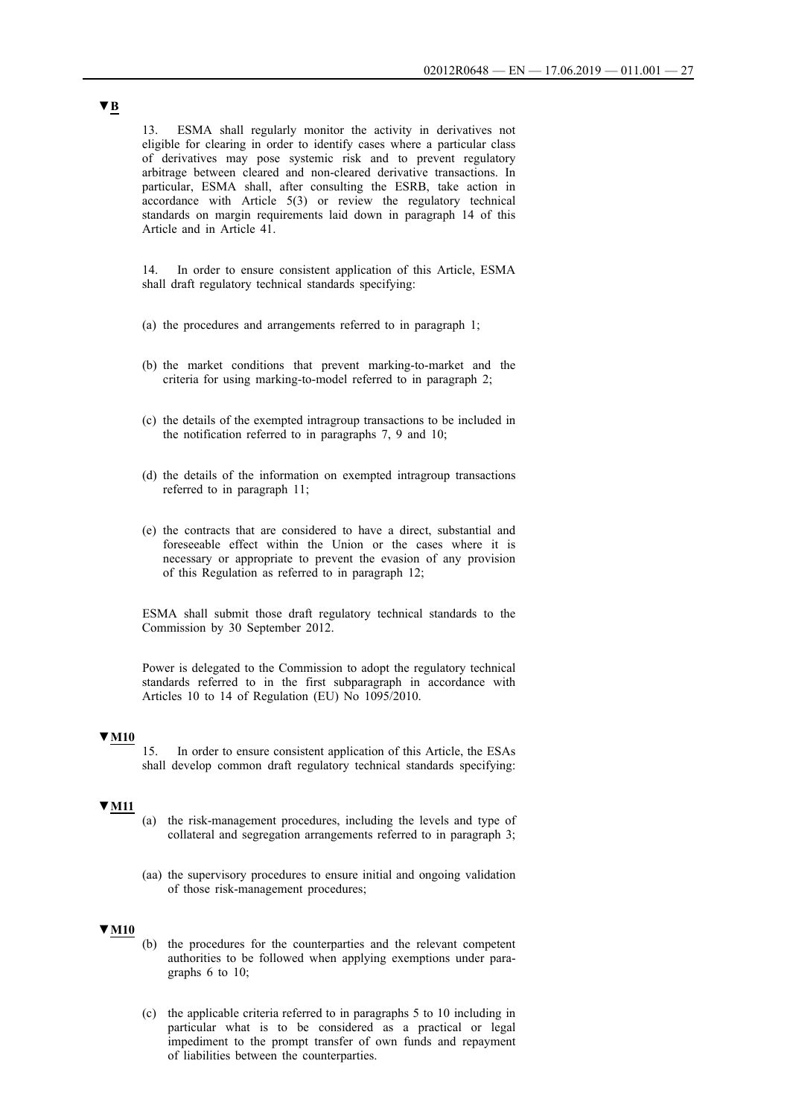13. ESMA shall regularly monitor the activity in derivatives not eligible for clearing in order to identify cases where a particular class of derivatives may pose systemic risk and to prevent regulatory arbitrage between cleared and non-cleared derivative transactions. In particular, ESMA shall, after consulting the ESRB, take action in accordance with Article 5(3) or review the regulatory technical standards on margin requirements laid down in paragraph 14 of this Article and in Article 41.

14. In order to ensure consistent application of this Article, ESMA shall draft regulatory technical standards specifying:

- (a) the procedures and arrangements referred to in paragraph 1;
- (b) the market conditions that prevent marking-to-market and the criteria for using marking-to-model referred to in paragraph 2;
- (c) the details of the exempted intragroup transactions to be included in the notification referred to in paragraphs 7, 9 and 10;
- (d) the details of the information on exempted intragroup transactions referred to in paragraph 11;
- (e) the contracts that are considered to have a direct, substantial and foreseeable effect within the Union or the cases where it is necessary or appropriate to prevent the evasion of any provision of this Regulation as referred to in paragraph 12;

ESMA shall submit those draft regulatory technical standards to the Commission by 30 September 2012.

Power is delegated to the Commission to adopt the regulatory technical standards referred to in the first subparagraph in accordance with Articles 10 to 14 of Regulation (EU) No 1095/2010.

#### **▼M10**

15. In order to ensure consistent application of this Article, the ESAs shall develop common draft regulatory technical standards specifying:

#### **▼M11**

- (a) the risk-management procedures, including the levels and type of collateral and segregation arrangements referred to in paragraph 3;
- (aa) the supervisory procedures to ensure initial and ongoing validation of those risk-management procedures;

## **▼M10**

- (b) the procedures for the counterparties and the relevant competent authorities to be followed when applying exemptions under paragraphs 6 to 10;
- (c) the applicable criteria referred to in paragraphs 5 to 10 including in particular what is to be considered as a practical or legal impediment to the prompt transfer of own funds and repayment of liabilities between the counterparties.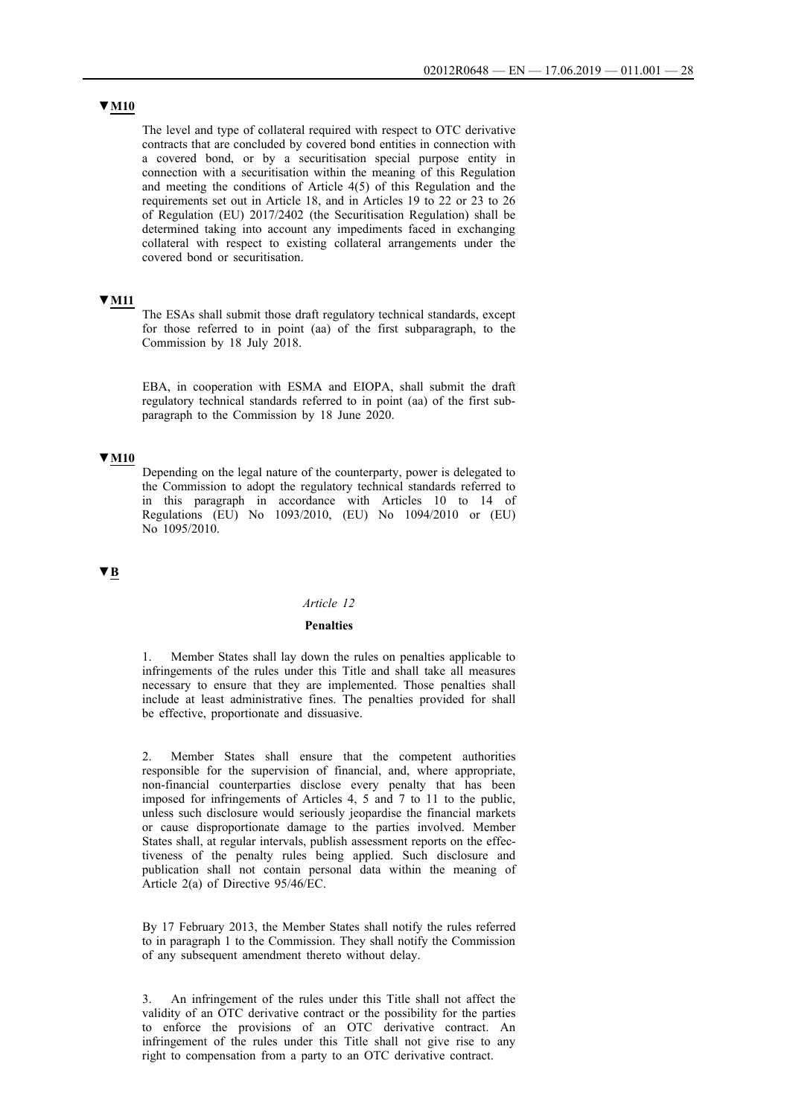## **▼M10**

The level and type of collateral required with respect to OTC derivative contracts that are concluded by covered bond entities in connection with a covered bond, or by a securitisation special purpose entity in connection with a securitisation within the meaning of this Regulation and meeting the conditions of Article 4(5) of this Regulation and the requirements set out in Article 18, and in Articles 19 to 22 or 23 to 26 of Regulation (EU) 2017/2402 (the Securitisation Regulation) shall be determined taking into account any impediments faced in exchanging collateral with respect to existing collateral arrangements under the covered bond or securitisation.

## **▼M11**

The ESAs shall submit those draft regulatory technical standards, except for those referred to in point (aa) of the first subparagraph, to the Commission by 18 July 2018.

EBA, in cooperation with ESMA and EIOPA, shall submit the draft regulatory technical standards referred to in point (aa) of the first subparagraph to the Commission by 18 June 2020.

## **▼M10**

Depending on the legal nature of the counterparty, power is delegated to the Commission to adopt the regulatory technical standards referred to in this paragraph in accordance with Articles 10 to 14 of Regulations (EU) No 1093/2010, (EU) No 1094/2010 or (EU) No 1095/2010.

## **▼B**

#### *Article 12*

### **Penalties**

1. Member States shall lay down the rules on penalties applicable to infringements of the rules under this Title and shall take all measures necessary to ensure that they are implemented. Those penalties shall include at least administrative fines. The penalties provided for shall be effective, proportionate and dissuasive.

2. Member States shall ensure that the competent authorities responsible for the supervision of financial, and, where appropriate, non-financial counterparties disclose every penalty that has been imposed for infringements of Articles 4, 5 and 7 to 11 to the public, unless such disclosure would seriously jeopardise the financial markets or cause disproportionate damage to the parties involved. Member States shall, at regular intervals, publish assessment reports on the effectiveness of the penalty rules being applied. Such disclosure and publication shall not contain personal data within the meaning of Article 2(a) of Directive 95/46/EC.

By 17 February 2013, the Member States shall notify the rules referred to in paragraph 1 to the Commission. They shall notify the Commission of any subsequent amendment thereto without delay.

3. An infringement of the rules under this Title shall not affect the validity of an OTC derivative contract or the possibility for the parties to enforce the provisions of an OTC derivative contract. An infringement of the rules under this Title shall not give rise to any right to compensation from a party to an OTC derivative contract.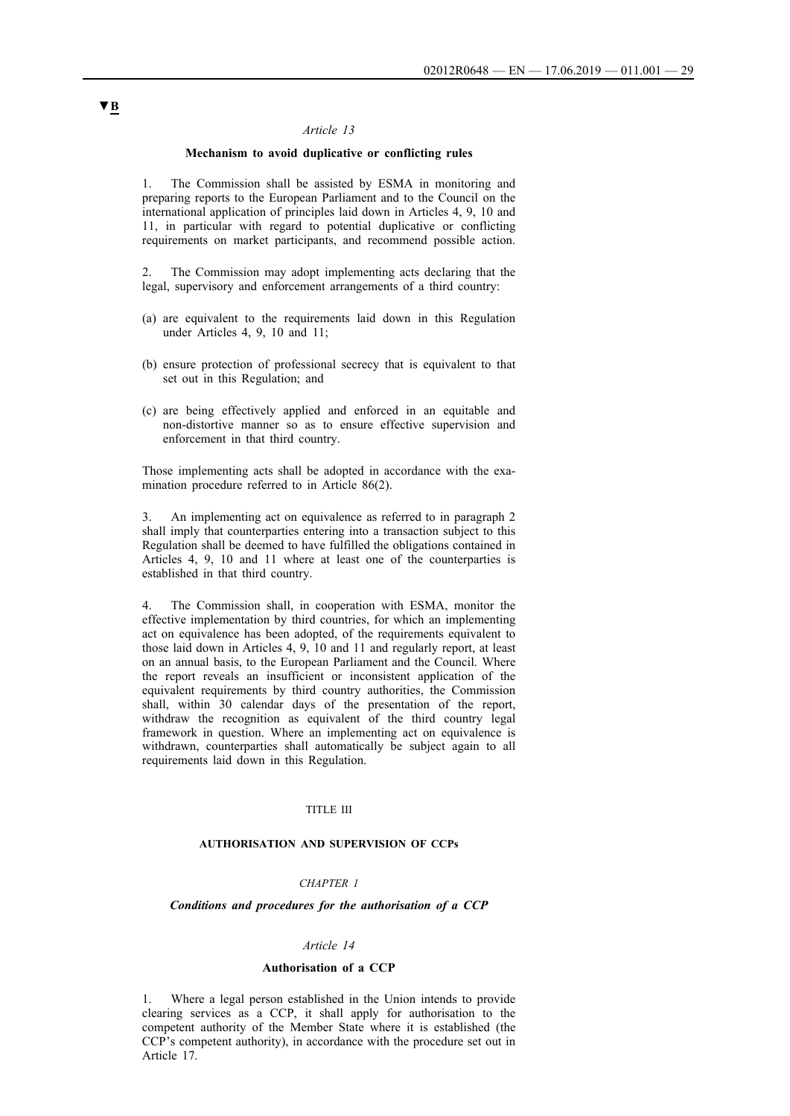### *Article 13*

## **Mechanism to avoid duplicative or conflicting rules**

1. The Commission shall be assisted by ESMA in monitoring and preparing reports to the European Parliament and to the Council on the international application of principles laid down in Articles 4, 9, 10 and 11, in particular with regard to potential duplicative or conflicting requirements on market participants, and recommend possible action.

The Commission may adopt implementing acts declaring that the legal, supervisory and enforcement arrangements of a third country:

- (a) are equivalent to the requirements laid down in this Regulation under Articles 4, 9, 10 and 11;
- (b) ensure protection of professional secrecy that is equivalent to that set out in this Regulation; and
- (c) are being effectively applied and enforced in an equitable and non-distortive manner so as to ensure effective supervision and enforcement in that third country.

Those implementing acts shall be adopted in accordance with the examination procedure referred to in Article 86(2).

3. An implementing act on equivalence as referred to in paragraph 2 shall imply that counterparties entering into a transaction subject to this Regulation shall be deemed to have fulfilled the obligations contained in Articles 4, 9, 10 and 11 where at least one of the counterparties is established in that third country.

4. The Commission shall, in cooperation with ESMA, monitor the effective implementation by third countries, for which an implementing act on equivalence has been adopted, of the requirements equivalent to those laid down in Articles 4, 9, 10 and 11 and regularly report, at least on an annual basis, to the European Parliament and the Council. Where the report reveals an insufficient or inconsistent application of the equivalent requirements by third country authorities, the Commission shall, within 30 calendar days of the presentation of the report, withdraw the recognition as equivalent of the third country legal framework in question. Where an implementing act on equivalence is withdrawn, counterparties shall automatically be subject again to all requirements laid down in this Regulation.

#### TITLE III

#### **AUTHORISATION AND SUPERVISION OF CCPs**

#### *CHAPTER 1*

#### *Conditions and procedures for the authorisation of a CCP*

#### *Article 14*

#### **Authorisation of a CCP**

1. Where a legal person established in the Union intends to provide clearing services as a CCP, it shall apply for authorisation to the competent authority of the Member State where it is established (the CCP's competent authority), in accordance with the procedure set out in Article 17.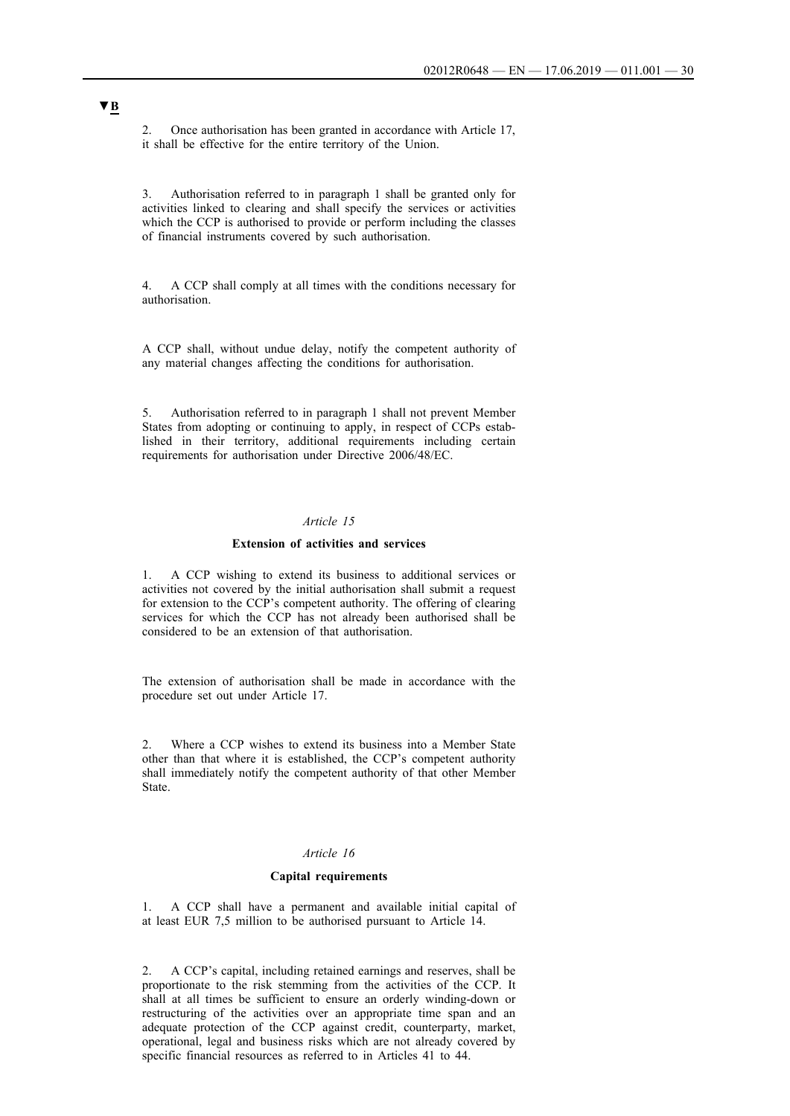2. Once authorisation has been granted in accordance with Article 17, it shall be effective for the entire territory of the Union.

3. Authorisation referred to in paragraph 1 shall be granted only for activities linked to clearing and shall specify the services or activities which the CCP is authorised to provide or perform including the classes of financial instruments covered by such authorisation.

4. A CCP shall comply at all times with the conditions necessary for authorisation.

A CCP shall, without undue delay, notify the competent authority of any material changes affecting the conditions for authorisation.

5. Authorisation referred to in paragraph 1 shall not prevent Member States from adopting or continuing to apply, in respect of CCPs established in their territory, additional requirements including certain requirements for authorisation under Directive 2006/48/EC.

## *Article 15*

### **Extension of activities and services**

1. A CCP wishing to extend its business to additional services or activities not covered by the initial authorisation shall submit a request for extension to the CCP's competent authority. The offering of clearing services for which the CCP has not already been authorised shall be considered to be an extension of that authorisation.

The extension of authorisation shall be made in accordance with the procedure set out under Article 17.

2. Where a CCP wishes to extend its business into a Member State other than that where it is established, the CCP's competent authority shall immediately notify the competent authority of that other Member State.

## *Article 16*

#### **Capital requirements**

1. A CCP shall have a permanent and available initial capital of at least EUR 7,5 million to be authorised pursuant to Article 14.

2. A CCP's capital, including retained earnings and reserves, shall be proportionate to the risk stemming from the activities of the CCP. It shall at all times be sufficient to ensure an orderly winding-down or restructuring of the activities over an appropriate time span and an adequate protection of the CCP against credit, counterparty, market, operational, legal and business risks which are not already covered by specific financial resources as referred to in Articles 41 to 44.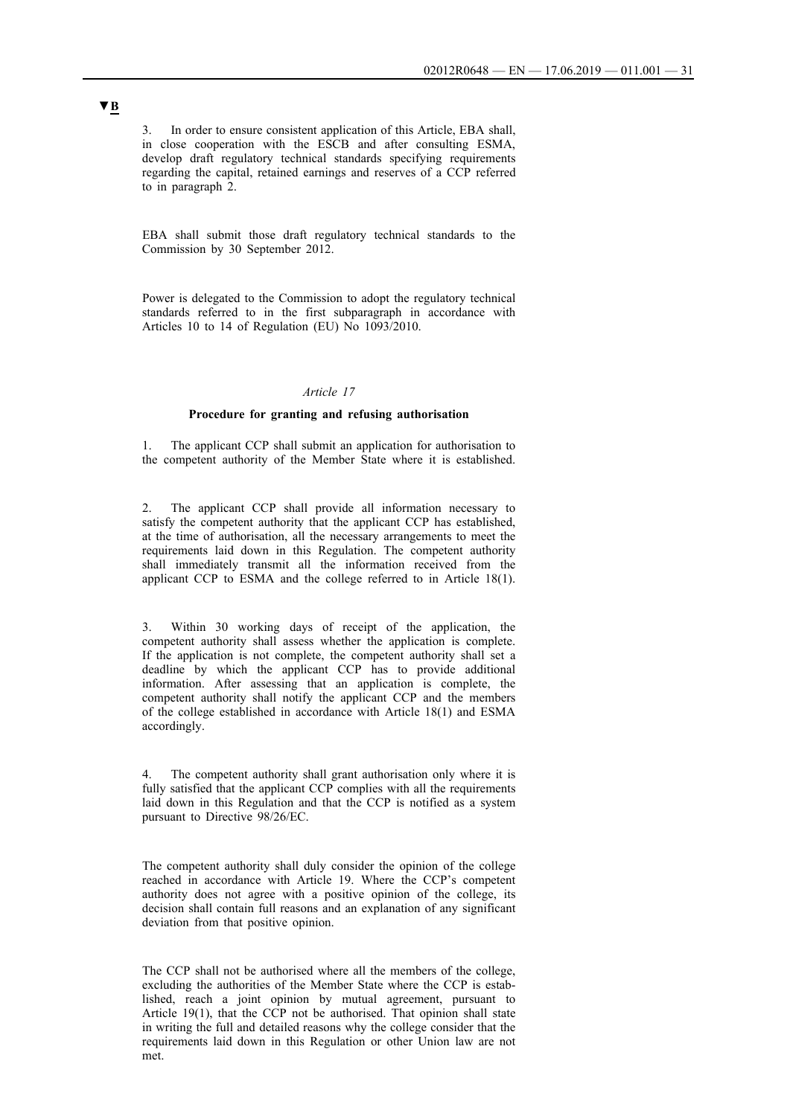3. In order to ensure consistent application of this Article, EBA shall, in close cooperation with the ESCB and after consulting ESMA, develop draft regulatory technical standards specifying requirements regarding the capital, retained earnings and reserves of a CCP referred to in paragraph 2.

EBA shall submit those draft regulatory technical standards to the Commission by 30 September 2012.

Power is delegated to the Commission to adopt the regulatory technical standards referred to in the first subparagraph in accordance with Articles 10 to 14 of Regulation (EU) No 1093/2010.

#### *Article 17*

### **Procedure for granting and refusing authorisation**

The applicant CCP shall submit an application for authorisation to the competent authority of the Member State where it is established.

2. The applicant CCP shall provide all information necessary to satisfy the competent authority that the applicant CCP has established, at the time of authorisation, all the necessary arrangements to meet the requirements laid down in this Regulation. The competent authority shall immediately transmit all the information received from the applicant CCP to ESMA and the college referred to in Article 18(1).

3. Within 30 working days of receipt of the application, the competent authority shall assess whether the application is complete. If the application is not complete, the competent authority shall set a deadline by which the applicant CCP has to provide additional information. After assessing that an application is complete, the competent authority shall notify the applicant CCP and the members of the college established in accordance with Article 18(1) and ESMA accordingly.

4. The competent authority shall grant authorisation only where it is fully satisfied that the applicant CCP complies with all the requirements laid down in this Regulation and that the CCP is notified as a system pursuant to Directive 98/26/EC.

The competent authority shall duly consider the opinion of the college reached in accordance with Article 19. Where the CCP's competent authority does not agree with a positive opinion of the college, its decision shall contain full reasons and an explanation of any significant deviation from that positive opinion.

The CCP shall not be authorised where all the members of the college, excluding the authorities of the Member State where the CCP is established, reach a joint opinion by mutual agreement, pursuant to Article 19(1), that the CCP not be authorised. That opinion shall state in writing the full and detailed reasons why the college consider that the requirements laid down in this Regulation or other Union law are not met.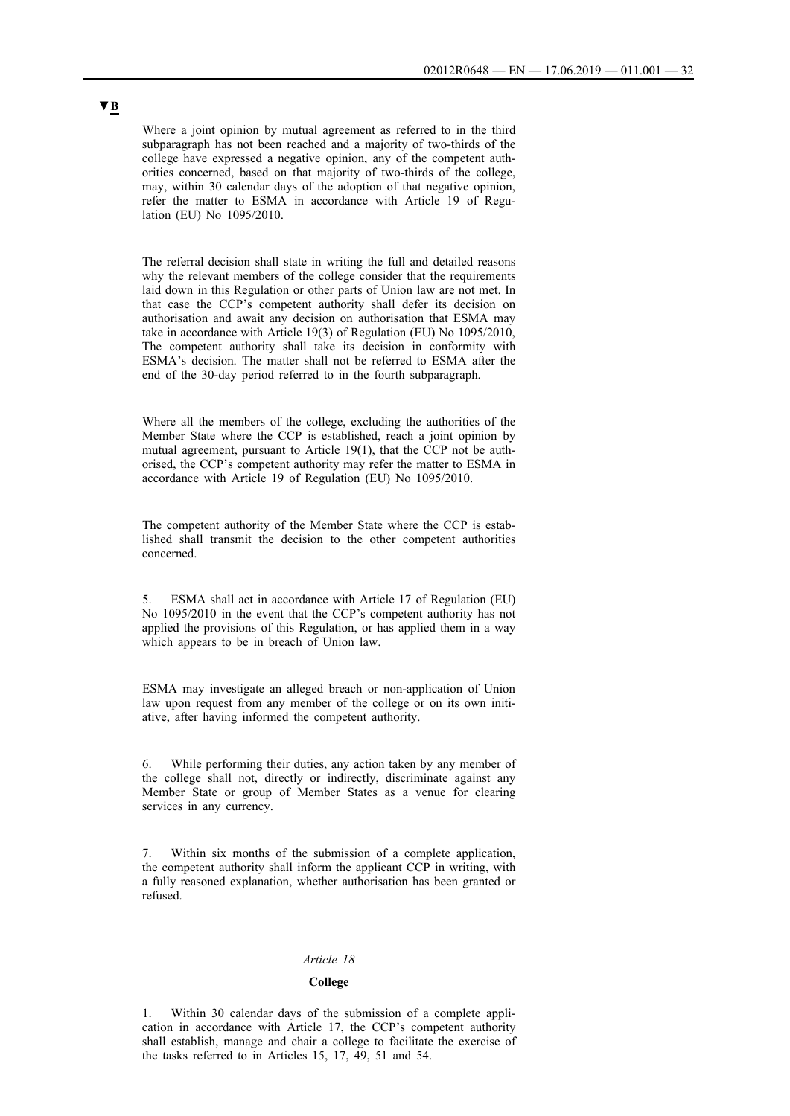Where a joint opinion by mutual agreement as referred to in the third subparagraph has not been reached and a majority of two-thirds of the college have expressed a negative opinion, any of the competent authorities concerned, based on that majority of two-thirds of the college, may, within 30 calendar days of the adoption of that negative opinion, refer the matter to ESMA in accordance with Article 19 of Regulation (EU) No 1095/2010.

The referral decision shall state in writing the full and detailed reasons why the relevant members of the college consider that the requirements laid down in this Regulation or other parts of Union law are not met. In that case the CCP's competent authority shall defer its decision on authorisation and await any decision on authorisation that ESMA may take in accordance with Article 19(3) of Regulation (EU) No 1095/2010, The competent authority shall take its decision in conformity with ESMA's decision. The matter shall not be referred to ESMA after the end of the 30-day period referred to in the fourth subparagraph.

Where all the members of the college, excluding the authorities of the Member State where the CCP is established, reach a joint opinion by mutual agreement, pursuant to Article 19(1), that the CCP not be authorised, the CCP's competent authority may refer the matter to ESMA in accordance with Article 19 of Regulation (EU) No 1095/2010.

The competent authority of the Member State where the CCP is established shall transmit the decision to the other competent authorities concerned.

5. ESMA shall act in accordance with Article 17 of Regulation (EU) No 1095/2010 in the event that the CCP's competent authority has not applied the provisions of this Regulation, or has applied them in a way which appears to be in breach of Union law.

ESMA may investigate an alleged breach or non-application of Union law upon request from any member of the college or on its own initiative, after having informed the competent authority.

6. While performing their duties, any action taken by any member of the college shall not, directly or indirectly, discriminate against any Member State or group of Member States as a venue for clearing services in any currency.

7. Within six months of the submission of a complete application, the competent authority shall inform the applicant CCP in writing, with a fully reasoned explanation, whether authorisation has been granted or refused.

### *Article 18*

#### **College**

1. Within 30 calendar days of the submission of a complete application in accordance with Article 17, the CCP's competent authority shall establish, manage and chair a college to facilitate the exercise of the tasks referred to in Articles 15, 17, 49, 51 and 54.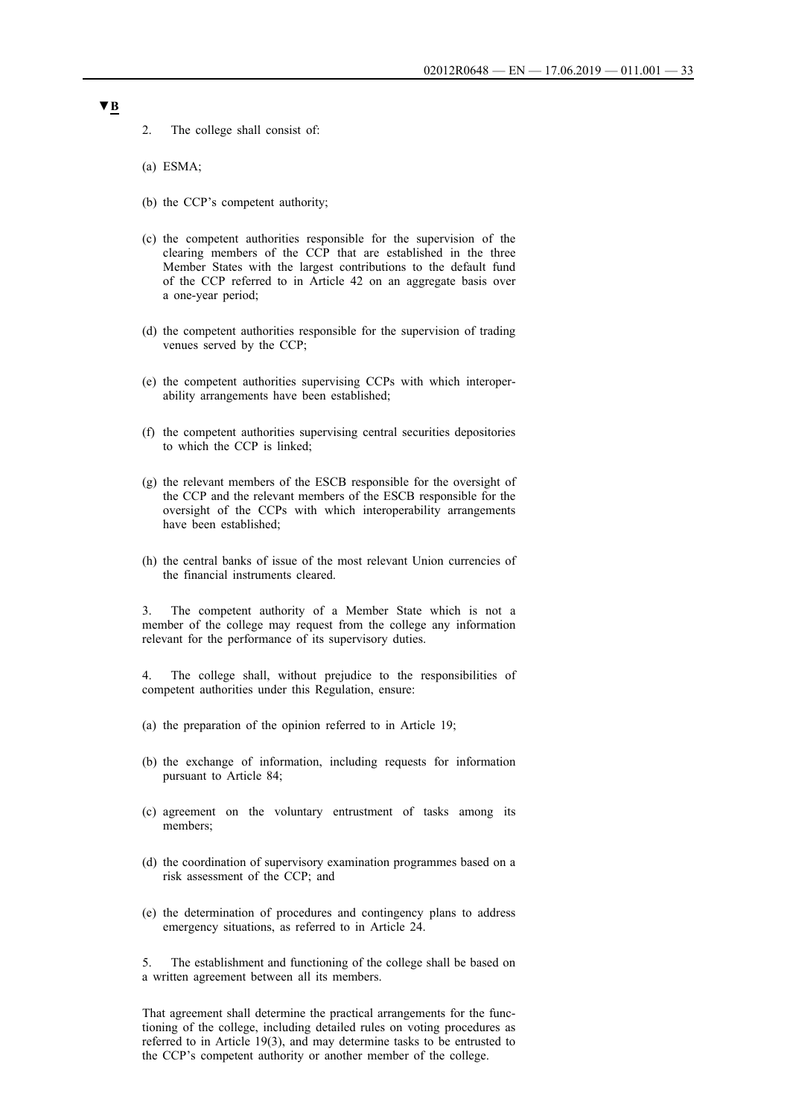- 2. The college shall consist of:
- (a) ESMA;
- (b) the CCP's competent authority;
- (c) the competent authorities responsible for the supervision of the clearing members of the CCP that are established in the three Member States with the largest contributions to the default fund of the CCP referred to in Article 42 on an aggregate basis over a one-year period;
- (d) the competent authorities responsible for the supervision of trading venues served by the CCP;
- (e) the competent authorities supervising CCPs with which interoperability arrangements have been established;
- (f) the competent authorities supervising central securities depositories to which the CCP is linked;
- (g) the relevant members of the ESCB responsible for the oversight of the CCP and the relevant members of the ESCB responsible for the oversight of the CCPs with which interoperability arrangements have been established;
- (h) the central banks of issue of the most relevant Union currencies of the financial instruments cleared.

3. The competent authority of a Member State which is not a member of the college may request from the college any information relevant for the performance of its supervisory duties.

The college shall, without prejudice to the responsibilities of competent authorities under this Regulation, ensure:

- (a) the preparation of the opinion referred to in Article 19;
- (b) the exchange of information, including requests for information pursuant to Article 84;
- (c) agreement on the voluntary entrustment of tasks among its members;
- (d) the coordination of supervisory examination programmes based on a risk assessment of the CCP; and
- (e) the determination of procedures and contingency plans to address emergency situations, as referred to in Article 24.

5. The establishment and functioning of the college shall be based on a written agreement between all its members.

That agreement shall determine the practical arrangements for the functioning of the college, including detailed rules on voting procedures as referred to in Article 19(3), and may determine tasks to be entrusted to the CCP's competent authority or another member of the college.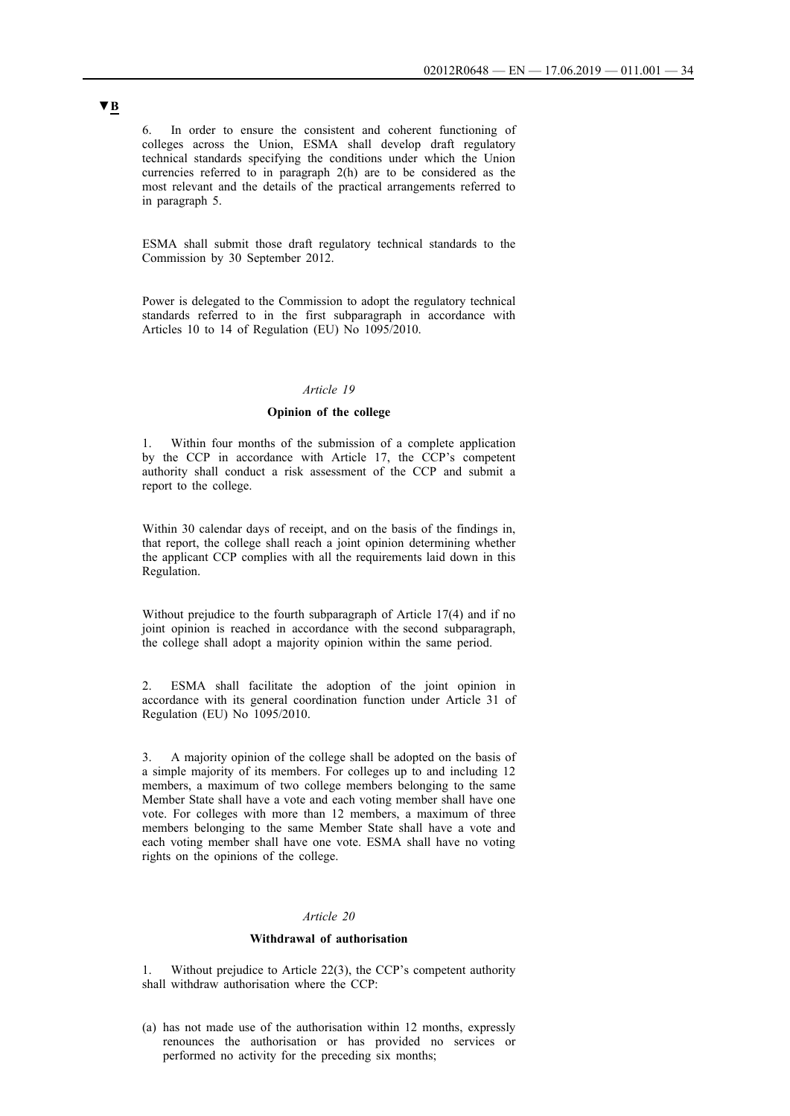6. In order to ensure the consistent and coherent functioning of colleges across the Union, ESMA shall develop draft regulatory technical standards specifying the conditions under which the Union currencies referred to in paragraph 2(h) are to be considered as the most relevant and the details of the practical arrangements referred to in paragraph 5.

ESMA shall submit those draft regulatory technical standards to the Commission by 30 September 2012.

Power is delegated to the Commission to adopt the regulatory technical standards referred to in the first subparagraph in accordance with Articles 10 to 14 of Regulation (EU) No 1095/2010.

### *Article 19*

## **Opinion of the college**

1. Within four months of the submission of a complete application by the CCP in accordance with Article 17, the CCP's competent authority shall conduct a risk assessment of the CCP and submit a report to the college.

Within 30 calendar days of receipt, and on the basis of the findings in, that report, the college shall reach a joint opinion determining whether the applicant CCP complies with all the requirements laid down in this Regulation.

Without prejudice to the fourth subparagraph of Article 17(4) and if no joint opinion is reached in accordance with the second subparagraph, the college shall adopt a majority opinion within the same period.

2. ESMA shall facilitate the adoption of the joint opinion in accordance with its general coordination function under Article 31 of Regulation (EU) No 1095/2010.

3. A majority opinion of the college shall be adopted on the basis of a simple majority of its members. For colleges up to and including 12 members, a maximum of two college members belonging to the same Member State shall have a vote and each voting member shall have one vote. For colleges with more than 12 members, a maximum of three members belonging to the same Member State shall have a vote and each voting member shall have one vote. ESMA shall have no voting rights on the opinions of the college.

### *Article 20*

### **Withdrawal of authorisation**

1. Without prejudice to Article 22(3), the CCP's competent authority shall withdraw authorisation where the CCP:

(a) has not made use of the authorisation within 12 months, expressly renounces the authorisation or has provided no services or performed no activity for the preceding six months;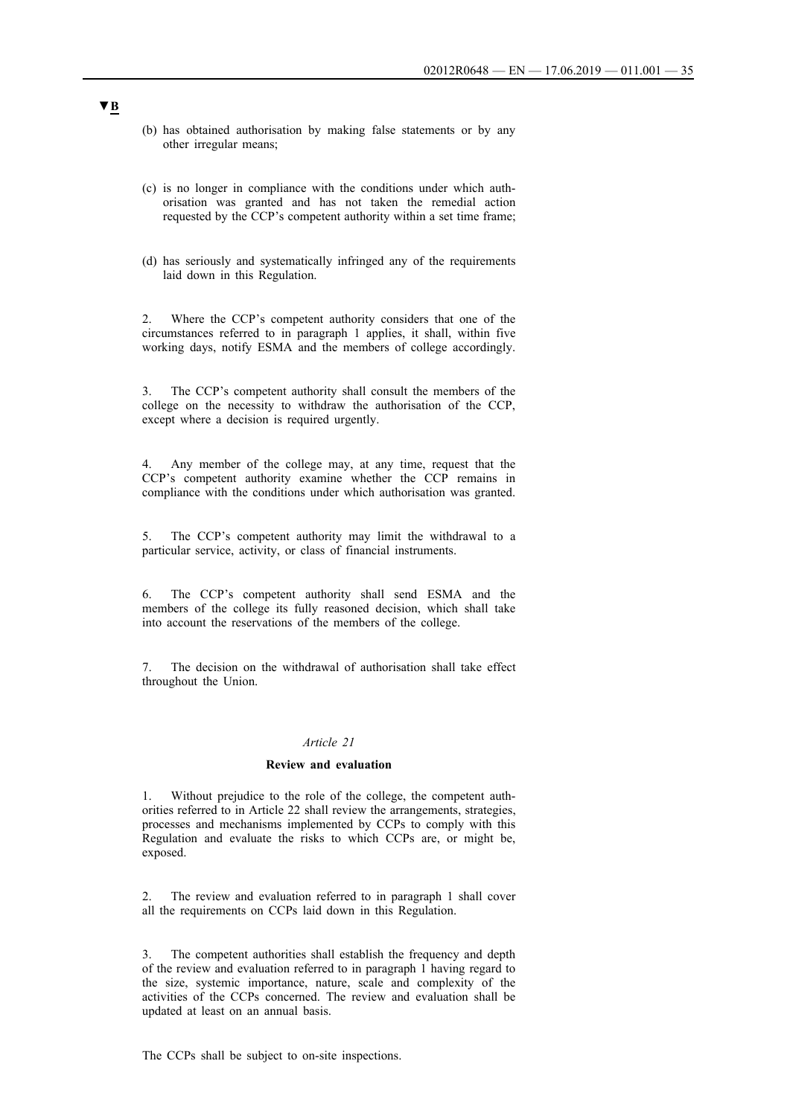- (b) has obtained authorisation by making false statements or by any other irregular means;
- (c) is no longer in compliance with the conditions under which authorisation was granted and has not taken the remedial action requested by the CCP's competent authority within a set time frame;
- (d) has seriously and systematically infringed any of the requirements laid down in this Regulation.

2. Where the CCP's competent authority considers that one of the circumstances referred to in paragraph 1 applies, it shall, within five working days, notify ESMA and the members of college accordingly.

3. The CCP's competent authority shall consult the members of the college on the necessity to withdraw the authorisation of the CCP, except where a decision is required urgently.

4. Any member of the college may, at any time, request that the CCP's competent authority examine whether the CCP remains in compliance with the conditions under which authorisation was granted.

5. The CCP's competent authority may limit the withdrawal to a particular service, activity, or class of financial instruments.

6. The CCP's competent authority shall send ESMA and the members of the college its fully reasoned decision, which shall take into account the reservations of the members of the college.

7. The decision on the withdrawal of authorisation shall take effect throughout the Union.

### *Article 21*

#### **Review and evaluation**

1. Without prejudice to the role of the college, the competent authorities referred to in Article 22 shall review the arrangements, strategies, processes and mechanisms implemented by CCPs to comply with this Regulation and evaluate the risks to which CCPs are, or might be, exposed.

2. The review and evaluation referred to in paragraph 1 shall cover all the requirements on CCPs laid down in this Regulation.

3. The competent authorities shall establish the frequency and depth of the review and evaluation referred to in paragraph 1 having regard to the size, systemic importance, nature, scale and complexity of the activities of the CCPs concerned. The review and evaluation shall be updated at least on an annual basis.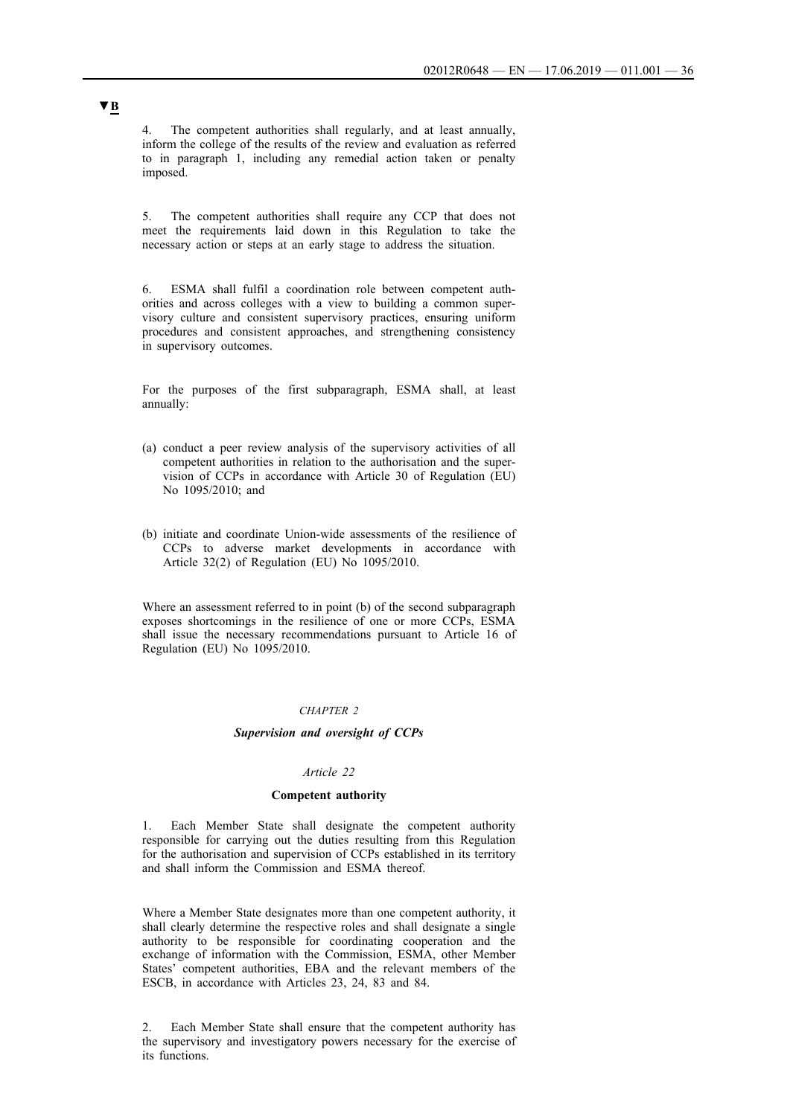4. The competent authorities shall regularly, and at least annually, inform the college of the results of the review and evaluation as referred to in paragraph 1, including any remedial action taken or penalty imposed.

5. The competent authorities shall require any CCP that does not meet the requirements laid down in this Regulation to take the necessary action or steps at an early stage to address the situation.

6. ESMA shall fulfil a coordination role between competent authorities and across colleges with a view to building a common supervisory culture and consistent supervisory practices, ensuring uniform procedures and consistent approaches, and strengthening consistency in supervisory outcomes.

For the purposes of the first subparagraph, ESMA shall, at least annually:

- (a) conduct a peer review analysis of the supervisory activities of all competent authorities in relation to the authorisation and the supervision of CCPs in accordance with Article 30 of Regulation (EU) No 1095/2010; and
- (b) initiate and coordinate Union-wide assessments of the resilience of CCPs to adverse market developments in accordance with Article 32(2) of Regulation (EU) No 1095/2010.

Where an assessment referred to in point (b) of the second subparagraph exposes shortcomings in the resilience of one or more CCPs, ESMA shall issue the necessary recommendations pursuant to Article 16 of Regulation (EU) No 1095/2010.

#### *CHAPTER 2*

#### *Supervision and oversight of CCPs*

#### *Article 22*

#### **Competent authority**

1. Each Member State shall designate the competent authority responsible for carrying out the duties resulting from this Regulation for the authorisation and supervision of CCPs established in its territory and shall inform the Commission and ESMA thereof.

Where a Member State designates more than one competent authority, it shall clearly determine the respective roles and shall designate a single authority to be responsible for coordinating cooperation and the exchange of information with the Commission, ESMA, other Member States' competent authorities, EBA and the relevant members of the ESCB, in accordance with Articles 23, 24, 83 and 84.

2. Each Member State shall ensure that the competent authority has the supervisory and investigatory powers necessary for the exercise of its functions.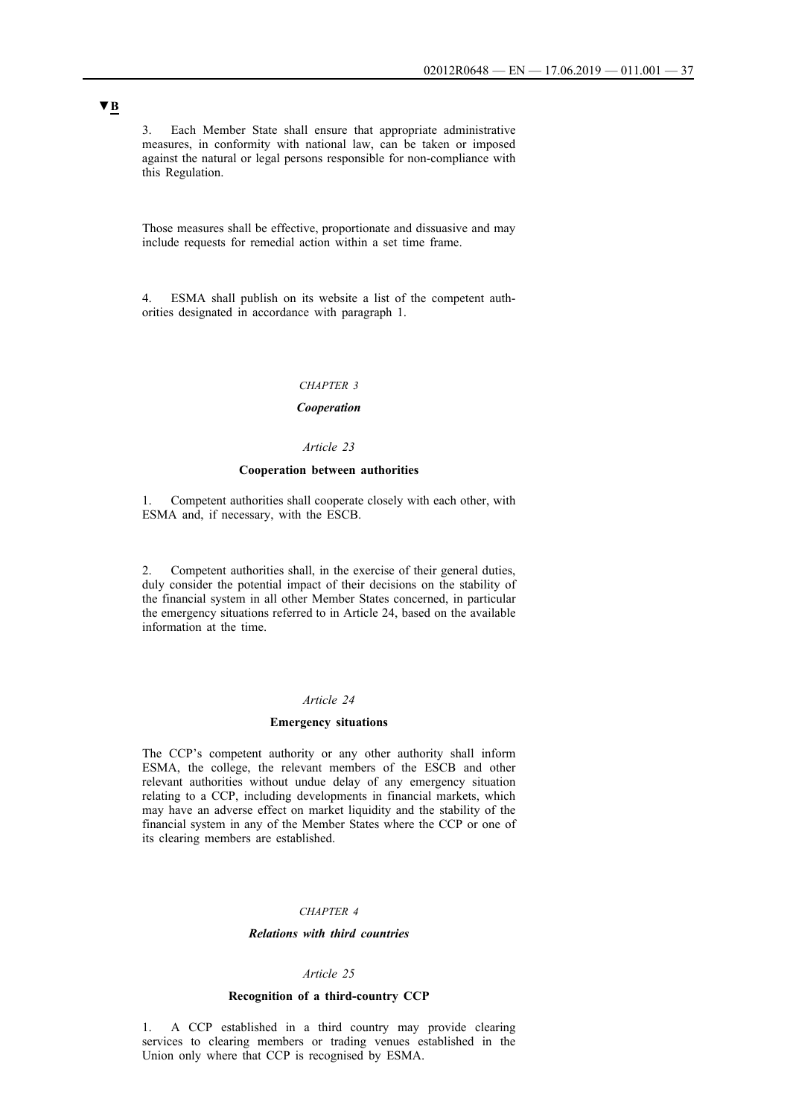3. Each Member State shall ensure that appropriate administrative measures, in conformity with national law, can be taken or imposed against the natural or legal persons responsible for non-compliance with this Regulation.

Those measures shall be effective, proportionate and dissuasive and may include requests for remedial action within a set time frame.

4. ESMA shall publish on its website a list of the competent authorities designated in accordance with paragraph 1.

#### *CHAPTER 3*

#### *Cooperation*

## *Article 23*

### **Cooperation between authorities**

1. Competent authorities shall cooperate closely with each other, with ESMA and, if necessary, with the ESCB.

2. Competent authorities shall, in the exercise of their general duties, duly consider the potential impact of their decisions on the stability of the financial system in all other Member States concerned, in particular the emergency situations referred to in Article 24, based on the available information at the time.

#### *Article 24*

#### **Emergency situations**

The CCP's competent authority or any other authority shall inform ESMA, the college, the relevant members of the ESCB and other relevant authorities without undue delay of any emergency situation relating to a CCP, including developments in financial markets, which may have an adverse effect on market liquidity and the stability of the financial system in any of the Member States where the CCP or one of its clearing members are established.

### *CHAPTER 4*

## *Relations with third countries*

#### *Article 25*

#### **Recognition of a third-country CCP**

1. A CCP established in a third country may provide clearing services to clearing members or trading venues established in the Union only where that CCP is recognised by ESMA.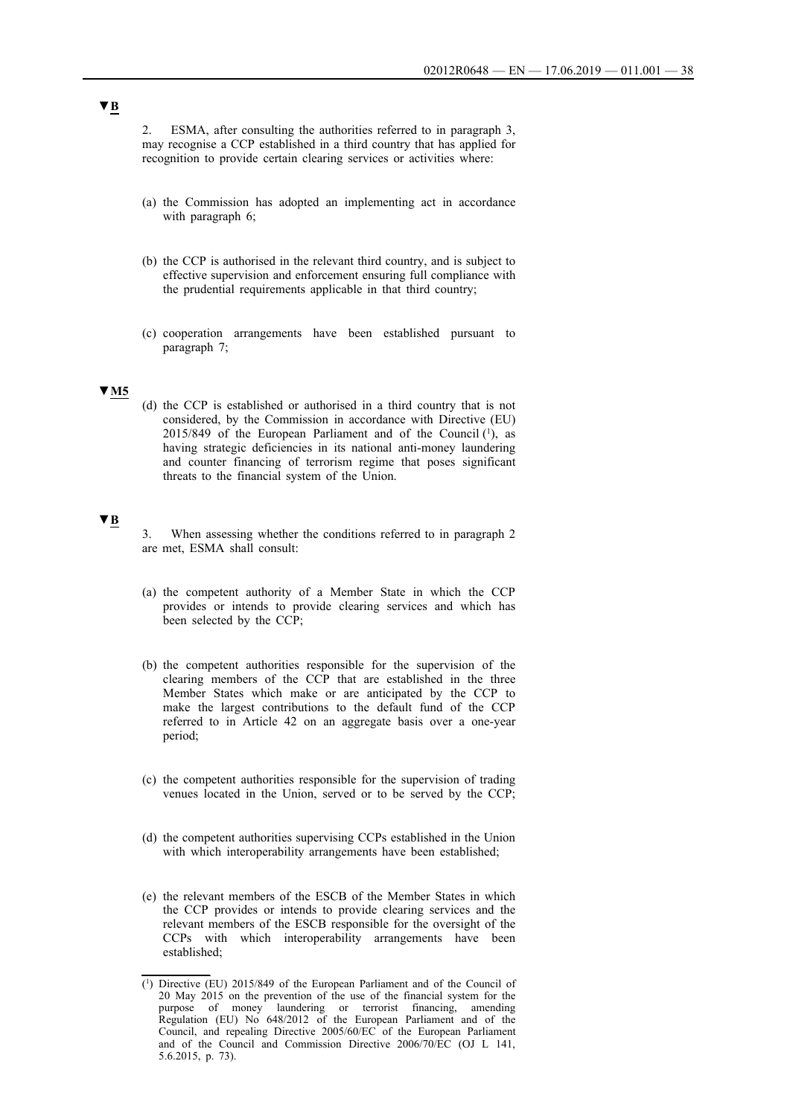2. ESMA, after consulting the authorities referred to in paragraph 3, may recognise a CCP established in a third country that has applied for recognition to provide certain clearing services or activities where:

- (a) the Commission has adopted an implementing act in accordance with paragraph 6;
- (b) the CCP is authorised in the relevant third country, and is subject to effective supervision and enforcement ensuring full compliance with the prudential requirements applicable in that third country;
- (c) cooperation arrangements have been established pursuant to paragraph 7;

### **▼M5**

(d) the CCP is established or authorised in a third country that is not considered, by the Commission in accordance with Directive (EU)  $2015/849$  of the European Parliament and of the Council  $(1)$ , as having strategic deficiencies in its national anti-money laundering and counter financing of terrorism regime that poses significant threats to the financial system of the Union.

## **▼B**

3. When assessing whether the conditions referred to in paragraph 2 are met, ESMA shall consult:

- (a) the competent authority of a Member State in which the CCP provides or intends to provide clearing services and which has been selected by the CCP;
- (b) the competent authorities responsible for the supervision of the clearing members of the CCP that are established in the three Member States which make or are anticipated by the CCP to make the largest contributions to the default fund of the CCP referred to in Article 42 on an aggregate basis over a one-year period;
- (c) the competent authorities responsible for the supervision of trading venues located in the Union, served or to be served by the CCP;
- (d) the competent authorities supervising CCPs established in the Union with which interoperability arrangements have been established:
- (e) the relevant members of the ESCB of the Member States in which the CCP provides or intends to provide clearing services and the relevant members of the ESCB responsible for the oversight of the CCPs with which interoperability arrangements have been established;

 $(1)$  Directive (EU) 2015/849 of the European Parliament and of the Council of 20 May 2015 on the prevention of the use of the financial system for the purpose of money laundering or terrorist financing, amending Regulation (EU) No 648/2012 of the European Parliament and of the Council, and repealing Directive 2005/60/EC of the European Parliament and of the Council and Commission Directive 2006/70/EC (OJ L 141, 5.6.2015, p. 73).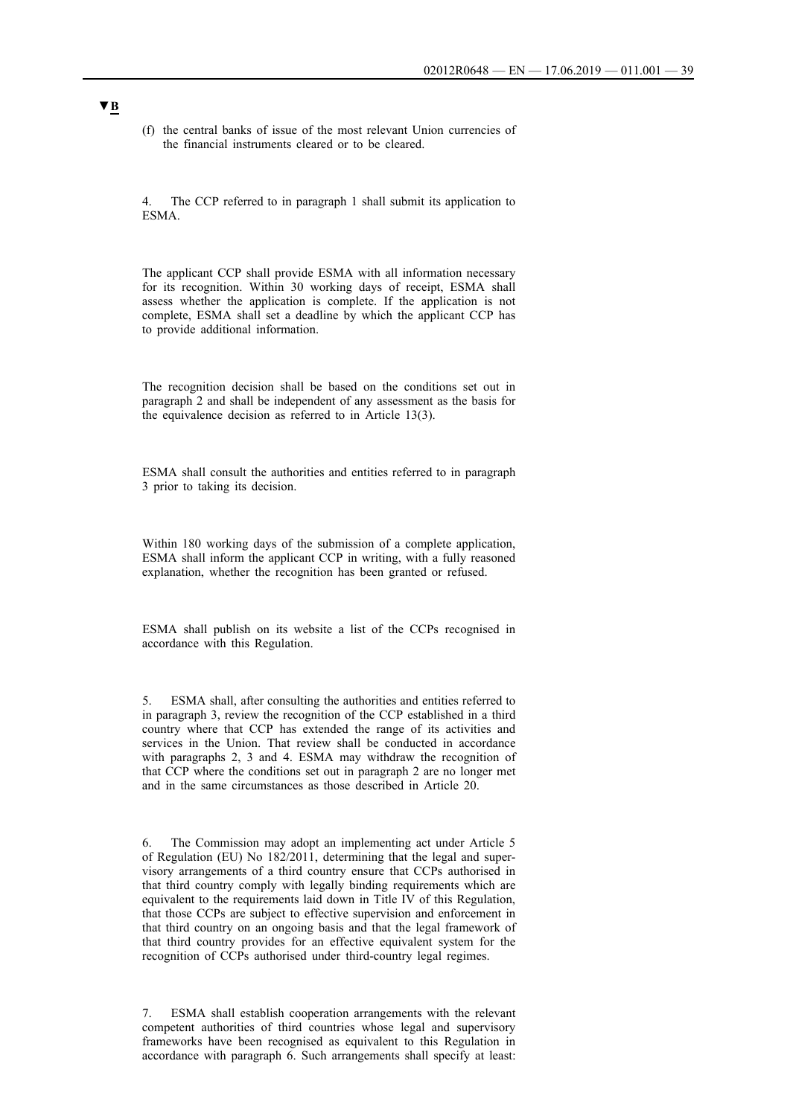(f) the central banks of issue of the most relevant Union currencies of the financial instruments cleared or to be cleared.

4. The CCP referred to in paragraph 1 shall submit its application to ESMA.

The applicant CCP shall provide ESMA with all information necessary for its recognition. Within 30 working days of receipt, ESMA shall assess whether the application is complete. If the application is not complete, ESMA shall set a deadline by which the applicant CCP has to provide additional information.

The recognition decision shall be based on the conditions set out in paragraph 2 and shall be independent of any assessment as the basis for the equivalence decision as referred to in Article 13(3).

ESMA shall consult the authorities and entities referred to in paragraph 3 prior to taking its decision.

Within 180 working days of the submission of a complete application, ESMA shall inform the applicant CCP in writing, with a fully reasoned explanation, whether the recognition has been granted or refused.

ESMA shall publish on its website a list of the CCPs recognised in accordance with this Regulation.

5. ESMA shall, after consulting the authorities and entities referred to in paragraph 3, review the recognition of the CCP established in a third country where that CCP has extended the range of its activities and services in the Union. That review shall be conducted in accordance with paragraphs 2, 3 and 4. ESMA may withdraw the recognition of that CCP where the conditions set out in paragraph 2 are no longer met and in the same circumstances as those described in Article 20.

6. The Commission may adopt an implementing act under Article 5 of Regulation (EU) No 182/2011, determining that the legal and supervisory arrangements of a third country ensure that CCPs authorised in that third country comply with legally binding requirements which are equivalent to the requirements laid down in Title IV of this Regulation, that those CCPs are subject to effective supervision and enforcement in that third country on an ongoing basis and that the legal framework of that third country provides for an effective equivalent system for the recognition of CCPs authorised under third-country legal regimes.

7. ESMA shall establish cooperation arrangements with the relevant competent authorities of third countries whose legal and supervisory frameworks have been recognised as equivalent to this Regulation in accordance with paragraph 6. Such arrangements shall specify at least: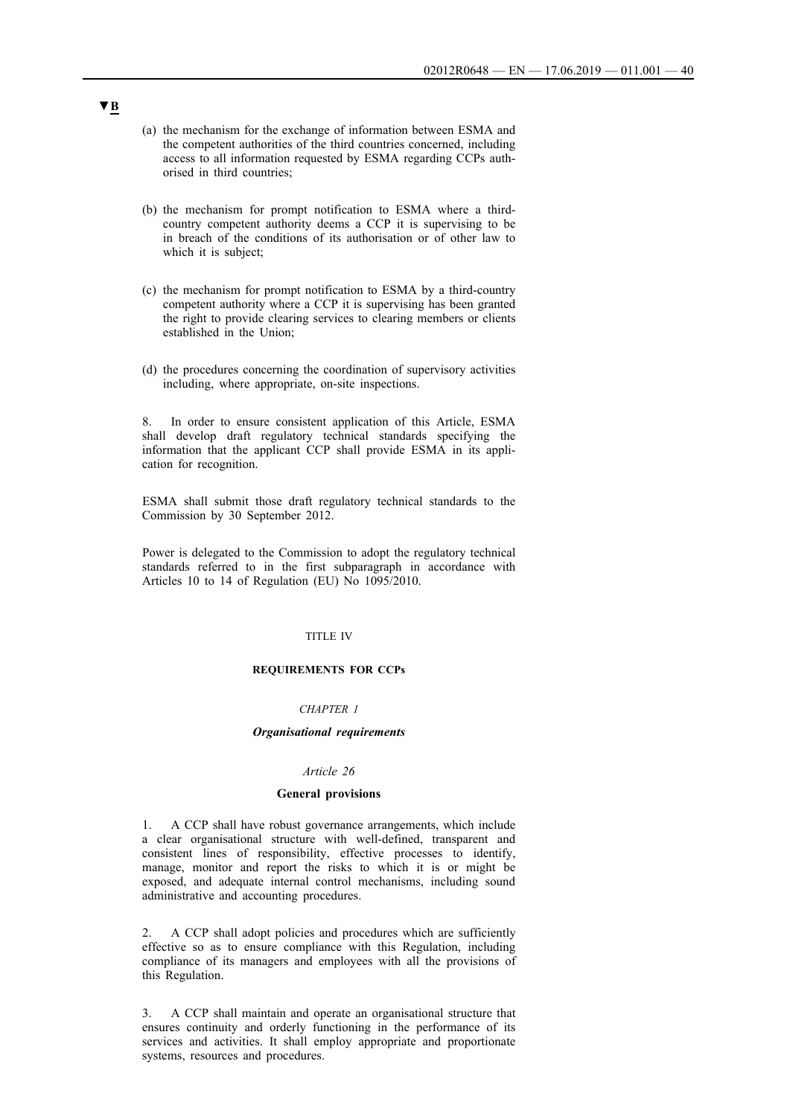- (a) the mechanism for the exchange of information between ESMA and the competent authorities of the third countries concerned, including access to all information requested by ESMA regarding CCPs authorised in third countries;
- (b) the mechanism for prompt notification to ESMA where a thirdcountry competent authority deems a CCP it is supervising to be in breach of the conditions of its authorisation or of other law to which it is subject;
- (c) the mechanism for prompt notification to ESMA by a third-country competent authority where a CCP it is supervising has been granted the right to provide clearing services to clearing members or clients established in the Union;
- (d) the procedures concerning the coordination of supervisory activities including, where appropriate, on-site inspections.

8. In order to ensure consistent application of this Article, ESMA shall develop draft regulatory technical standards specifying the information that the applicant CCP shall provide ESMA in its application for recognition.

ESMA shall submit those draft regulatory technical standards to the Commission by 30 September 2012.

Power is delegated to the Commission to adopt the regulatory technical standards referred to in the first subparagraph in accordance with Articles 10 to 14 of Regulation (EU) No 1095/2010.

### TITLE IV

### **REQUIREMENTS FOR CCPs**

#### *CHAPTER 1*

### *Organisational requirements*

#### *Article 26*

### **General provisions**

1. A CCP shall have robust governance arrangements, which include a clear organisational structure with well-defined, transparent and consistent lines of responsibility, effective processes to identify, manage, monitor and report the risks to which it is or might be exposed, and adequate internal control mechanisms, including sound administrative and accounting procedures.

2. A CCP shall adopt policies and procedures which are sufficiently effective so as to ensure compliance with this Regulation, including compliance of its managers and employees with all the provisions of this Regulation.

3. A CCP shall maintain and operate an organisational structure that ensures continuity and orderly functioning in the performance of its services and activities. It shall employ appropriate and proportionate systems, resources and procedures.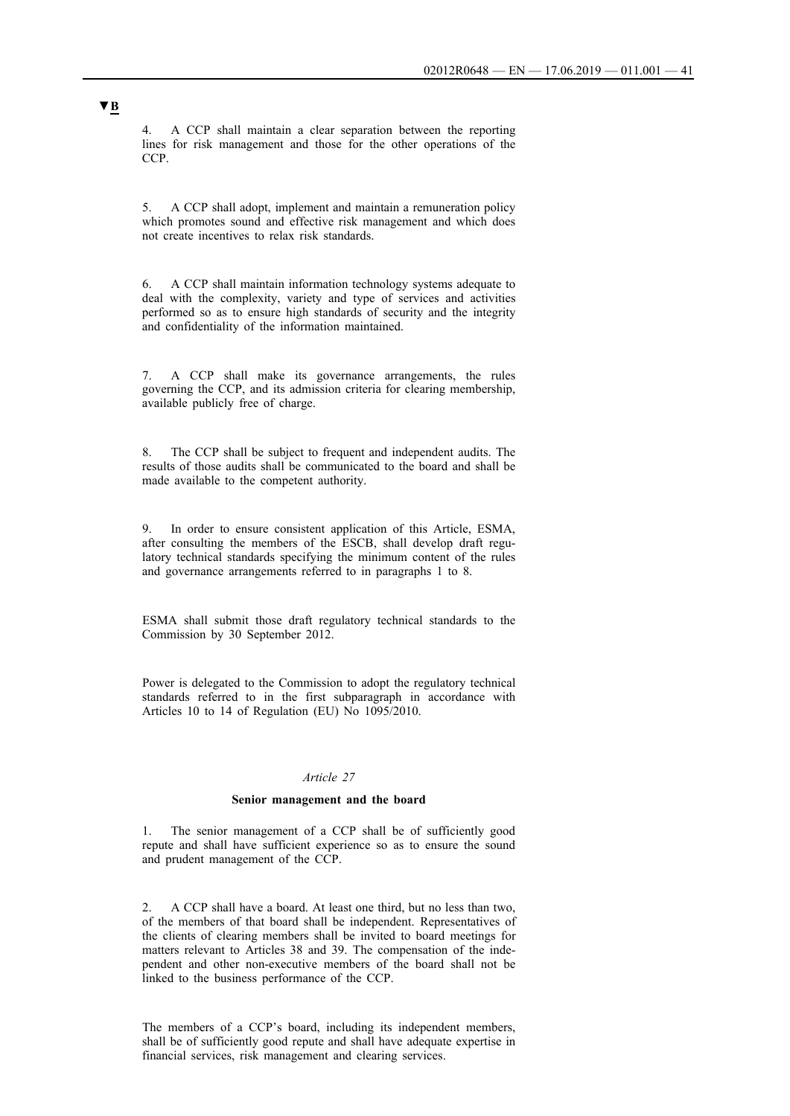4. A CCP shall maintain a clear separation between the reporting lines for risk management and those for the other operations of the CCP.

5. A CCP shall adopt, implement and maintain a remuneration policy which promotes sound and effective risk management and which does not create incentives to relax risk standards.

6. A CCP shall maintain information technology systems adequate to deal with the complexity, variety and type of services and activities performed so as to ensure high standards of security and the integrity and confidentiality of the information maintained.

7. A CCP shall make its governance arrangements, the rules governing the CCP, and its admission criteria for clearing membership, available publicly free of charge.

8. The CCP shall be subject to frequent and independent audits. The results of those audits shall be communicated to the board and shall be made available to the competent authority.

9. In order to ensure consistent application of this Article, ESMA, after consulting the members of the ESCB, shall develop draft regulatory technical standards specifying the minimum content of the rules and governance arrangements referred to in paragraphs 1 to 8.

ESMA shall submit those draft regulatory technical standards to the Commission by 30 September 2012.

Power is delegated to the Commission to adopt the regulatory technical standards referred to in the first subparagraph in accordance with Articles 10 to 14 of Regulation (EU) No 1095/2010.

#### *Article 27*

#### **Senior management and the board**

1. The senior management of a CCP shall be of sufficiently good repute and shall have sufficient experience so as to ensure the sound and prudent management of the CCP.

2. A CCP shall have a board. At least one third, but no less than two, of the members of that board shall be independent. Representatives of the clients of clearing members shall be invited to board meetings for matters relevant to Articles 38 and 39. The compensation of the independent and other non-executive members of the board shall not be linked to the business performance of the CCP.

The members of a CCP's board, including its independent members, shall be of sufficiently good repute and shall have adequate expertise in financial services, risk management and clearing services.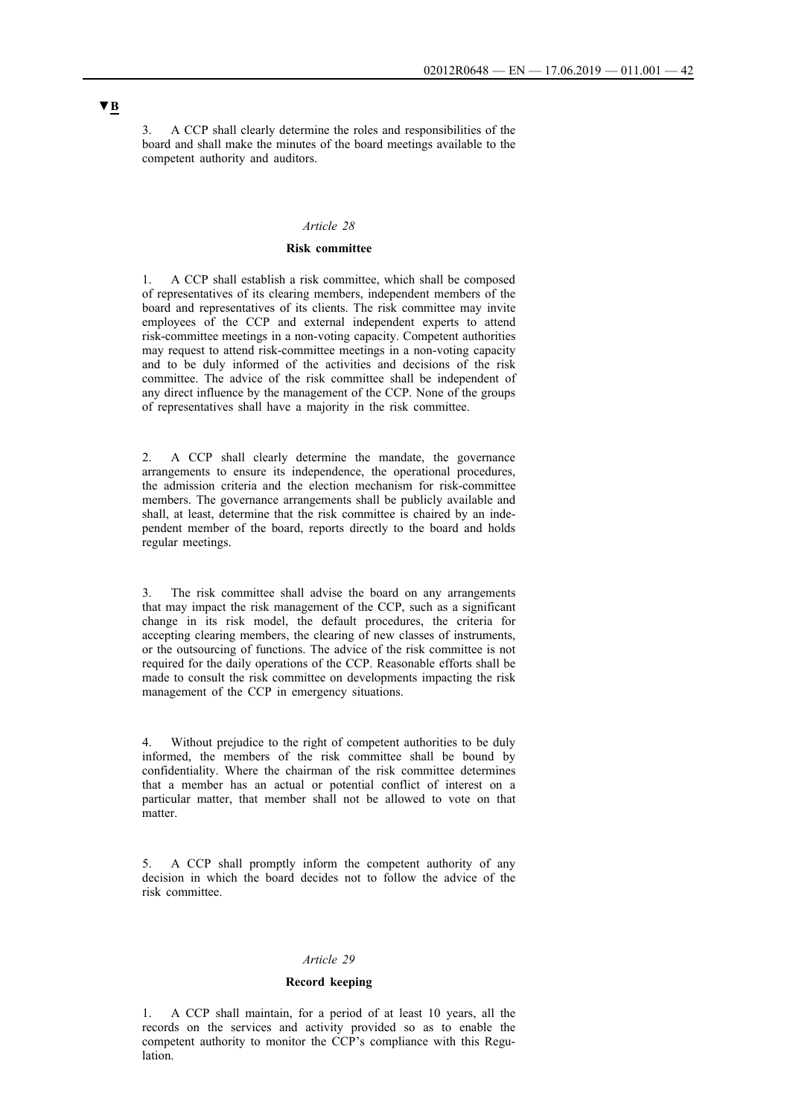3. A CCP shall clearly determine the roles and responsibilities of the board and shall make the minutes of the board meetings available to the competent authority and auditors.

#### *Article 28*

#### **Risk committee**

1. A CCP shall establish a risk committee, which shall be composed of representatives of its clearing members, independent members of the board and representatives of its clients. The risk committee may invite employees of the CCP and external independent experts to attend risk-committee meetings in a non-voting capacity. Competent authorities may request to attend risk-committee meetings in a non-voting capacity and to be duly informed of the activities and decisions of the risk committee. The advice of the risk committee shall be independent of any direct influence by the management of the CCP. None of the groups of representatives shall have a majority in the risk committee.

2. A CCP shall clearly determine the mandate, the governance arrangements to ensure its independence, the operational procedures, the admission criteria and the election mechanism for risk-committee members. The governance arrangements shall be publicly available and shall, at least, determine that the risk committee is chaired by an independent member of the board, reports directly to the board and holds regular meetings.

3. The risk committee shall advise the board on any arrangements that may impact the risk management of the CCP, such as a significant change in its risk model, the default procedures, the criteria for accepting clearing members, the clearing of new classes of instruments, or the outsourcing of functions. The advice of the risk committee is not required for the daily operations of the CCP. Reasonable efforts shall be made to consult the risk committee on developments impacting the risk management of the CCP in emergency situations.

4. Without prejudice to the right of competent authorities to be duly informed, the members of the risk committee shall be bound by confidentiality. Where the chairman of the risk committee determines that a member has an actual or potential conflict of interest on a particular matter, that member shall not be allowed to vote on that matter.

5. A CCP shall promptly inform the competent authority of any decision in which the board decides not to follow the advice of the risk committee.

### *Article 29*

### **Record keeping**

1. A CCP shall maintain, for a period of at least 10 years, all the records on the services and activity provided so as to enable the competent authority to monitor the CCP's compliance with this Regulation.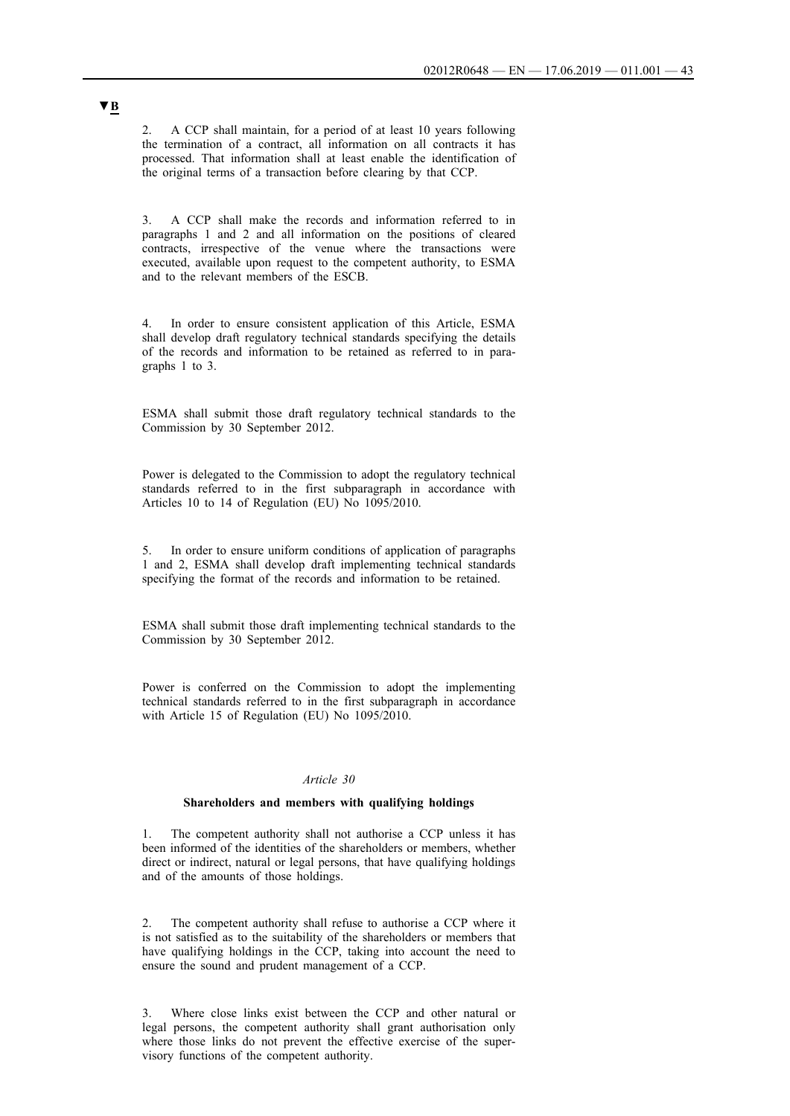2. A CCP shall maintain, for a period of at least 10 years following the termination of a contract, all information on all contracts it has processed. That information shall at least enable the identification of the original terms of a transaction before clearing by that CCP.

3. A CCP shall make the records and information referred to in paragraphs 1 and 2 and all information on the positions of cleared contracts, irrespective of the venue where the transactions were executed, available upon request to the competent authority, to ESMA and to the relevant members of the ESCB.

4. In order to ensure consistent application of this Article, ESMA shall develop draft regulatory technical standards specifying the details of the records and information to be retained as referred to in paragraphs 1 to 3.

ESMA shall submit those draft regulatory technical standards to the Commission by 30 September 2012.

Power is delegated to the Commission to adopt the regulatory technical standards referred to in the first subparagraph in accordance with Articles 10 to 14 of Regulation (EU) No 1095/2010.

5. In order to ensure uniform conditions of application of paragraphs 1 and 2, ESMA shall develop draft implementing technical standards specifying the format of the records and information to be retained.

ESMA shall submit those draft implementing technical standards to the Commission by 30 September 2012.

Power is conferred on the Commission to adopt the implementing technical standards referred to in the first subparagraph in accordance with Article 15 of Regulation (EU) No 1095/2010.

#### *Article 30*

### **Shareholders and members with qualifying holdings**

1. The competent authority shall not authorise a CCP unless it has been informed of the identities of the shareholders or members, whether direct or indirect, natural or legal persons, that have qualifying holdings and of the amounts of those holdings.

2. The competent authority shall refuse to authorise a CCP where it is not satisfied as to the suitability of the shareholders or members that have qualifying holdings in the CCP, taking into account the need to ensure the sound and prudent management of a CCP.

3. Where close links exist between the CCP and other natural or legal persons, the competent authority shall grant authorisation only where those links do not prevent the effective exercise of the supervisory functions of the competent authority.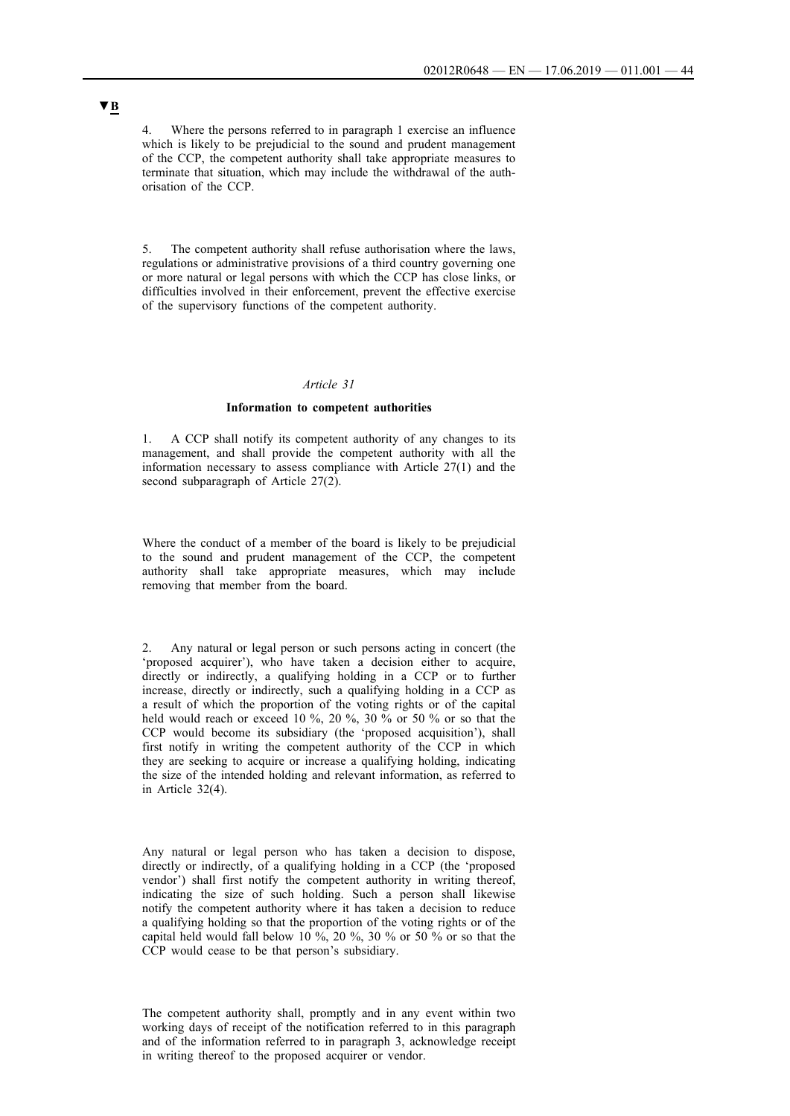4. Where the persons referred to in paragraph 1 exercise an influence which is likely to be prejudicial to the sound and prudent management of the CCP, the competent authority shall take appropriate measures to terminate that situation, which may include the withdrawal of the authorisation of the CCP.

5. The competent authority shall refuse authorisation where the laws, regulations or administrative provisions of a third country governing one or more natural or legal persons with which the CCP has close links, or difficulties involved in their enforcement, prevent the effective exercise of the supervisory functions of the competent authority.

#### *Article 31*

#### **Information to competent authorities**

1. A CCP shall notify its competent authority of any changes to its management, and shall provide the competent authority with all the information necessary to assess compliance with Article 27(1) and the second subparagraph of Article 27(2).

Where the conduct of a member of the board is likely to be prejudicial to the sound and prudent management of the CCP, the competent authority shall take appropriate measures, which may include removing that member from the board.

2. Any natural or legal person or such persons acting in concert (the 'proposed acquirer'), who have taken a decision either to acquire, directly or indirectly, a qualifying holding in a CCP or to further increase, directly or indirectly, such a qualifying holding in a CCP as a result of which the proportion of the voting rights or of the capital held would reach or exceed 10 %, 20 %, 30 % or 50 % or so that the CCP would become its subsidiary (the 'proposed acquisition'), shall first notify in writing the competent authority of the CCP in which they are seeking to acquire or increase a qualifying holding, indicating the size of the intended holding and relevant information, as referred to in Article 32(4).

Any natural or legal person who has taken a decision to dispose, directly or indirectly, of a qualifying holding in a CCP (the 'proposed vendor') shall first notify the competent authority in writing thereof, indicating the size of such holding. Such a person shall likewise notify the competent authority where it has taken a decision to reduce a qualifying holding so that the proportion of the voting rights or of the capital held would fall below 10 %, 20 %, 30 % or 50 % or so that the CCP would cease to be that person's subsidiary.

The competent authority shall, promptly and in any event within two working days of receipt of the notification referred to in this paragraph and of the information referred to in paragraph 3, acknowledge receipt in writing thereof to the proposed acquirer or vendor.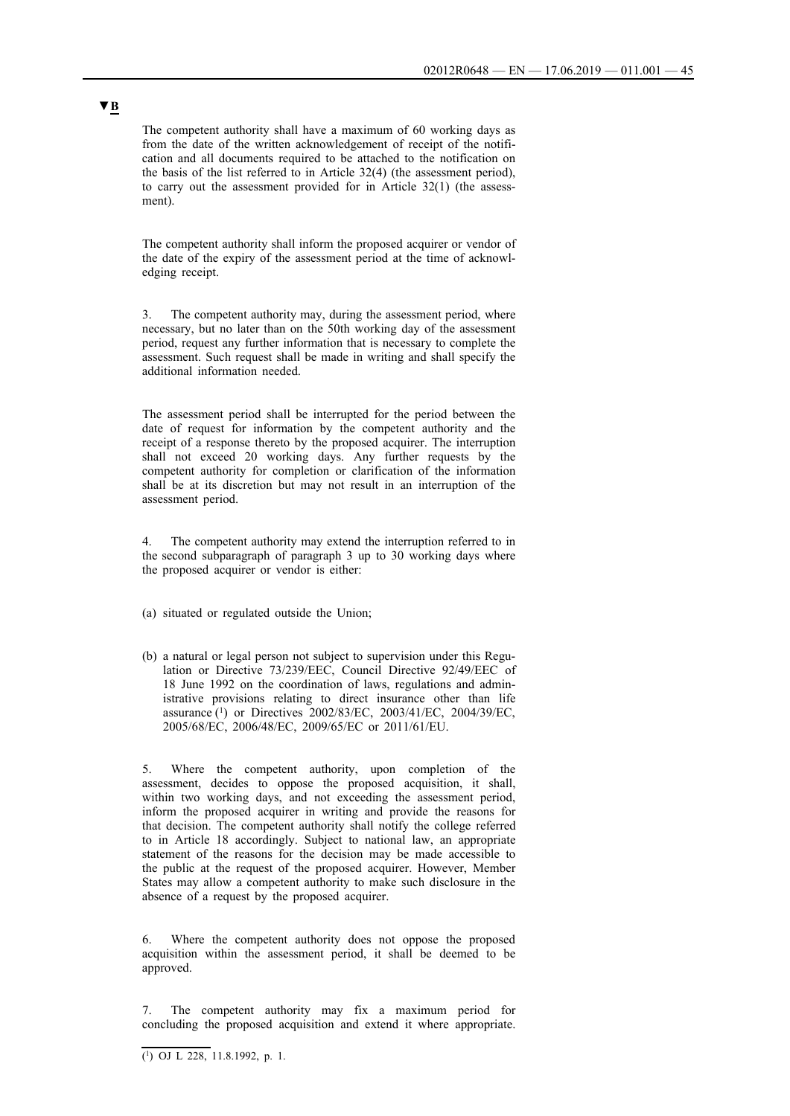The competent authority shall have a maximum of 60 working days as from the date of the written acknowledgement of receipt of the notification and all documents required to be attached to the notification on the basis of the list referred to in Article 32(4) (the assessment period), to carry out the assessment provided for in Article 32(1) (the assessment).

The competent authority shall inform the proposed acquirer or vendor of the date of the expiry of the assessment period at the time of acknowledging receipt.

3. The competent authority may, during the assessment period, where necessary, but no later than on the 50th working day of the assessment period, request any further information that is necessary to complete the assessment. Such request shall be made in writing and shall specify the additional information needed.

The assessment period shall be interrupted for the period between the date of request for information by the competent authority and the receipt of a response thereto by the proposed acquirer. The interruption shall not exceed 20 working days. Any further requests by the competent authority for completion or clarification of the information shall be at its discretion but may not result in an interruption of the assessment period.

4. The competent authority may extend the interruption referred to in the second subparagraph of paragraph 3 up to 30 working days where the proposed acquirer or vendor is either:

(a) situated or regulated outside the Union;

(b) a natural or legal person not subject to supervision under this Regulation or Directive 73/239/EEC, Council Directive 92/49/EEC of 18 June 1992 on the coordination of laws, regulations and administrative provisions relating to direct insurance other than life assurance (1) or Directives 2002/83/EC, 2003/41/EC, 2004/39/EC, 2005/68/EC, 2006/48/EC, 2009/65/EC or 2011/61/EU.

5. Where the competent authority, upon completion of the assessment, decides to oppose the proposed acquisition, it shall, within two working days, and not exceeding the assessment period, inform the proposed acquirer in writing and provide the reasons for that decision. The competent authority shall notify the college referred to in Article 18 accordingly. Subject to national law, an appropriate statement of the reasons for the decision may be made accessible to the public at the request of the proposed acquirer. However, Member States may allow a competent authority to make such disclosure in the absence of a request by the proposed acquirer.

6. Where the competent authority does not oppose the proposed acquisition within the assessment period, it shall be deemed to be approved.

The competent authority may fix a maximum period for concluding the proposed acquisition and extend it where appropriate.

 $\overline{(^1)}$  OJ L 228, 11.8.1992, p. 1.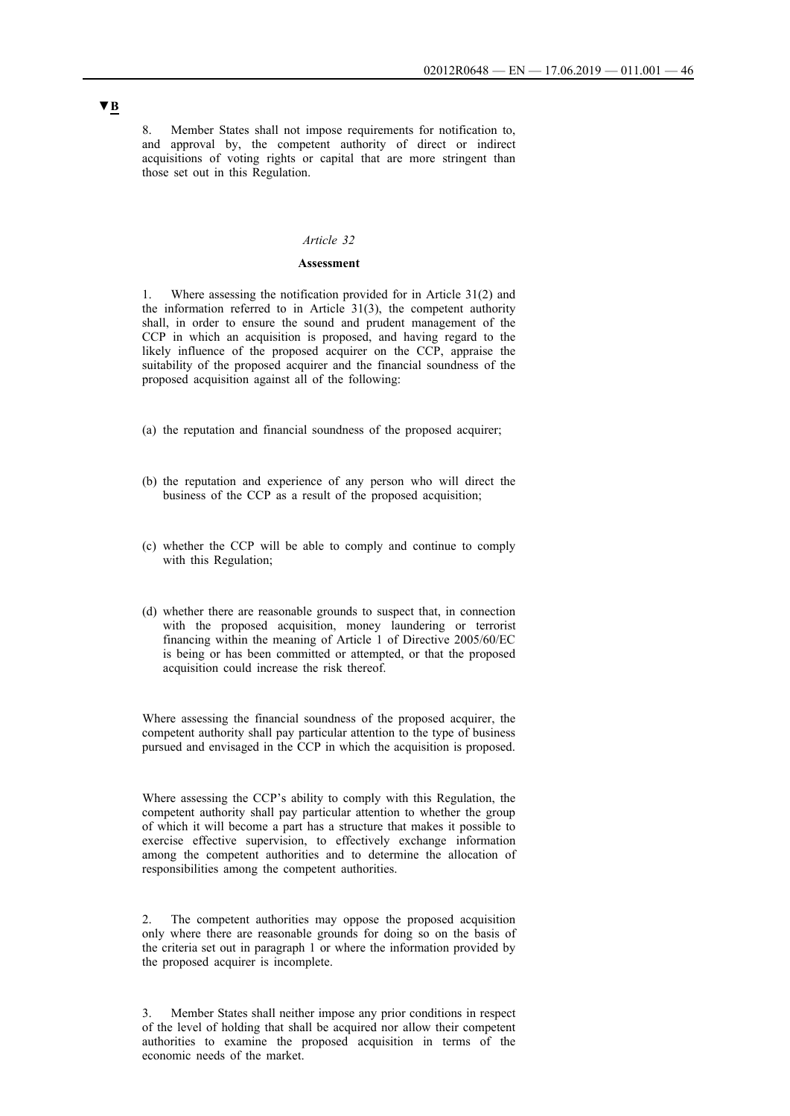8. Member States shall not impose requirements for notification to, and approval by, the competent authority of direct or indirect acquisitions of voting rights or capital that are more stringent than those set out in this Regulation.

#### *Article 32*

#### **Assessment**

1. Where assessing the notification provided for in Article 31(2) and the information referred to in Article 31(3), the competent authority shall, in order to ensure the sound and prudent management of the CCP in which an acquisition is proposed, and having regard to the likely influence of the proposed acquirer on the CCP, appraise the suitability of the proposed acquirer and the financial soundness of the proposed acquisition against all of the following:

(a) the reputation and financial soundness of the proposed acquirer;

- (b) the reputation and experience of any person who will direct the business of the CCP as a result of the proposed acquisition;
- (c) whether the CCP will be able to comply and continue to comply with this Regulation;
- (d) whether there are reasonable grounds to suspect that, in connection with the proposed acquisition, money laundering or terrorist financing within the meaning of Article 1 of Directive 2005/60/EC is being or has been committed or attempted, or that the proposed acquisition could increase the risk thereof.

Where assessing the financial soundness of the proposed acquirer, the competent authority shall pay particular attention to the type of business pursued and envisaged in the CCP in which the acquisition is proposed.

Where assessing the CCP's ability to comply with this Regulation, the competent authority shall pay particular attention to whether the group of which it will become a part has a structure that makes it possible to exercise effective supervision, to effectively exchange information among the competent authorities and to determine the allocation of responsibilities among the competent authorities.

2. The competent authorities may oppose the proposed acquisition only where there are reasonable grounds for doing so on the basis of the criteria set out in paragraph 1 or where the information provided by the proposed acquirer is incomplete.

3. Member States shall neither impose any prior conditions in respect of the level of holding that shall be acquired nor allow their competent authorities to examine the proposed acquisition in terms of the economic needs of the market.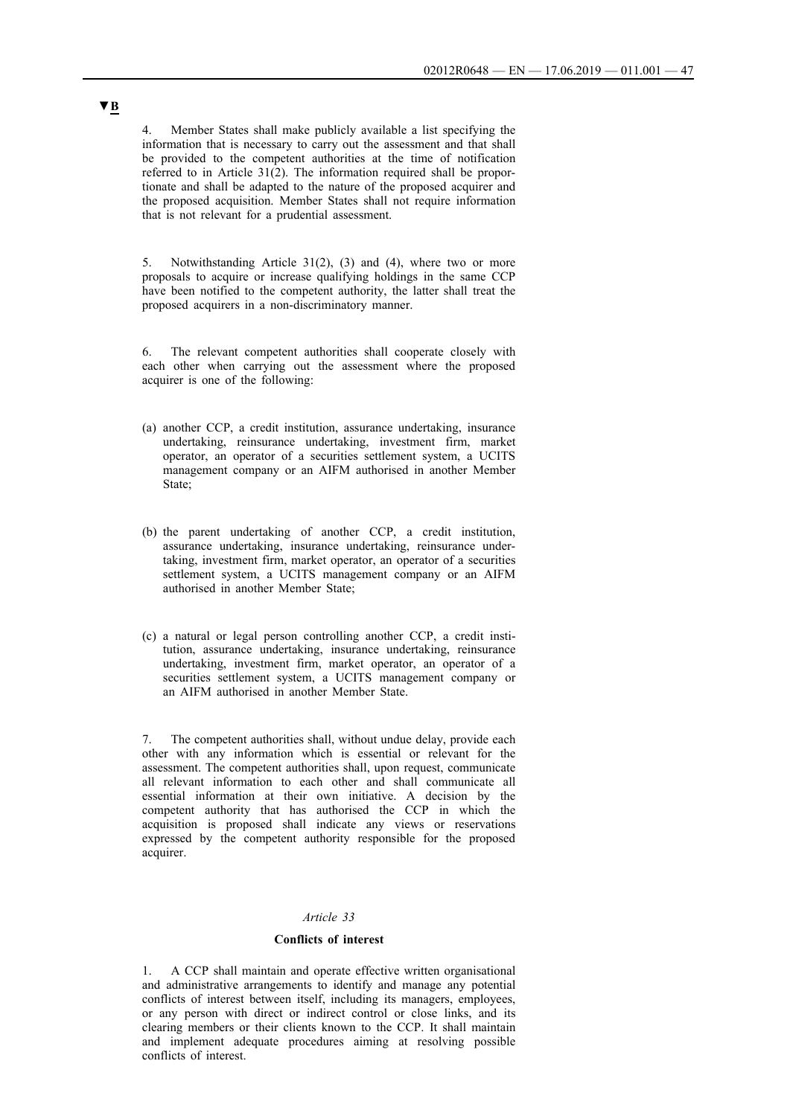4. Member States shall make publicly available a list specifying the information that is necessary to carry out the assessment and that shall be provided to the competent authorities at the time of notification referred to in Article  $31(2)$ . The information required shall be proportionate and shall be adapted to the nature of the proposed acquirer and the proposed acquisition. Member States shall not require information that is not relevant for a prudential assessment.

5. Notwithstanding Article 31(2), (3) and (4), where two or more proposals to acquire or increase qualifying holdings in the same CCP have been notified to the competent authority, the latter shall treat the proposed acquirers in a non-discriminatory manner.

6. The relevant competent authorities shall cooperate closely with each other when carrying out the assessment where the proposed acquirer is one of the following:

- (a) another CCP, a credit institution, assurance undertaking, insurance undertaking, reinsurance undertaking, investment firm, market operator, an operator of a securities settlement system, a UCITS management company or an AIFM authorised in another Member State;
- (b) the parent undertaking of another CCP, a credit institution, assurance undertaking, insurance undertaking, reinsurance undertaking, investment firm, market operator, an operator of a securities settlement system, a UCITS management company or an AIFM authorised in another Member State;
- (c) a natural or legal person controlling another CCP, a credit institution, assurance undertaking, insurance undertaking, reinsurance undertaking, investment firm, market operator, an operator of a securities settlement system, a UCITS management company or an AIFM authorised in another Member State.

7. The competent authorities shall, without undue delay, provide each other with any information which is essential or relevant for the assessment. The competent authorities shall, upon request, communicate all relevant information to each other and shall communicate all essential information at their own initiative. A decision by the competent authority that has authorised the CCP in which the acquisition is proposed shall indicate any views or reservations expressed by the competent authority responsible for the proposed acquirer.

## *Article 33*

#### **Conflicts of interest**

1. A CCP shall maintain and operate effective written organisational and administrative arrangements to identify and manage any potential conflicts of interest between itself, including its managers, employees, or any person with direct or indirect control or close links, and its clearing members or their clients known to the CCP. It shall maintain and implement adequate procedures aiming at resolving possible conflicts of interest.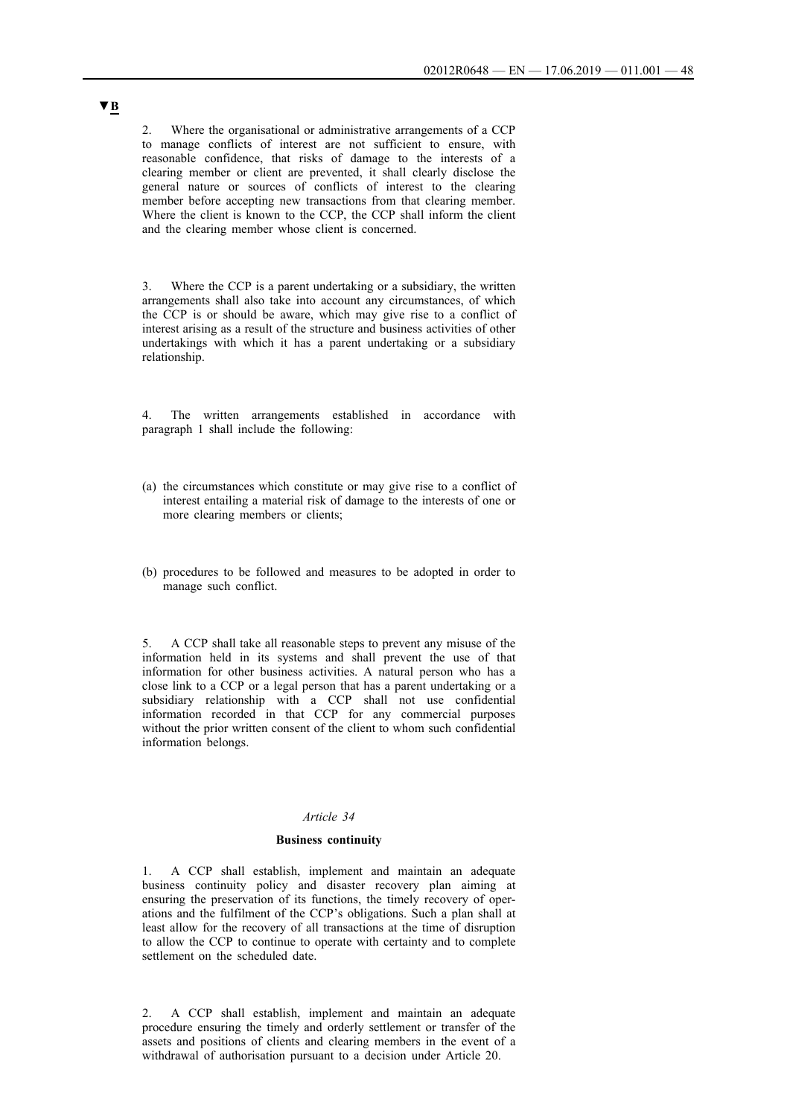2. Where the organisational or administrative arrangements of a CCP to manage conflicts of interest are not sufficient to ensure, with reasonable confidence, that risks of damage to the interests of a clearing member or client are prevented, it shall clearly disclose the general nature or sources of conflicts of interest to the clearing member before accepting new transactions from that clearing member. Where the client is known to the CCP, the CCP shall inform the client and the clearing member whose client is concerned.

3. Where the CCP is a parent undertaking or a subsidiary, the written arrangements shall also take into account any circumstances, of which the CCP is or should be aware, which may give rise to a conflict of interest arising as a result of the structure and business activities of other undertakings with which it has a parent undertaking or a subsidiary relationship.

4. The written arrangements established in accordance with paragraph 1 shall include the following:

- (a) the circumstances which constitute or may give rise to a conflict of interest entailing a material risk of damage to the interests of one or more clearing members or clients;
- (b) procedures to be followed and measures to be adopted in order to manage such conflict.

5. A CCP shall take all reasonable steps to prevent any misuse of the information held in its systems and shall prevent the use of that information for other business activities. A natural person who has a close link to a CCP or a legal person that has a parent undertaking or a subsidiary relationship with a CCP shall not use confidential information recorded in that CCP for any commercial purposes without the prior written consent of the client to whom such confidential information belongs.

### *Article 34*

#### **Business continuity**

1. A CCP shall establish, implement and maintain an adequate business continuity policy and disaster recovery plan aiming at ensuring the preservation of its functions, the timely recovery of operations and the fulfilment of the CCP's obligations. Such a plan shall at least allow for the recovery of all transactions at the time of disruption to allow the CCP to continue to operate with certainty and to complete settlement on the scheduled date.

2. A CCP shall establish, implement and maintain an adequate procedure ensuring the timely and orderly settlement or transfer of the assets and positions of clients and clearing members in the event of a withdrawal of authorisation pursuant to a decision under Article 20.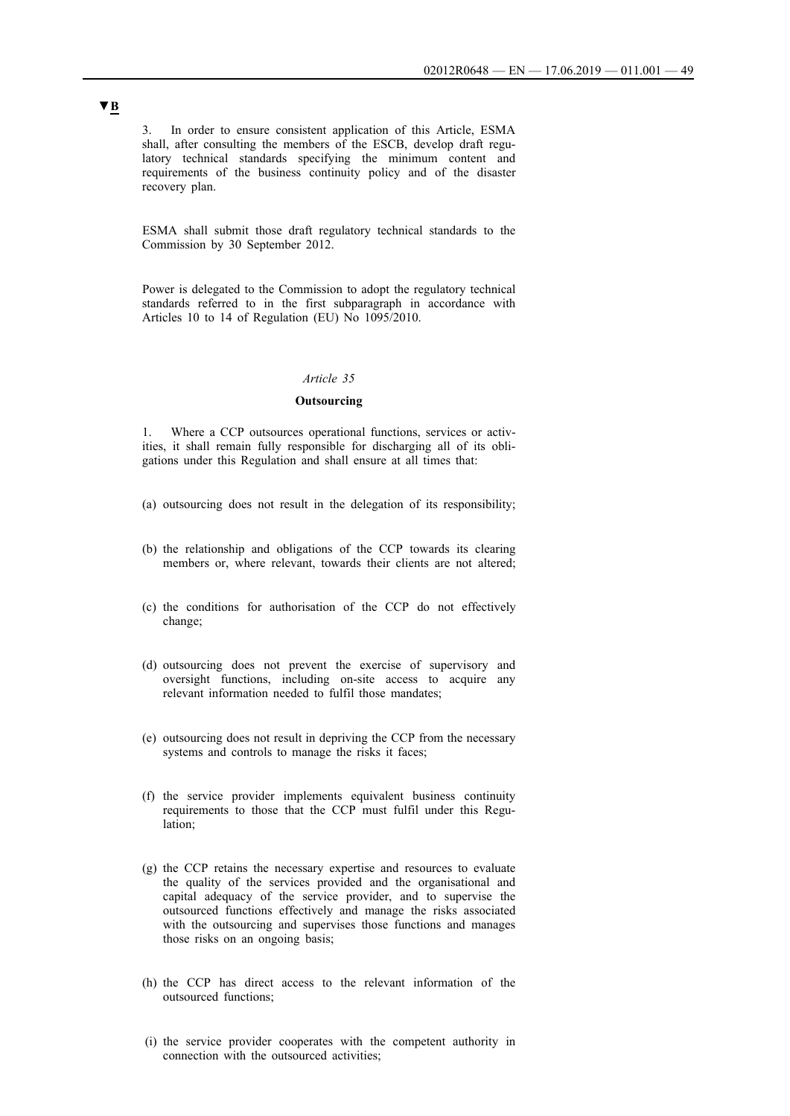3. In order to ensure consistent application of this Article, ESMA shall, after consulting the members of the ESCB, develop draft regulatory technical standards specifying the minimum content and requirements of the business continuity policy and of the disaster recovery plan.

ESMA shall submit those draft regulatory technical standards to the Commission by 30 September 2012.

Power is delegated to the Commission to adopt the regulatory technical standards referred to in the first subparagraph in accordance with Articles 10 to 14 of Regulation (EU) No 1095/2010.

#### *Article 35*

## **Outsourcing**

1. Where a CCP outsources operational functions, services or activities, it shall remain fully responsible for discharging all of its obligations under this Regulation and shall ensure at all times that:

- (a) outsourcing does not result in the delegation of its responsibility;
- (b) the relationship and obligations of the CCP towards its clearing members or, where relevant, towards their clients are not altered;
- (c) the conditions for authorisation of the CCP do not effectively change;
- (d) outsourcing does not prevent the exercise of supervisory and oversight functions, including on-site access to acquire any relevant information needed to fulfil those mandates;
- (e) outsourcing does not result in depriving the CCP from the necessary systems and controls to manage the risks it faces;
- (f) the service provider implements equivalent business continuity requirements to those that the CCP must fulfil under this Regulation;
- (g) the CCP retains the necessary expertise and resources to evaluate the quality of the services provided and the organisational and capital adequacy of the service provider, and to supervise the outsourced functions effectively and manage the risks associated with the outsourcing and supervises those functions and manages those risks on an ongoing basis;
- (h) the CCP has direct access to the relevant information of the outsourced functions;
- (i) the service provider cooperates with the competent authority in connection with the outsourced activities;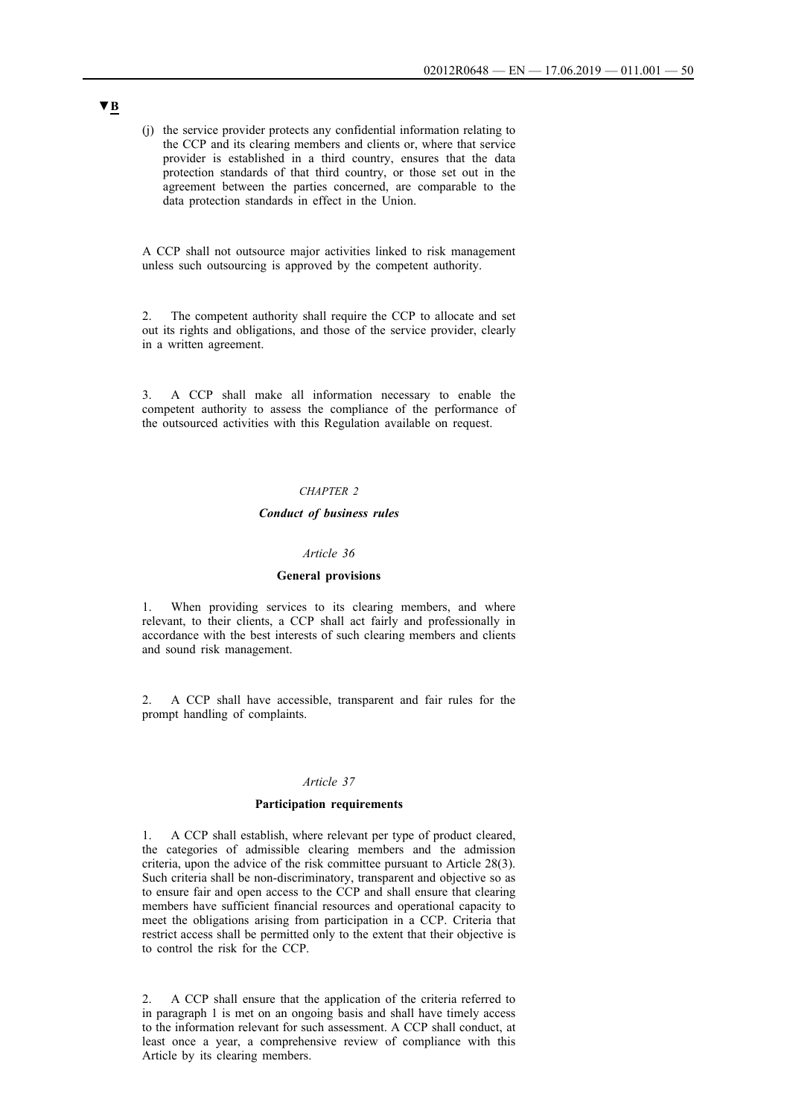(j) the service provider protects any confidential information relating to the CCP and its clearing members and clients or, where that service provider is established in a third country, ensures that the data protection standards of that third country, or those set out in the agreement between the parties concerned, are comparable to the data protection standards in effect in the Union.

A CCP shall not outsource major activities linked to risk management unless such outsourcing is approved by the competent authority.

2. The competent authority shall require the CCP to allocate and set out its rights and obligations, and those of the service provider, clearly in a written agreement.

3. A CCP shall make all information necessary to enable the competent authority to assess the compliance of the performance of the outsourced activities with this Regulation available on request.

### *CHAPTER 2*

### *Conduct of business rules*

#### *Article 36*

#### **General provisions**

1. When providing services to its clearing members, and where relevant, to their clients, a CCP shall act fairly and professionally in accordance with the best interests of such clearing members and clients and sound risk management.

2. A CCP shall have accessible, transparent and fair rules for the prompt handling of complaints.

### *Article 37*

## **Participation requirements**

1. A CCP shall establish, where relevant per type of product cleared, the categories of admissible clearing members and the admission criteria, upon the advice of the risk committee pursuant to Article 28(3). Such criteria shall be non-discriminatory, transparent and objective so as to ensure fair and open access to the CCP and shall ensure that clearing members have sufficient financial resources and operational capacity to meet the obligations arising from participation in a CCP. Criteria that restrict access shall be permitted only to the extent that their objective is to control the risk for the CCP.

2. A CCP shall ensure that the application of the criteria referred to in paragraph 1 is met on an ongoing basis and shall have timely access to the information relevant for such assessment. A CCP shall conduct, at least once a year, a comprehensive review of compliance with this Article by its clearing members.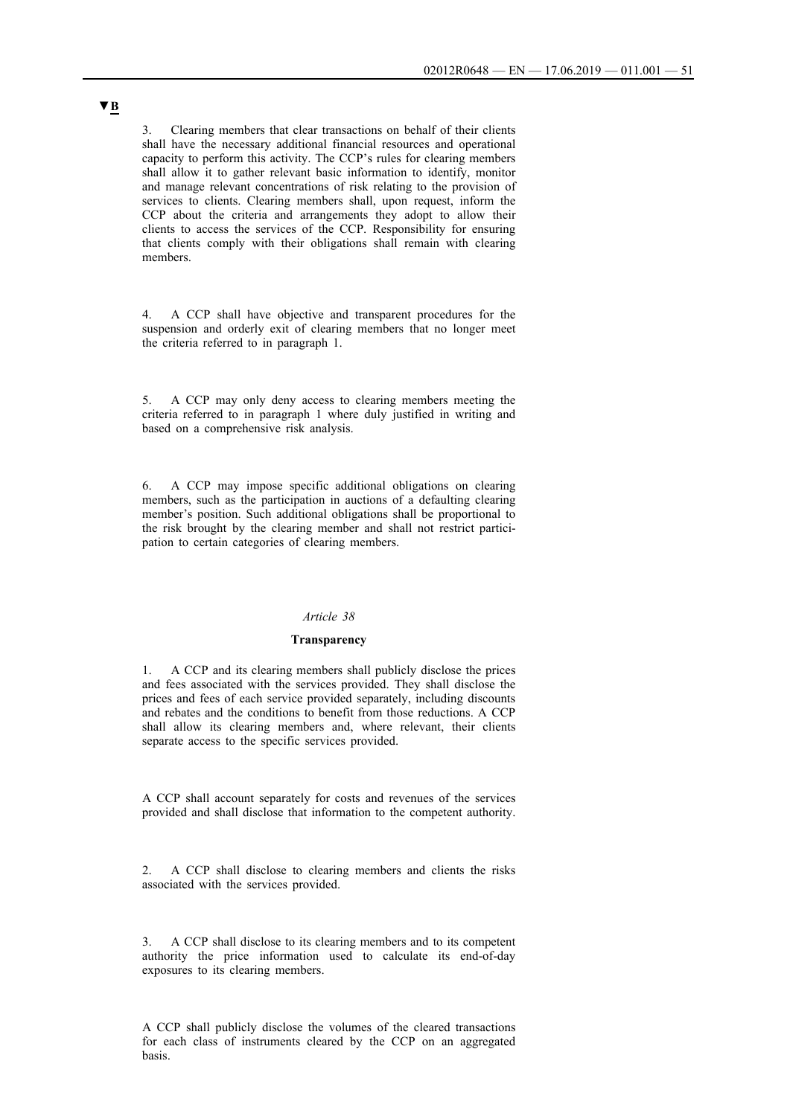3. Clearing members that clear transactions on behalf of their clients shall have the necessary additional financial resources and operational capacity to perform this activity. The CCP's rules for clearing members shall allow it to gather relevant basic information to identify, monitor and manage relevant concentrations of risk relating to the provision of services to clients. Clearing members shall, upon request, inform the CCP about the criteria and arrangements they adopt to allow their clients to access the services of the CCP. Responsibility for ensuring that clients comply with their obligations shall remain with clearing members.

4. A CCP shall have objective and transparent procedures for the suspension and orderly exit of clearing members that no longer meet the criteria referred to in paragraph 1.

5. A CCP may only deny access to clearing members meeting the criteria referred to in paragraph 1 where duly justified in writing and based on a comprehensive risk analysis.

6. A CCP may impose specific additional obligations on clearing members, such as the participation in auctions of a defaulting clearing member's position. Such additional obligations shall be proportional to the risk brought by the clearing member and shall not restrict participation to certain categories of clearing members.

#### *Article 38*

## **Transparency**

1. A CCP and its clearing members shall publicly disclose the prices and fees associated with the services provided. They shall disclose the prices and fees of each service provided separately, including discounts and rebates and the conditions to benefit from those reductions. A CCP shall allow its clearing members and, where relevant, their clients separate access to the specific services provided.

A CCP shall account separately for costs and revenues of the services provided and shall disclose that information to the competent authority.

2. A CCP shall disclose to clearing members and clients the risks associated with the services provided.

3. A CCP shall disclose to its clearing members and to its competent authority the price information used to calculate its end-of-day exposures to its clearing members.

A CCP shall publicly disclose the volumes of the cleared transactions for each class of instruments cleared by the CCP on an aggregated basis.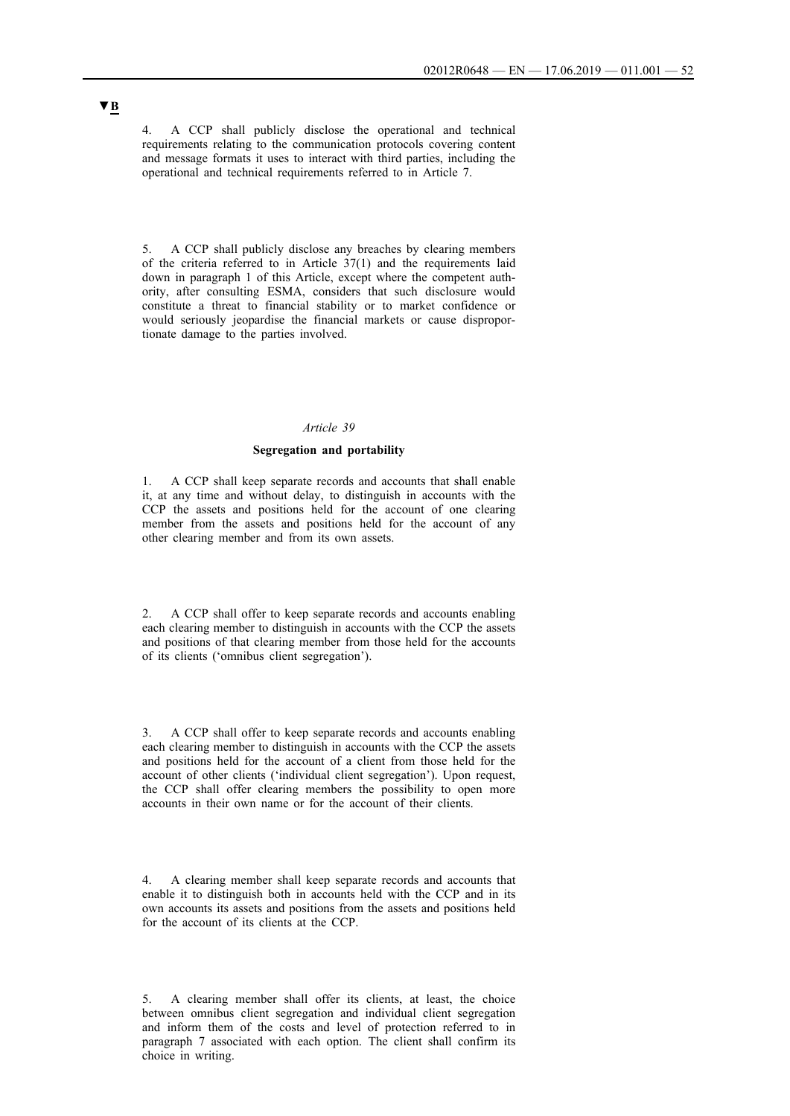4. A CCP shall publicly disclose the operational and technical requirements relating to the communication protocols covering content and message formats it uses to interact with third parties, including the operational and technical requirements referred to in Article 7.

5. A CCP shall publicly disclose any breaches by clearing members of the criteria referred to in Article 37(1) and the requirements laid down in paragraph 1 of this Article, except where the competent authority, after consulting ESMA, considers that such disclosure would constitute a threat to financial stability or to market confidence or would seriously jeopardise the financial markets or cause disproportionate damage to the parties involved.

### *Article 39*

### **Segregation and portability**

1. A CCP shall keep separate records and accounts that shall enable it, at any time and without delay, to distinguish in accounts with the CCP the assets and positions held for the account of one clearing member from the assets and positions held for the account of any other clearing member and from its own assets.

2. A CCP shall offer to keep separate records and accounts enabling each clearing member to distinguish in accounts with the CCP the assets and positions of that clearing member from those held for the accounts of its clients ('omnibus client segregation').

3. A CCP shall offer to keep separate records and accounts enabling each clearing member to distinguish in accounts with the CCP the assets and positions held for the account of a client from those held for the account of other clients ('individual client segregation'). Upon request, the CCP shall offer clearing members the possibility to open more accounts in their own name or for the account of their clients.

4. A clearing member shall keep separate records and accounts that enable it to distinguish both in accounts held with the CCP and in its own accounts its assets and positions from the assets and positions held for the account of its clients at the CCP.

5. A clearing member shall offer its clients, at least, the choice between omnibus client segregation and individual client segregation and inform them of the costs and level of protection referred to in paragraph 7 associated with each option. The client shall confirm its choice in writing.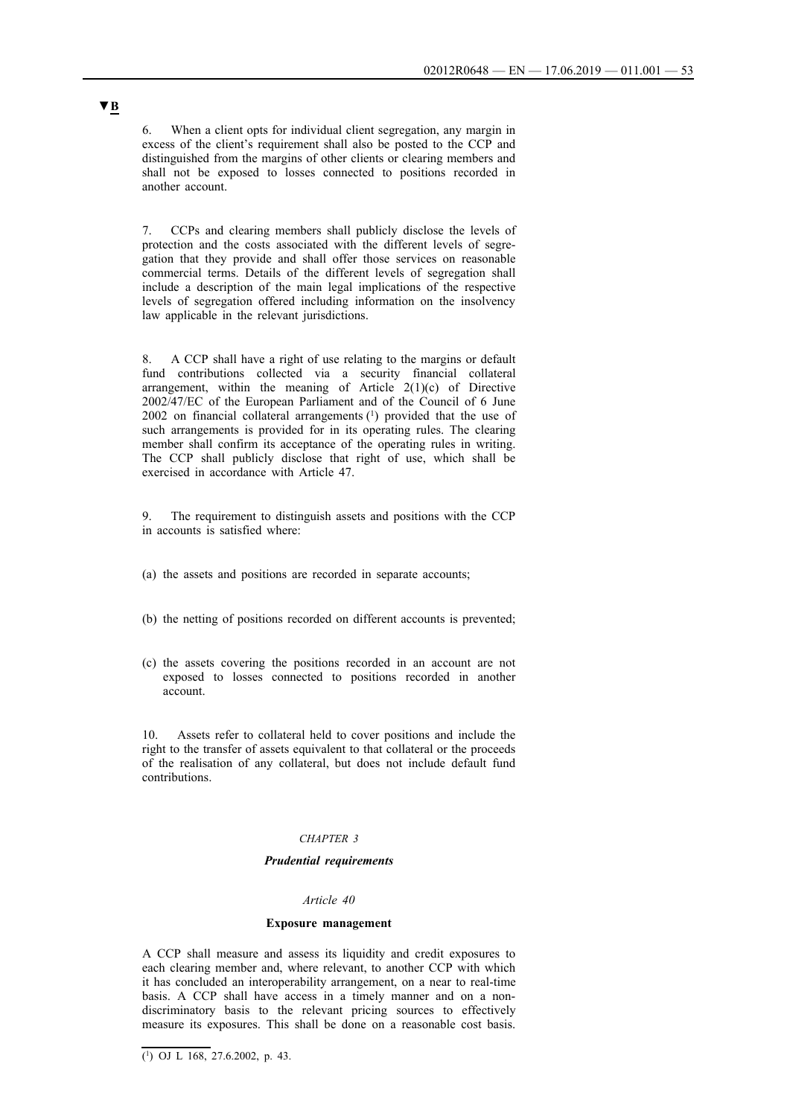6. When a client opts for individual client segregation, any margin in excess of the client's requirement shall also be posted to the CCP and distinguished from the margins of other clients or clearing members and shall not be exposed to losses connected to positions recorded in another account.

7. CCPs and clearing members shall publicly disclose the levels of protection and the costs associated with the different levels of segregation that they provide and shall offer those services on reasonable commercial terms. Details of the different levels of segregation shall include a description of the main legal implications of the respective levels of segregation offered including information on the insolvency law applicable in the relevant jurisdictions.

8. A CCP shall have a right of use relating to the margins or default fund contributions collected via a security financial collateral arrangement, within the meaning of Article  $2(1)(c)$  of Directive 2002/47/EC of the European Parliament and of the Council of 6 June 2002 on financial collateral arrangements  $(1)$  provided that the use of such arrangements is provided for in its operating rules. The clearing member shall confirm its acceptance of the operating rules in writing. The CCP shall publicly disclose that right of use, which shall be exercised in accordance with Article 47.

9. The requirement to distinguish assets and positions with the CCP in accounts is satisfied where:

- (a) the assets and positions are recorded in separate accounts;
- (b) the netting of positions recorded on different accounts is prevented;
- (c) the assets covering the positions recorded in an account are not exposed to losses connected to positions recorded in another account.

10. Assets refer to collateral held to cover positions and include the right to the transfer of assets equivalent to that collateral or the proceeds of the realisation of any collateral, but does not include default fund contributions.

### *CHAPTER 3*

## *Prudential requirements*

### *Article 40*

## **Exposure management**

A CCP shall measure and assess its liquidity and credit exposures to each clearing member and, where relevant, to another CCP with which it has concluded an interoperability arrangement, on a near to real-time basis. A CCP shall have access in a timely manner and on a nondiscriminatory basis to the relevant pricing sources to effectively measure its exposures. This shall be done on a reasonable cost basis.

 $\overline{(^1)}$  OJ L 168, 27.6.2002, p. 43.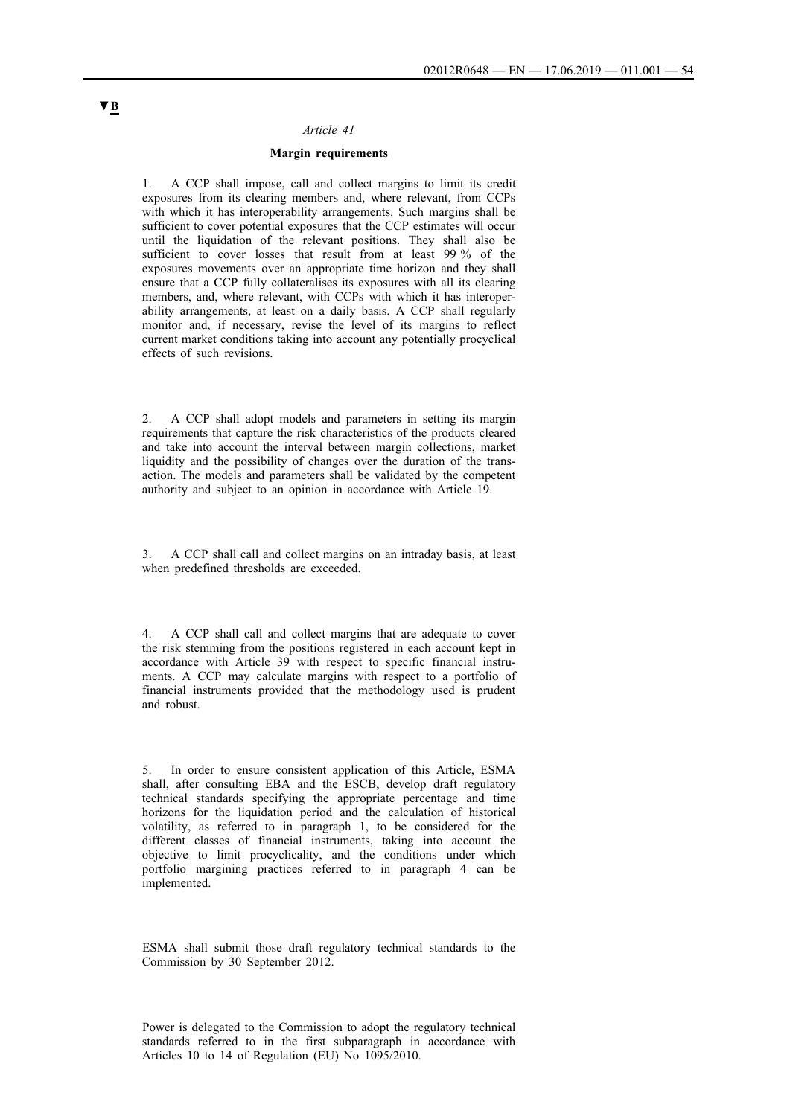### **Margin requirements**

1. A CCP shall impose, call and collect margins to limit its credit exposures from its clearing members and, where relevant, from CCPs with which it has interoperability arrangements. Such margins shall be sufficient to cover potential exposures that the CCP estimates will occur until the liquidation of the relevant positions. They shall also be sufficient to cover losses that result from at least 99 % of the exposures movements over an appropriate time horizon and they shall ensure that a CCP fully collateralises its exposures with all its clearing members, and, where relevant, with CCPs with which it has interoperability arrangements, at least on a daily basis. A CCP shall regularly monitor and, if necessary, revise the level of its margins to reflect current market conditions taking into account any potentially procyclical effects of such revisions.

2. A CCP shall adopt models and parameters in setting its margin requirements that capture the risk characteristics of the products cleared and take into account the interval between margin collections, market liquidity and the possibility of changes over the duration of the transaction. The models and parameters shall be validated by the competent authority and subject to an opinion in accordance with Article 19.

3. A CCP shall call and collect margins on an intraday basis, at least when predefined thresholds are exceeded.

4. A CCP shall call and collect margins that are adequate to cover the risk stemming from the positions registered in each account kept in accordance with Article 39 with respect to specific financial instruments. A CCP may calculate margins with respect to a portfolio of financial instruments provided that the methodology used is prudent and robust.

5. In order to ensure consistent application of this Article, ESMA shall, after consulting EBA and the ESCB, develop draft regulatory technical standards specifying the appropriate percentage and time horizons for the liquidation period and the calculation of historical volatility, as referred to in paragraph 1, to be considered for the different classes of financial instruments, taking into account the objective to limit procyclicality, and the conditions under which portfolio margining practices referred to in paragraph 4 can be implemented.

ESMA shall submit those draft regulatory technical standards to the Commission by 30 September 2012.

Power is delegated to the Commission to adopt the regulatory technical standards referred to in the first subparagraph in accordance with Articles 10 to 14 of Regulation (EU) No 1095/2010.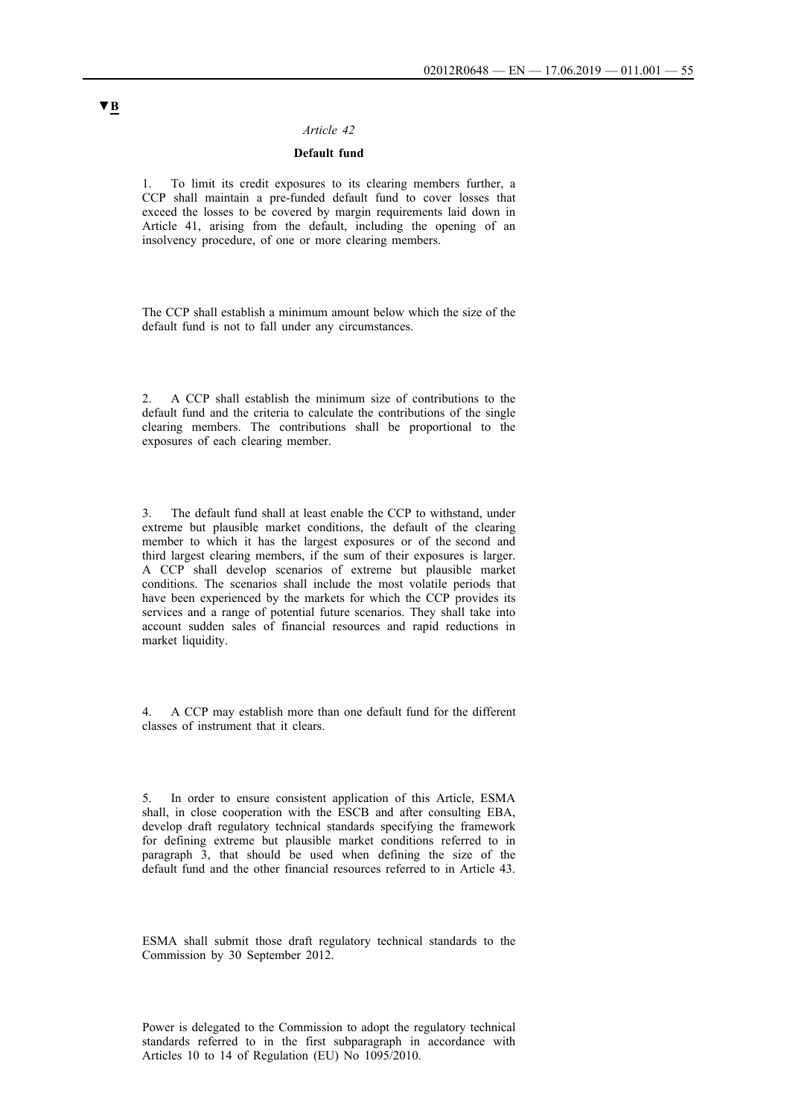## **Default fund**

1. To limit its credit exposures to its clearing members further, a CCP shall maintain a pre-funded default fund to cover losses that exceed the losses to be covered by margin requirements laid down in Article 41, arising from the default, including the opening of an insolvency procedure, of one or more clearing members.

The CCP shall establish a minimum amount below which the size of the default fund is not to fall under any circumstances.

2. A CCP shall establish the minimum size of contributions to the default fund and the criteria to calculate the contributions of the single clearing members. The contributions shall be proportional to the exposures of each clearing member.

3. The default fund shall at least enable the CCP to withstand, under extreme but plausible market conditions, the default of the clearing member to which it has the largest exposures or of the second and third largest clearing members, if the sum of their exposures is larger. A CCP shall develop scenarios of extreme but plausible market conditions. The scenarios shall include the most volatile periods that have been experienced by the markets for which the CCP provides its services and a range of potential future scenarios. They shall take into account sudden sales of financial resources and rapid reductions in market liquidity.

4. A CCP may establish more than one default fund for the different classes of instrument that it clears.

5. In order to ensure consistent application of this Article, ESMA shall, in close cooperation with the ESCB and after consulting EBA, develop draft regulatory technical standards specifying the framework for defining extreme but plausible market conditions referred to in paragraph 3, that should be used when defining the size of the default fund and the other financial resources referred to in Article 43.

ESMA shall submit those draft regulatory technical standards to the Commission by 30 September 2012.

Power is delegated to the Commission to adopt the regulatory technical standards referred to in the first subparagraph in accordance with Articles 10 to 14 of Regulation (EU) No 1095/2010.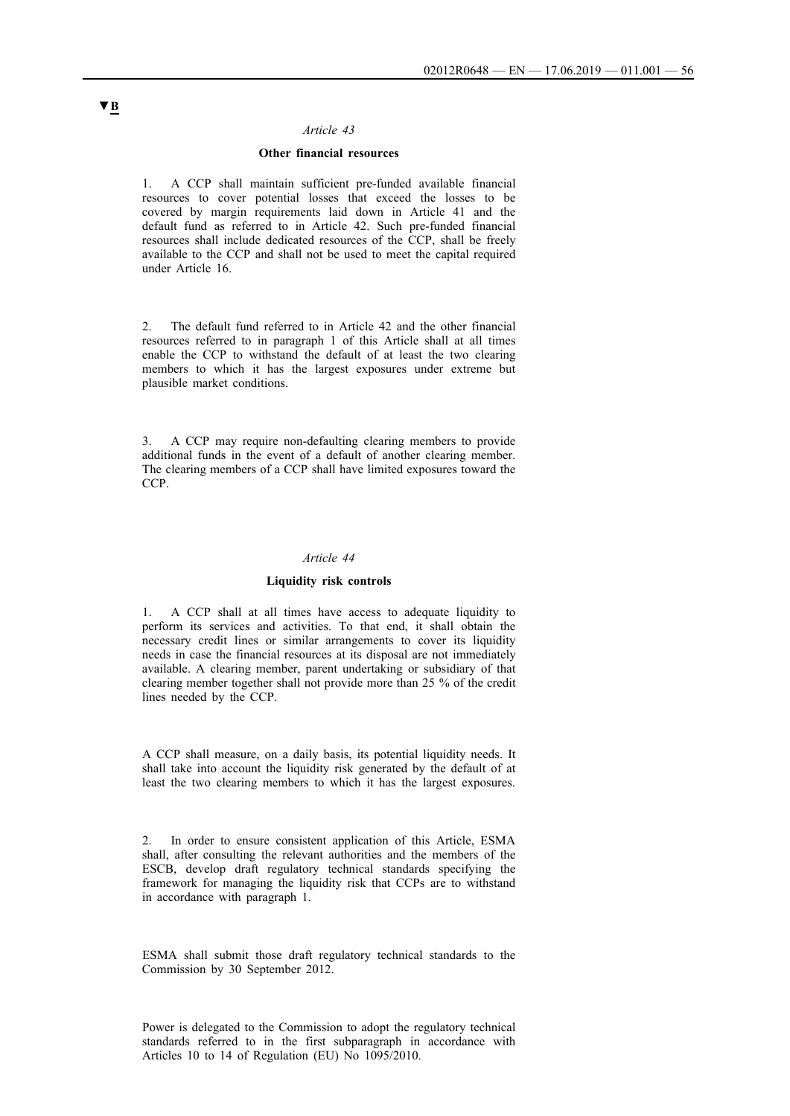## **Other financial resources**

1. A CCP shall maintain sufficient pre-funded available financial resources to cover potential losses that exceed the losses to be covered by margin requirements laid down in Article 41 and the default fund as referred to in Article 42. Such pre-funded financial resources shall include dedicated resources of the CCP, shall be freely available to the CCP and shall not be used to meet the capital required under Article 16.

2. The default fund referred to in Article 42 and the other financial resources referred to in paragraph 1 of this Article shall at all times enable the CCP to withstand the default of at least the two clearing members to which it has the largest exposures under extreme but plausible market conditions.

3. A CCP may require non-defaulting clearing members to provide additional funds in the event of a default of another clearing member. The clearing members of a CCP shall have limited exposures toward the CCP.

#### *Article 44*

#### **Liquidity risk controls**

1. A CCP shall at all times have access to adequate liquidity to perform its services and activities. To that end, it shall obtain the necessary credit lines or similar arrangements to cover its liquidity needs in case the financial resources at its disposal are not immediately available. A clearing member, parent undertaking or subsidiary of that clearing member together shall not provide more than 25 % of the credit lines needed by the CCP.

A CCP shall measure, on a daily basis, its potential liquidity needs. It shall take into account the liquidity risk generated by the default of at least the two clearing members to which it has the largest exposures.

2. In order to ensure consistent application of this Article, ESMA shall, after consulting the relevant authorities and the members of the ESCB, develop draft regulatory technical standards specifying the framework for managing the liquidity risk that CCPs are to withstand in accordance with paragraph 1.

ESMA shall submit those draft regulatory technical standards to the Commission by 30 September 2012.

Power is delegated to the Commission to adopt the regulatory technical standards referred to in the first subparagraph in accordance with Articles 10 to 14 of Regulation (EU) No 1095/2010.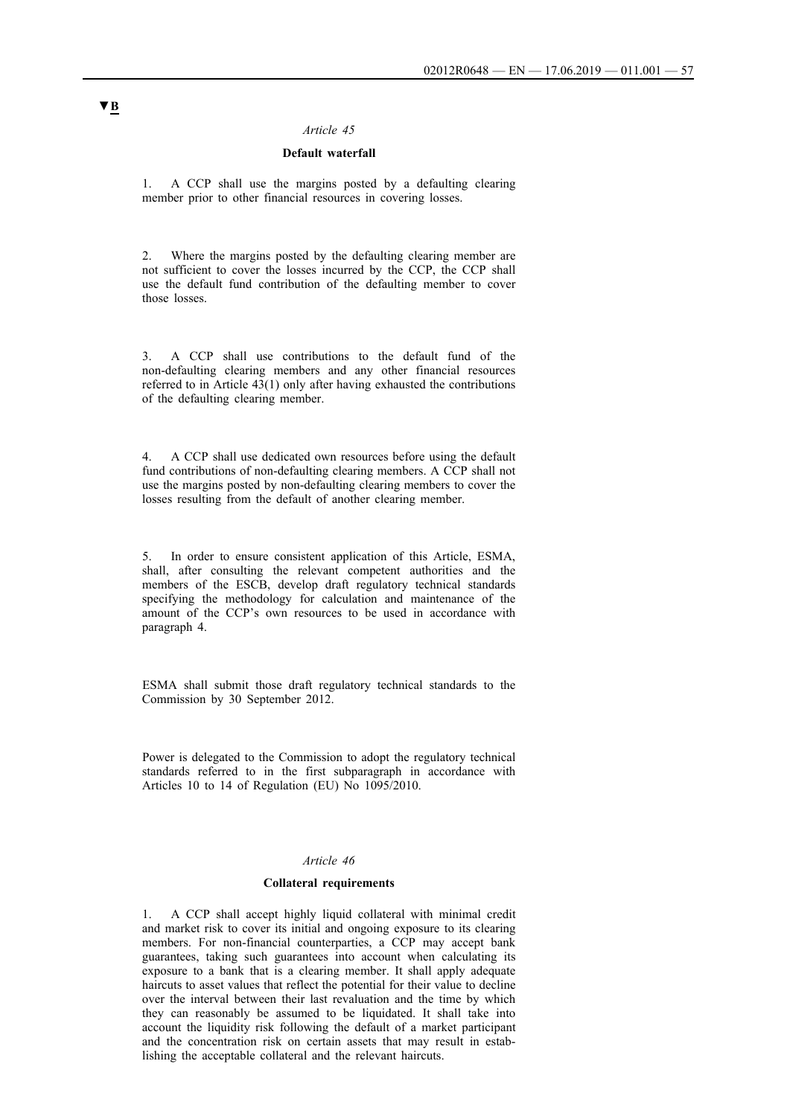## **Default waterfall**

1. A CCP shall use the margins posted by a defaulting clearing member prior to other financial resources in covering losses.

2. Where the margins posted by the defaulting clearing member are not sufficient to cover the losses incurred by the CCP, the CCP shall use the default fund contribution of the defaulting member to cover those losses.

3. A CCP shall use contributions to the default fund of the non-defaulting clearing members and any other financial resources referred to in Article  $43(1)$  only after having exhausted the contributions of the defaulting clearing member.

4. A CCP shall use dedicated own resources before using the default fund contributions of non-defaulting clearing members. A CCP shall not use the margins posted by non-defaulting clearing members to cover the losses resulting from the default of another clearing member.

5. In order to ensure consistent application of this Article, ESMA, shall, after consulting the relevant competent authorities and the members of the ESCB, develop draft regulatory technical standards specifying the methodology for calculation and maintenance of the amount of the CCP's own resources to be used in accordance with paragraph 4.

ESMA shall submit those draft regulatory technical standards to the Commission by 30 September 2012.

Power is delegated to the Commission to adopt the regulatory technical standards referred to in the first subparagraph in accordance with Articles 10 to 14 of Regulation (EU) No 1095/2010.

#### *Article 46*

### **Collateral requirements**

1. A CCP shall accept highly liquid collateral with minimal credit and market risk to cover its initial and ongoing exposure to its clearing members. For non-financial counterparties, a CCP may accept bank guarantees, taking such guarantees into account when calculating its exposure to a bank that is a clearing member. It shall apply adequate haircuts to asset values that reflect the potential for their value to decline over the interval between their last revaluation and the time by which they can reasonably be assumed to be liquidated. It shall take into account the liquidity risk following the default of a market participant and the concentration risk on certain assets that may result in establishing the acceptable collateral and the relevant haircuts.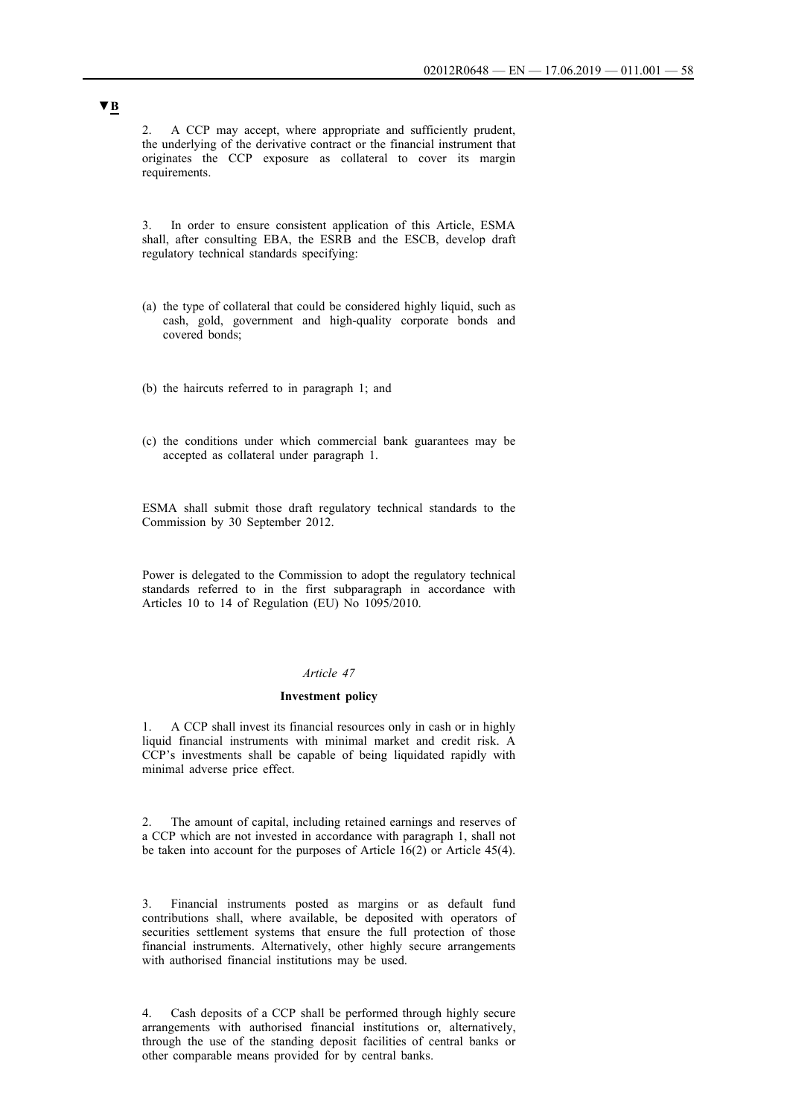2. A CCP may accept, where appropriate and sufficiently prudent, the underlying of the derivative contract or the financial instrument that originates the CCP exposure as collateral to cover its margin requirements.

3. In order to ensure consistent application of this Article, ESMA shall, after consulting EBA, the ESRB and the ESCB, develop draft regulatory technical standards specifying:

- (a) the type of collateral that could be considered highly liquid, such as cash, gold, government and high-quality corporate bonds and covered bonds;
- (b) the haircuts referred to in paragraph 1; and
- (c) the conditions under which commercial bank guarantees may be accepted as collateral under paragraph 1.

ESMA shall submit those draft regulatory technical standards to the Commission by 30 September 2012.

Power is delegated to the Commission to adopt the regulatory technical standards referred to in the first subparagraph in accordance with Articles 10 to 14 of Regulation (EU) No 1095/2010.

#### *Article 47*

#### **Investment policy**

1. A CCP shall invest its financial resources only in cash or in highly liquid financial instruments with minimal market and credit risk. A CCP's investments shall be capable of being liquidated rapidly with minimal adverse price effect.

2. The amount of capital, including retained earnings and reserves of a CCP which are not invested in accordance with paragraph 1, shall not be taken into account for the purposes of Article 16(2) or Article 45(4).

3. Financial instruments posted as margins or as default fund contributions shall, where available, be deposited with operators of securities settlement systems that ensure the full protection of those financial instruments. Alternatively, other highly secure arrangements with authorised financial institutions may be used.

4. Cash deposits of a CCP shall be performed through highly secure arrangements with authorised financial institutions or, alternatively, through the use of the standing deposit facilities of central banks or other comparable means provided for by central banks.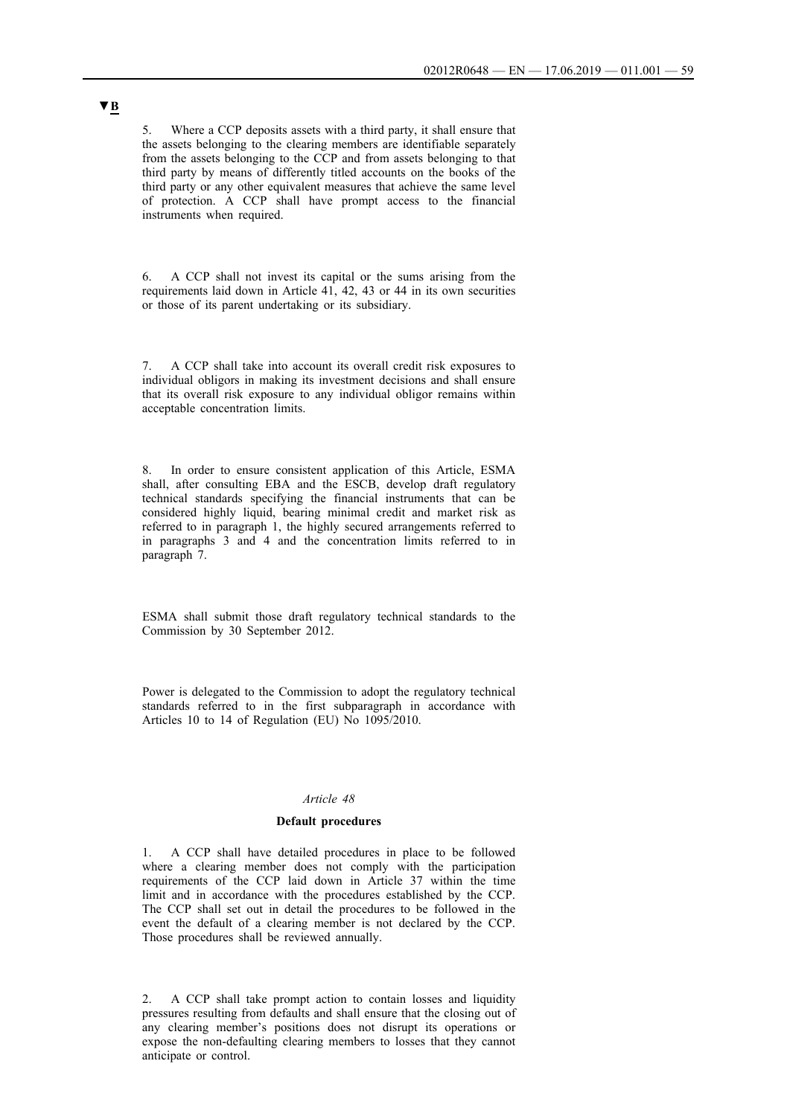5. Where a CCP deposits assets with a third party, it shall ensure that the assets belonging to the clearing members are identifiable separately from the assets belonging to the CCP and from assets belonging to that third party by means of differently titled accounts on the books of the third party or any other equivalent measures that achieve the same level of protection. A CCP shall have prompt access to the financial instruments when required.

6. A CCP shall not invest its capital or the sums arising from the requirements laid down in Article 41, 42, 43 or 44 in its own securities or those of its parent undertaking or its subsidiary.

7. A CCP shall take into account its overall credit risk exposures to individual obligors in making its investment decisions and shall ensure that its overall risk exposure to any individual obligor remains within acceptable concentration limits.

8. In order to ensure consistent application of this Article, ESMA shall, after consulting EBA and the ESCB, develop draft regulatory technical standards specifying the financial instruments that can be considered highly liquid, bearing minimal credit and market risk as referred to in paragraph 1, the highly secured arrangements referred to in paragraphs 3 and 4 and the concentration limits referred to in paragraph 7.

ESMA shall submit those draft regulatory technical standards to the Commission by 30 September 2012.

Power is delegated to the Commission to adopt the regulatory technical standards referred to in the first subparagraph in accordance with Articles 10 to 14 of Regulation (EU) No 1095/2010.

#### *Article 48*

### **Default procedures**

1. A CCP shall have detailed procedures in place to be followed where a clearing member does not comply with the participation requirements of the CCP laid down in Article 37 within the time limit and in accordance with the procedures established by the CCP. The CCP shall set out in detail the procedures to be followed in the event the default of a clearing member is not declared by the CCP. Those procedures shall be reviewed annually.

2. A CCP shall take prompt action to contain losses and liquidity pressures resulting from defaults and shall ensure that the closing out of any clearing member's positions does not disrupt its operations or expose the non-defaulting clearing members to losses that they cannot anticipate or control.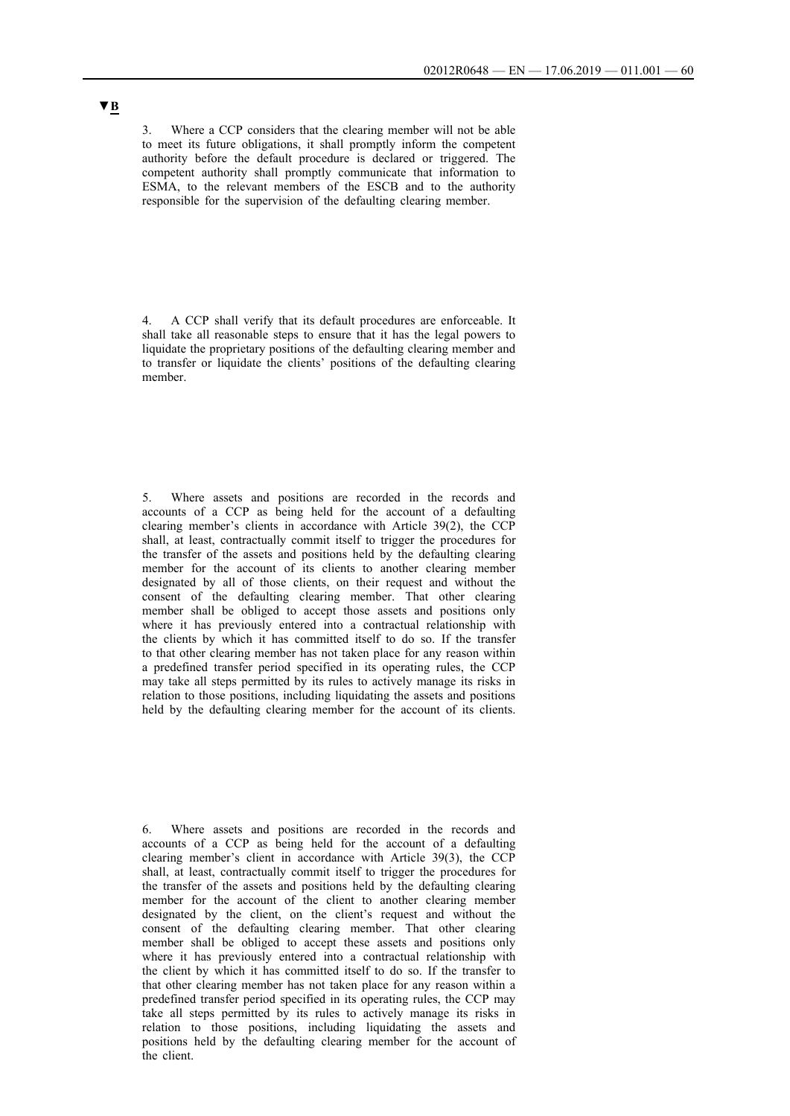3. Where a CCP considers that the clearing member will not be able to meet its future obligations, it shall promptly inform the competent authority before the default procedure is declared or triggered. The competent authority shall promptly communicate that information to ESMA, to the relevant members of the ESCB and to the authority responsible for the supervision of the defaulting clearing member.

4. A CCP shall verify that its default procedures are enforceable. It shall take all reasonable steps to ensure that it has the legal powers to liquidate the proprietary positions of the defaulting clearing member and to transfer or liquidate the clients' positions of the defaulting clearing member.

5. Where assets and positions are recorded in the records and accounts of a CCP as being held for the account of a defaulting clearing member's clients in accordance with Article 39(2), the CCP shall, at least, contractually commit itself to trigger the procedures for the transfer of the assets and positions held by the defaulting clearing member for the account of its clients to another clearing member designated by all of those clients, on their request and without the consent of the defaulting clearing member. That other clearing member shall be obliged to accept those assets and positions only where it has previously entered into a contractual relationship with the clients by which it has committed itself to do so. If the transfer to that other clearing member has not taken place for any reason within a predefined transfer period specified in its operating rules, the CCP may take all steps permitted by its rules to actively manage its risks in relation to those positions, including liquidating the assets and positions held by the defaulting clearing member for the account of its clients.

6. Where assets and positions are recorded in the records and accounts of a CCP as being held for the account of a defaulting clearing member's client in accordance with Article 39(3), the CCP shall, at least, contractually commit itself to trigger the procedures for the transfer of the assets and positions held by the defaulting clearing member for the account of the client to another clearing member designated by the client, on the client's request and without the consent of the defaulting clearing member. That other clearing member shall be obliged to accept these assets and positions only where it has previously entered into a contractual relationship with the client by which it has committed itself to do so. If the transfer to that other clearing member has not taken place for any reason within a predefined transfer period specified in its operating rules, the CCP may take all steps permitted by its rules to actively manage its risks in relation to those positions, including liquidating the assets and positions held by the defaulting clearing member for the account of the client.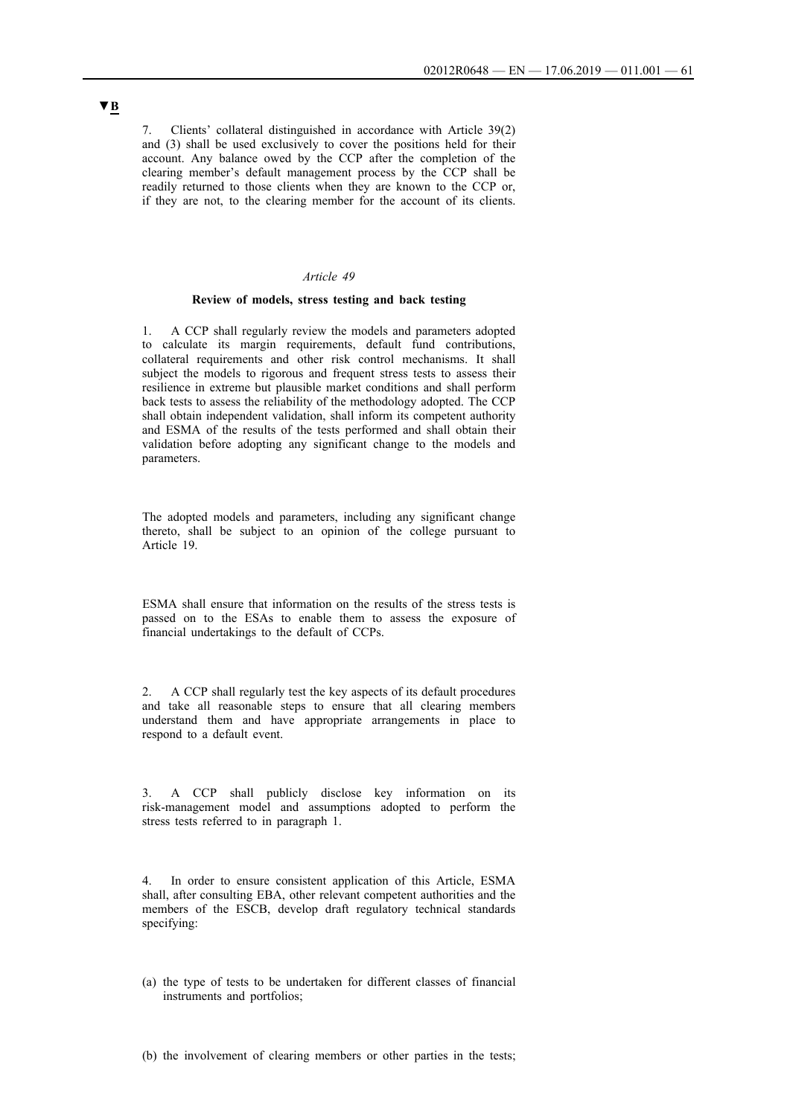7. Clients' collateral distinguished in accordance with Article 39(2) and (3) shall be used exclusively to cover the positions held for their account. Any balance owed by the CCP after the completion of the clearing member's default management process by the CCP shall be readily returned to those clients when they are known to the CCP or, if they are not, to the clearing member for the account of its clients.

### *Article 49*

### **Review of models, stress testing and back testing**

1. A CCP shall regularly review the models and parameters adopted to calculate its margin requirements, default fund contributions, collateral requirements and other risk control mechanisms. It shall subject the models to rigorous and frequent stress tests to assess their resilience in extreme but plausible market conditions and shall perform back tests to assess the reliability of the methodology adopted. The CCP shall obtain independent validation, shall inform its competent authority and ESMA of the results of the tests performed and shall obtain their validation before adopting any significant change to the models and parameters.

The adopted models and parameters, including any significant change thereto, shall be subject to an opinion of the college pursuant to Article 19.

ESMA shall ensure that information on the results of the stress tests is passed on to the ESAs to enable them to assess the exposure of financial undertakings to the default of CCPs.

2. A CCP shall regularly test the key aspects of its default procedures and take all reasonable steps to ensure that all clearing members understand them and have appropriate arrangements in place to respond to a default event.

3. A CCP shall publicly disclose key information on its risk-management model and assumptions adopted to perform the stress tests referred to in paragraph 1.

4. In order to ensure consistent application of this Article, ESMA shall, after consulting EBA, other relevant competent authorities and the members of the ESCB, develop draft regulatory technical standards specifying:

(a) the type of tests to be undertaken for different classes of financial instruments and portfolios;

(b) the involvement of clearing members or other parties in the tests;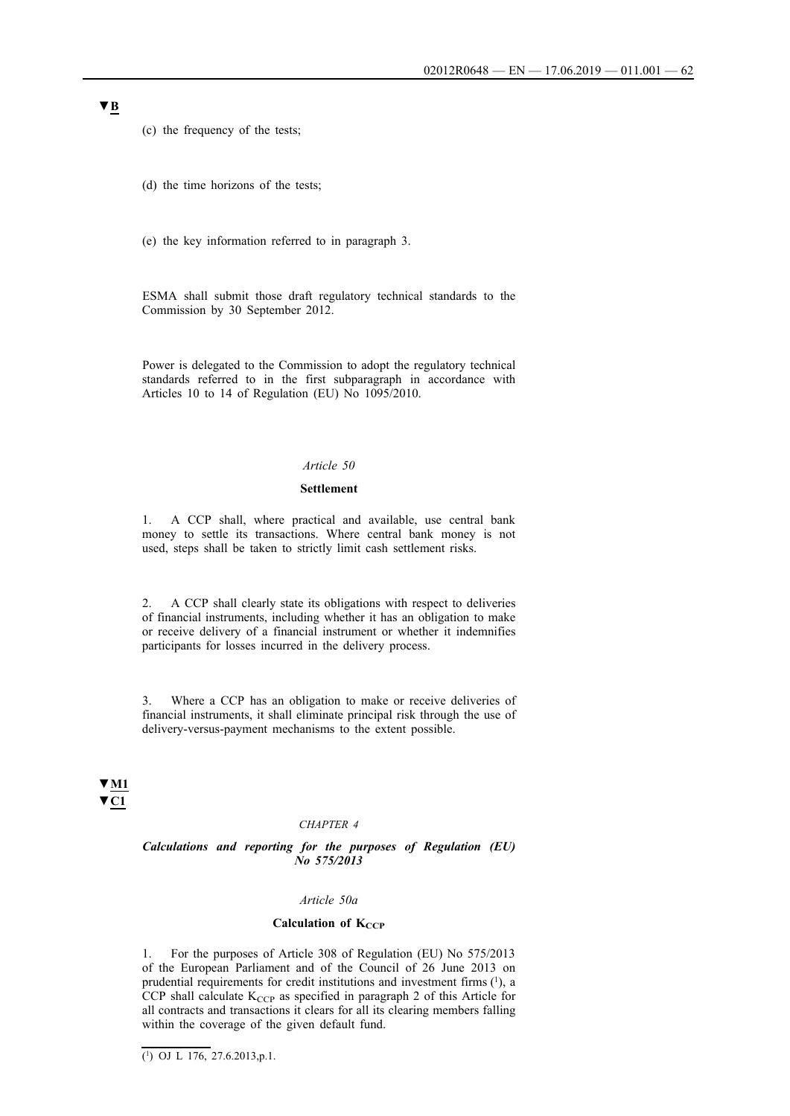(c) the frequency of the tests;

(d) the time horizons of the tests;

(e) the key information referred to in paragraph 3.

ESMA shall submit those draft regulatory technical standards to the Commission by 30 September 2012.

Power is delegated to the Commission to adopt the regulatory technical standards referred to in the first subparagraph in accordance with Articles 10 to 14 of Regulation (EU) No 1095/2010.

### *Article 50*

## **Settlement**

1. A CCP shall, where practical and available, use central bank money to settle its transactions. Where central bank money is not used, steps shall be taken to strictly limit cash settlement risks.

2. A CCP shall clearly state its obligations with respect to deliveries of financial instruments, including whether it has an obligation to make or receive delivery of a financial instrument or whether it indemnifies participants for losses incurred in the delivery process.

3. Where a CCP has an obligation to make or receive deliveries of financial instruments, it shall eliminate principal risk through the use of delivery-versus-payment mechanisms to the extent possible.

**▼M1 ▼C1**

#### *CHAPTER 4*

### *Calculations and reporting for the purposes of Regulation (EU) No 575/2013*

#### *Article 50a*

## **Calculation of KCCP**

1. For the purposes of Article 308 of Regulation (EU) No 575/2013 of the European Parliament and of the Council of 26 June 2013 on prudential requirements for credit institutions and investment firms (1), a CCP shall calculate  $K_{CCP}$  as specified in paragraph 2 of this Article for all contracts and transactions it clears for all its clearing members falling within the coverage of the given default fund.

 $\overline{(1)}$  OJ L 176, 27.6.2013, p.1.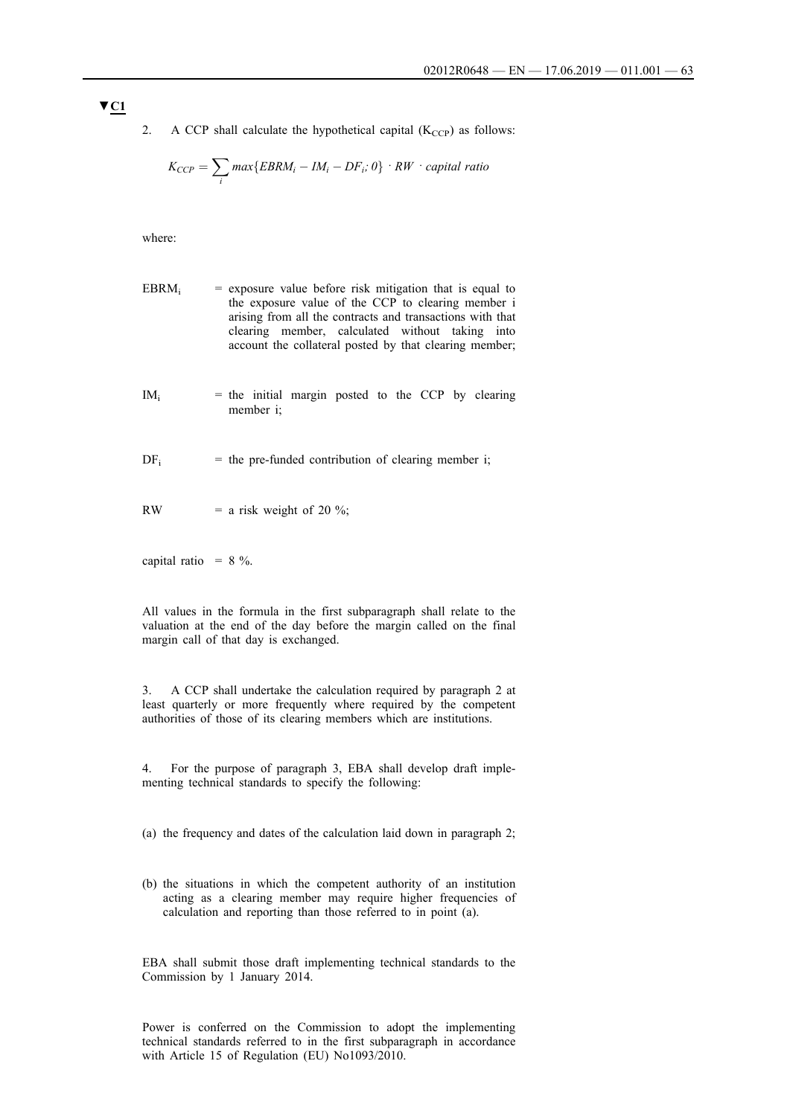2. A CCP shall calculate the hypothetical capital  $(K_{CCP})$  as follows:

$$
K_{CCP} = \sum_{i} max\{EBRM_i - IM_i - DF_i; 0\} \cdot RW \cdot capital \; ratio
$$

where:

| EBRM <sub>i</sub> | $=$ exposure value before risk mitigation that is equal to<br>the exposure value of the CCP to clearing member i<br>arising from all the contracts and transactions with that<br>clearing member, calculated without taking into<br>account the collateral posted by that clearing member; |
|-------------------|--------------------------------------------------------------------------------------------------------------------------------------------------------------------------------------------------------------------------------------------------------------------------------------------|
| $IM_i$            | = the initial margin posted to the CCP by clearing<br>member i:                                                                                                                                                                                                                            |
| $DF_i$            | $=$ the pre-funded contribution of clearing member i.                                                                                                                                                                                                                                      |
| RW                | $=$ a risk weight of 20 %;                                                                                                                                                                                                                                                                 |

capital ratio =  $8\%$ .

All values in the formula in the first subparagraph shall relate to the valuation at the end of the day before the margin called on the final margin call of that day is exchanged.

3. A CCP shall undertake the calculation required by paragraph 2 at least quarterly or more frequently where required by the competent authorities of those of its clearing members which are institutions.

4. For the purpose of paragraph 3, EBA shall develop draft implementing technical standards to specify the following:

(a) the frequency and dates of the calculation laid down in paragraph 2;

(b) the situations in which the competent authority of an institution acting as a clearing member may require higher frequencies of calculation and reporting than those referred to in point (a).

EBA shall submit those draft implementing technical standards to the Commission by 1 January 2014.

Power is conferred on the Commission to adopt the implementing technical standards referred to in the first subparagraph in accordance with Article 15 of Regulation (EU) No1093/2010.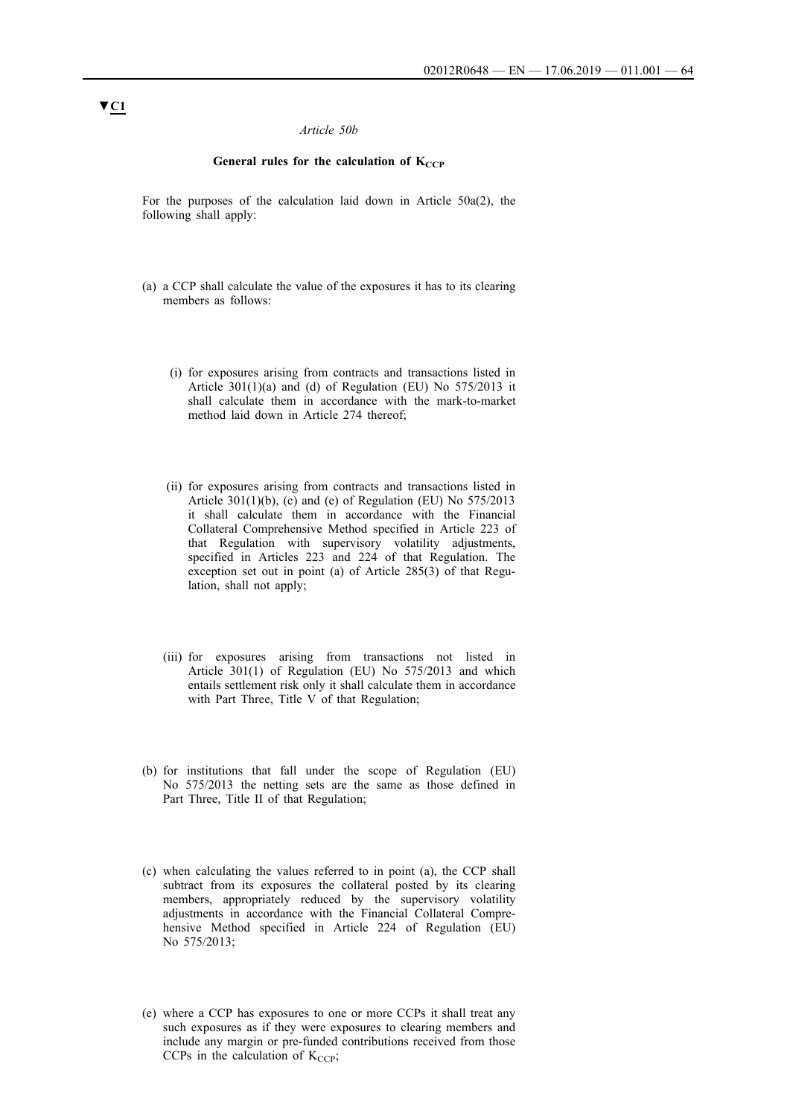#### *Article 50b*

#### General rules for the calculation of K<sub>CCP</sub>

For the purposes of the calculation laid down in Article 50a(2), the following shall apply:

- (a) a CCP shall calculate the value of the exposures it has to its clearing members as follows:
	- (i) for exposures arising from contracts and transactions listed in Article  $301(1)(a)$  and (d) of Regulation (EU) No  $575/2013$  it shall calculate them in accordance with the mark-to-market method laid down in Article 274 thereof;
	- (ii) for exposures arising from contracts and transactions listed in Article  $301(1)(b)$ , (c) and (e) of Regulation (EU) No  $575/2013$ it shall calculate them in accordance with the Financial Collateral Comprehensive Method specified in Article 223 of that Regulation with supervisory volatility adjustments, specified in Articles 223 and 224 of that Regulation. The exception set out in point (a) of Article 285(3) of that Regulation, shall not apply;
	- (iii) for exposures arising from transactions not listed in Article 301(1) of Regulation (EU) No 575/2013 and which entails settlement risk only it shall calculate them in accordance with Part Three, Title V of that Regulation;
- (b) for institutions that fall under the scope of Regulation (EU) No 575/2013 the netting sets are the same as those defined in Part Three, Title II of that Regulation;
- (c) when calculating the values referred to in point (a), the CCP shall subtract from its exposures the collateral posted by its clearing members, appropriately reduced by the supervisory volatility adjustments in accordance with the Financial Collateral Comprehensive Method specified in Article 224 of Regulation (EU) No 575/2013;
- (e) where a CCP has exposures to one or more CCPs it shall treat any such exposures as if they were exposures to clearing members and include any margin or pre-funded contributions received from those CCPs in the calculation of  $K_{CCP}$ ;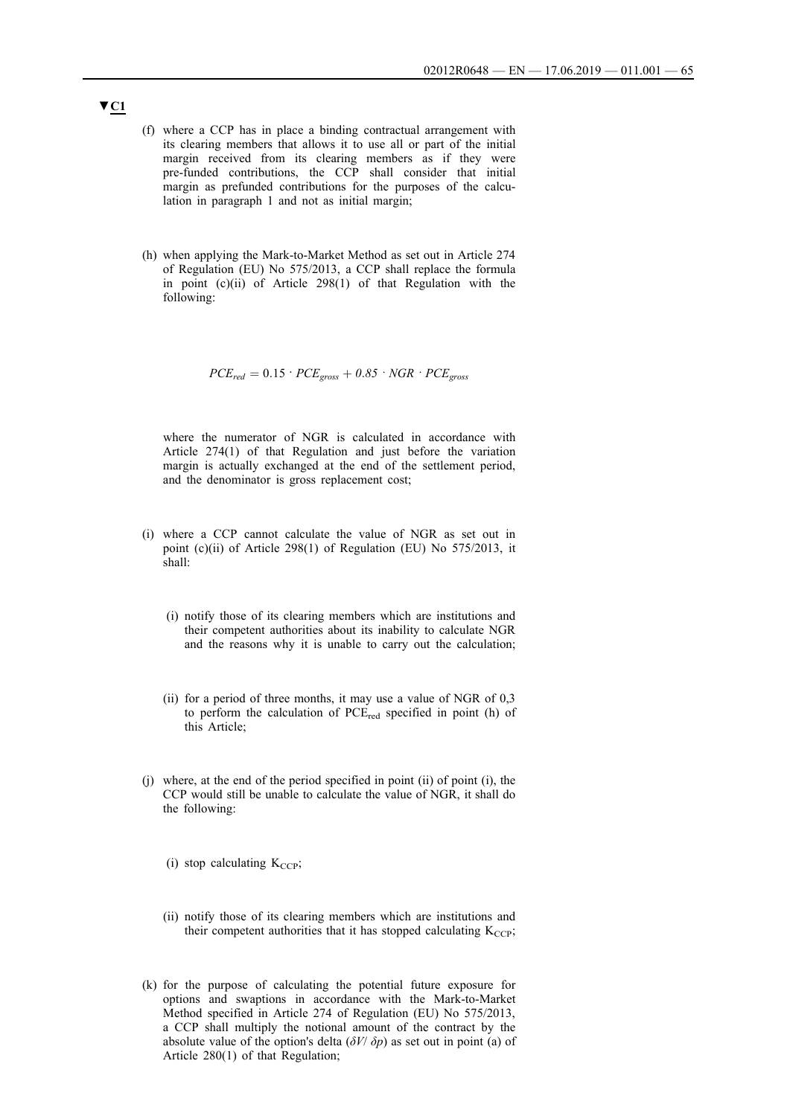- (f) where a CCP has in place a binding contractual arrangement with its clearing members that allows it to use all or part of the initial margin received from its clearing members as if they were pre-funded contributions, the CCP shall consider that initial margin as prefunded contributions for the purposes of the calculation in paragraph 1 and not as initial margin;
- (h) when applying the Mark-to-Market Method as set out in Article 274 of Regulation (EU) No 575/2013, a CCP shall replace the formula in point (c)(ii) of Article 298(1) of that Regulation with the following:

$$
PCE_{red} = 0.15 \cdot PCE_{gross} + 0.85 \cdot NGR \cdot PCE_{gross}
$$

where the numerator of NGR is calculated in accordance with Article 274(1) of that Regulation and just before the variation margin is actually exchanged at the end of the settlement period, and the denominator is gross replacement cost;

- (i) where a CCP cannot calculate the value of NGR as set out in point (c)(ii) of Article 298(1) of Regulation (EU) No 575/2013, it shall:
	- (i) notify those of its clearing members which are institutions and their competent authorities about its inability to calculate NGR and the reasons why it is unable to carry out the calculation;
	- (ii) for a period of three months, it may use a value of NGR of 0,3 to perform the calculation of  $PCE_{red}$  specified in point (h) of this Article;
- (j) where, at the end of the period specified in point (ii) of point (i), the CCP would still be unable to calculate the value of NGR, it shall do the following:
	- (i) stop calculating  $K_{CCP}$ ;
	- (ii) notify those of its clearing members which are institutions and their competent authorities that it has stopped calculating  $K_{CCP}$ ;
- (k) for the purpose of calculating the potential future exposure for options and swaptions in accordance with the Mark-to-Market Method specified in Article 274 of Regulation (EU) No 575/2013, a CCP shall multiply the notional amount of the contract by the absolute value of the option's delta  $(\delta V/\delta p)$  as set out in point (a) of Article 280(1) of that Regulation;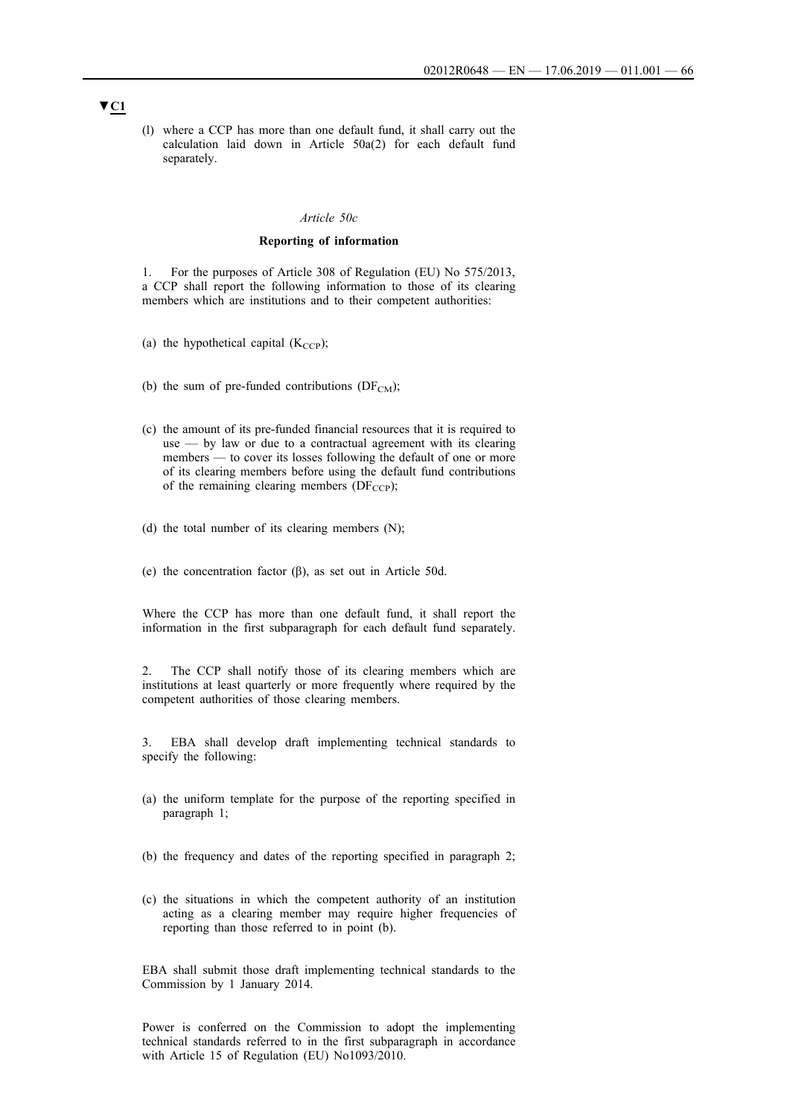(l) where a CCP has more than one default fund, it shall carry out the calculation laid down in Article 50a(2) for each default fund separately.

#### *Article 50c*

### **Reporting of information**

1. For the purposes of Article 308 of Regulation (EU) No 575/2013, a CCP shall report the following information to those of its clearing members which are institutions and to their competent authorities:

- (a) the hypothetical capital  $(K_{CCP})$ ;
- (b) the sum of pre-funded contributions ( $DF_{CM}$ );
- (c) the amount of its pre-funded financial resources that it is required to use — by law or due to a contractual agreement with its clearing members — to cover its losses following the default of one or more of its clearing members before using the default fund contributions of the remaining clearing members ( $DF_{CCP}$ );
- (d) the total number of its clearing members (N);
- (e) the concentration factor (β), as set out in Article 50d.

Where the CCP has more than one default fund, it shall report the information in the first subparagraph for each default fund separately.

2. The CCP shall notify those of its clearing members which are institutions at least quarterly or more frequently where required by the competent authorities of those clearing members.

3. EBA shall develop draft implementing technical standards to specify the following:

- (a) the uniform template for the purpose of the reporting specified in paragraph 1;
- (b) the frequency and dates of the reporting specified in paragraph 2;
- (c) the situations in which the competent authority of an institution acting as a clearing member may require higher frequencies of reporting than those referred to in point (b).

EBA shall submit those draft implementing technical standards to the Commission by 1 January 2014.

Power is conferred on the Commission to adopt the implementing technical standards referred to in the first subparagraph in accordance with Article 15 of Regulation (EU) No1093/2010.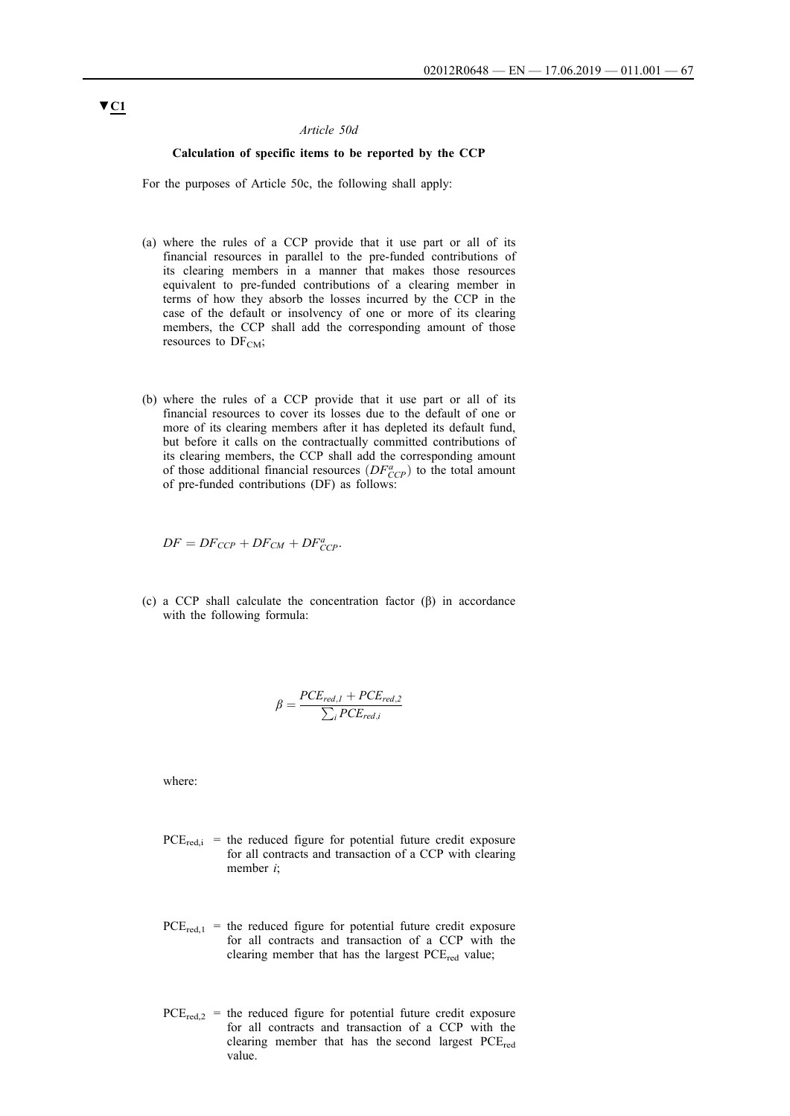#### *Article 50d*

### **Calculation of specific items to be reported by the CCP**

For the purposes of Article 50c, the following shall apply:

- (a) where the rules of a CCP provide that it use part or all of its financial resources in parallel to the pre-funded contributions of its clearing members in a manner that makes those resources equivalent to pre-funded contributions of a clearing member in terms of how they absorb the losses incurred by the CCP in the case of the default or insolvency of one or more of its clearing members, the CCP shall add the corresponding amount of those resources to  $DF_{CM}$ ;
- (b) where the rules of a CCP provide that it use part or all of its financial resources to cover its losses due to the default of one or more of its clearing members after it has depleted its default fund, but before it calls on the contractually committed contributions of its clearing members, the CCP shall add the corresponding amount of those additional financial resources  $(DF_{CCP}^a)$  to the total amount of pre-funded contributions (DF) as follows:

$$
DF = DF_{CCP} + DF_{CM} + DF_{CCP}^a.
$$

(c) a CCP shall calculate the concentration factor (β) in accordance with the following formula:

$$
\beta = \frac{PCE_{red,1} + PCE_{red,2}}{\sum_{i} PCE_{red,i}}
$$

where:

- $PCE_{\text{red,i}}$  = the reduced figure for potential future credit exposure for all contracts and transaction of a CCP with clearing member *i*;
- $PCE_{\text{red }1}$  = the reduced figure for potential future credit exposure for all contracts and transaction of a CCP with the clearing member that has the largest PCEred value;
- $PCE_{\text{red},2}$  = the reduced figure for potential future credit exposure for all contracts and transaction of a CCP with the clearing member that has the second largest PCEred value.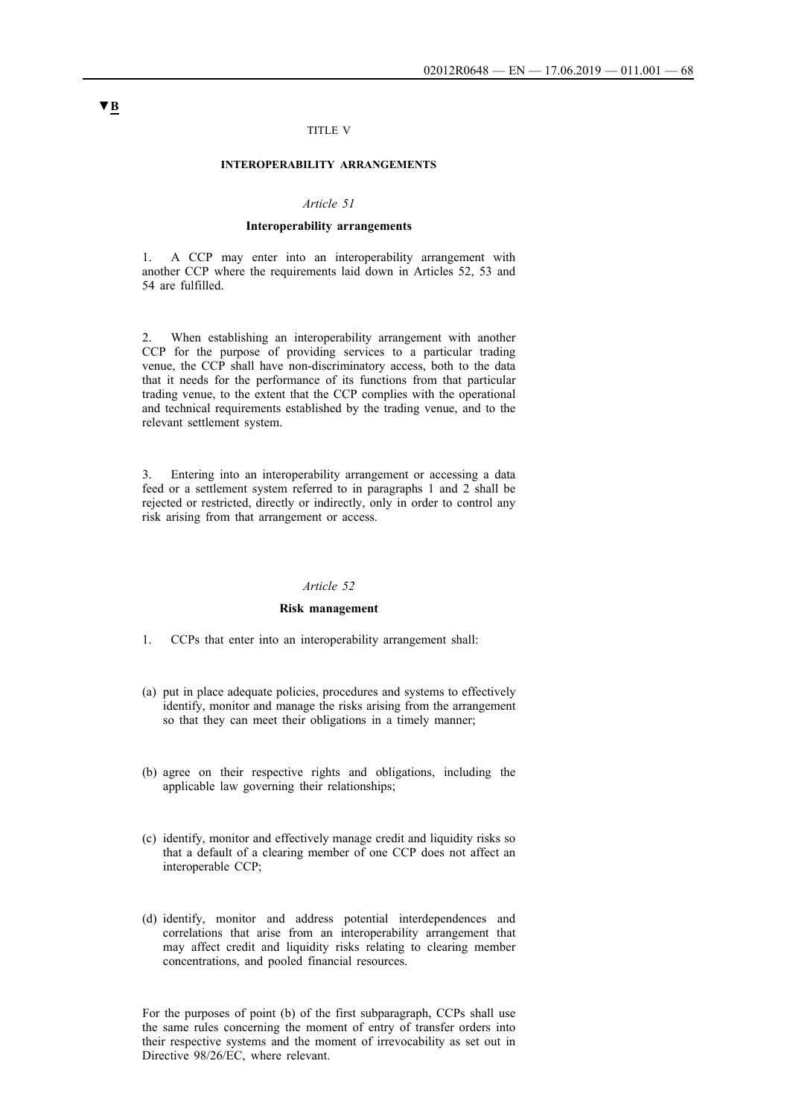#### TITLE V

### **INTEROPERABILITY ARRANGEMENTS**

#### *Article 51*

## **Interoperability arrangements**

1. A CCP may enter into an interoperability arrangement with another CCP where the requirements laid down in Articles 52, 53 and 54 are fulfilled.

2. When establishing an interoperability arrangement with another CCP for the purpose of providing services to a particular trading venue, the CCP shall have non-discriminatory access, both to the data that it needs for the performance of its functions from that particular trading venue, to the extent that the CCP complies with the operational and technical requirements established by the trading venue, and to the relevant settlement system.

3. Entering into an interoperability arrangement or accessing a data feed or a settlement system referred to in paragraphs 1 and 2 shall be rejected or restricted, directly or indirectly, only in order to control any risk arising from that arrangement or access.

#### *Article 52*

#### **Risk management**

- 1. CCPs that enter into an interoperability arrangement shall:
- (a) put in place adequate policies, procedures and systems to effectively identify, monitor and manage the risks arising from the arrangement so that they can meet their obligations in a timely manner;
- (b) agree on their respective rights and obligations, including the applicable law governing their relationships;
- (c) identify, monitor and effectively manage credit and liquidity risks so that a default of a clearing member of one CCP does not affect an interoperable CCP;
- (d) identify, monitor and address potential interdependences and correlations that arise from an interoperability arrangement that may affect credit and liquidity risks relating to clearing member concentrations, and pooled financial resources.

For the purposes of point (b) of the first subparagraph, CCPs shall use the same rules concerning the moment of entry of transfer orders into their respective systems and the moment of irrevocability as set out in Directive 98/26/EC, where relevant.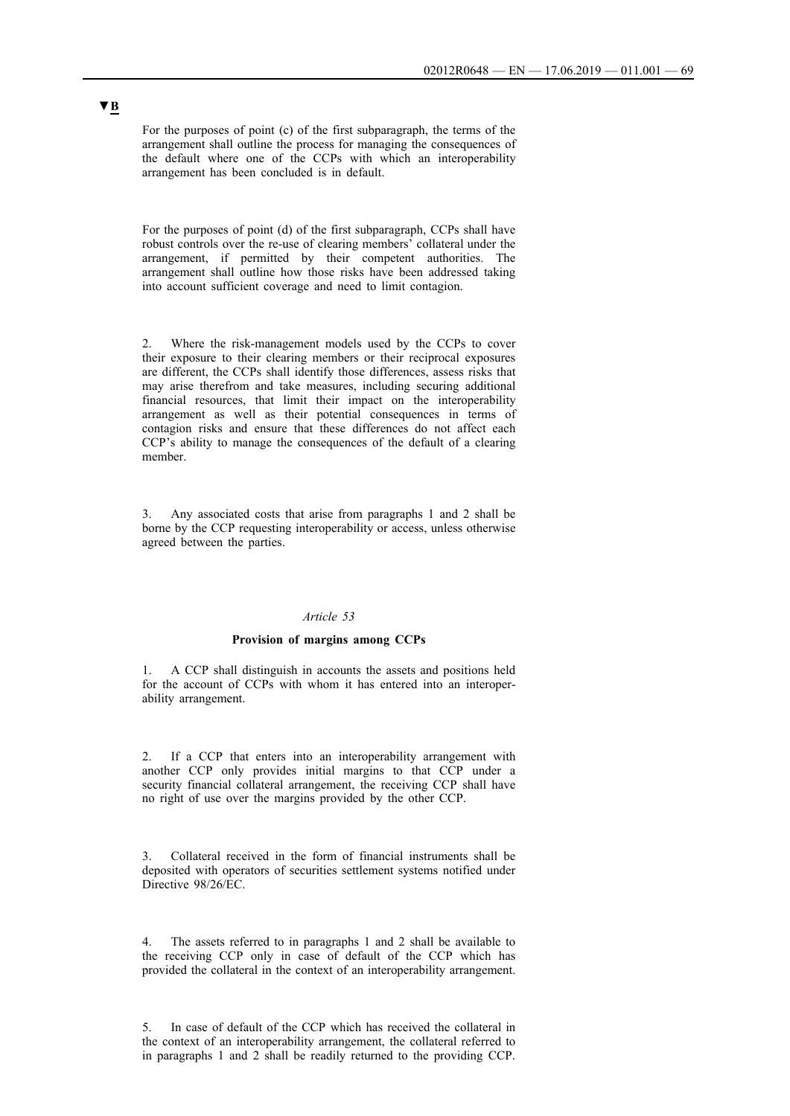For the purposes of point (c) of the first subparagraph, the terms of the arrangement shall outline the process for managing the consequences of the default where one of the CCPs with which an interoperability arrangement has been concluded is in default.

For the purposes of point (d) of the first subparagraph, CCPs shall have robust controls over the re-use of clearing members' collateral under the arrangement, if permitted by their competent authorities. The arrangement shall outline how those risks have been addressed taking into account sufficient coverage and need to limit contagion.

2. Where the risk-management models used by the CCPs to cover their exposure to their clearing members or their reciprocal exposures are different, the CCPs shall identify those differences, assess risks that may arise therefrom and take measures, including securing additional financial resources, that limit their impact on the interoperability arrangement as well as their potential consequences in terms of contagion risks and ensure that these differences do not affect each CCP's ability to manage the consequences of the default of a clearing member.

3. Any associated costs that arise from paragraphs 1 and 2 shall be borne by the CCP requesting interoperability or access, unless otherwise agreed between the parties.

#### *Article 53*

#### **Provision of margins among CCPs**

1. A CCP shall distinguish in accounts the assets and positions held for the account of CCPs with whom it has entered into an interoperability arrangement.

2. If a CCP that enters into an interoperability arrangement with another CCP only provides initial margins to that CCP under a security financial collateral arrangement, the receiving CCP shall have no right of use over the margins provided by the other CCP.

3. Collateral received in the form of financial instruments shall be deposited with operators of securities settlement systems notified under Directive 98/26/EC.

4. The assets referred to in paragraphs 1 and 2 shall be available to the receiving CCP only in case of default of the CCP which has provided the collateral in the context of an interoperability arrangement.

5. In case of default of the CCP which has received the collateral in the context of an interoperability arrangement, the collateral referred to in paragraphs 1 and 2 shall be readily returned to the providing CCP.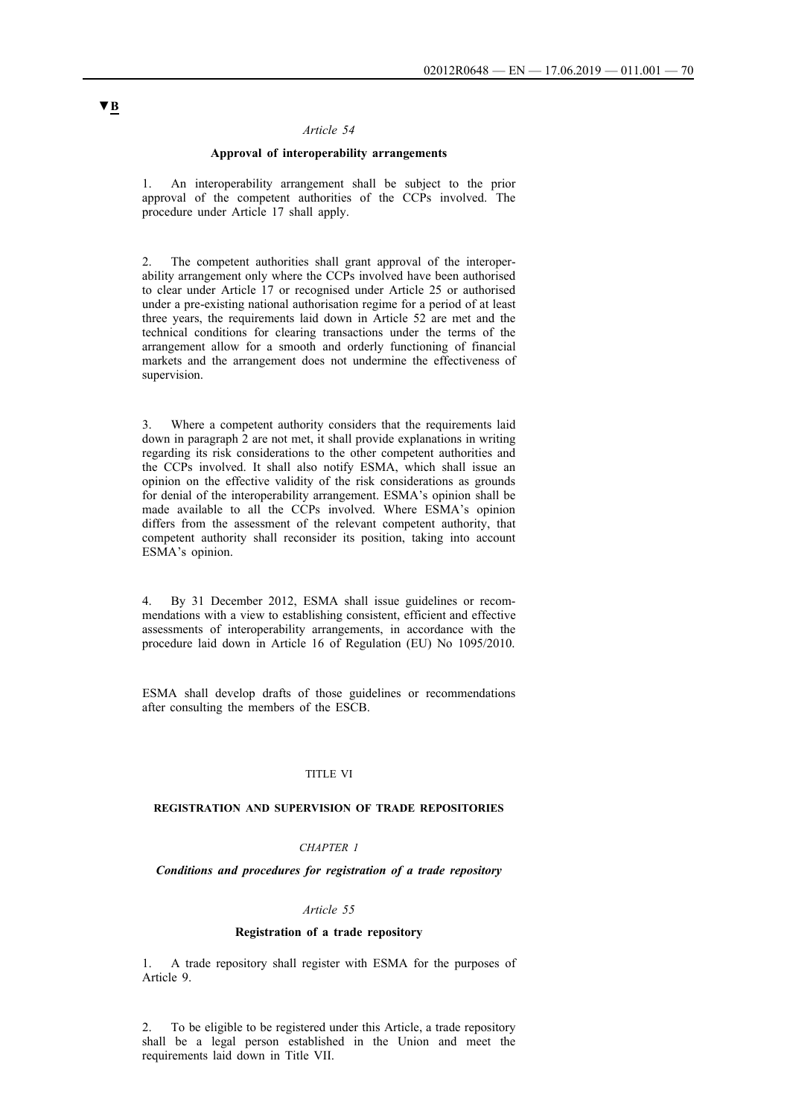## **Approval of interoperability arrangements**

1. An interoperability arrangement shall be subject to the prior approval of the competent authorities of the CCPs involved. The procedure under Article 17 shall apply.

2. The competent authorities shall grant approval of the interoperability arrangement only where the CCPs involved have been authorised to clear under Article 17 or recognised under Article 25 or authorised under a pre-existing national authorisation regime for a period of at least three years, the requirements laid down in Article 52 are met and the technical conditions for clearing transactions under the terms of the arrangement allow for a smooth and orderly functioning of financial markets and the arrangement does not undermine the effectiveness of supervision.

3. Where a competent authority considers that the requirements laid down in paragraph 2 are not met, it shall provide explanations in writing regarding its risk considerations to the other competent authorities and the CCPs involved. It shall also notify ESMA, which shall issue an opinion on the effective validity of the risk considerations as grounds for denial of the interoperability arrangement. ESMA's opinion shall be made available to all the CCPs involved. Where ESMA's opinion differs from the assessment of the relevant competent authority, that competent authority shall reconsider its position, taking into account ESMA's opinion.

4. By 31 December 2012, ESMA shall issue guidelines or recommendations with a view to establishing consistent, efficient and effective assessments of interoperability arrangements, in accordance with the procedure laid down in Article 16 of Regulation (EU) No 1095/2010.

ESMA shall develop drafts of those guidelines or recommendations after consulting the members of the ESCB.

#### TITLE VI

## **REGISTRATION AND SUPERVISION OF TRADE REPOSITORIES**

### *CHAPTER 1*

*Conditions and procedures for registration of a trade repository*

#### *Article 55*

#### **Registration of a trade repository**

1. A trade repository shall register with ESMA for the purposes of Article 9.

2. To be eligible to be registered under this Article, a trade repository shall be a legal person established in the Union and meet the requirements laid down in Title VII.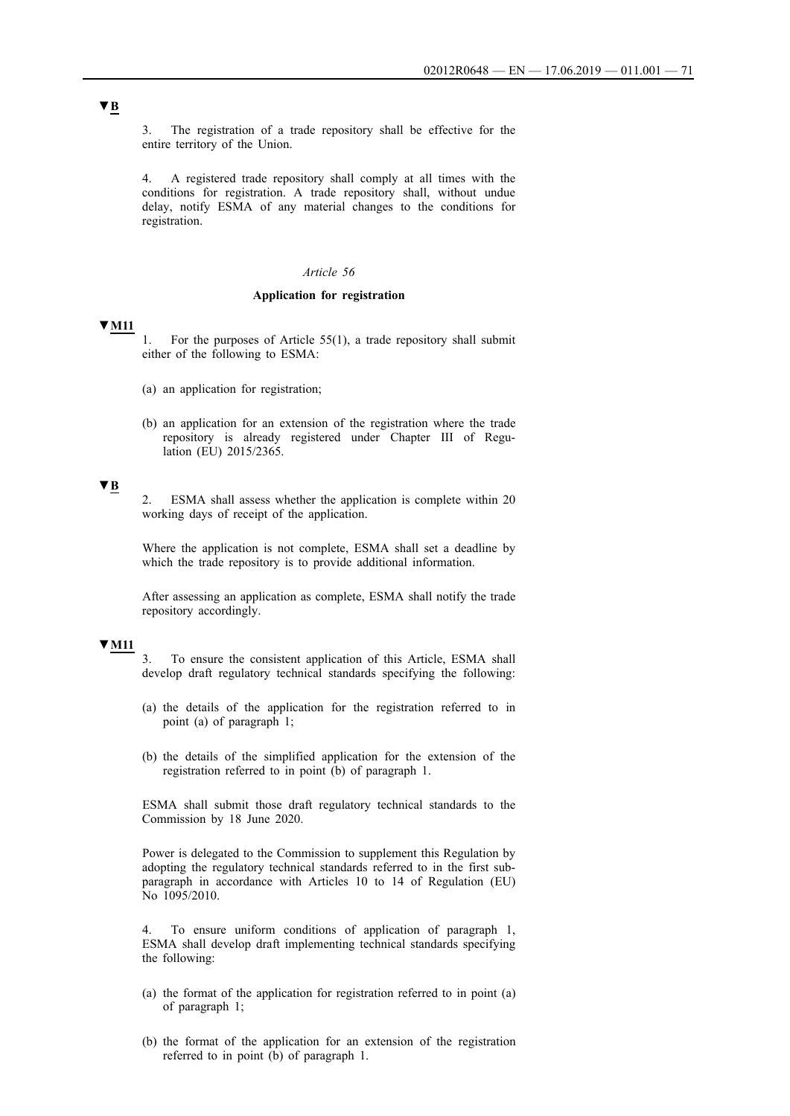3. The registration of a trade repository shall be effective for the entire territory of the Union.

4. A registered trade repository shall comply at all times with the conditions for registration. A trade repository shall, without undue delay, notify ESMA of any material changes to the conditions for registration.

## *Article 56*

### **Application for registration**

#### **▼M11**

1. For the purposes of Article 55(1), a trade repository shall submit either of the following to ESMA:

- (a) an application for registration;
- (b) an application for an extension of the registration where the trade repository is already registered under Chapter III of Regulation (EU) 2015/2365.

## **▼B**

2. ESMA shall assess whether the application is complete within 20 working days of receipt of the application.

Where the application is not complete, ESMA shall set a deadline by which the trade repository is to provide additional information.

After assessing an application as complete, ESMA shall notify the trade repository accordingly.

## **▼M11**

- 3. To ensure the consistent application of this Article, ESMA shall develop draft regulatory technical standards specifying the following:
- (a) the details of the application for the registration referred to in point (a) of paragraph 1;
- (b) the details of the simplified application for the extension of the registration referred to in point (b) of paragraph 1.

ESMA shall submit those draft regulatory technical standards to the Commission by 18 June 2020.

Power is delegated to the Commission to supplement this Regulation by adopting the regulatory technical standards referred to in the first subparagraph in accordance with Articles 10 to 14 of Regulation (EU) No 1095/2010.

4. To ensure uniform conditions of application of paragraph 1, ESMA shall develop draft implementing technical standards specifying the following:

- (a) the format of the application for registration referred to in point (a) of paragraph 1;
- (b) the format of the application for an extension of the registration referred to in point (b) of paragraph 1.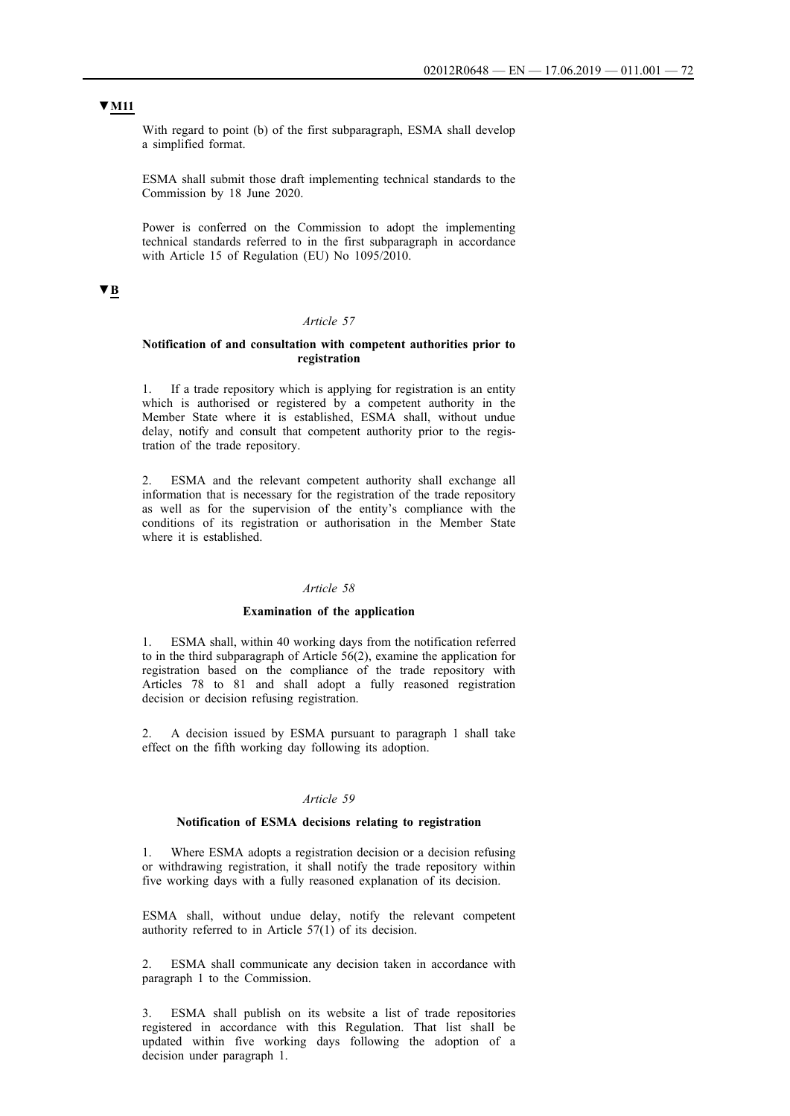## **▼M11**

With regard to point (b) of the first subparagraph, ESMA shall develop a simplified format.

ESMA shall submit those draft implementing technical standards to the Commission by 18 June 2020.

Power is conferred on the Commission to adopt the implementing technical standards referred to in the first subparagraph in accordance with Article 15 of Regulation (EU) No 1095/2010.

## **▼B**

#### *Article 57*

## **Notification of and consultation with competent authorities prior to registration**

1. If a trade repository which is applying for registration is an entity which is authorised or registered by a competent authority in the Member State where it is established, ESMA shall, without undue delay, notify and consult that competent authority prior to the registration of the trade repository.

2. ESMA and the relevant competent authority shall exchange all information that is necessary for the registration of the trade repository as well as for the supervision of the entity's compliance with the conditions of its registration or authorisation in the Member State where it is established.

### *Article 58*

#### **Examination of the application**

1. ESMA shall, within 40 working days from the notification referred to in the third subparagraph of Article 56(2), examine the application for registration based on the compliance of the trade repository with Articles 78 to 81 and shall adopt a fully reasoned registration decision or decision refusing registration.

2. A decision issued by ESMA pursuant to paragraph 1 shall take effect on the fifth working day following its adoption.

### *Article 59*

### **Notification of ESMA decisions relating to registration**

1. Where ESMA adopts a registration decision or a decision refusing or withdrawing registration, it shall notify the trade repository within five working days with a fully reasoned explanation of its decision.

ESMA shall, without undue delay, notify the relevant competent authority referred to in Article 57(1) of its decision.

2. ESMA shall communicate any decision taken in accordance with paragraph 1 to the Commission.

3. ESMA shall publish on its website a list of trade repositories registered in accordance with this Regulation. That list shall be updated within five working days following the adoption of a decision under paragraph 1.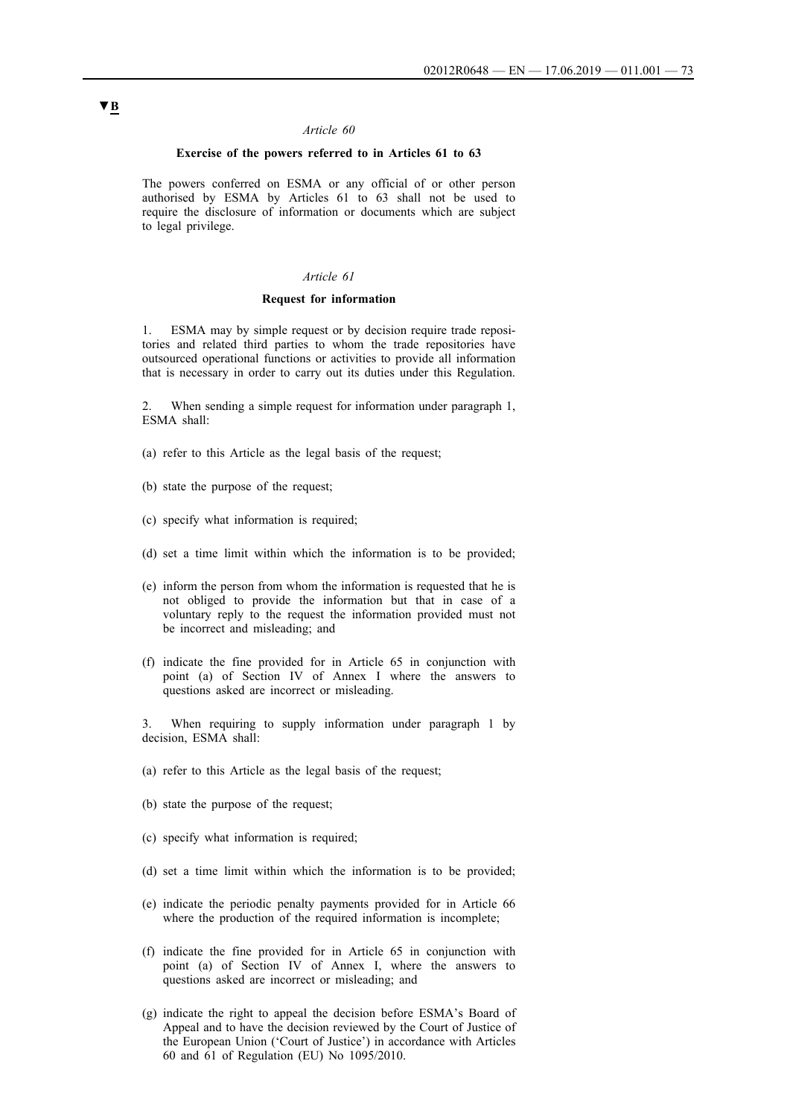#### *Article 60*

## **Exercise of the powers referred to in Articles 61 to 63**

The powers conferred on ESMA or any official of or other person authorised by ESMA by Articles 61 to 63 shall not be used to require the disclosure of information or documents which are subject to legal privilege.

## *Article 61*

# **Request for information**

1. ESMA may by simple request or by decision require trade repositories and related third parties to whom the trade repositories have outsourced operational functions or activities to provide all information that is necessary in order to carry out its duties under this Regulation.

2. When sending a simple request for information under paragraph 1, ESMA shall:

- (a) refer to this Article as the legal basis of the request;
- (b) state the purpose of the request;
- (c) specify what information is required;
- (d) set a time limit within which the information is to be provided;
- (e) inform the person from whom the information is requested that he is not obliged to provide the information but that in case of a voluntary reply to the request the information provided must not be incorrect and misleading; and
- (f) indicate the fine provided for in Article 65 in conjunction with point (a) of Section IV of Annex I where the answers to questions asked are incorrect or misleading.

3. When requiring to supply information under paragraph 1 by decision, ESMA shall:

- (a) refer to this Article as the legal basis of the request;
- (b) state the purpose of the request;
- (c) specify what information is required;
- (d) set a time limit within which the information is to be provided;
- (e) indicate the periodic penalty payments provided for in Article 66 where the production of the required information is incomplete;
- (f) indicate the fine provided for in Article 65 in conjunction with point (a) of Section IV of Annex I, where the answers to questions asked are incorrect or misleading; and
- (g) indicate the right to appeal the decision before ESMA's Board of Appeal and to have the decision reviewed by the Court of Justice of the European Union ('Court of Justice') in accordance with Articles 60 and 61 of Regulation (EU) No 1095/2010.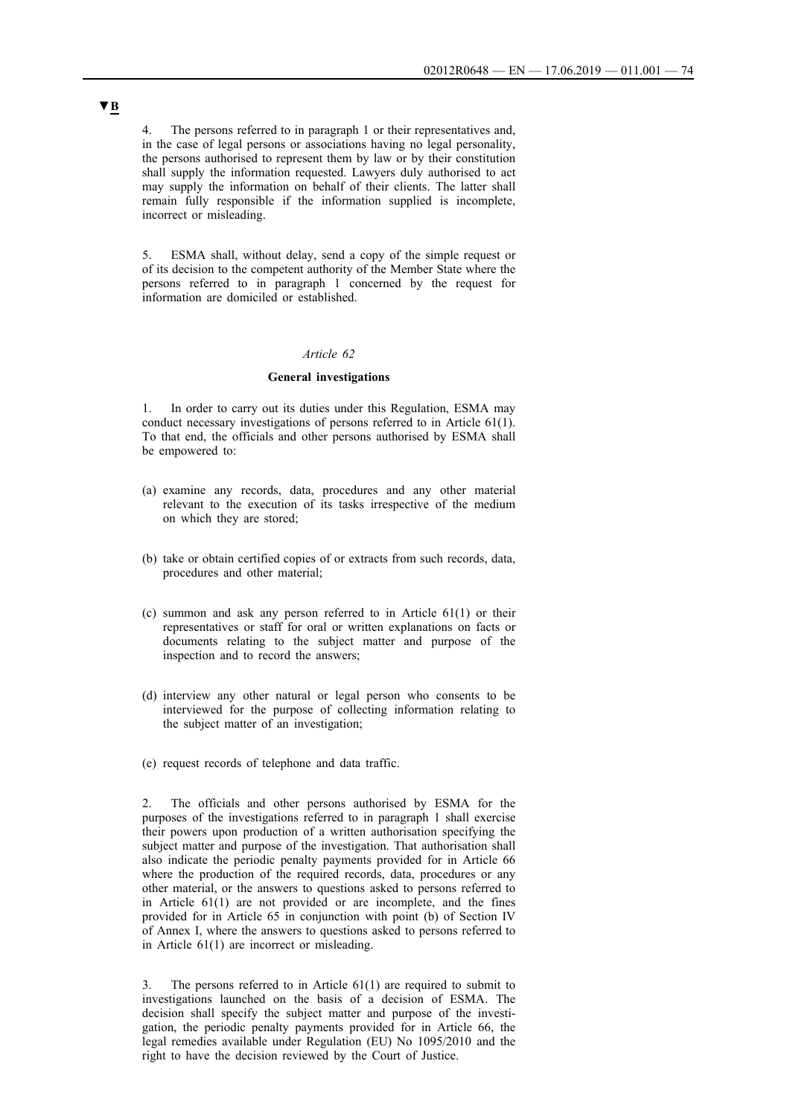4. The persons referred to in paragraph 1 or their representatives and, in the case of legal persons or associations having no legal personality, the persons authorised to represent them by law or by their constitution shall supply the information requested. Lawyers duly authorised to act may supply the information on behalf of their clients. The latter shall remain fully responsible if the information supplied is incomplete, incorrect or misleading.

5. ESMA shall, without delay, send a copy of the simple request or of its decision to the competent authority of the Member State where the persons referred to in paragraph 1 concerned by the request for information are domiciled or established.

## *Article 62*

## **General investigations**

In order to carry out its duties under this Regulation, ESMA may conduct necessary investigations of persons referred to in Article 61(1). To that end, the officials and other persons authorised by ESMA shall be empowered to:

- (a) examine any records, data, procedures and any other material relevant to the execution of its tasks irrespective of the medium on which they are stored;
- (b) take or obtain certified copies of or extracts from such records, data, procedures and other material;
- (c) summon and ask any person referred to in Article 61(1) or their representatives or staff for oral or written explanations on facts or documents relating to the subject matter and purpose of the inspection and to record the answers;
- (d) interview any other natural or legal person who consents to be interviewed for the purpose of collecting information relating to the subject matter of an investigation;
- (e) request records of telephone and data traffic.

2. The officials and other persons authorised by ESMA for the purposes of the investigations referred to in paragraph 1 shall exercise their powers upon production of a written authorisation specifying the subject matter and purpose of the investigation. That authorisation shall also indicate the periodic penalty payments provided for in Article 66 where the production of the required records, data, procedures or any other material, or the answers to questions asked to persons referred to in Article 61(1) are not provided or are incomplete, and the fines provided for in Article 65 in conjunction with point (b) of Section IV of Annex I, where the answers to questions asked to persons referred to in Article 61(1) are incorrect or misleading.

3. The persons referred to in Article 61(1) are required to submit to investigations launched on the basis of a decision of ESMA. The decision shall specify the subject matter and purpose of the investigation, the periodic penalty payments provided for in Article 66, the legal remedies available under Regulation (EU) No 1095/2010 and the right to have the decision reviewed by the Court of Justice.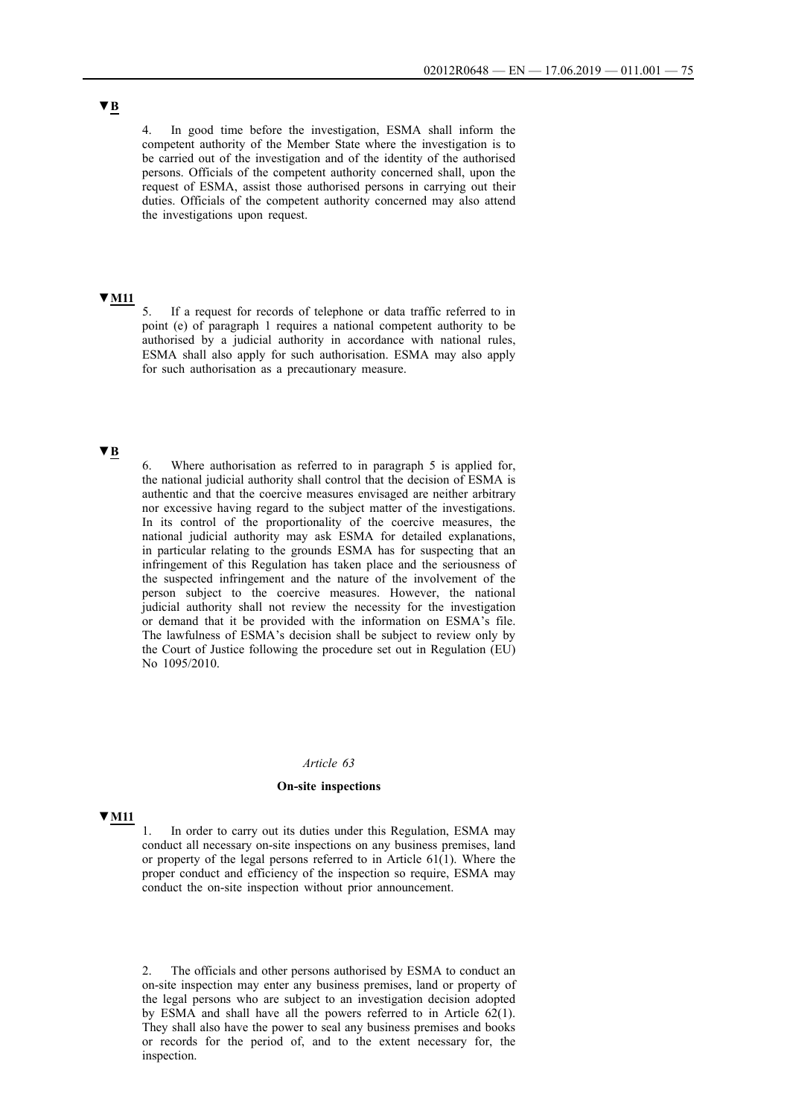4. In good time before the investigation, ESMA shall inform the competent authority of the Member State where the investigation is to be carried out of the investigation and of the identity of the authorised persons. Officials of the competent authority concerned shall, upon the request of ESMA, assist those authorised persons in carrying out their duties. Officials of the competent authority concerned may also attend the investigations upon request.

# **▼M11**

5. If a request for records of telephone or data traffic referred to in point (e) of paragraph 1 requires a national competent authority to be authorised by a judicial authority in accordance with national rules, ESMA shall also apply for such authorisation. ESMA may also apply for such authorisation as a precautionary measure.

# **▼B**

6. Where authorisation as referred to in paragraph 5 is applied for, the national judicial authority shall control that the decision of ESMA is authentic and that the coercive measures envisaged are neither arbitrary nor excessive having regard to the subject matter of the investigations. In its control of the proportionality of the coercive measures, the national judicial authority may ask ESMA for detailed explanations, in particular relating to the grounds ESMA has for suspecting that an infringement of this Regulation has taken place and the seriousness of the suspected infringement and the nature of the involvement of the person subject to the coercive measures. However, the national judicial authority shall not review the necessity for the investigation or demand that it be provided with the information on ESMA's file. The lawfulness of ESMA's decision shall be subject to review only by the Court of Justice following the procedure set out in Regulation (EU) No 1095/2010.

#### *Article 63*

### **On-site inspections**

# **▼M11**

1. In order to carry out its duties under this Regulation, ESMA may conduct all necessary on-site inspections on any business premises, land or property of the legal persons referred to in Article 61(1). Where the proper conduct and efficiency of the inspection so require, ESMA may conduct the on-site inspection without prior announcement.

The officials and other persons authorised by ESMA to conduct an on-site inspection may enter any business premises, land or property of the legal persons who are subject to an investigation decision adopted by ESMA and shall have all the powers referred to in Article 62(1). They shall also have the power to seal any business premises and books or records for the period of, and to the extent necessary for, the inspection.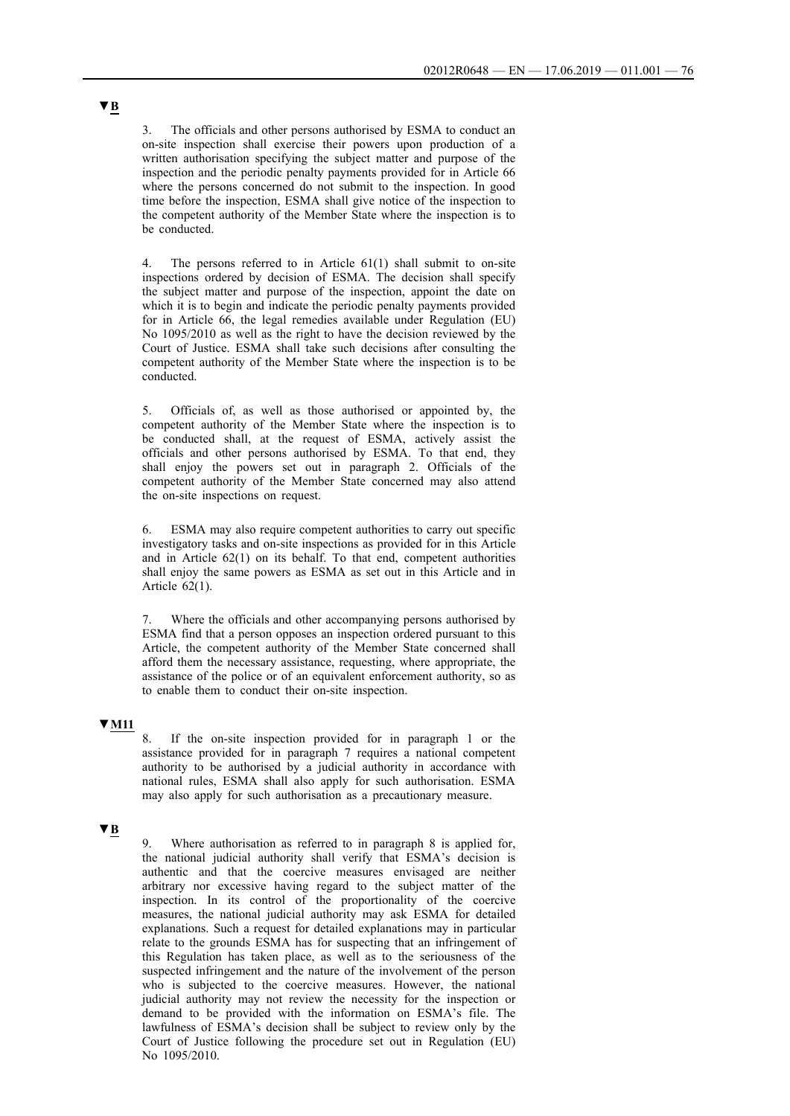3. The officials and other persons authorised by ESMA to conduct an on-site inspection shall exercise their powers upon production of a written authorisation specifying the subject matter and purpose of the inspection and the periodic penalty payments provided for in Article 66 where the persons concerned do not submit to the inspection. In good time before the inspection, ESMA shall give notice of the inspection to the competent authority of the Member State where the inspection is to be conducted.

4. The persons referred to in Article 61(1) shall submit to on-site inspections ordered by decision of ESMA. The decision shall specify the subject matter and purpose of the inspection, appoint the date on which it is to begin and indicate the periodic penalty payments provided for in Article 66, the legal remedies available under Regulation (EU) No 1095/2010 as well as the right to have the decision reviewed by the Court of Justice. ESMA shall take such decisions after consulting the competent authority of the Member State where the inspection is to be conducted.

5. Officials of, as well as those authorised or appointed by, the competent authority of the Member State where the inspection is to be conducted shall, at the request of ESMA, actively assist the officials and other persons authorised by ESMA. To that end, they shall enjoy the powers set out in paragraph 2. Officials of the competent authority of the Member State concerned may also attend the on-site inspections on request.

6. ESMA may also require competent authorities to carry out specific investigatory tasks and on-site inspections as provided for in this Article and in Article 62(1) on its behalf. To that end, competent authorities shall enjoy the same powers as ESMA as set out in this Article and in Article 62(1).

7. Where the officials and other accompanying persons authorised by ESMA find that a person opposes an inspection ordered pursuant to this Article, the competent authority of the Member State concerned shall afford them the necessary assistance, requesting, where appropriate, the assistance of the police or of an equivalent enforcement authority, so as to enable them to conduct their on-site inspection.

# **▼M11**

8. If the on-site inspection provided for in paragraph 1 or the assistance provided for in paragraph 7 requires a national competent authority to be authorised by a judicial authority in accordance with national rules, ESMA shall also apply for such authorisation. ESMA may also apply for such authorisation as a precautionary measure.

## **▼B**

9. Where authorisation as referred to in paragraph 8 is applied for, the national judicial authority shall verify that ESMA's decision is authentic and that the coercive measures envisaged are neither arbitrary nor excessive having regard to the subject matter of the inspection. In its control of the proportionality of the coercive measures, the national judicial authority may ask ESMA for detailed explanations. Such a request for detailed explanations may in particular relate to the grounds ESMA has for suspecting that an infringement of this Regulation has taken place, as well as to the seriousness of the suspected infringement and the nature of the involvement of the person who is subjected to the coercive measures. However, the national judicial authority may not review the necessity for the inspection or demand to be provided with the information on ESMA's file. The lawfulness of ESMA's decision shall be subject to review only by the Court of Justice following the procedure set out in Regulation (EU) No 1095/2010.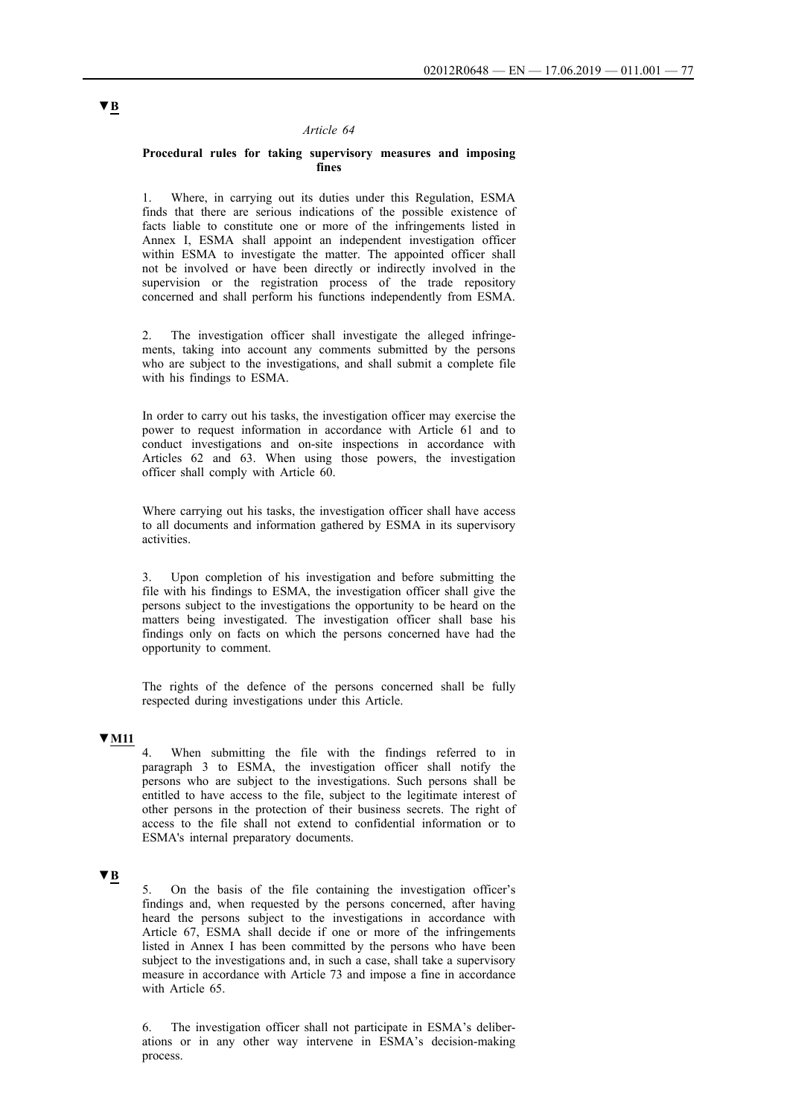### *Article 64*

### **Procedural rules for taking supervisory measures and imposing fines**

1. Where, in carrying out its duties under this Regulation, ESMA finds that there are serious indications of the possible existence of facts liable to constitute one or more of the infringements listed in Annex I, ESMA shall appoint an independent investigation officer within ESMA to investigate the matter. The appointed officer shall not be involved or have been directly or indirectly involved in the supervision or the registration process of the trade repository concerned and shall perform his functions independently from ESMA.

2. The investigation officer shall investigate the alleged infringements, taking into account any comments submitted by the persons who are subject to the investigations, and shall submit a complete file with his findings to ESMA.

In order to carry out his tasks, the investigation officer may exercise the power to request information in accordance with Article 61 and to conduct investigations and on-site inspections in accordance with Articles 62 and 63. When using those powers, the investigation officer shall comply with Article 60.

Where carrying out his tasks, the investigation officer shall have access to all documents and information gathered by ESMA in its supervisory activities.

3. Upon completion of his investigation and before submitting the file with his findings to ESMA, the investigation officer shall give the persons subject to the investigations the opportunity to be heard on the matters being investigated. The investigation officer shall base his findings only on facts on which the persons concerned have had the opportunity to comment.

The rights of the defence of the persons concerned shall be fully respected during investigations under this Article.

## **▼M11**

4. When submitting the file with the findings referred to in paragraph 3 to ESMA, the investigation officer shall notify the persons who are subject to the investigations. Such persons shall be entitled to have access to the file, subject to the legitimate interest of other persons in the protection of their business secrets. The right of access to the file shall not extend to confidential information or to ESMA's internal preparatory documents.

## **▼B**

5. On the basis of the file containing the investigation officer's findings and, when requested by the persons concerned, after having heard the persons subject to the investigations in accordance with Article 67, ESMA shall decide if one or more of the infringements listed in Annex I has been committed by the persons who have been subject to the investigations and, in such a case, shall take a supervisory measure in accordance with Article 73 and impose a fine in accordance with Article 65.

6. The investigation officer shall not participate in ESMA's deliberations or in any other way intervene in ESMA's decision-making process.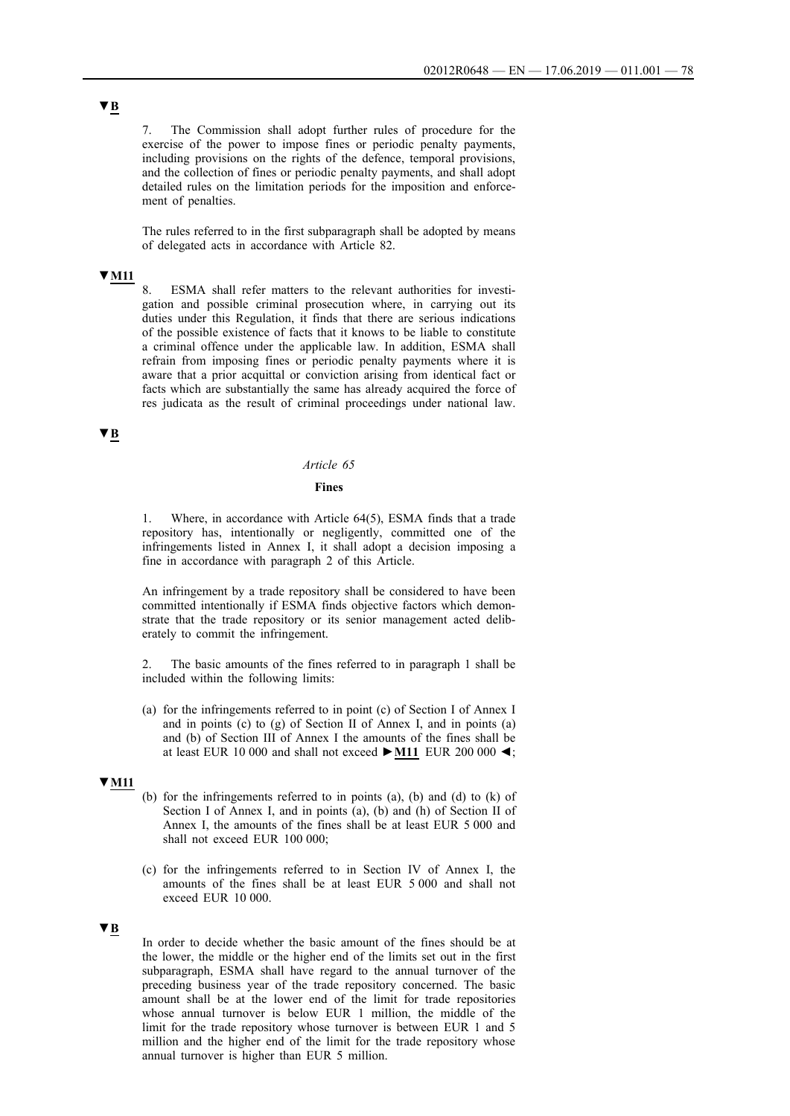7. The Commission shall adopt further rules of procedure for the exercise of the power to impose fines or periodic penalty payments, including provisions on the rights of the defence, temporal provisions, and the collection of fines or periodic penalty payments, and shall adopt detailed rules on the limitation periods for the imposition and enforcement of penalties.

The rules referred to in the first subparagraph shall be adopted by means of delegated acts in accordance with Article 82.

# **▼M11**

8. ESMA shall refer matters to the relevant authorities for investigation and possible criminal prosecution where, in carrying out its duties under this Regulation, it finds that there are serious indications of the possible existence of facts that it knows to be liable to constitute a criminal offence under the applicable law. In addition, ESMA shall refrain from imposing fines or periodic penalty payments where it is aware that a prior acquittal or conviction arising from identical fact or facts which are substantially the same has already acquired the force of res judicata as the result of criminal proceedings under national law.

## **▼B**

### *Article 65*

### **Fines**

1. Where, in accordance with Article 64(5), ESMA finds that a trade repository has, intentionally or negligently, committed one of the infringements listed in Annex I, it shall adopt a decision imposing a fine in accordance with paragraph 2 of this Article.

An infringement by a trade repository shall be considered to have been committed intentionally if ESMA finds objective factors which demonstrate that the trade repository or its senior management acted deliberately to commit the infringement.

2. The basic amounts of the fines referred to in paragraph 1 shall be included within the following limits:

(a) for the infringements referred to in point (c) of Section I of Annex I and in points (c) to (g) of Section II of Annex I, and in points (a) and (b) of Section III of Annex I the amounts of the fines shall be at least EUR 10 000 and shall not exceed **►M11** EUR 200 000 ◄;

## **▼M11**

- (b) for the infringements referred to in points (a), (b) and (d) to (k) of Section I of Annex I, and in points (a), (b) and (h) of Section II of Annex I, the amounts of the fines shall be at least EUR 5 000 and shall not exceed EUR 100 000;
- (c) for the infringements referred to in Section IV of Annex I, the amounts of the fines shall be at least EUR 5 000 and shall not exceed EUR 10 000.

## **▼B**

In order to decide whether the basic amount of the fines should be at the lower, the middle or the higher end of the limits set out in the first subparagraph, ESMA shall have regard to the annual turnover of the preceding business year of the trade repository concerned. The basic amount shall be at the lower end of the limit for trade repositories whose annual turnover is below EUR 1 million, the middle of the limit for the trade repository whose turnover is between EUR 1 and 5 million and the higher end of the limit for the trade repository whose annual turnover is higher than EUR 5 million.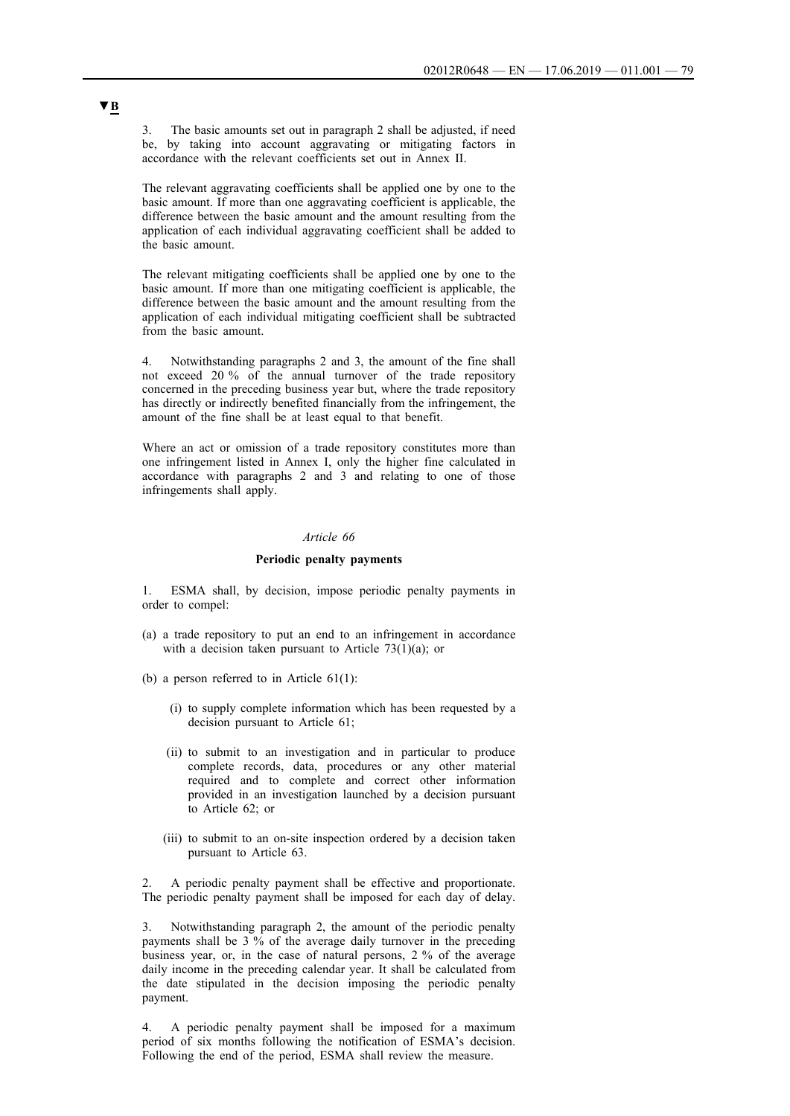3. The basic amounts set out in paragraph 2 shall be adjusted, if need be, by taking into account aggravating or mitigating factors in accordance with the relevant coefficients set out in Annex II.

The relevant aggravating coefficients shall be applied one by one to the basic amount. If more than one aggravating coefficient is applicable, the difference between the basic amount and the amount resulting from the application of each individual aggravating coefficient shall be added to the basic amount.

The relevant mitigating coefficients shall be applied one by one to the basic amount. If more than one mitigating coefficient is applicable, the difference between the basic amount and the amount resulting from the application of each individual mitigating coefficient shall be subtracted from the basic amount.

4. Notwithstanding paragraphs 2 and 3, the amount of the fine shall not exceed 20 % of the annual turnover of the trade repository concerned in the preceding business year but, where the trade repository has directly or indirectly benefited financially from the infringement, the amount of the fine shall be at least equal to that benefit.

Where an act or omission of a trade repository constitutes more than one infringement listed in Annex I, only the higher fine calculated in accordance with paragraphs 2 and 3 and relating to one of those infringements shall apply.

#### *Article 66*

### **Periodic penalty payments**

1. ESMA shall, by decision, impose periodic penalty payments in order to compel:

- (a) a trade repository to put an end to an infringement in accordance with a decision taken pursuant to Article 73(1)(a); or
- (b) a person referred to in Article  $61(1)$ :
	- (i) to supply complete information which has been requested by a decision pursuant to Article 61;
	- (ii) to submit to an investigation and in particular to produce complete records, data, procedures or any other material required and to complete and correct other information provided in an investigation launched by a decision pursuant to Article 62; or
	- (iii) to submit to an on-site inspection ordered by a decision taken pursuant to Article 63.

2. A periodic penalty payment shall be effective and proportionate. The periodic penalty payment shall be imposed for each day of delay.

3. Notwithstanding paragraph 2, the amount of the periodic penalty payments shall be 3 % of the average daily turnover in the preceding business year, or, in the case of natural persons, 2 % of the average daily income in the preceding calendar year. It shall be calculated from the date stipulated in the decision imposing the periodic penalty payment.

4. A periodic penalty payment shall be imposed for a maximum period of six months following the notification of ESMA's decision. Following the end of the period, ESMA shall review the measure.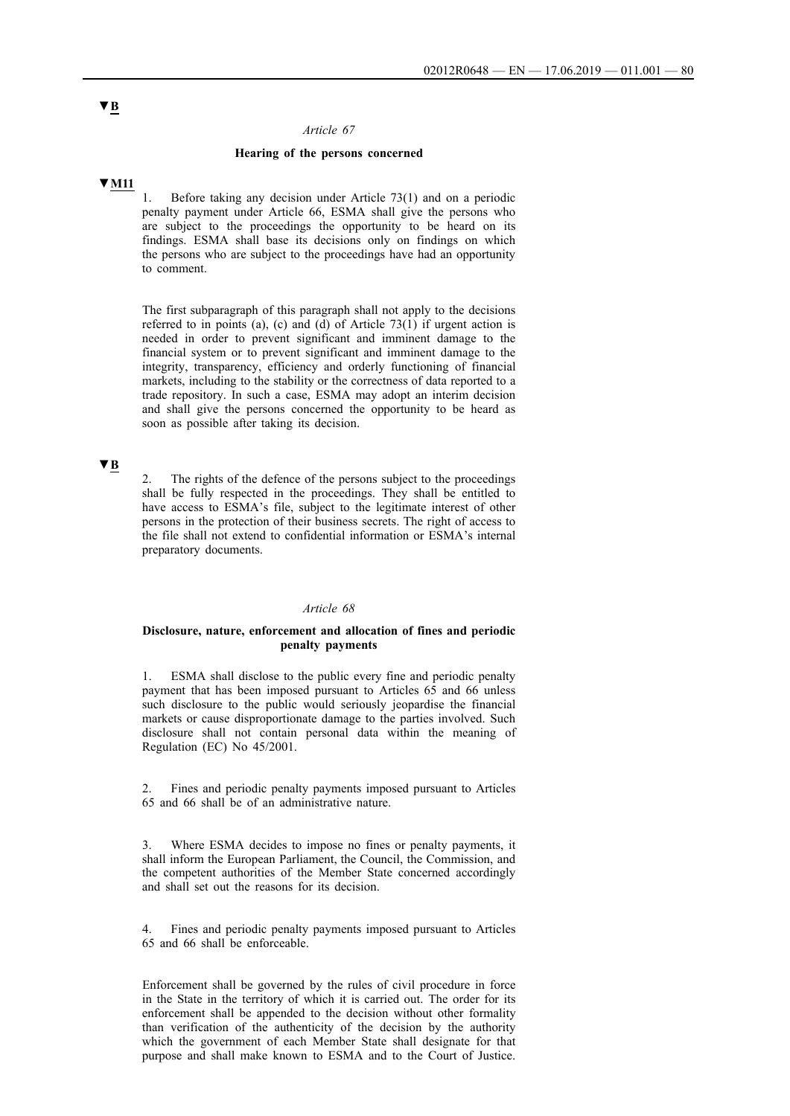#### *Article 67*

### **Hearing of the persons concerned**

### **▼M11**

1. Before taking any decision under Article 73(1) and on a periodic penalty payment under Article 66, ESMA shall give the persons who are subject to the proceedings the opportunity to be heard on its findings. ESMA shall base its decisions only on findings on which the persons who are subject to the proceedings have had an opportunity to comment.

The first subparagraph of this paragraph shall not apply to the decisions referred to in points (a), (c) and (d) of Article  $73(1)$  if urgent action is needed in order to prevent significant and imminent damage to the financial system or to prevent significant and imminent damage to the integrity, transparency, efficiency and orderly functioning of financial markets, including to the stability or the correctness of data reported to a trade repository. In such a case, ESMA may adopt an interim decision and shall give the persons concerned the opportunity to be heard as soon as possible after taking its decision.

## **▼B**

2. The rights of the defence of the persons subject to the proceedings shall be fully respected in the proceedings. They shall be entitled to have access to ESMA's file, subject to the legitimate interest of other persons in the protection of their business secrets. The right of access to the file shall not extend to confidential information or ESMA's internal preparatory documents.

## *Article 68*

## **Disclosure, nature, enforcement and allocation of fines and periodic penalty payments**

ESMA shall disclose to the public every fine and periodic penalty payment that has been imposed pursuant to Articles 65 and 66 unless such disclosure to the public would seriously jeopardise the financial markets or cause disproportionate damage to the parties involved. Such disclosure shall not contain personal data within the meaning of Regulation (EC) No 45/2001.

2. Fines and periodic penalty payments imposed pursuant to Articles 65 and 66 shall be of an administrative nature.

3. Where ESMA decides to impose no fines or penalty payments, it shall inform the European Parliament, the Council, the Commission, and the competent authorities of the Member State concerned accordingly and shall set out the reasons for its decision.

4. Fines and periodic penalty payments imposed pursuant to Articles 65 and 66 shall be enforceable.

Enforcement shall be governed by the rules of civil procedure in force in the State in the territory of which it is carried out. The order for its enforcement shall be appended to the decision without other formality than verification of the authenticity of the decision by the authority which the government of each Member State shall designate for that purpose and shall make known to ESMA and to the Court of Justice.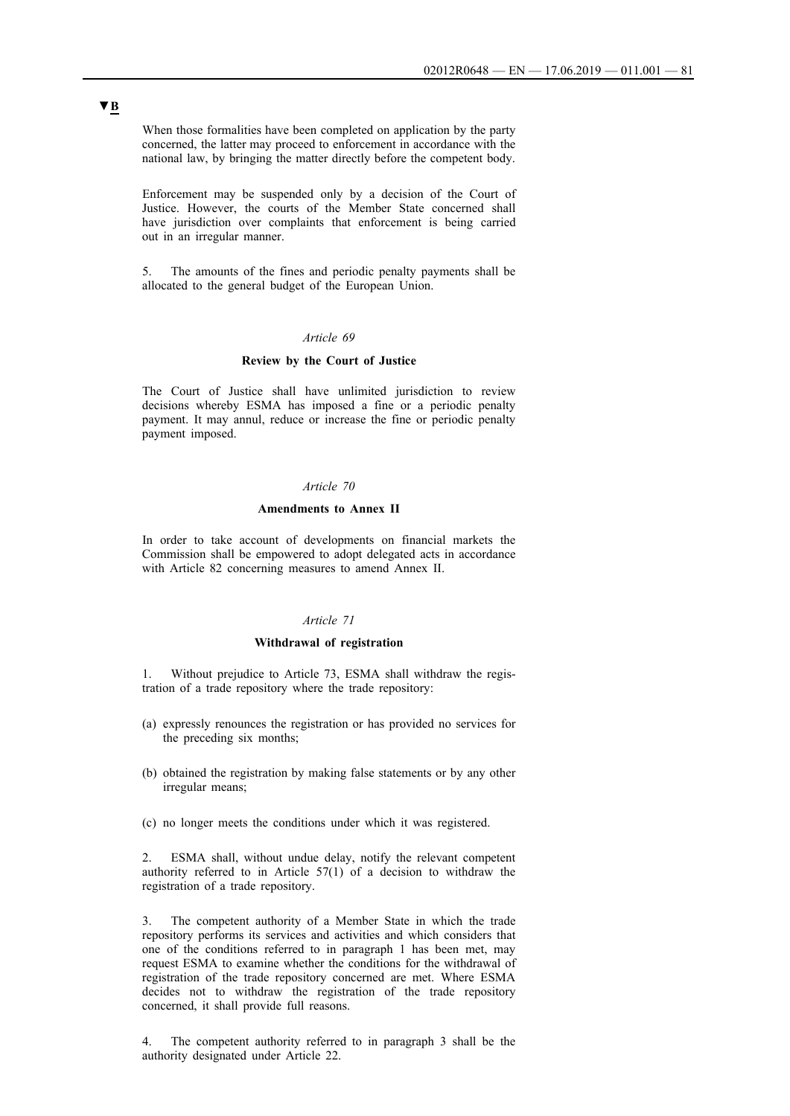When those formalities have been completed on application by the party concerned, the latter may proceed to enforcement in accordance with the national law, by bringing the matter directly before the competent body.

Enforcement may be suspended only by a decision of the Court of Justice. However, the courts of the Member State concerned shall have jurisdiction over complaints that enforcement is being carried out in an irregular manner.

5. The amounts of the fines and periodic penalty payments shall be allocated to the general budget of the European Union.

#### *Article 69*

### **Review by the Court of Justice**

The Court of Justice shall have unlimited jurisdiction to review decisions whereby ESMA has imposed a fine or a periodic penalty payment. It may annul, reduce or increase the fine or periodic penalty payment imposed.

## *Article 70*

#### **Amendments to Annex II**

In order to take account of developments on financial markets the Commission shall be empowered to adopt delegated acts in accordance with Article 82 concerning measures to amend Annex II.

#### *Article 71*

#### **Withdrawal of registration**

1. Without prejudice to Article 73, ESMA shall withdraw the registration of a trade repository where the trade repository:

- (a) expressly renounces the registration or has provided no services for the preceding six months;
- (b) obtained the registration by making false statements or by any other irregular means;
- (c) no longer meets the conditions under which it was registered.

2. ESMA shall, without undue delay, notify the relevant competent authority referred to in Article 57(1) of a decision to withdraw the registration of a trade repository.

3. The competent authority of a Member State in which the trade repository performs its services and activities and which considers that one of the conditions referred to in paragraph 1 has been met, may request ESMA to examine whether the conditions for the withdrawal of registration of the trade repository concerned are met. Where ESMA decides not to withdraw the registration of the trade repository concerned, it shall provide full reasons.

4. The competent authority referred to in paragraph 3 shall be the authority designated under Article 22.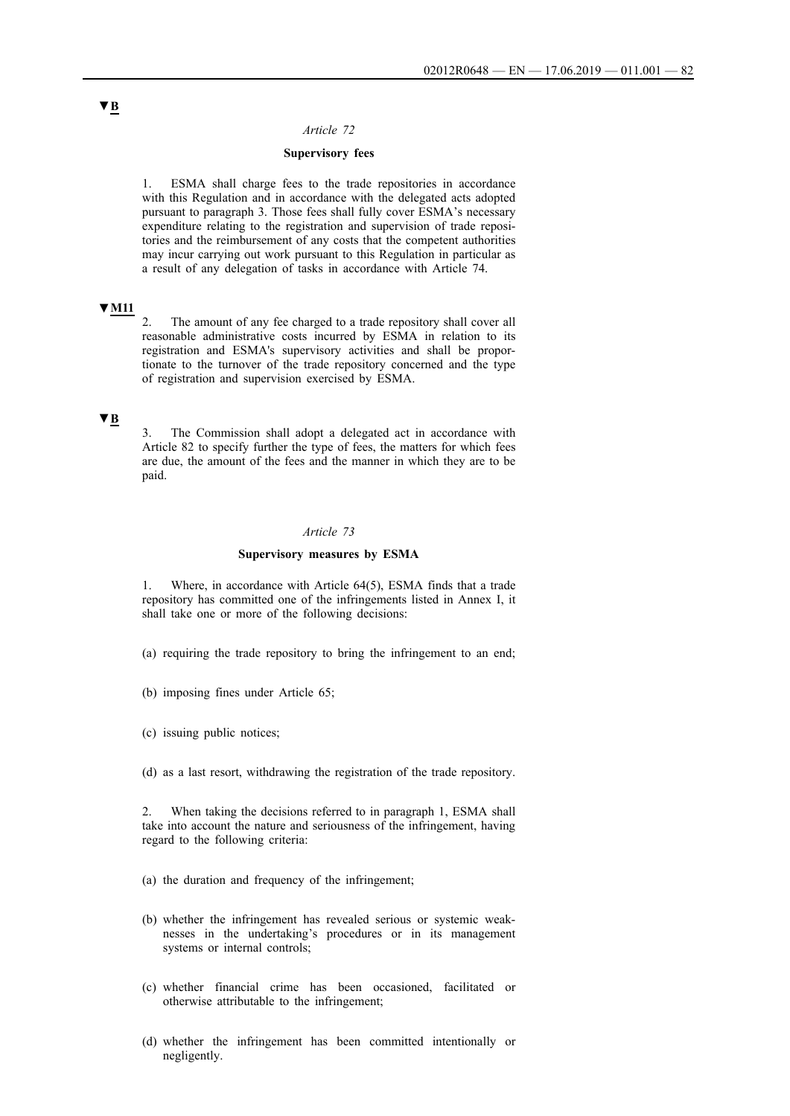## *Article 72*

## **Supervisory fees**

1. ESMA shall charge fees to the trade repositories in accordance with this Regulation and in accordance with the delegated acts adopted pursuant to paragraph 3. Those fees shall fully cover ESMA's necessary expenditure relating to the registration and supervision of trade repositories and the reimbursement of any costs that the competent authorities may incur carrying out work pursuant to this Regulation in particular as a result of any delegation of tasks in accordance with Article 74.

## **▼M11**

2. The amount of any fee charged to a trade repository shall cover all reasonable administrative costs incurred by ESMA in relation to its registration and ESMA's supervisory activities and shall be proportionate to the turnover of the trade repository concerned and the type of registration and supervision exercised by ESMA.

# **▼B**

3. The Commission shall adopt a delegated act in accordance with Article 82 to specify further the type of fees, the matters for which fees are due, the amount of the fees and the manner in which they are to be paid.

#### *Article 73*

#### **Supervisory measures by ESMA**

1. Where, in accordance with Article 64(5), ESMA finds that a trade repository has committed one of the infringements listed in Annex I, it shall take one or more of the following decisions:

- (a) requiring the trade repository to bring the infringement to an end;
- (b) imposing fines under Article 65;
- (c) issuing public notices;

(d) as a last resort, withdrawing the registration of the trade repository.

2. When taking the decisions referred to in paragraph 1, ESMA shall take into account the nature and seriousness of the infringement, having regard to the following criteria:

- (a) the duration and frequency of the infringement;
- (b) whether the infringement has revealed serious or systemic weaknesses in the undertaking's procedures or in its management systems or internal controls;
- (c) whether financial crime has been occasioned, facilitated or otherwise attributable to the infringement;
- (d) whether the infringement has been committed intentionally or negligently.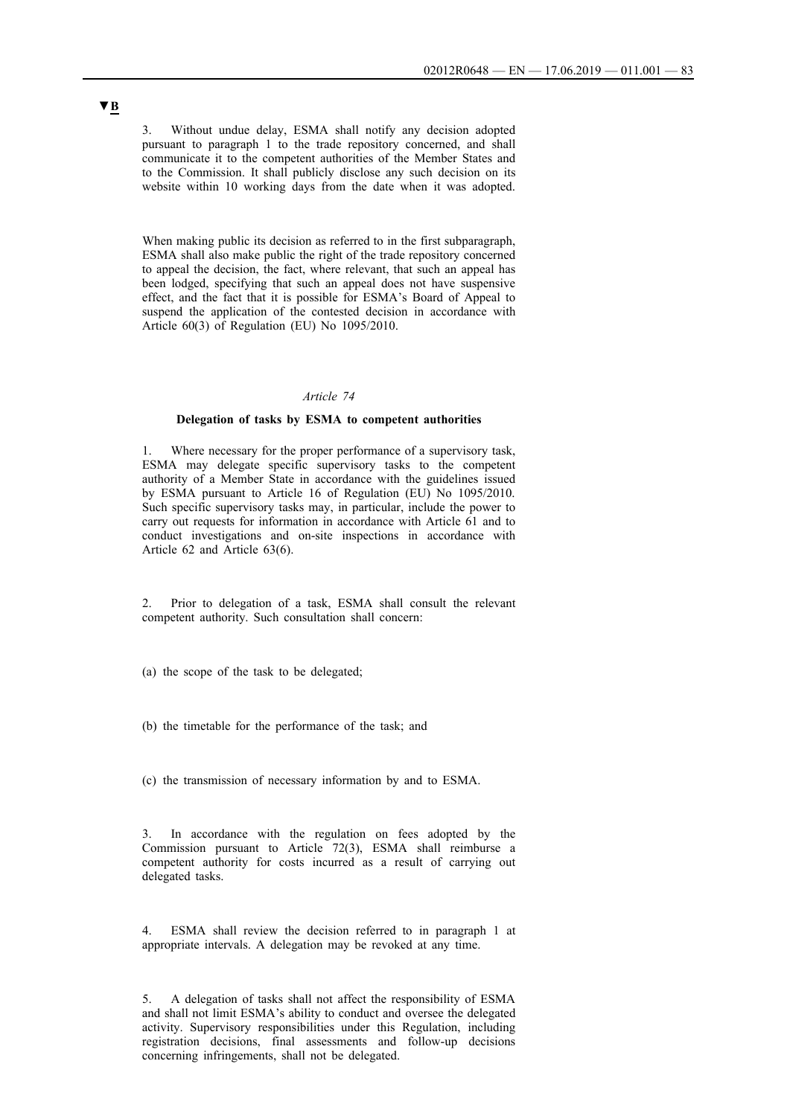3. Without undue delay, ESMA shall notify any decision adopted pursuant to paragraph 1 to the trade repository concerned, and shall communicate it to the competent authorities of the Member States and to the Commission. It shall publicly disclose any such decision on its website within 10 working days from the date when it was adopted.

When making public its decision as referred to in the first subparagraph, ESMA shall also make public the right of the trade repository concerned to appeal the decision, the fact, where relevant, that such an appeal has been lodged, specifying that such an appeal does not have suspensive effect, and the fact that it is possible for ESMA's Board of Appeal to suspend the application of the contested decision in accordance with Article 60(3) of Regulation (EU) No 1095/2010.

## *Article 74*

### **Delegation of tasks by ESMA to competent authorities**

Where necessary for the proper performance of a supervisory task, ESMA may delegate specific supervisory tasks to the competent authority of a Member State in accordance with the guidelines issued by ESMA pursuant to Article 16 of Regulation (EU) No 1095/2010. Such specific supervisory tasks may, in particular, include the power to carry out requests for information in accordance with Article 61 and to conduct investigations and on-site inspections in accordance with Article 62 and Article 63(6).

2. Prior to delegation of a task, ESMA shall consult the relevant competent authority. Such consultation shall concern:

(a) the scope of the task to be delegated;

(b) the timetable for the performance of the task; and

(c) the transmission of necessary information by and to ESMA.

3. In accordance with the regulation on fees adopted by the Commission pursuant to Article 72(3), ESMA shall reimburse a competent authority for costs incurred as a result of carrying out delegated tasks.

4. ESMA shall review the decision referred to in paragraph 1 at appropriate intervals. A delegation may be revoked at any time.

5. A delegation of tasks shall not affect the responsibility of ESMA and shall not limit ESMA's ability to conduct and oversee the delegated activity. Supervisory responsibilities under this Regulation, including registration decisions, final assessments and follow-up decisions concerning infringements, shall not be delegated.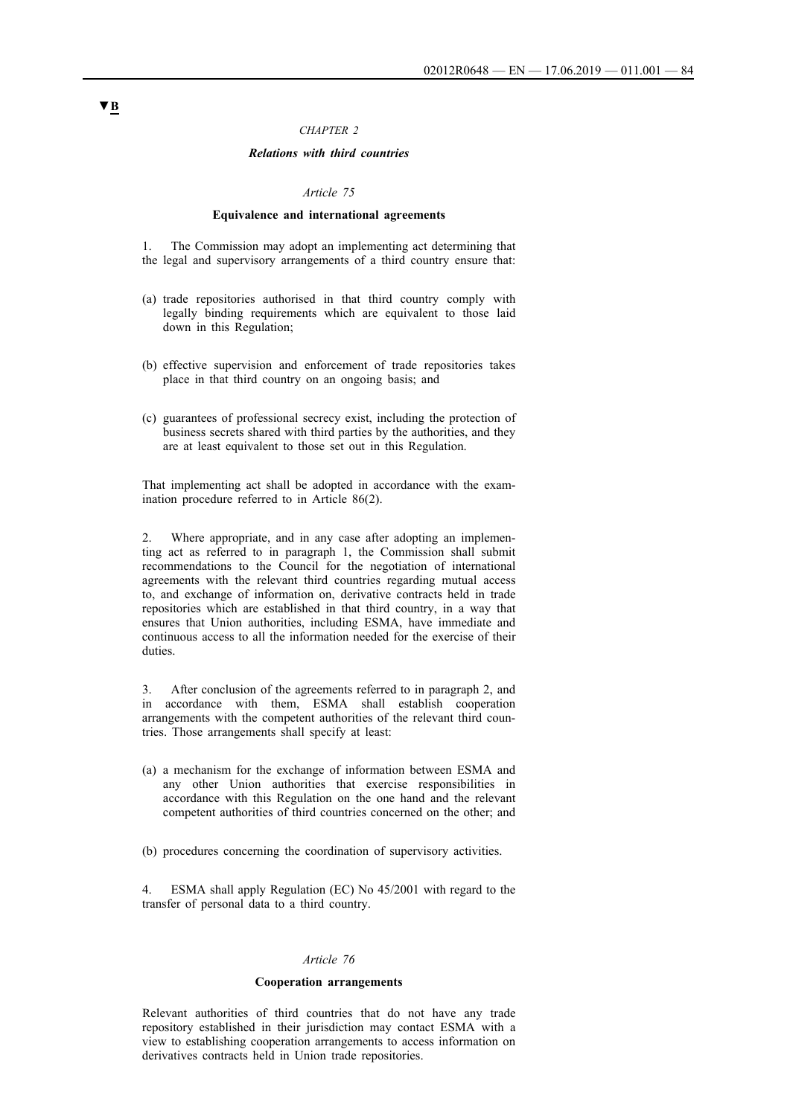### *CHAPTER 2*

### *Relations with third countries*

#### *Article 75*

### **Equivalence and international agreements**

1. The Commission may adopt an implementing act determining that the legal and supervisory arrangements of a third country ensure that:

- (a) trade repositories authorised in that third country comply with legally binding requirements which are equivalent to those laid down in this Regulation;
- (b) effective supervision and enforcement of trade repositories takes place in that third country on an ongoing basis; and
- (c) guarantees of professional secrecy exist, including the protection of business secrets shared with third parties by the authorities, and they are at least equivalent to those set out in this Regulation.

That implementing act shall be adopted in accordance with the examination procedure referred to in Article 86(2).

2. Where appropriate, and in any case after adopting an implementing act as referred to in paragraph 1, the Commission shall submit recommendations to the Council for the negotiation of international agreements with the relevant third countries regarding mutual access to, and exchange of information on, derivative contracts held in trade repositories which are established in that third country, in a way that ensures that Union authorities, including ESMA, have immediate and continuous access to all the information needed for the exercise of their duties.

3. After conclusion of the agreements referred to in paragraph 2, and in accordance with them, ESMA shall establish cooperation arrangements with the competent authorities of the relevant third countries. Those arrangements shall specify at least:

- (a) a mechanism for the exchange of information between ESMA and any other Union authorities that exercise responsibilities in accordance with this Regulation on the one hand and the relevant competent authorities of third countries concerned on the other; and
- (b) procedures concerning the coordination of supervisory activities.

4. ESMA shall apply Regulation (EC) No 45/2001 with regard to the transfer of personal data to a third country.

#### *Article 76*

#### **Cooperation arrangements**

Relevant authorities of third countries that do not have any trade repository established in their jurisdiction may contact ESMA with a view to establishing cooperation arrangements to access information on derivatives contracts held in Union trade repositories.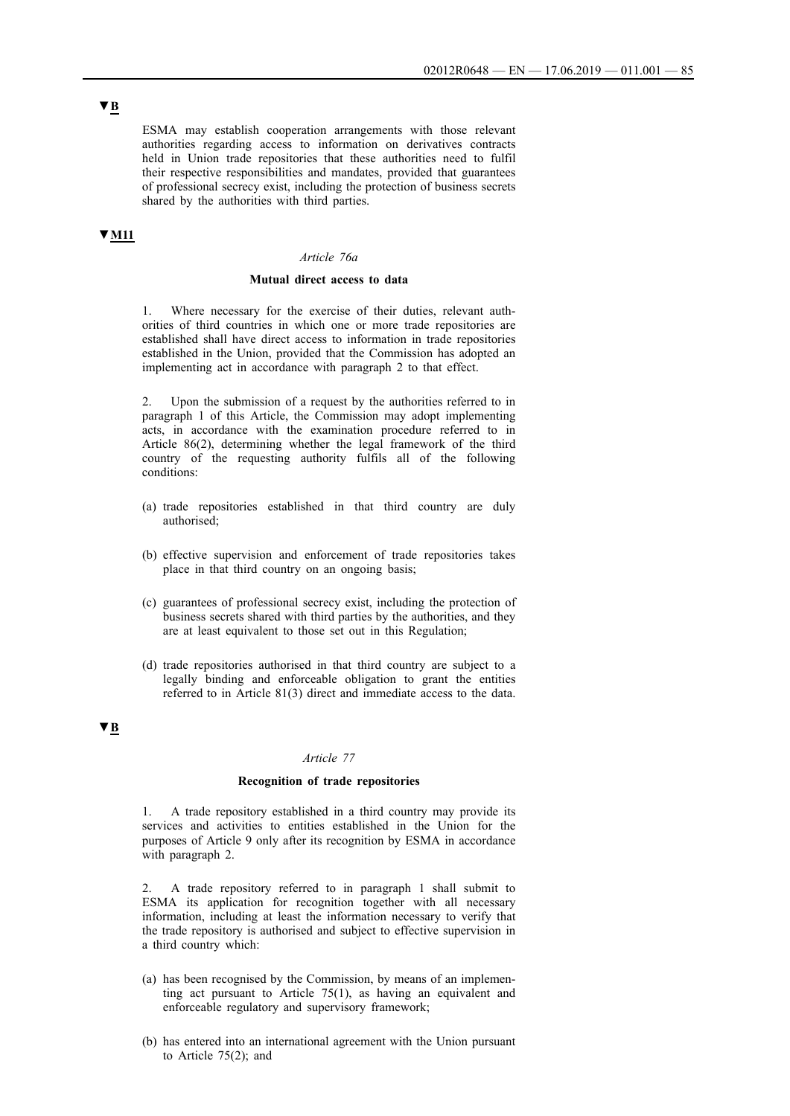ESMA may establish cooperation arrangements with those relevant authorities regarding access to information on derivatives contracts held in Union trade repositories that these authorities need to fulfil their respective responsibilities and mandates, provided that guarantees of professional secrecy exist, including the protection of business secrets shared by the authorities with third parties.

## **▼M11**

## *Article 76a*

## **Mutual direct access to data**

1. Where necessary for the exercise of their duties, relevant authorities of third countries in which one or more trade repositories are established shall have direct access to information in trade repositories established in the Union, provided that the Commission has adopted an implementing act in accordance with paragraph 2 to that effect.

2. Upon the submission of a request by the authorities referred to in paragraph 1 of this Article, the Commission may adopt implementing acts, in accordance with the examination procedure referred to in Article 86(2), determining whether the legal framework of the third country of the requesting authority fulfils all of the following conditions:

- (a) trade repositories established in that third country are duly authorised;
- (b) effective supervision and enforcement of trade repositories takes place in that third country on an ongoing basis;
- (c) guarantees of professional secrecy exist, including the protection of business secrets shared with third parties by the authorities, and they are at least equivalent to those set out in this Regulation;
- (d) trade repositories authorised in that third country are subject to a legally binding and enforceable obligation to grant the entities referred to in Article 81(3) direct and immediate access to the data.

# **▼B**

### *Article 77*

### **Recognition of trade repositories**

1. A trade repository established in a third country may provide its services and activities to entities established in the Union for the purposes of Article 9 only after its recognition by ESMA in accordance with paragraph 2.

2. A trade repository referred to in paragraph 1 shall submit to ESMA its application for recognition together with all necessary information, including at least the information necessary to verify that the trade repository is authorised and subject to effective supervision in a third country which:

- (a) has been recognised by the Commission, by means of an implementing act pursuant to Article 75(1), as having an equivalent and enforceable regulatory and supervisory framework;
- (b) has entered into an international agreement with the Union pursuant to Article 75(2); and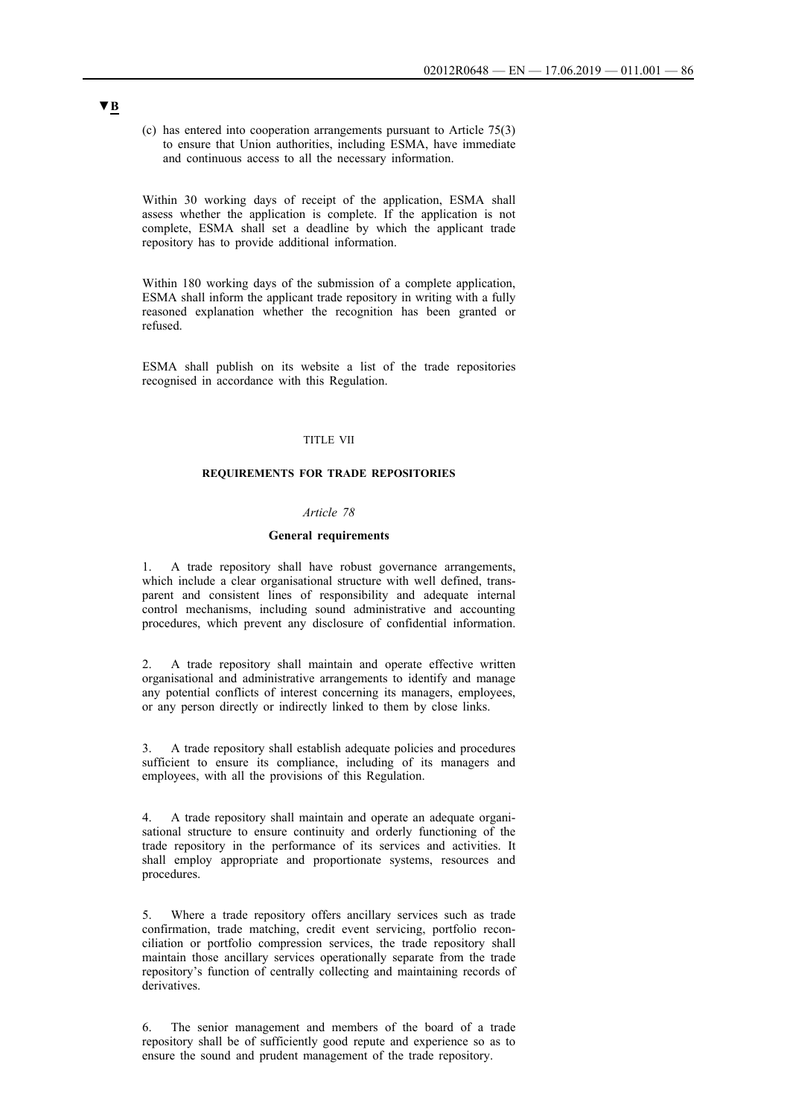(c) has entered into cooperation arrangements pursuant to Article 75(3) to ensure that Union authorities, including ESMA, have immediate and continuous access to all the necessary information.

Within 30 working days of receipt of the application, ESMA shall assess whether the application is complete. If the application is not complete, ESMA shall set a deadline by which the applicant trade repository has to provide additional information.

Within 180 working days of the submission of a complete application, ESMA shall inform the applicant trade repository in writing with a fully reasoned explanation whether the recognition has been granted or refused.

ESMA shall publish on its website a list of the trade repositories recognised in accordance with this Regulation.

### TITLE VII

## **REQUIREMENTS FOR TRADE REPOSITORIES**

#### *Article 78*

### **General requirements**

1. A trade repository shall have robust governance arrangements, which include a clear organisational structure with well defined, transparent and consistent lines of responsibility and adequate internal control mechanisms, including sound administrative and accounting procedures, which prevent any disclosure of confidential information.

2. A trade repository shall maintain and operate effective written organisational and administrative arrangements to identify and manage any potential conflicts of interest concerning its managers, employees, or any person directly or indirectly linked to them by close links.

3. A trade repository shall establish adequate policies and procedures sufficient to ensure its compliance, including of its managers and employees, with all the provisions of this Regulation.

4. A trade repository shall maintain and operate an adequate organisational structure to ensure continuity and orderly functioning of the trade repository in the performance of its services and activities. It shall employ appropriate and proportionate systems, resources and procedures.

5. Where a trade repository offers ancillary services such as trade confirmation, trade matching, credit event servicing, portfolio reconciliation or portfolio compression services, the trade repository shall maintain those ancillary services operationally separate from the trade repository's function of centrally collecting and maintaining records of derivatives.

6. The senior management and members of the board of a trade repository shall be of sufficiently good repute and experience so as to ensure the sound and prudent management of the trade repository.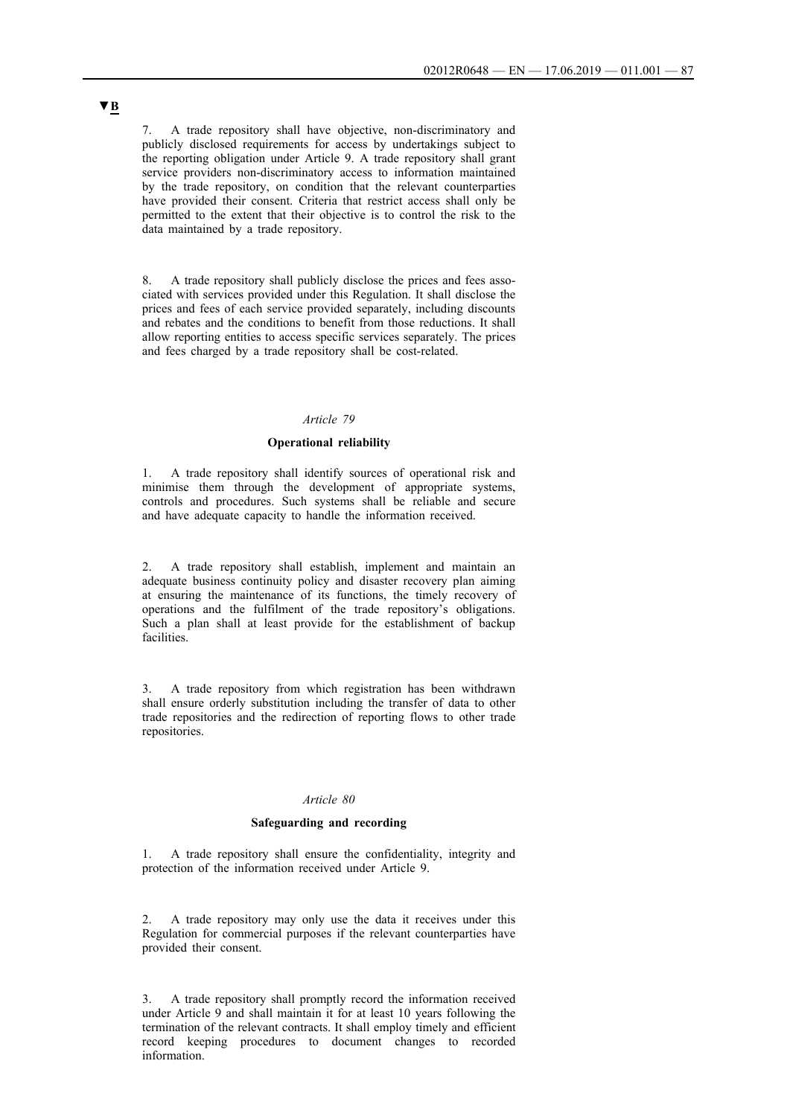7. A trade repository shall have objective, non-discriminatory and publicly disclosed requirements for access by undertakings subject to the reporting obligation under Article 9. A trade repository shall grant service providers non-discriminatory access to information maintained by the trade repository, on condition that the relevant counterparties have provided their consent. Criteria that restrict access shall only be permitted to the extent that their objective is to control the risk to the data maintained by a trade repository.

8. A trade repository shall publicly disclose the prices and fees associated with services provided under this Regulation. It shall disclose the prices and fees of each service provided separately, including discounts and rebates and the conditions to benefit from those reductions. It shall allow reporting entities to access specific services separately. The prices and fees charged by a trade repository shall be cost-related.

### *Article 79*

### **Operational reliability**

1. A trade repository shall identify sources of operational risk and minimise them through the development of appropriate systems, controls and procedures. Such systems shall be reliable and secure and have adequate capacity to handle the information received.

2. A trade repository shall establish, implement and maintain an adequate business continuity policy and disaster recovery plan aiming at ensuring the maintenance of its functions, the timely recovery of operations and the fulfilment of the trade repository's obligations. Such a plan shall at least provide for the establishment of backup facilities.

3. A trade repository from which registration has been withdrawn shall ensure orderly substitution including the transfer of data to other trade repositories and the redirection of reporting flows to other trade repositories.

#### *Article 80*

## **Safeguarding and recording**

1. A trade repository shall ensure the confidentiality, integrity and protection of the information received under Article 9.

2. A trade repository may only use the data it receives under this Regulation for commercial purposes if the relevant counterparties have provided their consent.

3. A trade repository shall promptly record the information received under Article 9 and shall maintain it for at least 10 years following the termination of the relevant contracts. It shall employ timely and efficient record keeping procedures to document changes to recorded information.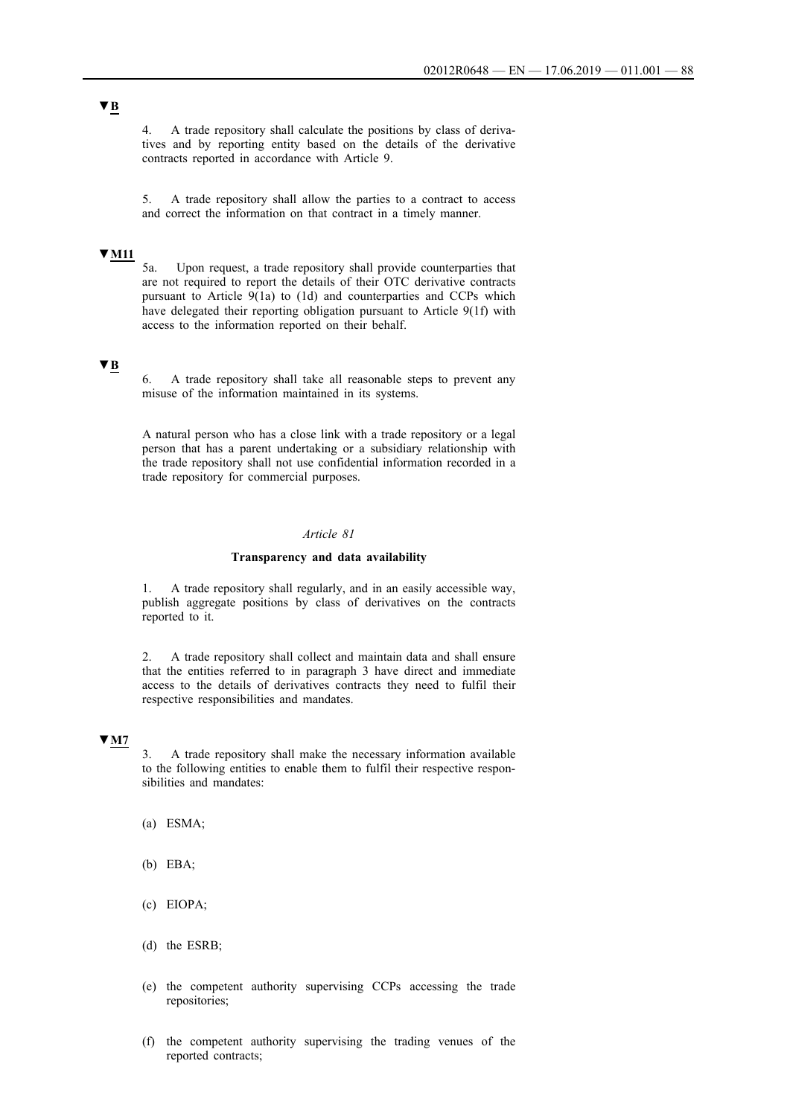4. A trade repository shall calculate the positions by class of derivatives and by reporting entity based on the details of the derivative contracts reported in accordance with Article 9.

5. A trade repository shall allow the parties to a contract to access and correct the information on that contract in a timely manner.

# **▼M11**

5a. Upon request, a trade repository shall provide counterparties that are not required to report the details of their OTC derivative contracts pursuant to Article 9(1a) to (1d) and counterparties and CCPs which have delegated their reporting obligation pursuant to Article 9(1f) with access to the information reported on their behalf.

## **▼B**

6. A trade repository shall take all reasonable steps to prevent any misuse of the information maintained in its systems.

A natural person who has a close link with a trade repository or a legal person that has a parent undertaking or a subsidiary relationship with the trade repository shall not use confidential information recorded in a trade repository for commercial purposes.

### *Article 81*

### **Transparency and data availability**

1. A trade repository shall regularly, and in an easily accessible way, publish aggregate positions by class of derivatives on the contracts reported to it.

2. A trade repository shall collect and maintain data and shall ensure that the entities referred to in paragraph 3 have direct and immediate access to the details of derivatives contracts they need to fulfil their respective responsibilities and mandates.

## **▼M7**

3. A trade repository shall make the necessary information available to the following entities to enable them to fulfil their respective responsibilities and mandates:

- (a) ESMA;
- (b) EBA;
- (c) EIOPA;
- (d) the ESRB;
- (e) the competent authority supervising CCPs accessing the trade repositories;
- (f) the competent authority supervising the trading venues of the reported contracts;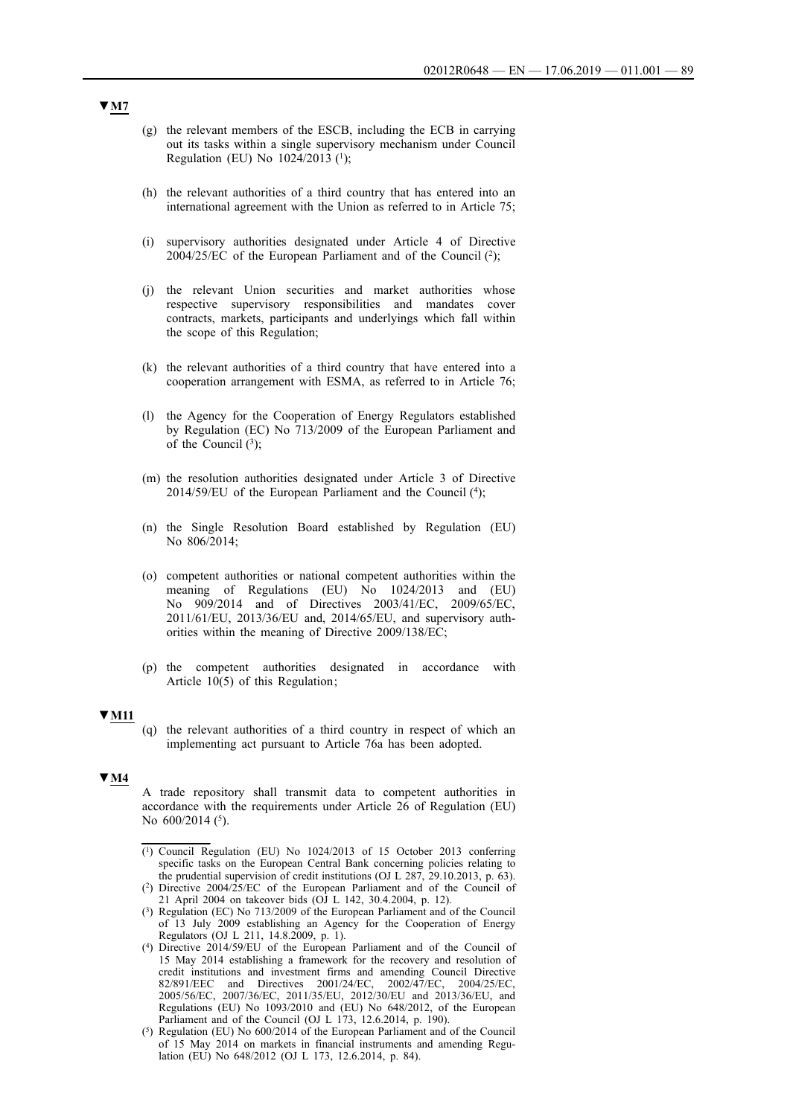- (g) the relevant members of the ESCB, including the ECB in carrying out its tasks within a single supervisory mechanism under Council Regulation (EU) No 1024/2013 (1);
- (h) the relevant authorities of a third country that has entered into an international agreement with the Union as referred to in Article 75;
- (i) supervisory authorities designated under Article 4 of Directive  $2004/25/EC$  of the European Parliament and of the Council  $(2)$ ;
- (j) the relevant Union securities and market authorities whose respective supervisory responsibilities and mandates cover contracts, markets, participants and underlyings which fall within the scope of this Regulation;
- (k) the relevant authorities of a third country that have entered into a cooperation arrangement with ESMA, as referred to in Article 76;
- (l) the Agency for the Cooperation of Energy Regulators established by Regulation (EC) No 713/2009 of the European Parliament and of the Council  $(3)$ ;
- (m) the resolution authorities designated under Article 3 of Directive  $2014/59/EU$  of the European Parliament and the Council  $(4)$ ;
- (n) the Single Resolution Board established by Regulation (EU) No 806/2014;
- (o) competent authorities or national competent authorities within the meaning of Regulations (EU) No 1024/2013 and (EU) No 909/2014 and of Directives 2003/41/EC, 2009/65/EC, 2011/61/EU, 2013/36/EU and, 2014/65/EU, and supervisory authorities within the meaning of Directive 2009/138/EC;
- (p) the competent authorities designated in accordance with Article 10(5) of this Regulation;

## **▼M11**

(q) the relevant authorities of a third country in respect of which an implementing act pursuant to Article 76a has been adopted.

## **▼M4**

A trade repository shall transmit data to competent authorities in accordance with the requirements under Article 26 of Regulation (EU) No  $600/2014$  (<sup>5</sup>).

<sup>(1)</sup> Council Regulation (EU) No 1024/2013 of 15 October 2013 conferring specific tasks on the European Central Bank concerning policies relating to the prudential supervision of credit institutions (OJ L 287, 29.10.2013, p. 63). (2) Directive 2004/25/EC of the European Parliament and of the Council of

<sup>21</sup> April 2004 on takeover bids (OJ L 142, 30.4.2004, p. 12).

<sup>(3)</sup> Regulation (EC) No 713/2009 of the European Parliament and of the Council of 13 July 2009 establishing an Agency for the Cooperation of Energy Regulators (OJ L 211, 14.8.2009, p. 1).

<sup>(4)</sup> Directive 2014/59/EU of the European Parliament and of the Council of 15 May 2014 establishing a framework for the recovery and resolution of credit institutions and investment firms and amending Council Directive 82/891/EEC and Directives 2001/24/EC, 2002/47/EC, 2004/25/EC, 2005/56/EC, 2007/36/EC, 2011/35/EU, 2012/30/EU and 2013/36/EU, and Regulations (EU) No 1093/2010 and (EU) No 648/2012, of the European Parliament and of the Council (OJ L 173, 12.6.2014, p. 190).

<sup>(5)</sup> Regulation (EU) No 600/2014 of the European Parliament and of the Council of 15 May 2014 on markets in financial instruments and amending Regulation (EU) No 648/2012 (OJ L 173, 12.6.2014, p. 84).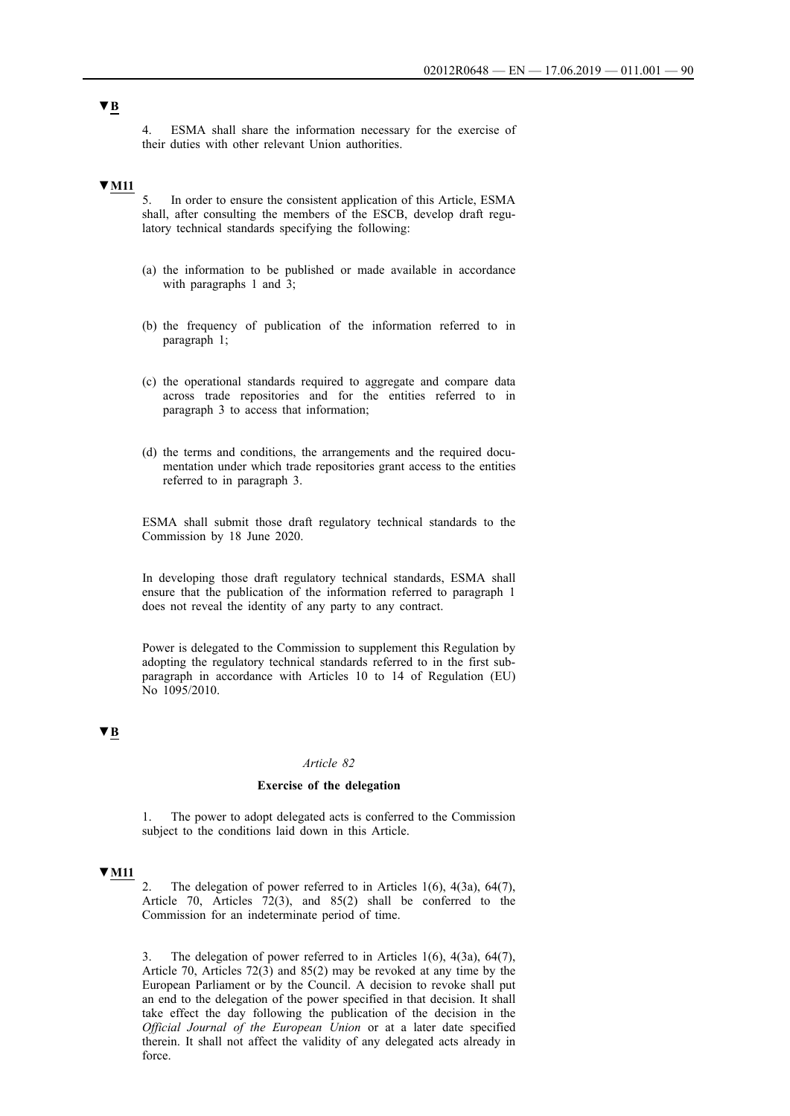4. ESMA shall share the information necessary for the exercise of their duties with other relevant Union authorities.

## **▼M11**

5. In order to ensure the consistent application of this Article, ESMA shall, after consulting the members of the ESCB, develop draft regulatory technical standards specifying the following:

- (a) the information to be published or made available in accordance with paragraphs 1 and 3;
- (b) the frequency of publication of the information referred to in paragraph 1;
- (c) the operational standards required to aggregate and compare data across trade repositories and for the entities referred to in paragraph 3 to access that information;
- (d) the terms and conditions, the arrangements and the required documentation under which trade repositories grant access to the entities referred to in paragraph 3.

ESMA shall submit those draft regulatory technical standards to the Commission by 18 June 2020.

In developing those draft regulatory technical standards, ESMA shall ensure that the publication of the information referred to paragraph 1 does not reveal the identity of any party to any contract.

Power is delegated to the Commission to supplement this Regulation by adopting the regulatory technical standards referred to in the first subparagraph in accordance with Articles 10 to 14 of Regulation (EU) No 1095/2010.

# **▼B**

### *Article 82*

## **Exercise of the delegation**

1. The power to adopt delegated acts is conferred to the Commission subject to the conditions laid down in this Article.

### **▼M11**

2. The delegation of power referred to in Articles  $1(6)$ ,  $4(3a)$ ,  $64(7)$ , Article 70, Articles 72(3), and 85(2) shall be conferred to the Commission for an indeterminate period of time.

3. The delegation of power referred to in Articles 1(6), 4(3a), 64(7), Article 70, Articles 72(3) and 85(2) may be revoked at any time by the European Parliament or by the Council. A decision to revoke shall put an end to the delegation of the power specified in that decision. It shall take effect the day following the publication of the decision in the *Official Journal of the European Union* or at a later date specified therein. It shall not affect the validity of any delegated acts already in force.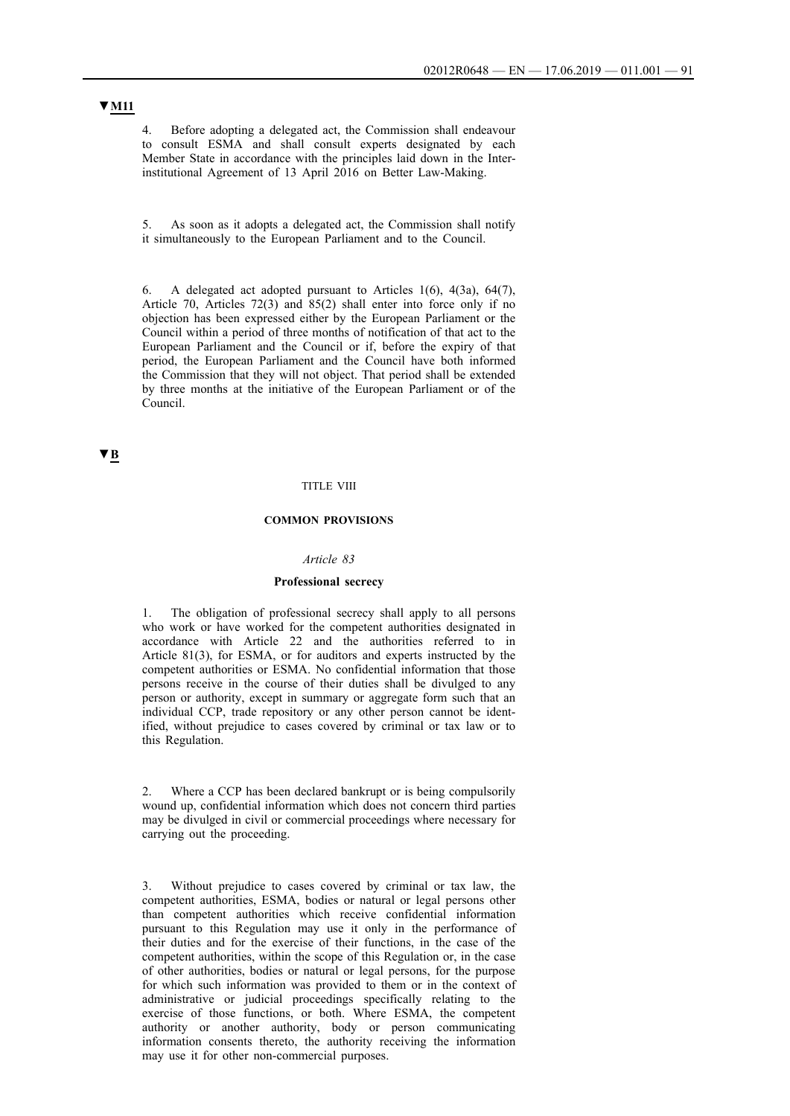4. Before adopting a delegated act, the Commission shall endeavour to consult ESMA and shall consult experts designated by each Member State in accordance with the principles laid down in the Interinstitutional Agreement of 13 April 2016 on Better Law-Making.

5. As soon as it adopts a delegated act, the Commission shall notify it simultaneously to the European Parliament and to the Council.

6. A delegated act adopted pursuant to Articles 1(6), 4(3a), 64(7), Article 70, Articles 72(3) and 85(2) shall enter into force only if no objection has been expressed either by the European Parliament or the Council within a period of three months of notification of that act to the European Parliament and the Council or if, before the expiry of that period, the European Parliament and the Council have both informed the Commission that they will not object. That period shall be extended by three months at the initiative of the European Parliament or of the Council.

# **▼B**

## TITLE VIII

### **COMMON PROVISIONS**

### *Article 83*

#### **Professional secrecy**

1. The obligation of professional secrecy shall apply to all persons who work or have worked for the competent authorities designated in accordance with Article 22 and the authorities referred to in Article 81(3), for ESMA, or for auditors and experts instructed by the competent authorities or ESMA. No confidential information that those persons receive in the course of their duties shall be divulged to any person or authority, except in summary or aggregate form such that an individual CCP, trade repository or any other person cannot be identified, without prejudice to cases covered by criminal or tax law or to this Regulation.

2. Where a CCP has been declared bankrupt or is being compulsorily wound up, confidential information which does not concern third parties may be divulged in civil or commercial proceedings where necessary for carrying out the proceeding.

3. Without prejudice to cases covered by criminal or tax law, the competent authorities, ESMA, bodies or natural or legal persons other than competent authorities which receive confidential information pursuant to this Regulation may use it only in the performance of their duties and for the exercise of their functions, in the case of the competent authorities, within the scope of this Regulation or, in the case of other authorities, bodies or natural or legal persons, for the purpose for which such information was provided to them or in the context of administrative or judicial proceedings specifically relating to the exercise of those functions, or both. Where ESMA, the competent authority or another authority, body or person communicating information consents thereto, the authority receiving the information may use it for other non-commercial purposes.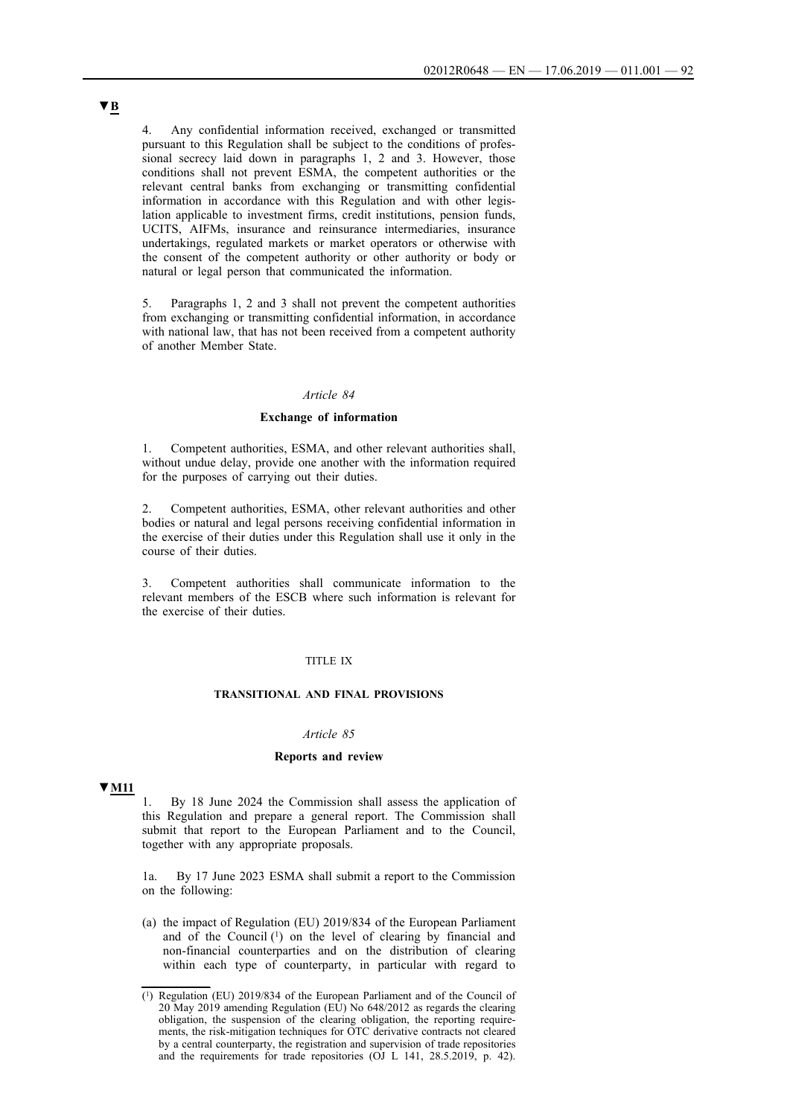4. Any confidential information received, exchanged or transmitted pursuant to this Regulation shall be subject to the conditions of professional secrecy laid down in paragraphs 1, 2 and 3. However, those conditions shall not prevent ESMA, the competent authorities or the relevant central banks from exchanging or transmitting confidential information in accordance with this Regulation and with other legislation applicable to investment firms, credit institutions, pension funds, UCITS, AIFMs, insurance and reinsurance intermediaries, insurance undertakings, regulated markets or market operators or otherwise with the consent of the competent authority or other authority or body or natural or legal person that communicated the information.

Paragraphs 1, 2 and 3 shall not prevent the competent authorities from exchanging or transmitting confidential information, in accordance with national law, that has not been received from a competent authority of another Member State.

### *Article 84*

## **Exchange of information**

1. Competent authorities, ESMA, and other relevant authorities shall, without undue delay, provide one another with the information required for the purposes of carrying out their duties.

2. Competent authorities, ESMA, other relevant authorities and other bodies or natural and legal persons receiving confidential information in the exercise of their duties under this Regulation shall use it only in the course of their duties.

3. Competent authorities shall communicate information to the relevant members of the ESCB where such information is relevant for the exercise of their duties.

### TITLE IX

### **TRANSITIONAL AND FINAL PROVISIONS**

## *Article 85*

### **Reports and review**

### **▼M11**

1. By 18 June 2024 the Commission shall assess the application of this Regulation and prepare a general report. The Commission shall submit that report to the European Parliament and to the Council, together with any appropriate proposals.

1a. By 17 June 2023 ESMA shall submit a report to the Commission on the following:

(a) the impact of Regulation (EU) 2019/834 of the European Parliament and of the Council  $(1)$  on the level of clearing by financial and non-financial counterparties and on the distribution of clearing within each type of counterparty, in particular with regard to

<sup>(1)</sup> Regulation (EU) 2019/834 of the European Parliament and of the Council of 20 May 2019 amending Regulation (EU) No 648/2012 as regards the clearing obligation, the suspension of the clearing obligation, the reporting requirements, the risk-mitigation techniques for OTC derivative contracts not cleared by a central counterparty, the registration and supervision of trade repositories and the requirements for trade repositories (OJ L 141, 28.5.2019, p. 42).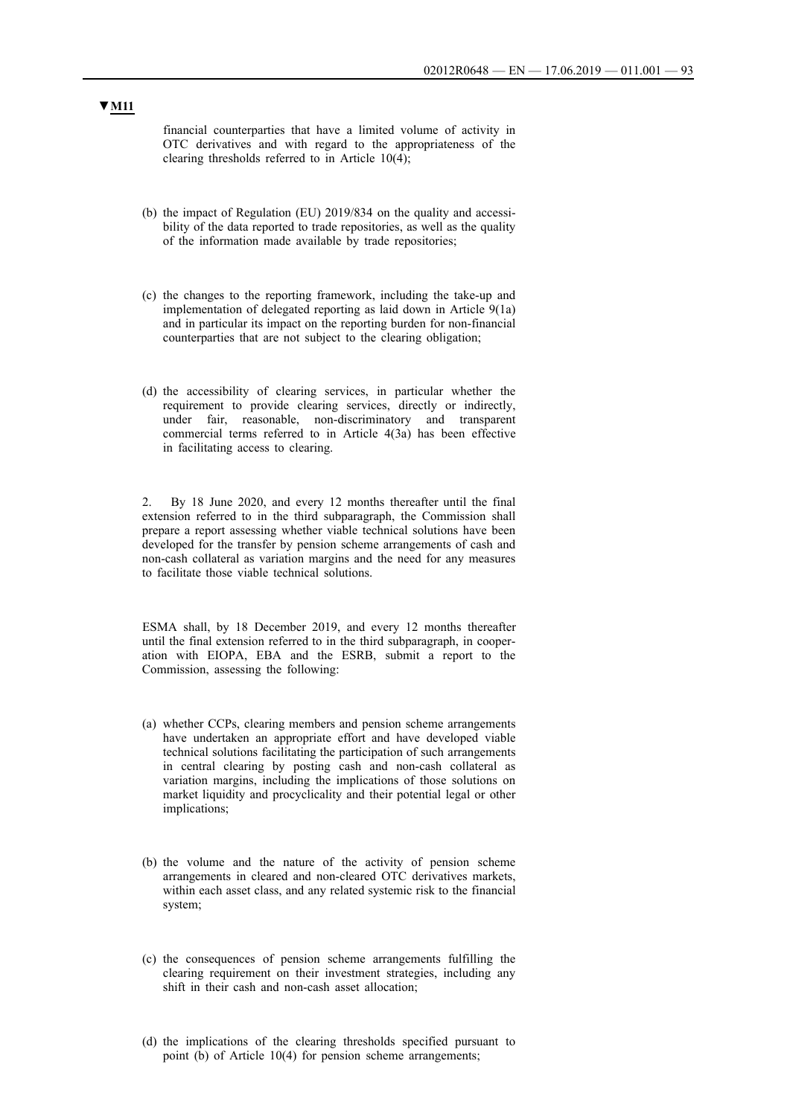financial counterparties that have a limited volume of activity in OTC derivatives and with regard to the appropriateness of the clearing thresholds referred to in Article 10(4);

- (b) the impact of Regulation (EU) 2019/834 on the quality and accessibility of the data reported to trade repositories, as well as the quality of the information made available by trade repositories;
- (c) the changes to the reporting framework, including the take-up and implementation of delegated reporting as laid down in Article 9(1a) and in particular its impact on the reporting burden for non-financial counterparties that are not subject to the clearing obligation;
- (d) the accessibility of clearing services, in particular whether the requirement to provide clearing services, directly or indirectly, under fair, reasonable, non-discriminatory and transparent commercial terms referred to in Article 4(3a) has been effective in facilitating access to clearing.

2. By 18 June 2020, and every 12 months thereafter until the final extension referred to in the third subparagraph, the Commission shall prepare a report assessing whether viable technical solutions have been developed for the transfer by pension scheme arrangements of cash and non-cash collateral as variation margins and the need for any measures to facilitate those viable technical solutions.

ESMA shall, by 18 December 2019, and every 12 months thereafter until the final extension referred to in the third subparagraph, in cooperation with EIOPA, EBA and the ESRB, submit a report to the Commission, assessing the following:

- (a) whether CCPs, clearing members and pension scheme arrangements have undertaken an appropriate effort and have developed viable technical solutions facilitating the participation of such arrangements in central clearing by posting cash and non-cash collateral as variation margins, including the implications of those solutions on market liquidity and procyclicality and their potential legal or other implications;
- (b) the volume and the nature of the activity of pension scheme arrangements in cleared and non-cleared OTC derivatives markets, within each asset class, and any related systemic risk to the financial system;
- (c) the consequences of pension scheme arrangements fulfilling the clearing requirement on their investment strategies, including any shift in their cash and non-cash asset allocation;
- (d) the implications of the clearing thresholds specified pursuant to point (b) of Article 10(4) for pension scheme arrangements;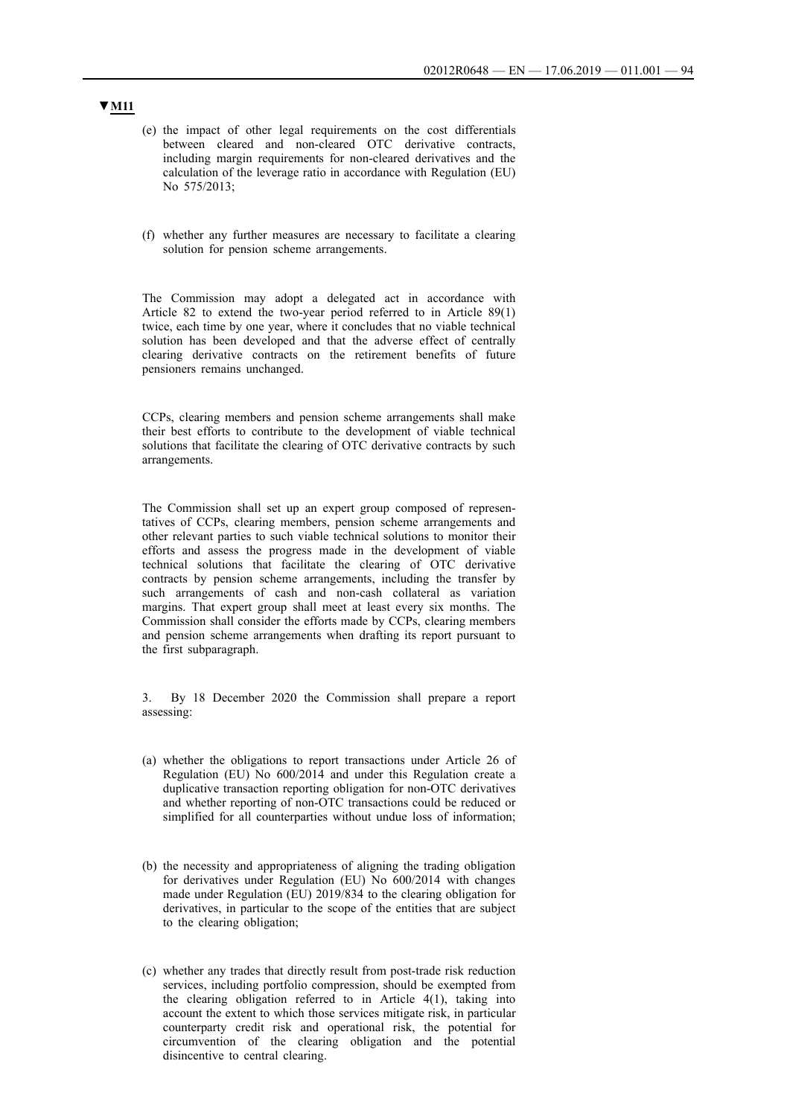- (e) the impact of other legal requirements on the cost differentials between cleared and non-cleared OTC derivative contracts, including margin requirements for non-cleared derivatives and the calculation of the leverage ratio in accordance with Regulation (EU) No 575/2013;
- (f) whether any further measures are necessary to facilitate a clearing solution for pension scheme arrangements.

The Commission may adopt a delegated act in accordance with Article 82 to extend the two-year period referred to in Article 89(1) twice, each time by one year, where it concludes that no viable technical solution has been developed and that the adverse effect of centrally clearing derivative contracts on the retirement benefits of future pensioners remains unchanged.

CCPs, clearing members and pension scheme arrangements shall make their best efforts to contribute to the development of viable technical solutions that facilitate the clearing of OTC derivative contracts by such arrangements.

The Commission shall set up an expert group composed of representatives of CCPs, clearing members, pension scheme arrangements and other relevant parties to such viable technical solutions to monitor their efforts and assess the progress made in the development of viable technical solutions that facilitate the clearing of OTC derivative contracts by pension scheme arrangements, including the transfer by such arrangements of cash and non-cash collateral as variation margins. That expert group shall meet at least every six months. The Commission shall consider the efforts made by CCPs, clearing members and pension scheme arrangements when drafting its report pursuant to the first subparagraph.

3. By 18 December 2020 the Commission shall prepare a report assessing:

- (a) whether the obligations to report transactions under Article 26 of Regulation (EU) No 600/2014 and under this Regulation create a duplicative transaction reporting obligation for non-OTC derivatives and whether reporting of non-OTC transactions could be reduced or simplified for all counterparties without undue loss of information;
- (b) the necessity and appropriateness of aligning the trading obligation for derivatives under Regulation (EU) No 600/2014 with changes made under Regulation (EU) 2019/834 to the clearing obligation for derivatives, in particular to the scope of the entities that are subject to the clearing obligation;
- (c) whether any trades that directly result from post-trade risk reduction services, including portfolio compression, should be exempted from the clearing obligation referred to in Article 4(1), taking into account the extent to which those services mitigate risk, in particular counterparty credit risk and operational risk, the potential for circumvention of the clearing obligation and the potential disincentive to central clearing.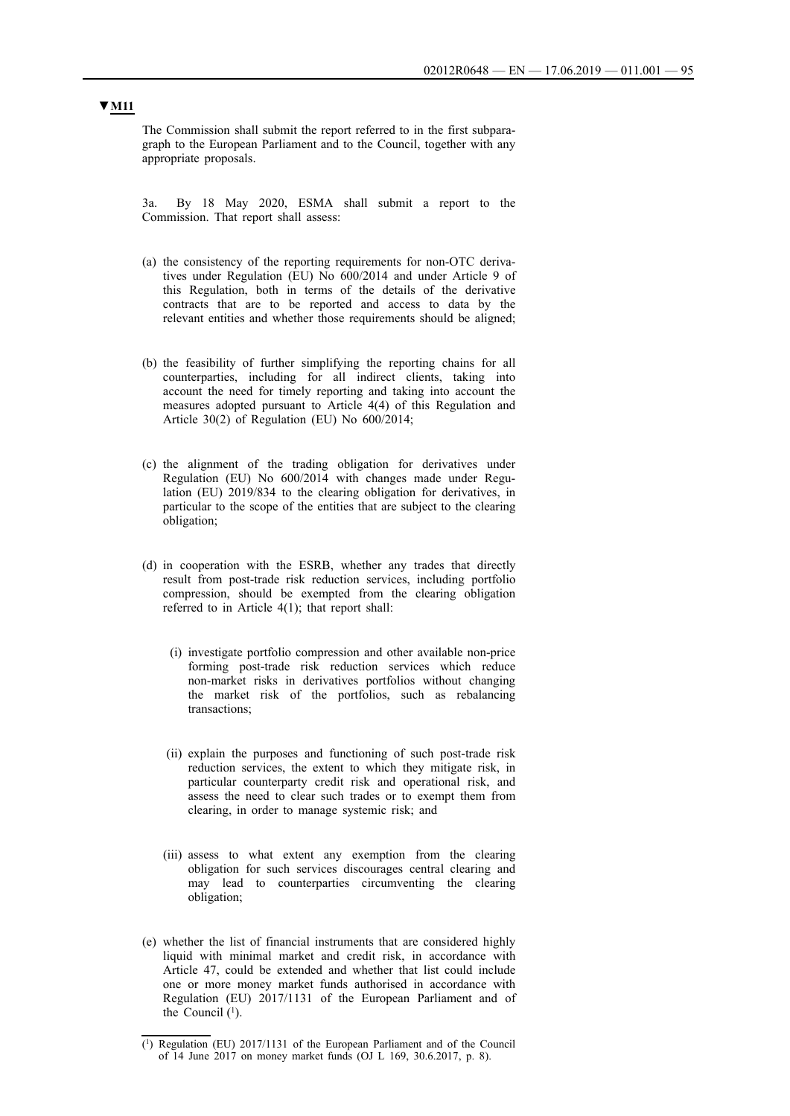The Commission shall submit the report referred to in the first subparagraph to the European Parliament and to the Council, together with any appropriate proposals.

3a. By 18 May 2020, ESMA shall submit a report to the Commission. That report shall assess:

- (a) the consistency of the reporting requirements for non-OTC derivatives under Regulation (EU) No 600/2014 and under Article 9 of this Regulation, both in terms of the details of the derivative contracts that are to be reported and access to data by the relevant entities and whether those requirements should be aligned;
- (b) the feasibility of further simplifying the reporting chains for all counterparties, including for all indirect clients, taking into account the need for timely reporting and taking into account the measures adopted pursuant to Article 4(4) of this Regulation and Article 30(2) of Regulation (EU) No 600/2014;
- (c) the alignment of the trading obligation for derivatives under Regulation (EU) No 600/2014 with changes made under Regulation (EU) 2019/834 to the clearing obligation for derivatives, in particular to the scope of the entities that are subject to the clearing obligation;
- (d) in cooperation with the ESRB, whether any trades that directly result from post-trade risk reduction services, including portfolio compression, should be exempted from the clearing obligation referred to in Article 4(1); that report shall:
	- (i) investigate portfolio compression and other available non-price forming post-trade risk reduction services which reduce non-market risks in derivatives portfolios without changing the market risk of the portfolios, such as rebalancing transactions;
	- (ii) explain the purposes and functioning of such post-trade risk reduction services, the extent to which they mitigate risk, in particular counterparty credit risk and operational risk, and assess the need to clear such trades or to exempt them from clearing, in order to manage systemic risk; and
	- (iii) assess to what extent any exemption from the clearing obligation for such services discourages central clearing and may lead to counterparties circumventing the clearing obligation;
- (e) whether the list of financial instruments that are considered highly liquid with minimal market and credit risk, in accordance with Article 47, could be extended and whether that list could include one or more money market funds authorised in accordance with Regulation (EU) 2017/1131 of the European Parliament and of the Council  $(1)$ .

<sup>(1)</sup> Regulation (EU) 2017/1131 of the European Parliament and of the Council of 14 June 2017 on money market funds (OJ L 169, 30.6.2017, p. 8).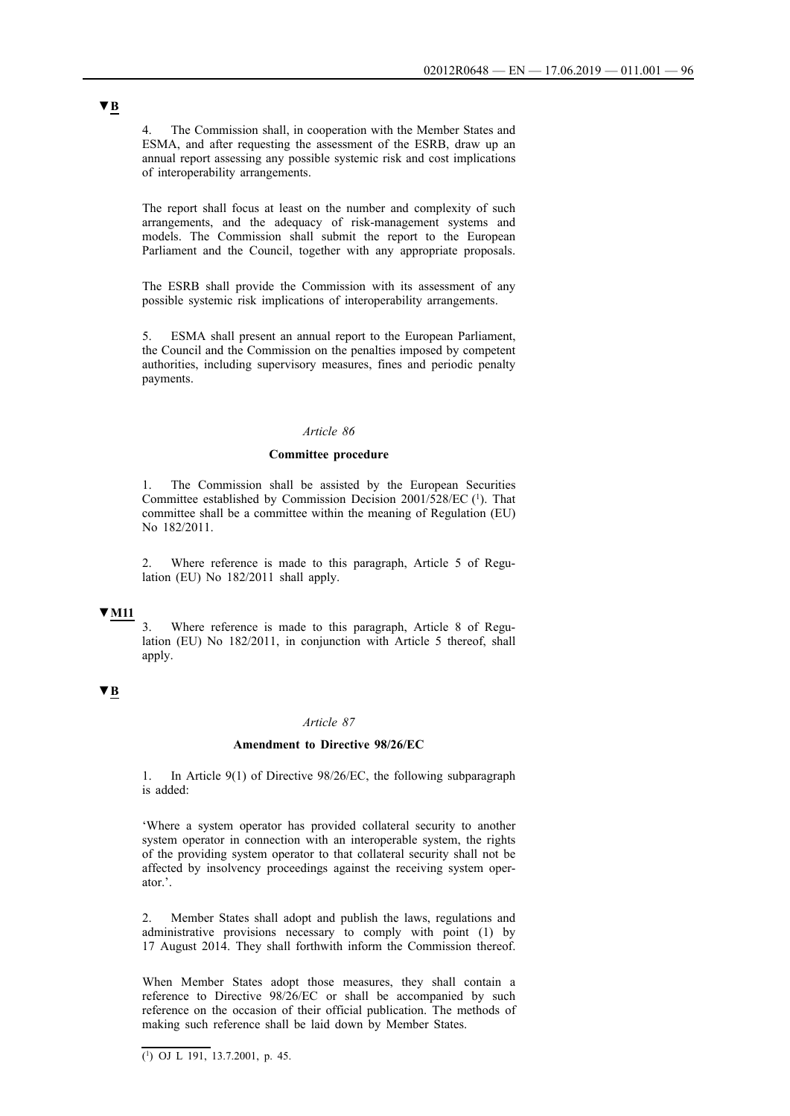4. The Commission shall, in cooperation with the Member States and ESMA, and after requesting the assessment of the ESRB, draw up an annual report assessing any possible systemic risk and cost implications of interoperability arrangements.

The report shall focus at least on the number and complexity of such arrangements, and the adequacy of risk-management systems and models. The Commission shall submit the report to the European Parliament and the Council, together with any appropriate proposals.

The ESRB shall provide the Commission with its assessment of any possible systemic risk implications of interoperability arrangements.

5. ESMA shall present an annual report to the European Parliament, the Council and the Commission on the penalties imposed by competent authorities, including supervisory measures, fines and periodic penalty payments.

#### *Article 86*

## **Committee procedure**

1. The Commission shall be assisted by the European Securities Committee established by Commission Decision 2001/528/EC (1). That committee shall be a committee within the meaning of Regulation (EU) No 182/2011.

2. Where reference is made to this paragraph, Article 5 of Regulation (EU) No 182/2011 shall apply.

### **▼M11**

3. Where reference is made to this paragraph, Article 8 of Regulation (EU) No 182/2011, in conjunction with Article 5 thereof, shall apply.

## **▼B**

### *Article 87*

## **Amendment to Directive 98/26/EC**

1. In Article 9(1) of Directive 98/26/EC, the following subparagraph is added:

'Where a system operator has provided collateral security to another system operator in connection with an interoperable system, the rights of the providing system operator to that collateral security shall not be affected by insolvency proceedings against the receiving system operator.'.

2. Member States shall adopt and publish the laws, regulations and administrative provisions necessary to comply with point (1) by 17 August 2014. They shall forthwith inform the Commission thereof.

When Member States adopt those measures, they shall contain a reference to Directive 98/26/EC or shall be accompanied by such reference on the occasion of their official publication. The methods of making such reference shall be laid down by Member States.

 $\overline{(^1)}$  OJ L 191, 13.7.2001, p. 45.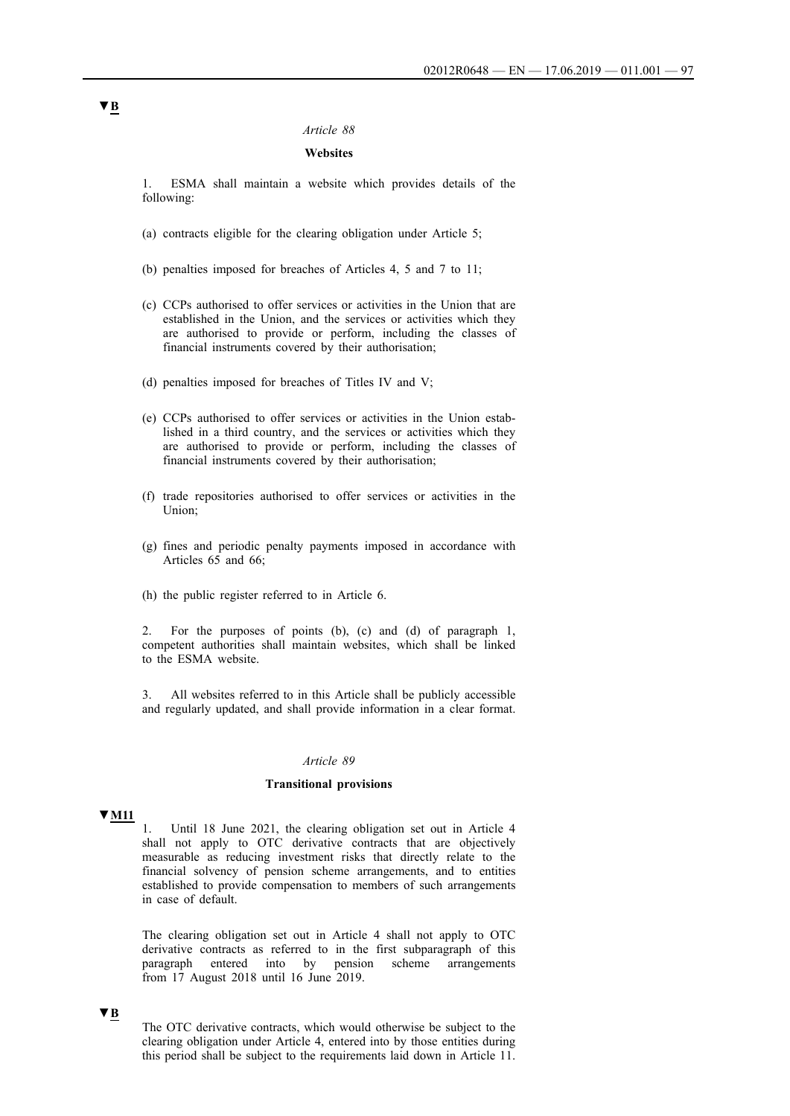#### *Article 88*

## **Websites**

1. ESMA shall maintain a website which provides details of the following:

- (a) contracts eligible for the clearing obligation under Article 5;
- (b) penalties imposed for breaches of Articles 4, 5 and 7 to 11;
- (c) CCPs authorised to offer services or activities in the Union that are established in the Union, and the services or activities which they are authorised to provide or perform, including the classes of financial instruments covered by their authorisation;
- (d) penalties imposed for breaches of Titles IV and V;
- (e) CCPs authorised to offer services or activities in the Union established in a third country, and the services or activities which they are authorised to provide or perform, including the classes of financial instruments covered by their authorisation;
- (f) trade repositories authorised to offer services or activities in the Union;
- (g) fines and periodic penalty payments imposed in accordance with Articles 65 and 66;
- (h) the public register referred to in Article 6.

2. For the purposes of points (b), (c) and (d) of paragraph 1, competent authorities shall maintain websites, which shall be linked to the ESMA website.

3. All websites referred to in this Article shall be publicly accessible and regularly updated, and shall provide information in a clear format.

### *Article 89*

#### **Transitional provisions**

### **▼M11**

1. Until 18 June 2021, the clearing obligation set out in Article 4 shall not apply to OTC derivative contracts that are objectively measurable as reducing investment risks that directly relate to the financial solvency of pension scheme arrangements, and to entities established to provide compensation to members of such arrangements in case of default.

The clearing obligation set out in Article 4 shall not apply to OTC derivative contracts as referred to in the first subparagraph of this paragraph entered into by pension scheme arrangements from 17 August 2018 until 16 June 2019.

### **▼B**

The OTC derivative contracts, which would otherwise be subject to the clearing obligation under Article 4, entered into by those entities during this period shall be subject to the requirements laid down in Article 11.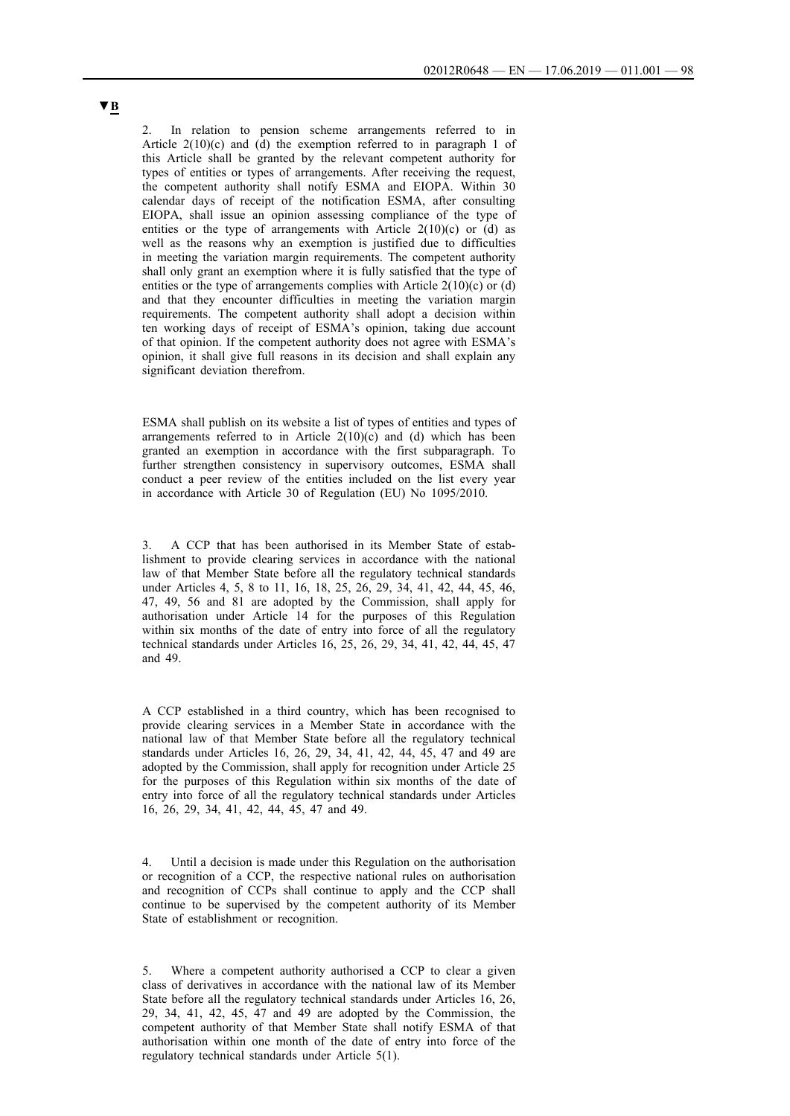2. In relation to pension scheme arrangements referred to in Article 2(10)(c) and (d) the exemption referred to in paragraph 1 of this Article shall be granted by the relevant competent authority for types of entities or types of arrangements. After receiving the request, the competent authority shall notify ESMA and EIOPA. Within 30 calendar days of receipt of the notification ESMA, after consulting EIOPA, shall issue an opinion assessing compliance of the type of entities or the type of arrangements with Article  $2(10)(c)$  or (d) as well as the reasons why an exemption is justified due to difficulties in meeting the variation margin requirements. The competent authority shall only grant an exemption where it is fully satisfied that the type of entities or the type of arrangements complies with Article  $2(10)(c)$  or (d) and that they encounter difficulties in meeting the variation margin requirements. The competent authority shall adopt a decision within ten working days of receipt of ESMA's opinion, taking due account of that opinion. If the competent authority does not agree with ESMA's opinion, it shall give full reasons in its decision and shall explain any significant deviation therefrom.

ESMA shall publish on its website a list of types of entities and types of arrangements referred to in Article  $2(10)(c)$  and (d) which has been granted an exemption in accordance with the first subparagraph. To further strengthen consistency in supervisory outcomes, ESMA shall conduct a peer review of the entities included on the list every year in accordance with Article 30 of Regulation (EU) No 1095/2010.

3. A CCP that has been authorised in its Member State of establishment to provide clearing services in accordance with the national law of that Member State before all the regulatory technical standards under Articles 4, 5, 8 to 11, 16, 18, 25, 26, 29, 34, 41, 42, 44, 45, 46, 47, 49, 56 and 81 are adopted by the Commission, shall apply for authorisation under Article 14 for the purposes of this Regulation within six months of the date of entry into force of all the regulatory technical standards under Articles 16, 25, 26, 29, 34, 41, 42, 44, 45, 47 and 49.

A CCP established in a third country, which has been recognised to provide clearing services in a Member State in accordance with the national law of that Member State before all the regulatory technical standards under Articles 16, 26, 29, 34, 41, 42, 44, 45, 47 and 49 are adopted by the Commission, shall apply for recognition under Article 25 for the purposes of this Regulation within six months of the date of entry into force of all the regulatory technical standards under Articles 16, 26, 29, 34, 41, 42, 44, 45, 47 and 49.

4. Until a decision is made under this Regulation on the authorisation or recognition of a CCP, the respective national rules on authorisation and recognition of CCPs shall continue to apply and the CCP shall continue to be supervised by the competent authority of its Member State of establishment or recognition.

Where a competent authority authorised a CCP to clear a given class of derivatives in accordance with the national law of its Member State before all the regulatory technical standards under Articles 16, 26, 29, 34, 41, 42, 45, 47 and 49 are adopted by the Commission, the competent authority of that Member State shall notify ESMA of that authorisation within one month of the date of entry into force of the regulatory technical standards under Article 5(1).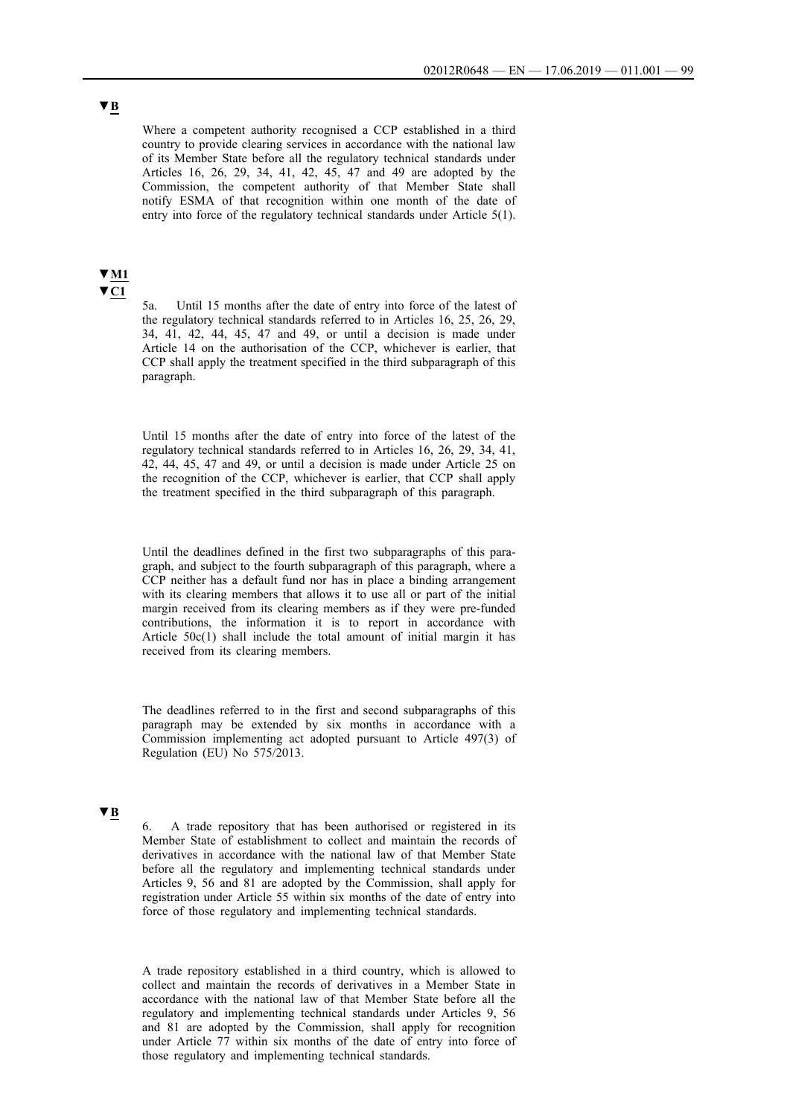Where a competent authority recognised a CCP established in a third country to provide clearing services in accordance with the national law of its Member State before all the regulatory technical standards under Articles 16, 26, 29, 34, 41, 42, 45, 47 and 49 are adopted by the Commission, the competent authority of that Member State shall notify ESMA of that recognition within one month of the date of entry into force of the regulatory technical standards under Article 5(1).

## **▼M1 ▼C1**

5a. Until 15 months after the date of entry into force of the latest of the regulatory technical standards referred to in Articles 16, 25, 26, 29, 34, 41, 42, 44, 45, 47 and 49, or until a decision is made under Article 14 on the authorisation of the CCP, whichever is earlier, that CCP shall apply the treatment specified in the third subparagraph of this paragraph.

Until 15 months after the date of entry into force of the latest of the regulatory technical standards referred to in Articles 16, 26, 29, 34, 41, 42, 44, 45, 47 and 49, or until a decision is made under Article 25 on the recognition of the CCP, whichever is earlier, that CCP shall apply the treatment specified in the third subparagraph of this paragraph.

Until the deadlines defined in the first two subparagraphs of this paragraph, and subject to the fourth subparagraph of this paragraph, where a CCP neither has a default fund nor has in place a binding arrangement with its clearing members that allows it to use all or part of the initial margin received from its clearing members as if they were pre-funded contributions, the information it is to report in accordance with Article 50c(1) shall include the total amount of initial margin it has received from its clearing members.

The deadlines referred to in the first and second subparagraphs of this paragraph may be extended by six months in accordance with a Commission implementing act adopted pursuant to Article 497(3) of Regulation (EU) No 575/2013.

# **▼B**

6. A trade repository that has been authorised or registered in its Member State of establishment to collect and maintain the records of derivatives in accordance with the national law of that Member State before all the regulatory and implementing technical standards under Articles 9, 56 and 81 are adopted by the Commission, shall apply for registration under Article 55 within six months of the date of entry into force of those regulatory and implementing technical standards.

A trade repository established in a third country, which is allowed to collect and maintain the records of derivatives in a Member State in accordance with the national law of that Member State before all the regulatory and implementing technical standards under Articles 9, 56 and 81 are adopted by the Commission, shall apply for recognition under Article 77 within six months of the date of entry into force of those regulatory and implementing technical standards.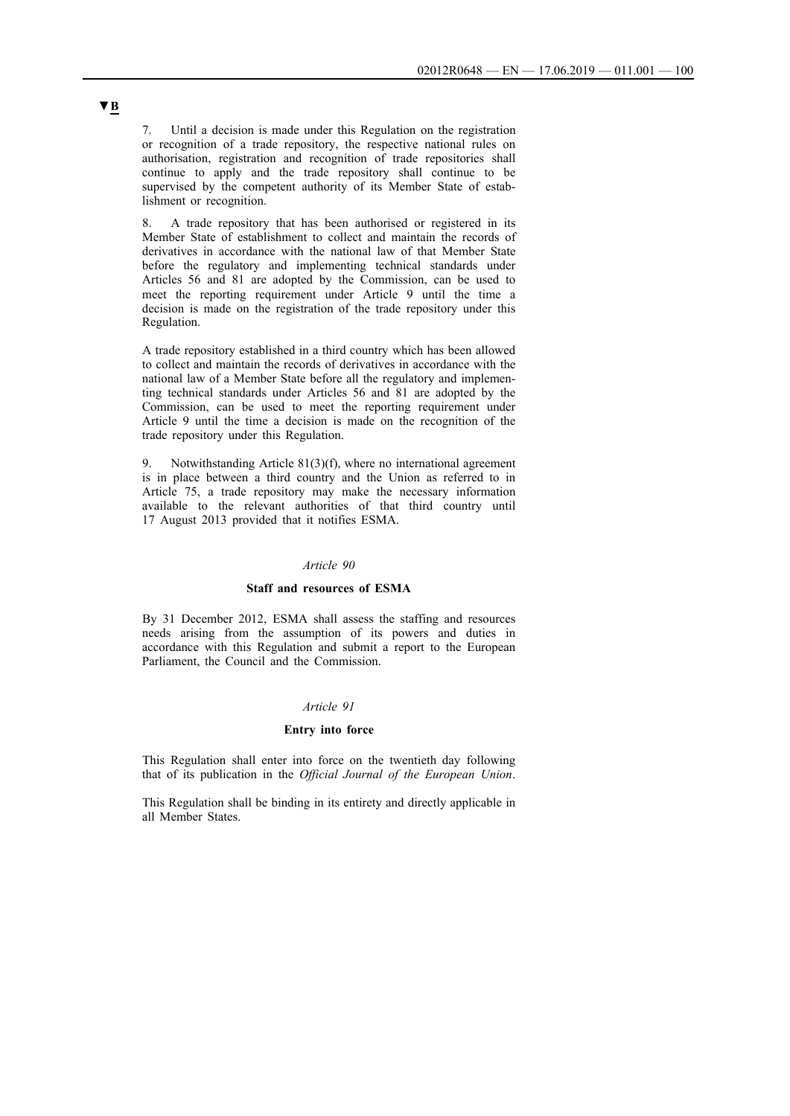7. Until a decision is made under this Regulation on the registration or recognition of a trade repository, the respective national rules on authorisation, registration and recognition of trade repositories shall continue to apply and the trade repository shall continue to be supervised by the competent authority of its Member State of establishment or recognition.

8. A trade repository that has been authorised or registered in its Member State of establishment to collect and maintain the records of derivatives in accordance with the national law of that Member State before the regulatory and implementing technical standards under Articles 56 and 81 are adopted by the Commission, can be used to meet the reporting requirement under Article 9 until the time a decision is made on the registration of the trade repository under this Regulation.

A trade repository established in a third country which has been allowed to collect and maintain the records of derivatives in accordance with the national law of a Member State before all the regulatory and implementing technical standards under Articles 56 and 81 are adopted by the Commission, can be used to meet the reporting requirement under Article 9 until the time a decision is made on the recognition of the trade repository under this Regulation.

9. Notwithstanding Article 81(3)(f), where no international agreement is in place between a third country and the Union as referred to in Article 75, a trade repository may make the necessary information available to the relevant authorities of that third country until 17 August 2013 provided that it notifies ESMA.

#### *Article 90*

## **Staff and resources of ESMA**

By 31 December 2012, ESMA shall assess the staffing and resources needs arising from the assumption of its powers and duties in accordance with this Regulation and submit a report to the European Parliament, the Council and the Commission.

## *Article 91*

### **Entry into force**

This Regulation shall enter into force on the twentieth day following that of its publication in the *Official Journal of the European Union*.

This Regulation shall be binding in its entirety and directly applicable in all Member States.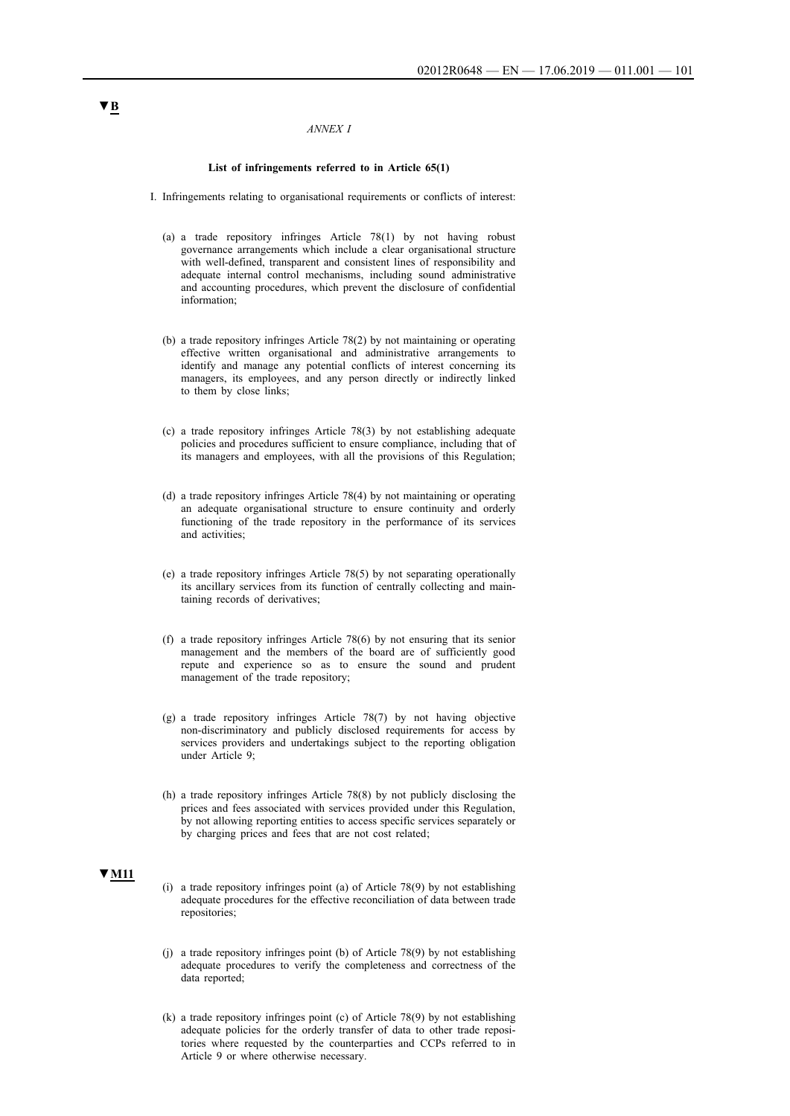### *ANNEX I*

### **List of infringements referred to in Article 65(1)**

- I. Infringements relating to organisational requirements or conflicts of interest:
	- (a) a trade repository infringes Article 78(1) by not having robust governance arrangements which include a clear organisational structure with well-defined, transparent and consistent lines of responsibility and adequate internal control mechanisms, including sound administrative and accounting procedures, which prevent the disclosure of confidential information;
	- (b) a trade repository infringes Article 78(2) by not maintaining or operating effective written organisational and administrative arrangements to identify and manage any potential conflicts of interest concerning its managers, its employees, and any person directly or indirectly linked to them by close links;
	- (c) a trade repository infringes Article 78(3) by not establishing adequate policies and procedures sufficient to ensure compliance, including that of its managers and employees, with all the provisions of this Regulation;
	- (d) a trade repository infringes Article 78(4) by not maintaining or operating an adequate organisational structure to ensure continuity and orderly functioning of the trade repository in the performance of its services and activities;
	- (e) a trade repository infringes Article 78(5) by not separating operationally its ancillary services from its function of centrally collecting and maintaining records of derivatives;
	- (f) a trade repository infringes Article 78(6) by not ensuring that its senior management and the members of the board are of sufficiently good repute and experience so as to ensure the sound and prudent management of the trade repository;
	- (g) a trade repository infringes Article 78(7) by not having objective non-discriminatory and publicly disclosed requirements for access by services providers and undertakings subject to the reporting obligation under Article 9;
	- (h) a trade repository infringes Article 78(8) by not publicly disclosing the prices and fees associated with services provided under this Regulation, by not allowing reporting entities to access specific services separately or by charging prices and fees that are not cost related;

## **▼M11**

- (i) a trade repository infringes point (a) of Article 78(9) by not establishing adequate procedures for the effective reconciliation of data between trade repositories;
- (i) a trade repository infringes point (b) of Article  $78(9)$  by not establishing adequate procedures to verify the completeness and correctness of the data reported;
- (k) a trade repository infringes point (c) of Article 78(9) by not establishing adequate policies for the orderly transfer of data to other trade repositories where requested by the counterparties and CCPs referred to in Article 9 or where otherwise necessary.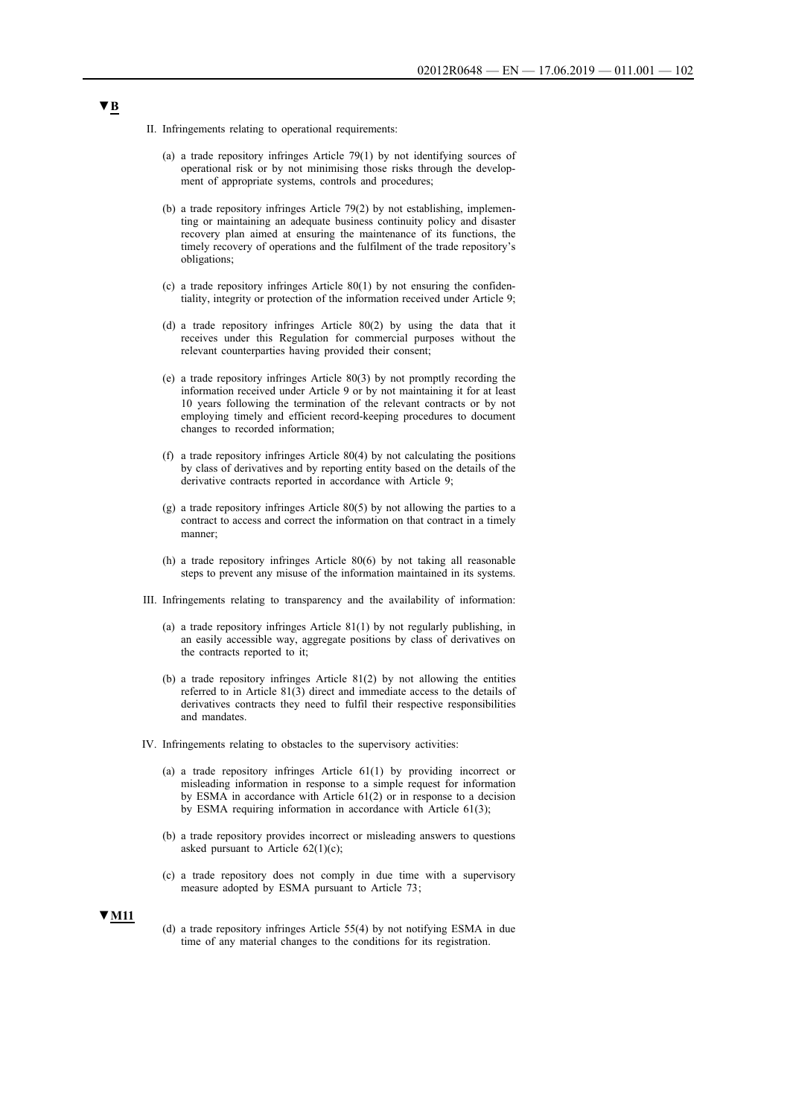- II. Infringements relating to operational requirements:
	- (a) a trade repository infringes Article 79(1) by not identifying sources of operational risk or by not minimising those risks through the development of appropriate systems, controls and procedures;
	- (b) a trade repository infringes Article 79(2) by not establishing, implementing or maintaining an adequate business continuity policy and disaster recovery plan aimed at ensuring the maintenance of its functions, the timely recovery of operations and the fulfilment of the trade repository's obligations;
	- (c) a trade repository infringes Article 80(1) by not ensuring the confidentiality, integrity or protection of the information received under Article 9;
	- (d) a trade repository infringes Article 80(2) by using the data that it receives under this Regulation for commercial purposes without the relevant counterparties having provided their consent;
	- (e) a trade repository infringes Article 80(3) by not promptly recording the information received under Article 9 or by not maintaining it for at least 10 years following the termination of the relevant contracts or by not employing timely and efficient record-keeping procedures to document changes to recorded information;
	- (f) a trade repository infringes Article 80(4) by not calculating the positions by class of derivatives and by reporting entity based on the details of the derivative contracts reported in accordance with Article 9;
	- (g) a trade repository infringes Article 80(5) by not allowing the parties to a contract to access and correct the information on that contract in a timely manner;
	- (h) a trade repository infringes Article 80(6) by not taking all reasonable steps to prevent any misuse of the information maintained in its systems.
- III. Infringements relating to transparency and the availability of information:
	- (a) a trade repository infringes Article 81(1) by not regularly publishing, in an easily accessible way, aggregate positions by class of derivatives on the contracts reported to it;
	- (b) a trade repository infringes Article 81(2) by not allowing the entities referred to in Article 81(3) direct and immediate access to the details of derivatives contracts they need to fulfil their respective responsibilities and mandates.
- IV. Infringements relating to obstacles to the supervisory activities:
	- (a) a trade repository infringes Article 61(1) by providing incorrect or misleading information in response to a simple request for information by ESMA in accordance with Article 61(2) or in response to a decision by ESMA requiring information in accordance with Article 61(3);
	- (b) a trade repository provides incorrect or misleading answers to questions asked pursuant to Article  $62(1)(c)$ ;
	- (c) a trade repository does not comply in due time with a supervisory measure adopted by ESMA pursuant to Article 73 ;

### **▼M11**

(d) a trade repository infringes Article 55(4) by not notifying ESMA in due time of any material changes to the conditions for its registration.